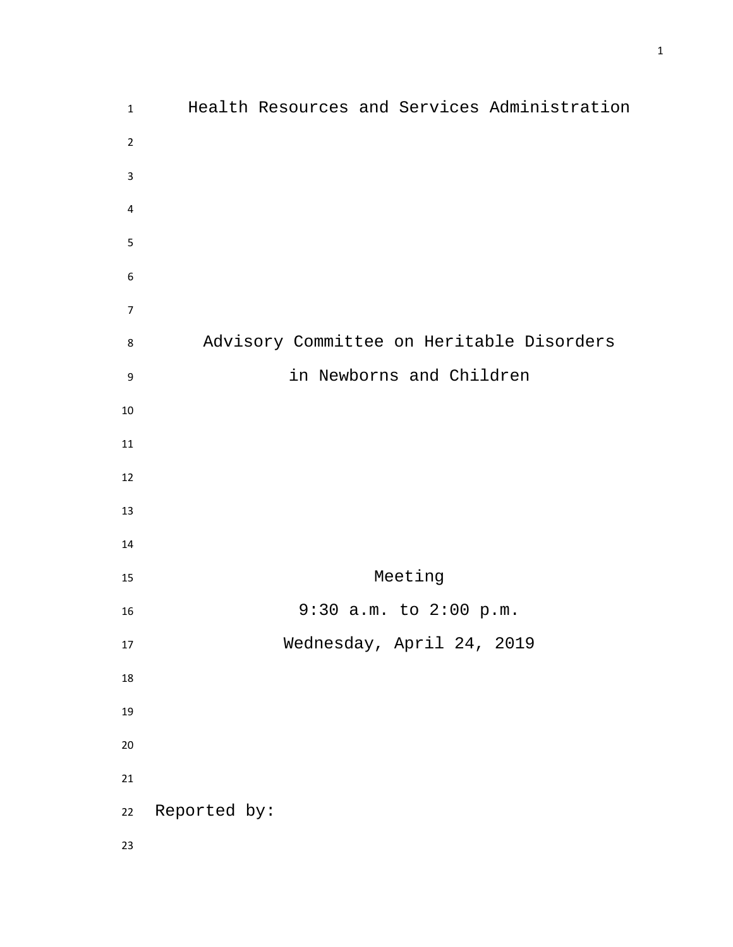| $\mathbf{1}$     | Health Resources and Services Administration |
|------------------|----------------------------------------------|
| $\overline{2}$   |                                              |
| $\mathsf 3$      |                                              |
| 4                |                                              |
| 5                |                                              |
| 6                |                                              |
| $\overline{7}$   |                                              |
| 8                | Advisory Committee on Heritable Disorders    |
| $\boldsymbol{9}$ | in Newborns and Children                     |
| $10\,$           |                                              |
| $11\,$           |                                              |
| 12               |                                              |
| 13               |                                              |
| 14               |                                              |
| 15               | Meeting                                      |
| 16               | 9:30 a.m. to 2:00 p.m.                       |
| $17\,$           | Wednesday, April 24, 2019                    |
| $18\,$           |                                              |
| 19               |                                              |
| 20               |                                              |
| 21               |                                              |
| 22               | Reported by:                                 |
| 23               |                                              |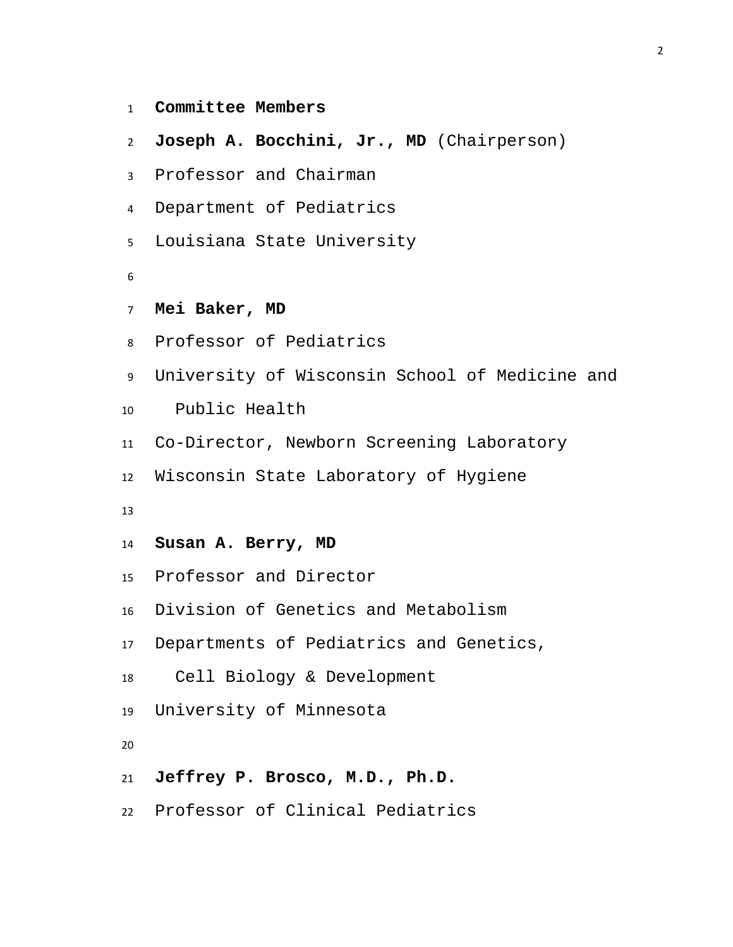- **Committee Members**
- **Joseph A. Bocchini, Jr., MD** (Chairperson)
- Professor and Chairman
- Department of Pediatrics
- Louisiana State University
- 
- **Mei Baker, MD**
- Professor of Pediatrics
- University of Wisconsin School of Medicine and
- Public Health
- Co-Director, Newborn Screening Laboratory
- Wisconsin State Laboratory of Hygiene
- 
- **Susan A. Berry, MD**
- Professor and Director
- Division of Genetics and Metabolism
- Departments of Pediatrics and Genetics,
- Cell Biology & Development
- University of Minnesota
- 
- **Jeffrey P. Brosco, M.D., Ph.D.**
- Professor of Clinical Pediatrics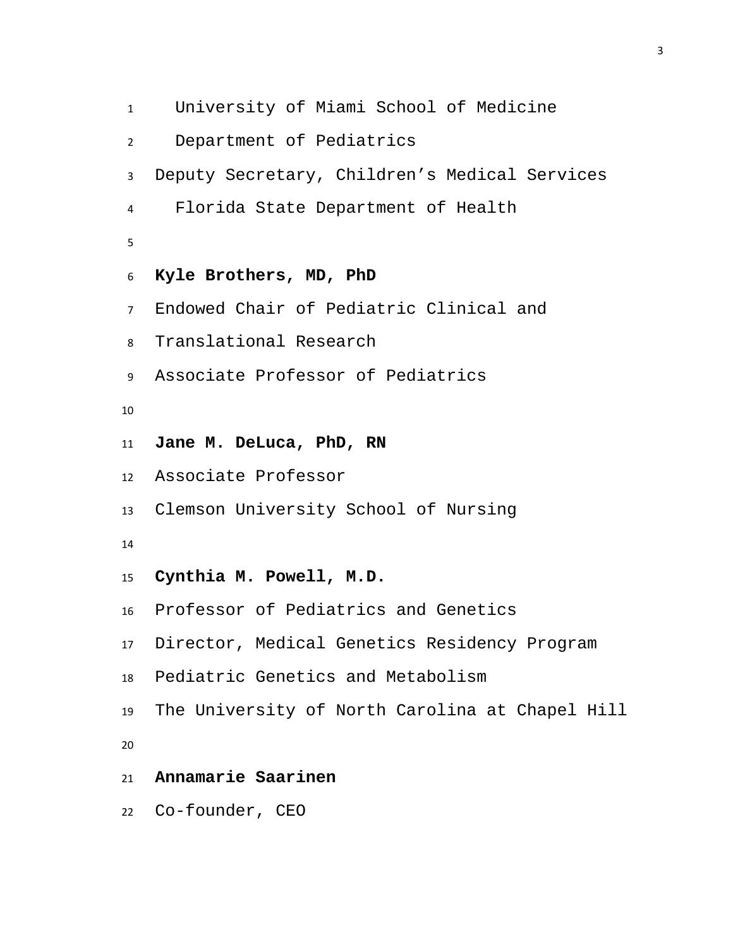University of Miami School of Medicine Department of Pediatrics Deputy Secretary, Children's Medical Services Florida State Department of Health **Kyle Brothers, MD, PhD** Endowed Chair of Pediatric Clinical and Translational Research Associate Professor of Pediatrics **Jane M. DeLuca, PhD, RN** Associate Professor Clemson University School of Nursing **Cynthia M. Powell, M.D.** Professor of Pediatrics and Genetics Director, Medical Genetics Residency Program Pediatric Genetics and Metabolism The University of North Carolina at Chapel Hill **Annamarie Saarinen** Co-founder, CEO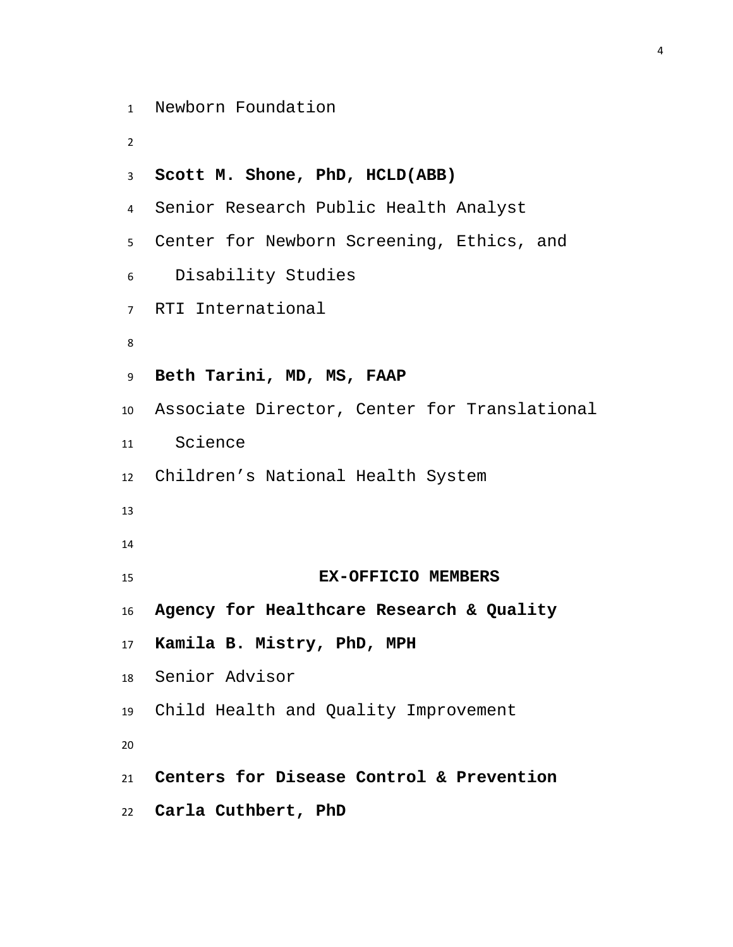```
1 Newborn Foundation
```

```
2
```

```
3 Scott M. Shone, PhD, HCLD(ABB)
4 Senior Research Public Health Analyst
5 Center for Newborn Screening, Ethics, and 
6 Disability Studies
7 RTI International
8
9 Beth Tarini, MD, MS, FAAP
10 Associate Director, Center for Translational 
11 Science 
12 Children's National Health System
13
14
15 EX-OFFICIO MEMBERS
16 Agency for Healthcare Research & Quality
17 Kamila B. Mistry, PhD, MPH 
18 Senior Advisor
19 Child Health and Quality Improvement
20
21 Centers for Disease Control & Prevention
22 Carla Cuthbert, PhD
```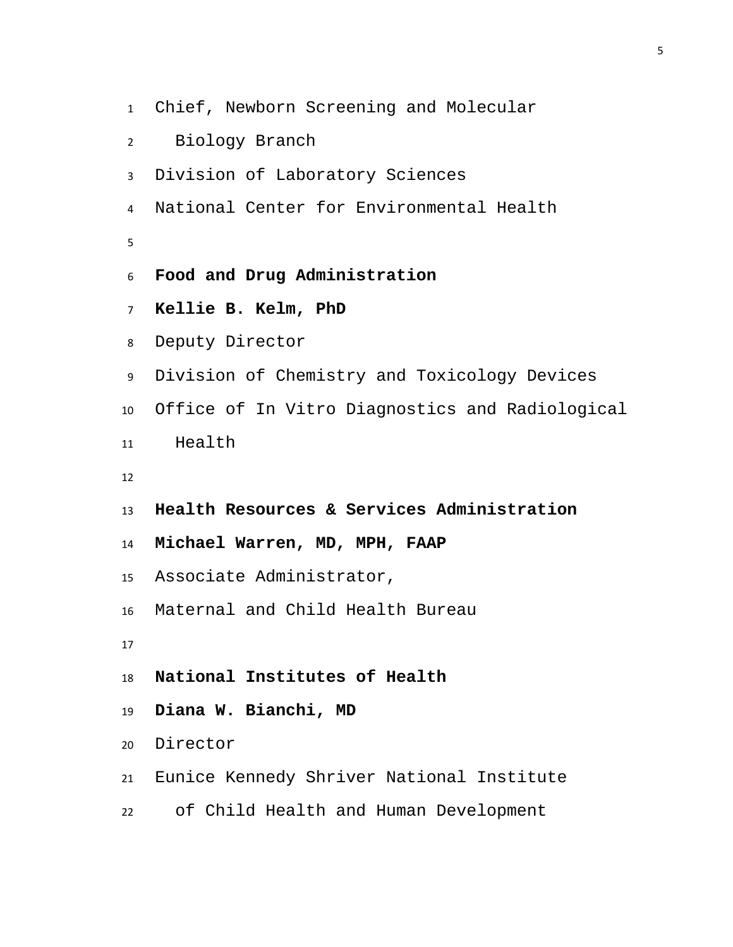- Chief, Newborn Screening and Molecular
- Biology Branch
- Division of Laboratory Sciences
- National Center for Environmental Health
- 
- **Food and Drug Administration**
- **Kellie B. Kelm, PhD**
- Deputy Director
- Division of Chemistry and Toxicology Devices
- Office of In Vitro Diagnostics and Radiological
- Health
- 
- **Health Resources & Services Administration**
- **Michael Warren, MD, MPH, FAAP**
- Associate Administrator,
- Maternal and Child Health Bureau
- 
- **National Institutes of Health**
- **Diana W. Bianchi, MD**
- Director
- Eunice Kennedy Shriver National Institute
- of Child Health and Human Development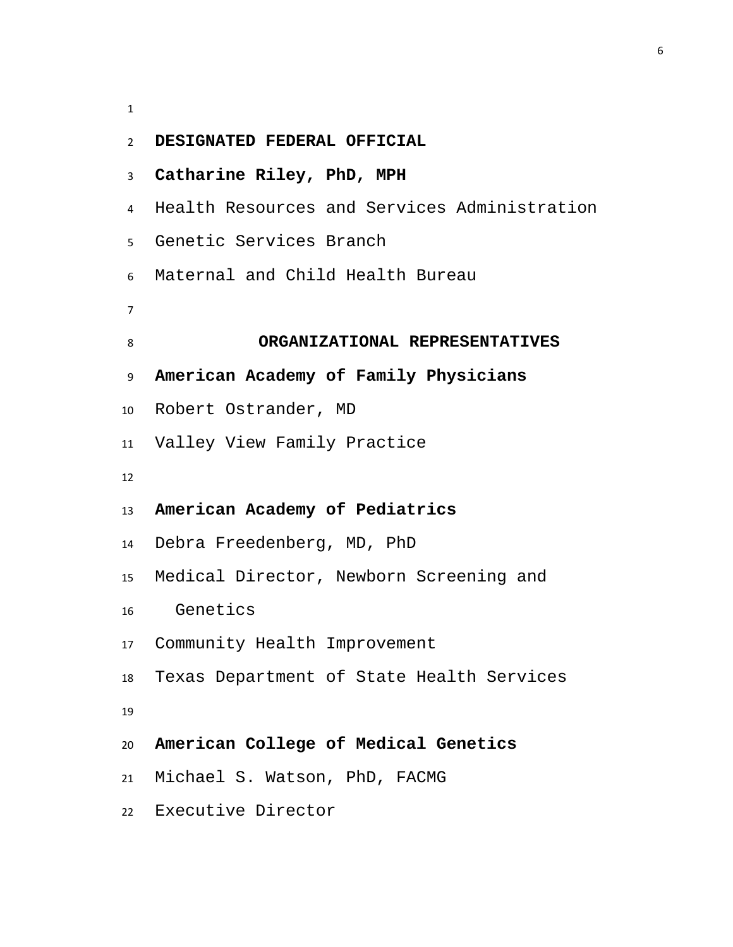| $\overline{2}$ | DESIGNATED FEDERAL OFFICIAL                  |  |  |  |  |
|----------------|----------------------------------------------|--|--|--|--|
| 3              | Catharine Riley, PhD, MPH                    |  |  |  |  |
| 4              | Health Resources and Services Administration |  |  |  |  |
| 5              | Genetic Services Branch                      |  |  |  |  |
| 6              | Maternal and Child Health Bureau             |  |  |  |  |
| 7              |                                              |  |  |  |  |
| 8              | ORGANIZATIONAL REPRESENTATIVES               |  |  |  |  |
| 9              | American Academy of Family Physicians        |  |  |  |  |
| 10             | Robert Ostrander, MD                         |  |  |  |  |
| 11             | Valley View Family Practice                  |  |  |  |  |
| 12             |                                              |  |  |  |  |
| 13             | American Academy of Pediatrics               |  |  |  |  |
| 14             | Debra Freedenberg, MD, PhD                   |  |  |  |  |
| 15             | Medical Director, Newborn Screening and      |  |  |  |  |
| 16             | Genetics                                     |  |  |  |  |
| 17             | Community Health Improvement                 |  |  |  |  |
| 18             | Texas Department of State Health Services    |  |  |  |  |
| 19             |                                              |  |  |  |  |
| 20             | American College of Medical Genetics         |  |  |  |  |
|                | 21 Michael S. Watson, PhD, FACMG             |  |  |  |  |
|                | 22 Executive Director                        |  |  |  |  |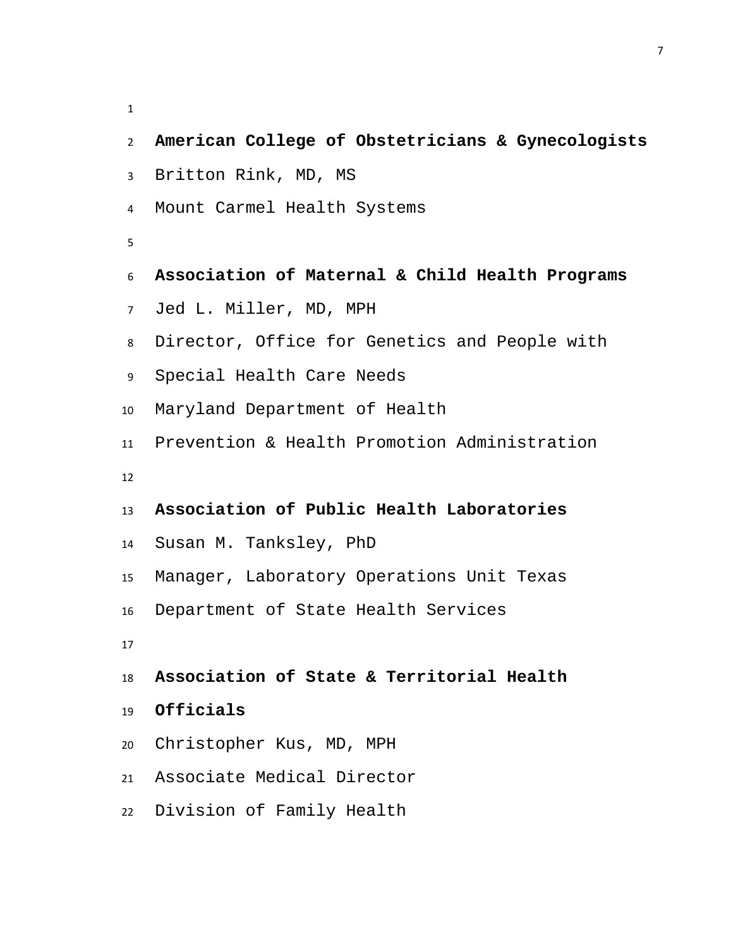| $\mathbf{2}$    | American College of Obstetricians & Gynecologists |
|-----------------|---------------------------------------------------|
| $\mathbf{3}$    | Britton Rink, MD, MS                              |
| $\overline{4}$  | Mount Carmel Health Systems                       |
| 5               |                                                   |
| 6               | Association of Maternal & Child Health Programs   |
| 7 <sup>7</sup>  | Jed L. Miller, MD, MPH                            |
| 8               | Director, Office for Genetics and People with     |
| 9               | Special Health Care Needs                         |
| 10 <sup>°</sup> | Maryland Department of Health                     |
| 11              | Prevention & Health Promotion Administration      |
| 12              |                                                   |
| 13              | Association of Public Health Laboratories         |
| 14              | Susan M. Tanksley, PhD                            |
| 15              | Manager, Laboratory Operations Unit Texas         |
| 16              | Department of State Health Services               |
| 17              |                                                   |
| 18              | Association of State & Territorial Health         |
| 19              | Officials                                         |
| 20              | Christopher Kus, MD, MPH                          |
| 21              | Associate Medical Director                        |
| 22              | Division of Family Health                         |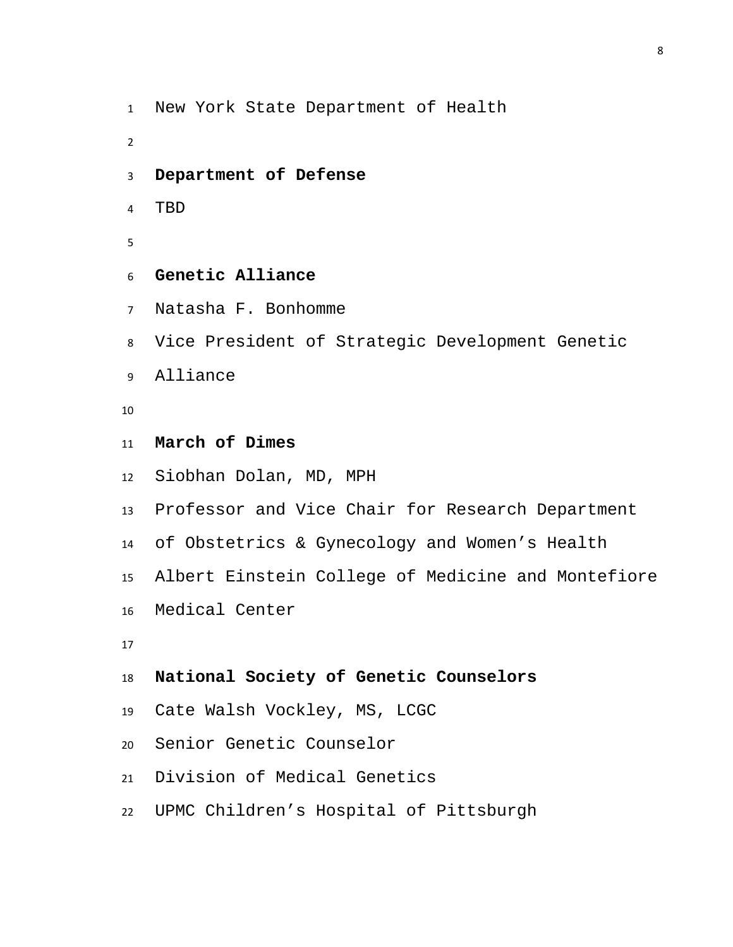New York State Department of Health

- **Department of Defense**
- TBD
- 
- **Genetic Alliance**
- Natasha F. Bonhomme
- Vice President of Strategic Development Genetic
- Alliance
- 
- **March of Dimes**
- Siobhan Dolan, MD, MPH
- Professor and Vice Chair for Research Department
- of Obstetrics & Gynecology and Women's Health
- Albert Einstein College of Medicine and Montefiore
- Medical Center
- 

```
18 National Society of Genetic Counselors
```
- Cate Walsh Vockley, MS, LCGC
- Senior Genetic Counselor
- Division of Medical Genetics
- UPMC Children's Hospital of Pittsburgh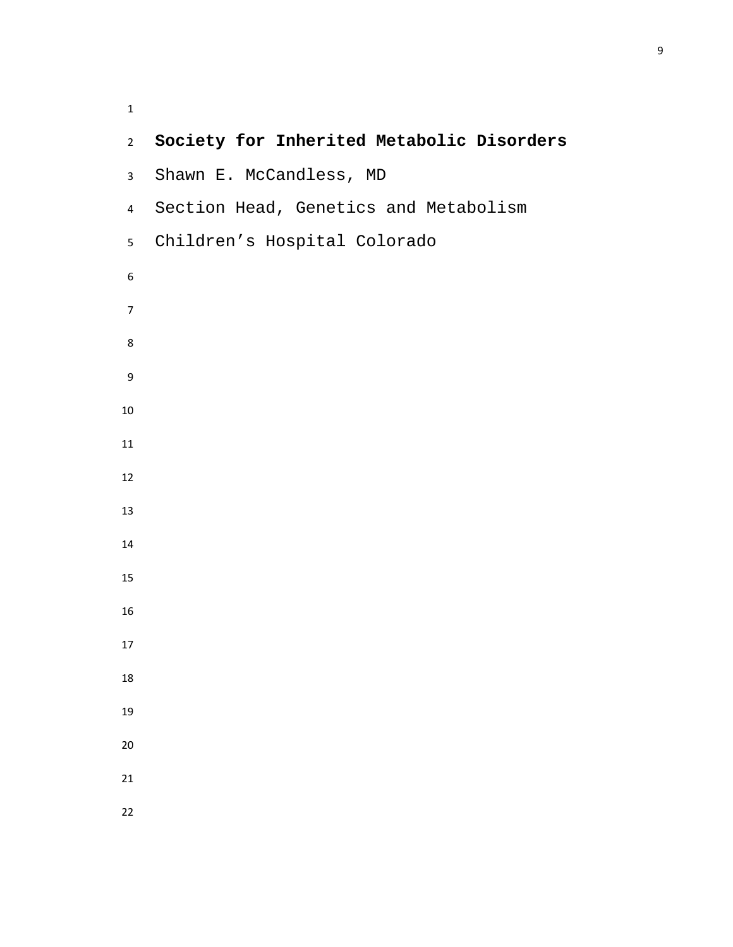**Society for Inherited Metabolic Disorders** Shawn E. McCandless, MD Section Head, Genetics and Metabolism Children's Hospital Colorado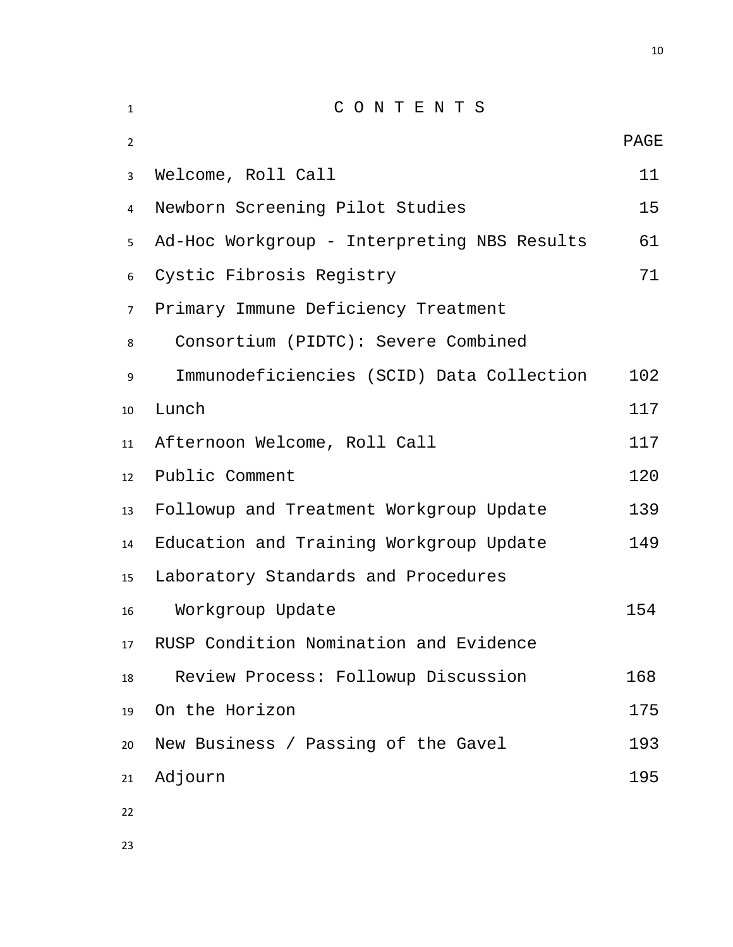| $\mathbf{1}$   | CONTENTS                                       |             |  |  |
|----------------|------------------------------------------------|-------------|--|--|
| $\overline{2}$ |                                                | <b>PAGE</b> |  |  |
| 3              | Welcome, Roll Call                             |             |  |  |
| 4              | Newborn Screening Pilot Studies                | 15          |  |  |
| 5              | Ad-Hoc Workgroup - Interpreting NBS Results    | 61          |  |  |
| 6              | Cystic Fibrosis Registry                       |             |  |  |
| $7^{\circ}$    | Primary Immune Deficiency Treatment            |             |  |  |
| 8              | Consortium (PIDTC): Severe Combined            |             |  |  |
| 9              | Immunodeficiencies (SCID) Data Collection      | 102         |  |  |
| 10             | Lunch                                          | 117         |  |  |
| 11             | Afternoon Welcome, Roll Call                   | 117         |  |  |
| 12             | Public Comment                                 | 120         |  |  |
| 13             | Followup and Treatment Workgroup Update        | 139         |  |  |
| 14             | Education and Training Workgroup Update<br>149 |             |  |  |
| 15             | Laboratory Standards and Procedures            |             |  |  |
| 16             | Workgroup Update                               | 154         |  |  |
| 17             | RUSP Condition Nomination and Evidence         |             |  |  |
| 18             | Review Process: Followup Discussion            | 168         |  |  |
| 19             | On the Horizon                                 | 175         |  |  |
| 20             | New Business / Passing of the Gavel            | 193         |  |  |
| 21             | Adjourn                                        | 195         |  |  |
| 22             |                                                |             |  |  |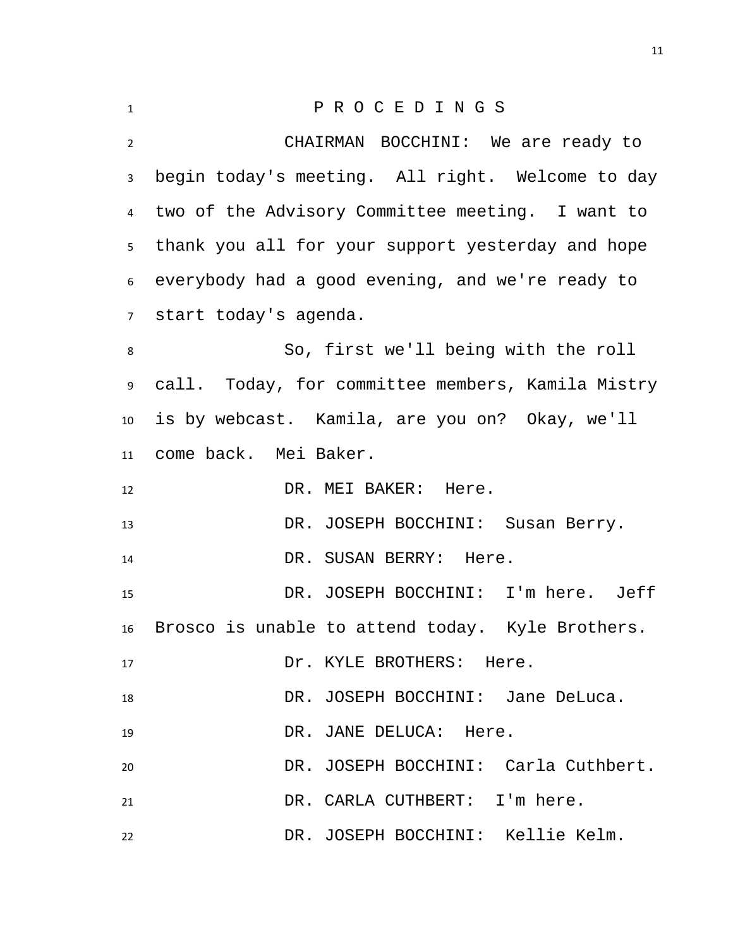<span id="page-10-0"></span>

| $\mathbf{1}$    | PROCEDINGS                                         |
|-----------------|----------------------------------------------------|
| $\overline{2}$  | CHAIRMAN BOCCHINI: We are ready to                 |
| $\mathbf{3}$    | begin today's meeting. All right. Welcome to day   |
| 4               | two of the Advisory Committee meeting. I want to   |
| 5 <sub>1</sub>  | thank you all for your support yesterday and hope  |
|                 | 6 everybody had a good evening, and we're ready to |
|                 | 7 start today's agenda.                            |
| 8               | So, first we'll being with the roll                |
| 9               | call. Today, for committee members, Kamila Mistry  |
| 10 <sup>1</sup> | is by webcast. Kamila, are you on? Okay, we'll     |
| 11              | come back. Mei Baker.                              |
| 12              | DR. MEI BAKER: Here.                               |
| 13              | DR. JOSEPH BOCCHINI: Susan Berry.                  |
| 14              | DR. SUSAN BERRY: Here.                             |
| 15              | DR. JOSEPH BOCCHINI: I'm here. Jeff                |
| 16              | Brosco is unable to attend today. Kyle Brothers.   |
| 17              | Dr. KYLE BROTHERS: Here.                           |
| 18              | DR. JOSEPH BOCCHINI: Jane DeLuca.                  |
| 19              | DR. JANE DELUCA: Here.                             |
| 20              | DR. JOSEPH BOCCHINI: Carla Cuthbert.               |
| 21              | DR. CARLA CUTHBERT: I'm here.                      |
|                 |                                                    |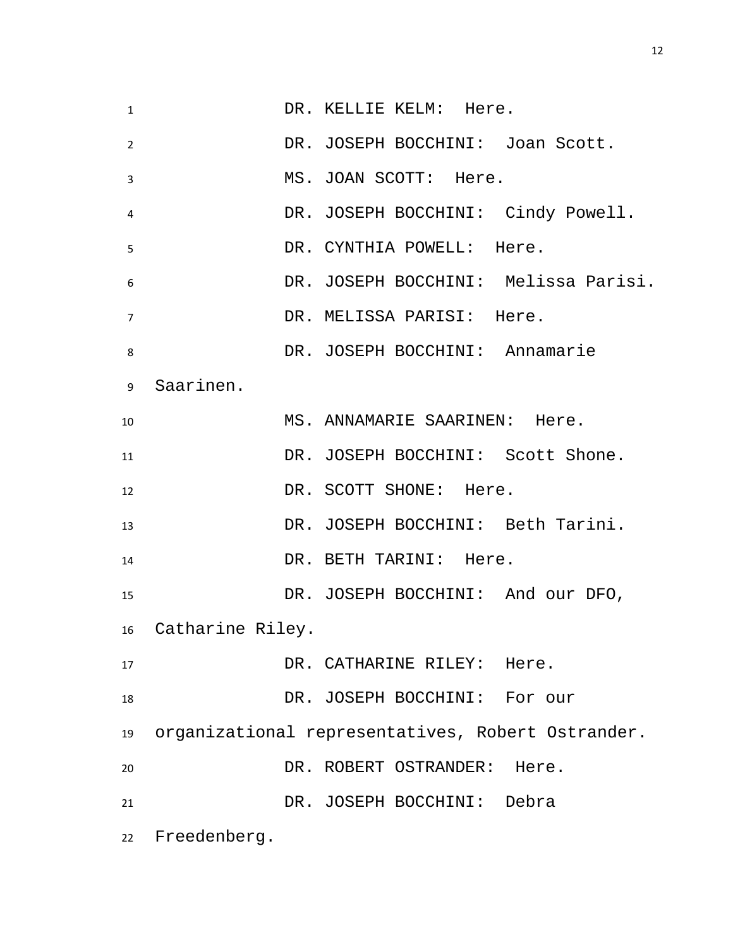1 DR. KELLIE KELM: Here. DR. JOSEPH BOCCHINI: Joan Scott. MS. JOAN SCOTT: Here. DR. JOSEPH BOCCHINI: Cindy Powell. DR. CYNTHIA POWELL: Here. DR. JOSEPH BOCCHINI: Melissa Parisi. DR. MELISSA PARISI: Here. DR. JOSEPH BOCCHINI: Annamarie Saarinen. 10 MS. ANNAMARIE SAARINEN: Here. 11 DR. JOSEPH BOCCHINI: Scott Shone. 12 DR. SCOTT SHONE: Here. DR. JOSEPH BOCCHINI: Beth Tarini. 14 DR. BETH TARINI: Here. DR. JOSEPH BOCCHINI: And our DFO, Catharine Riley. 17 DR. CATHARINE RILEY: Here. DR. JOSEPH BOCCHINI: For our organizational representatives, Robert Ostrander. DR. ROBERT OSTRANDER: Here. DR. JOSEPH BOCCHINI: Debra Freedenberg.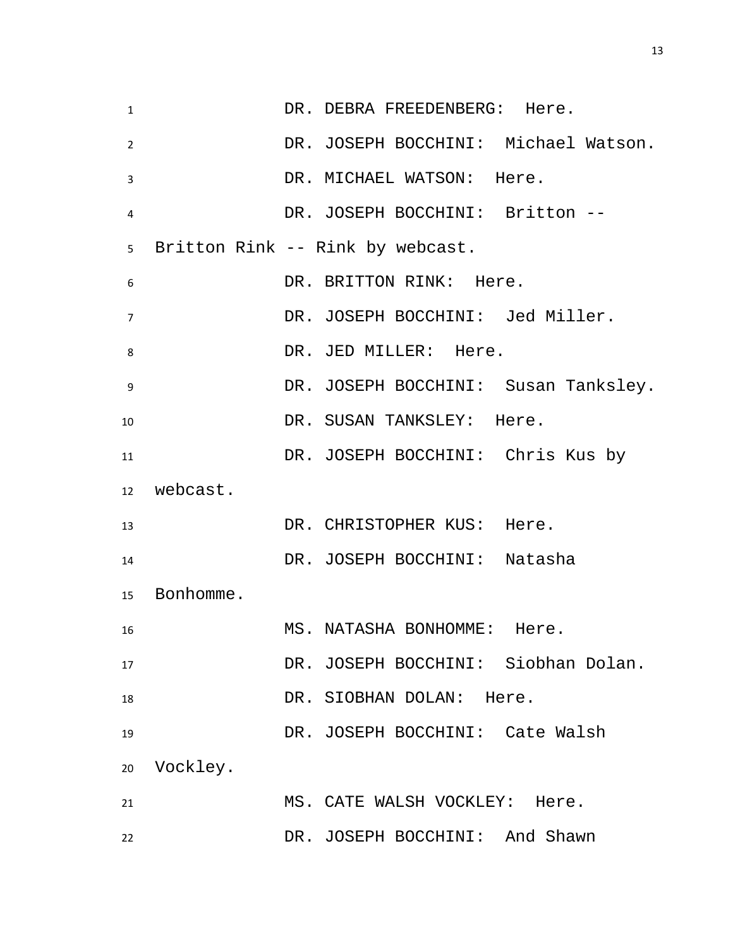| $\mathbf{1}$ |              | DR. DEBRA FREEDENBERG: Here.         |
|--------------|--------------|--------------------------------------|
| 2            |              | DR. JOSEPH BOCCHINI: Michael Watson. |
| 3            |              | DR. MICHAEL WATSON: Here.            |
| 4            |              | DR. JOSEPH BOCCHINI: Britton --      |
|              |              | 5 Britton Rink -- Rink by webcast.   |
| 6            |              | DR. BRITTON RINK: Here.              |
| 7            |              | DR. JOSEPH BOCCHINI: Jed Miller.     |
| 8            |              | DR. JED MILLER: Here.                |
| -9           |              | DR. JOSEPH BOCCHINI: Susan Tanksley. |
| 10           |              | DR. SUSAN TANKSLEY: Here.            |
| 11           |              | DR. JOSEPH BOCCHINI: Chris Kus by    |
|              | 12 webcast.  |                                      |
| 13           |              | DR. CHRISTOPHER KUS: Here.           |
| 14           |              | DR. JOSEPH BOCCHINI: Natasha         |
|              | 15 Bonhomme. |                                      |
| 16           |              | MS. NATASHA BONHOMME: Here.          |
| 17           |              | DR. JOSEPH BOCCHINI: Siobhan Dolan.  |
| 18           |              | DR. SIOBHAN DOLAN: Here.             |
| 19           |              | DR. JOSEPH BOCCHINI: Cate Walsh      |
| 20           | Vockley.     |                                      |
| 21           |              | MS. CATE WALSH VOCKLEY: Here.        |
| 22           |              | DR. JOSEPH BOCCHINI: And Shawn       |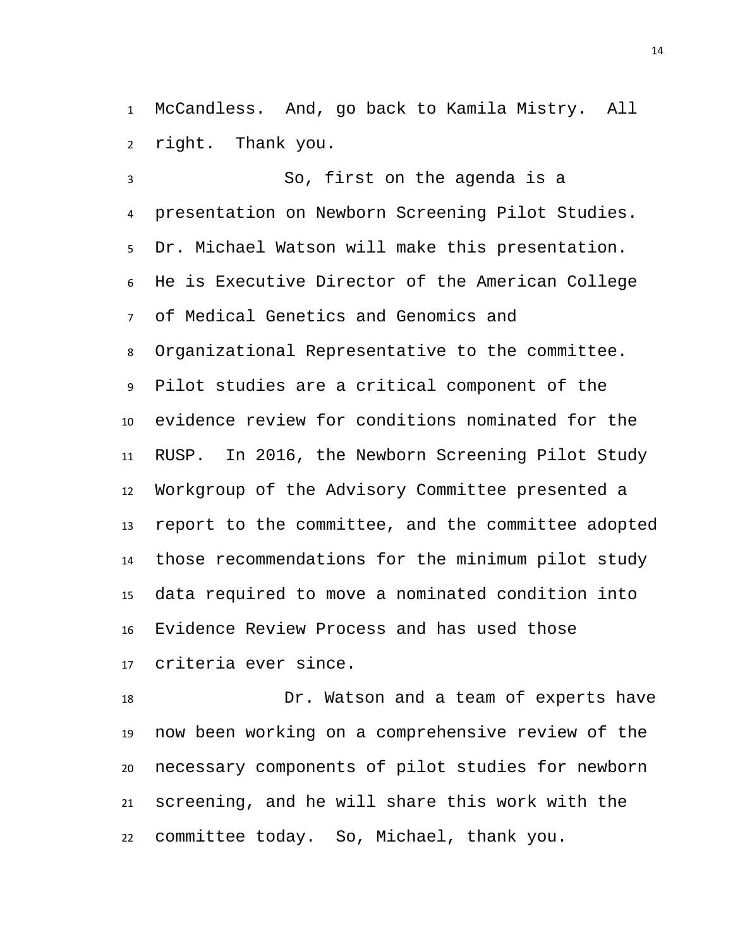McCandless. And, go back to Kamila Mistry. All right. Thank you.

 So, first on the agenda is a presentation on Newborn Screening Pilot Studies. Dr. Michael Watson will make this presentation. He is Executive Director of the American College of Medical Genetics and Genomics and Organizational Representative to the committee. Pilot studies are a critical component of the evidence review for conditions nominated for the RUSP. In 2016, the Newborn Screening Pilot Study Workgroup of the Advisory Committee presented a report to the committee, and the committee adopted those recommendations for the minimum pilot study data required to move a nominated condition into Evidence Review Process and has used those criteria ever since.

 Dr. Watson and a team of experts have now been working on a comprehensive review of the necessary components of pilot studies for newborn screening, and he will share this work with the committee today. So, Michael, thank you.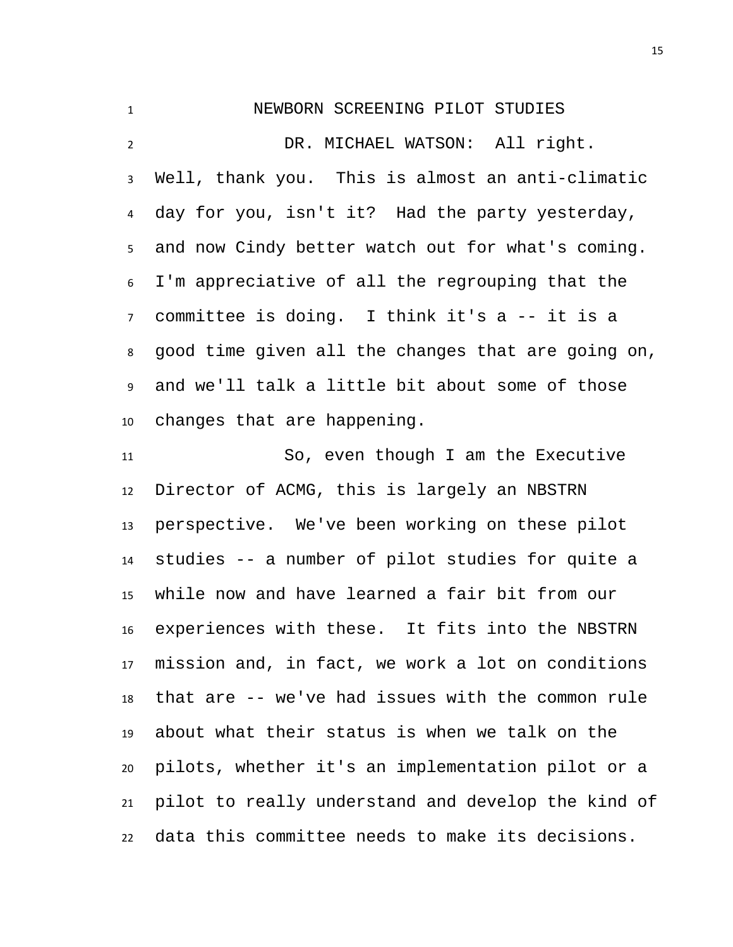## <span id="page-14-0"></span>NEWBORN SCREENING PILOT STUDIES

 DR. MICHAEL WATSON: All right. Well, thank you. This is almost an anti-climatic day for you, isn't it? Had the party yesterday, and now Cindy better watch out for what's coming. I'm appreciative of all the regrouping that the committee is doing. I think it's a -- it is a good time given all the changes that are going on, and we'll talk a little bit about some of those changes that are happening.

 So, even though I am the Executive Director of ACMG, this is largely an NBSTRN perspective. We've been working on these pilot studies -- a number of pilot studies for quite a while now and have learned a fair bit from our experiences with these. It fits into the NBSTRN mission and, in fact, we work a lot on conditions that are -- we've had issues with the common rule about what their status is when we talk on the pilots, whether it's an implementation pilot or a pilot to really understand and develop the kind of data this committee needs to make its decisions.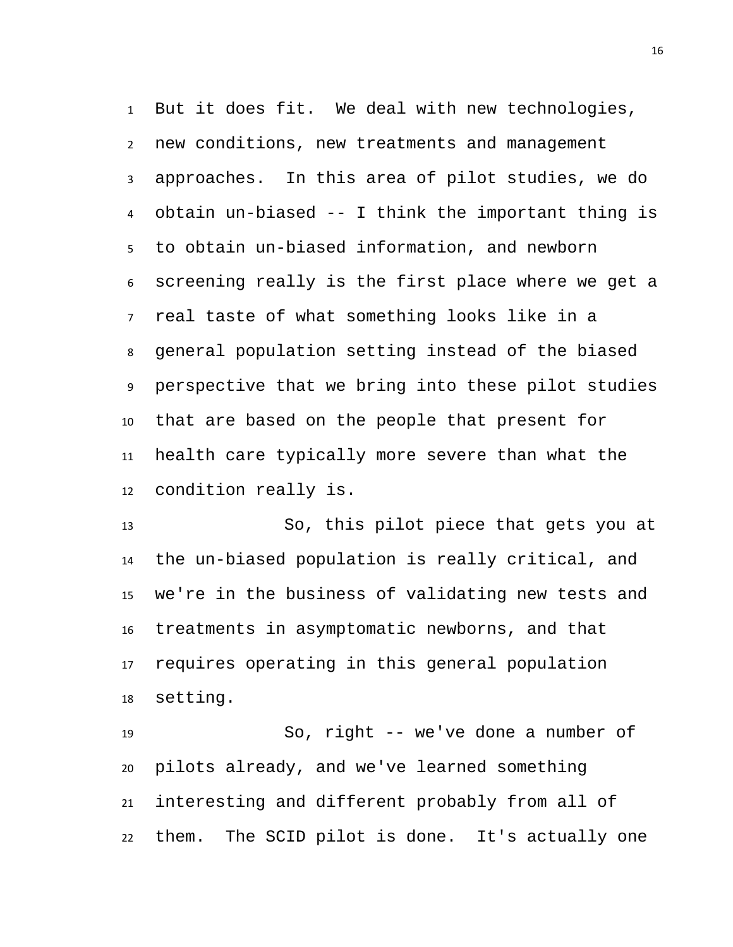But it does fit. We deal with new technologies, new conditions, new treatments and management approaches. In this area of pilot studies, we do obtain un-biased -- I think the important thing is to obtain un-biased information, and newborn screening really is the first place where we get a real taste of what something looks like in a general population setting instead of the biased perspective that we bring into these pilot studies that are based on the people that present for health care typically more severe than what the condition really is.

 So, this pilot piece that gets you at the un-biased population is really critical, and we're in the business of validating new tests and treatments in asymptomatic newborns, and that requires operating in this general population setting.

 So, right -- we've done a number of pilots already, and we've learned something interesting and different probably from all of them. The SCID pilot is done. It's actually one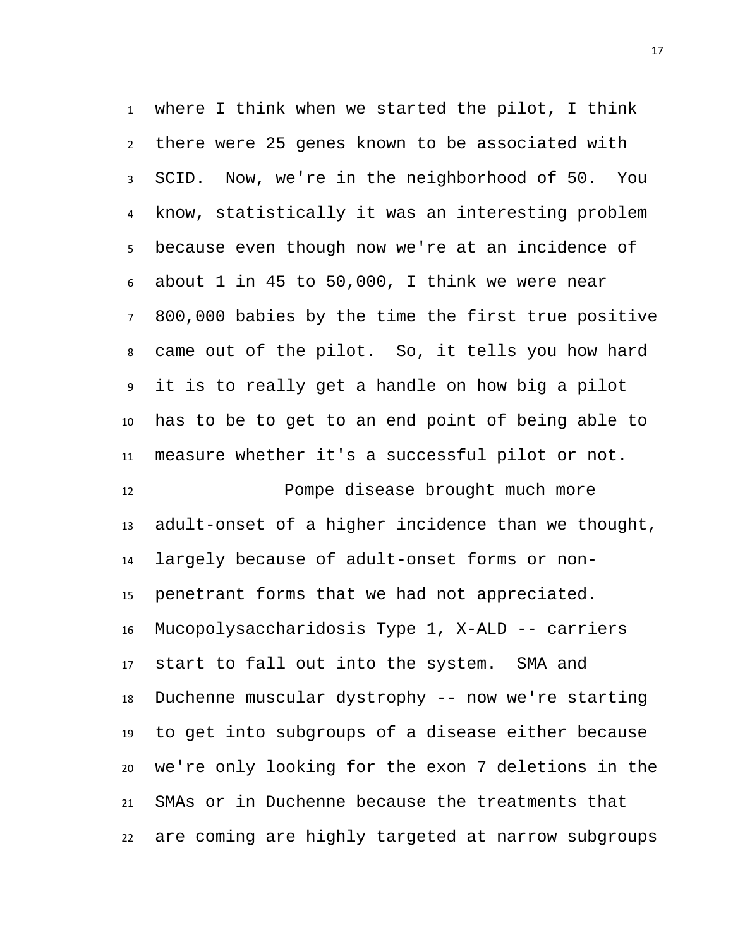where I think when we started the pilot, I think there were 25 genes known to be associated with SCID. Now, we're in the neighborhood of 50. You know, statistically it was an interesting problem because even though now we're at an incidence of about 1 in 45 to 50,000, I think we were near 800,000 babies by the time the first true positive came out of the pilot. So, it tells you how hard it is to really get a handle on how big a pilot has to be to get to an end point of being able to measure whether it's a successful pilot or not.

 Pompe disease brought much more adult-onset of a higher incidence than we thought, largely because of adult-onset forms or non- penetrant forms that we had not appreciated. Mucopolysaccharidosis Type 1, X-ALD -- carriers start to fall out into the system. SMA and Duchenne muscular dystrophy -- now we're starting to get into subgroups of a disease either because we're only looking for the exon 7 deletions in the SMAs or in Duchenne because the treatments that are coming are highly targeted at narrow subgroups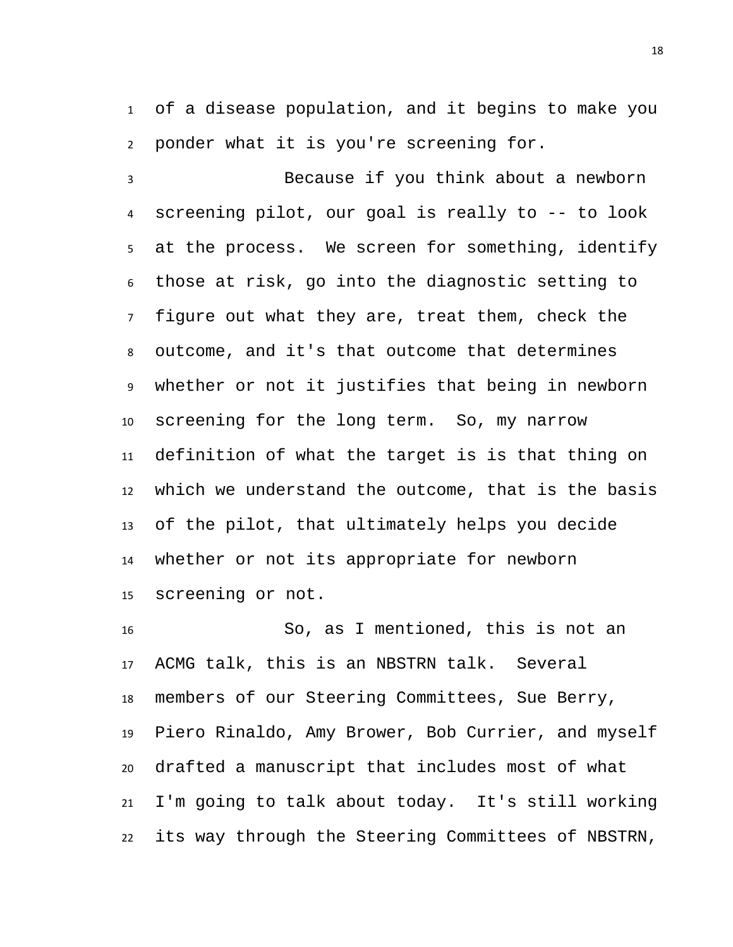of a disease population, and it begins to make you ponder what it is you're screening for.

 Because if you think about a newborn screening pilot, our goal is really to -- to look at the process. We screen for something, identify those at risk, go into the diagnostic setting to figure out what they are, treat them, check the outcome, and it's that outcome that determines whether or not it justifies that being in newborn screening for the long term. So, my narrow definition of what the target is is that thing on which we understand the outcome, that is the basis of the pilot, that ultimately helps you decide whether or not its appropriate for newborn screening or not.

 So, as I mentioned, this is not an ACMG talk, this is an NBSTRN talk. Several members of our Steering Committees, Sue Berry, Piero Rinaldo, Amy Brower, Bob Currier, and myself drafted a manuscript that includes most of what I'm going to talk about today. It's still working its way through the Steering Committees of NBSTRN,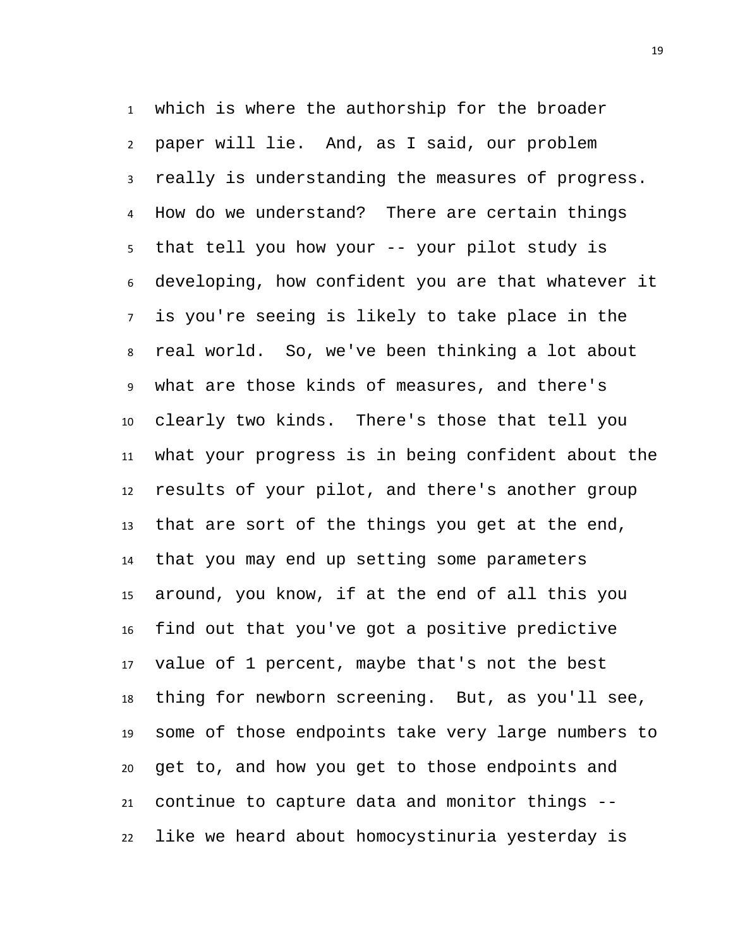which is where the authorship for the broader paper will lie. And, as I said, our problem really is understanding the measures of progress. How do we understand? There are certain things that tell you how your -- your pilot study is developing, how confident you are that whatever it is you're seeing is likely to take place in the real world. So, we've been thinking a lot about what are those kinds of measures, and there's clearly two kinds. There's those that tell you what your progress is in being confident about the results of your pilot, and there's another group that are sort of the things you get at the end, that you may end up setting some parameters around, you know, if at the end of all this you find out that you've got a positive predictive value of 1 percent, maybe that's not the best thing for newborn screening. But, as you'll see, some of those endpoints take very large numbers to get to, and how you get to those endpoints and continue to capture data and monitor things -- like we heard about homocystinuria yesterday is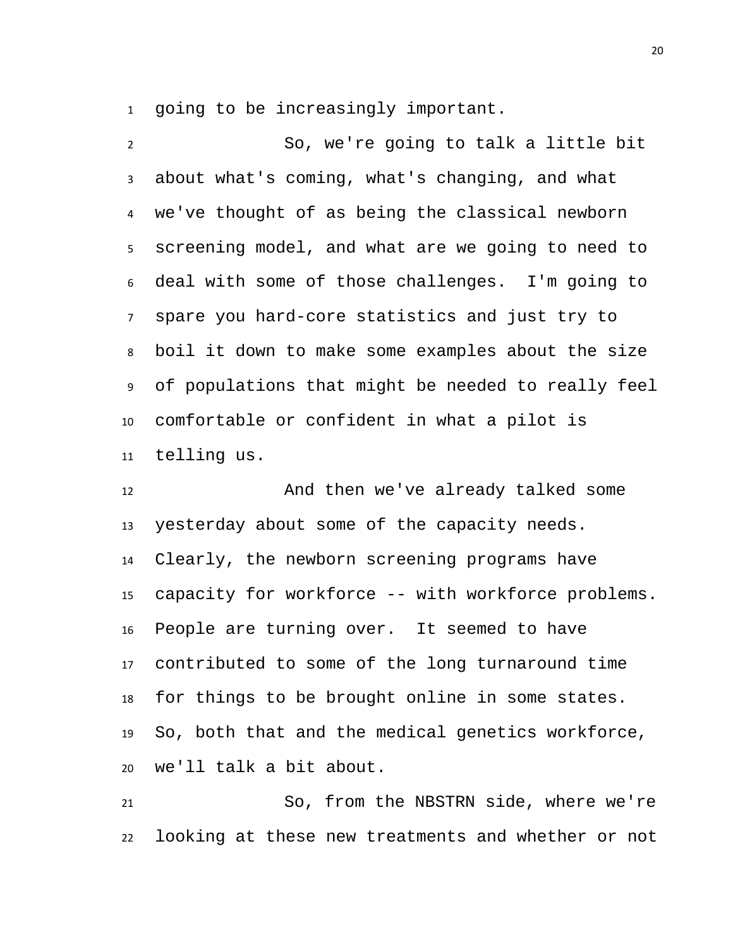going to be increasingly important.

 So, we're going to talk a little bit about what's coming, what's changing, and what we've thought of as being the classical newborn screening model, and what are we going to need to deal with some of those challenges. I'm going to spare you hard-core statistics and just try to boil it down to make some examples about the size of populations that might be needed to really feel comfortable or confident in what a pilot is telling us.

12 And then we've already talked some yesterday about some of the capacity needs. Clearly, the newborn screening programs have capacity for workforce -- with workforce problems. People are turning over. It seemed to have contributed to some of the long turnaround time for things to be brought online in some states. So, both that and the medical genetics workforce, we'll talk a bit about.

 So, from the NBSTRN side, where we're looking at these new treatments and whether or not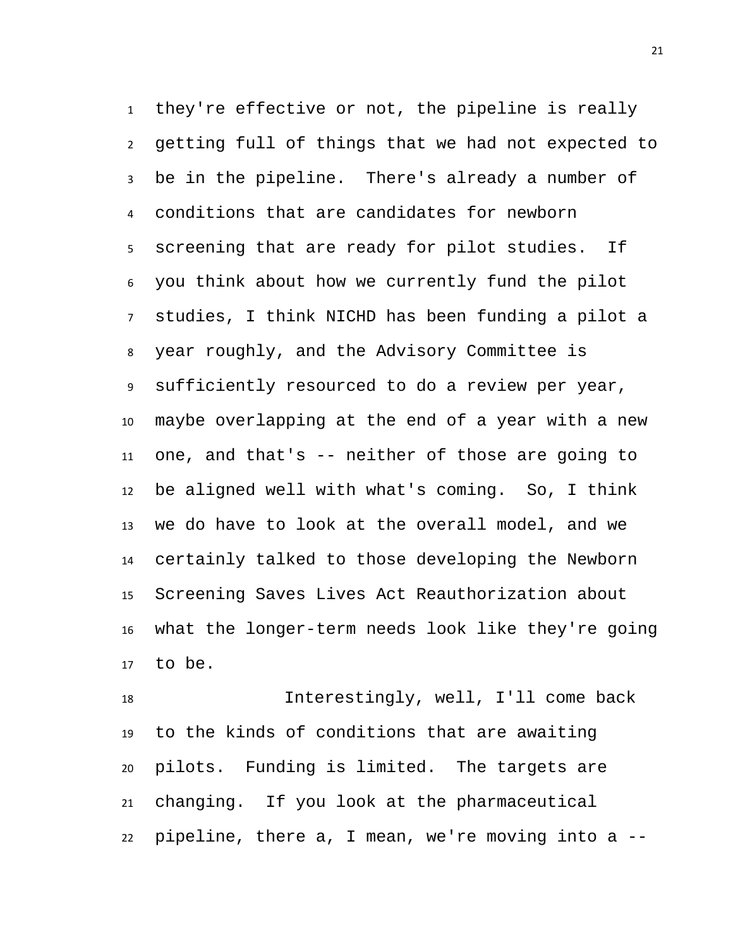they're effective or not, the pipeline is really getting full of things that we had not expected to be in the pipeline. There's already a number of conditions that are candidates for newborn screening that are ready for pilot studies. If you think about how we currently fund the pilot studies, I think NICHD has been funding a pilot a year roughly, and the Advisory Committee is sufficiently resourced to do a review per year, maybe overlapping at the end of a year with a new one, and that's -- neither of those are going to be aligned well with what's coming. So, I think we do have to look at the overall model, and we certainly talked to those developing the Newborn Screening Saves Lives Act Reauthorization about what the longer-term needs look like they're going to be.

 Interestingly, well, I'll come back to the kinds of conditions that are awaiting pilots. Funding is limited. The targets are changing. If you look at the pharmaceutical pipeline, there a, I mean, we're moving into a --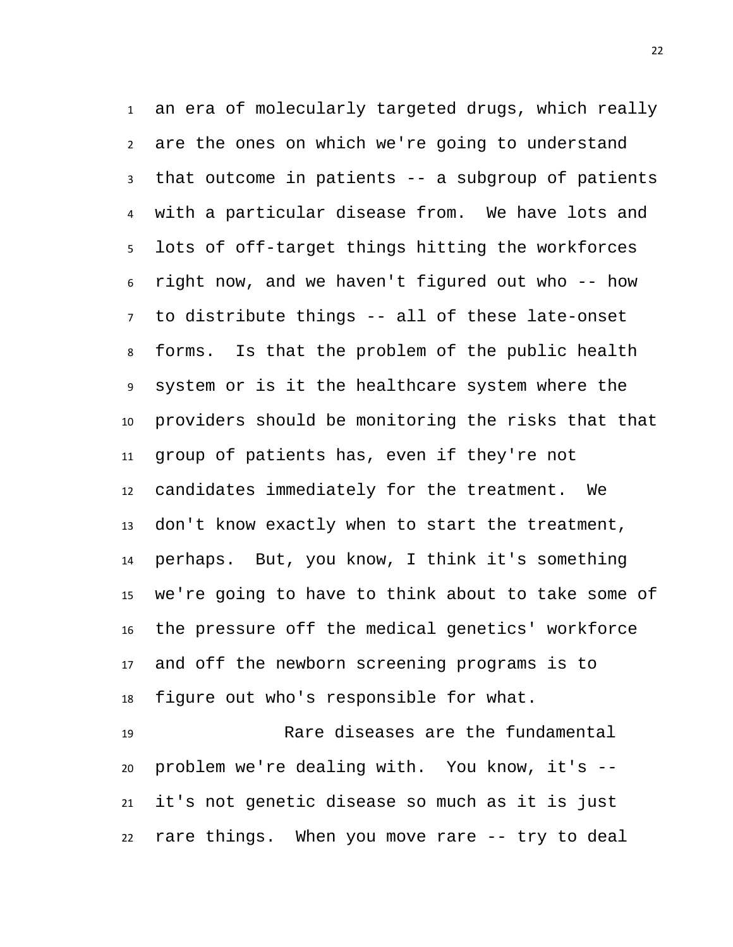an era of molecularly targeted drugs, which really are the ones on which we're going to understand that outcome in patients -- a subgroup of patients with a particular disease from. We have lots and lots of off-target things hitting the workforces right now, and we haven't figured out who -- how to distribute things -- all of these late-onset forms. Is that the problem of the public health system or is it the healthcare system where the providers should be monitoring the risks that that group of patients has, even if they're not candidates immediately for the treatment. We don't know exactly when to start the treatment, perhaps. But, you know, I think it's something we're going to have to think about to take some of the pressure off the medical genetics' workforce and off the newborn screening programs is to figure out who's responsible for what.

 Rare diseases are the fundamental problem we're dealing with. You know, it's -- it's not genetic disease so much as it is just rare things. When you move rare -- try to deal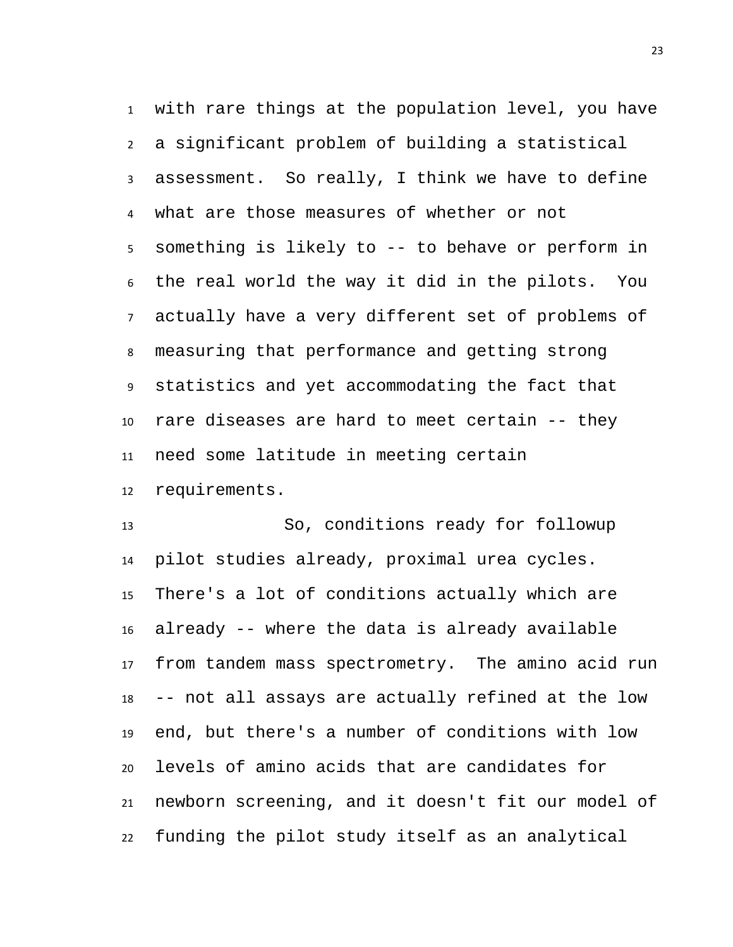with rare things at the population level, you have a significant problem of building a statistical assessment. So really, I think we have to define what are those measures of whether or not something is likely to -- to behave or perform in the real world the way it did in the pilots. You actually have a very different set of problems of measuring that performance and getting strong statistics and yet accommodating the fact that rare diseases are hard to meet certain -- they need some latitude in meeting certain requirements.

 So, conditions ready for followup pilot studies already, proximal urea cycles. There's a lot of conditions actually which are already -- where the data is already available from tandem mass spectrometry. The amino acid run -- not all assays are actually refined at the low end, but there's a number of conditions with low levels of amino acids that are candidates for newborn screening, and it doesn't fit our model of funding the pilot study itself as an analytical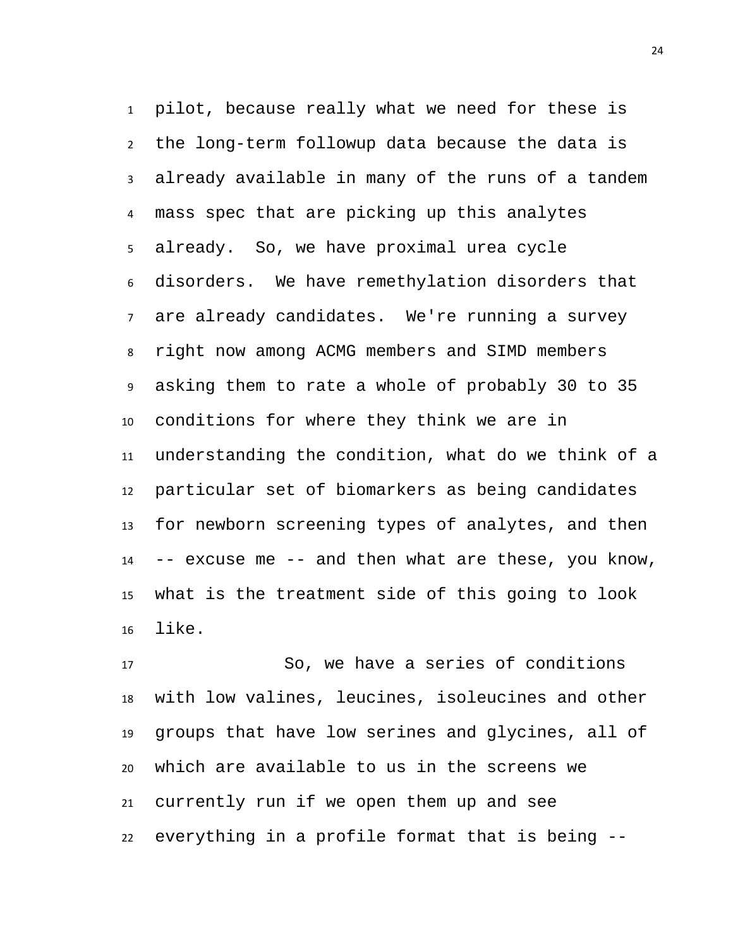pilot, because really what we need for these is the long-term followup data because the data is already available in many of the runs of a tandem mass spec that are picking up this analytes already. So, we have proximal urea cycle disorders. We have remethylation disorders that are already candidates. We're running a survey right now among ACMG members and SIMD members asking them to rate a whole of probably 30 to 35 conditions for where they think we are in understanding the condition, what do we think of a particular set of biomarkers as being candidates for newborn screening types of analytes, and then -- excuse me -- and then what are these, you know, what is the treatment side of this going to look like.

 So, we have a series of conditions with low valines, leucines, isoleucines and other groups that have low serines and glycines, all of which are available to us in the screens we currently run if we open them up and see everything in a profile format that is being --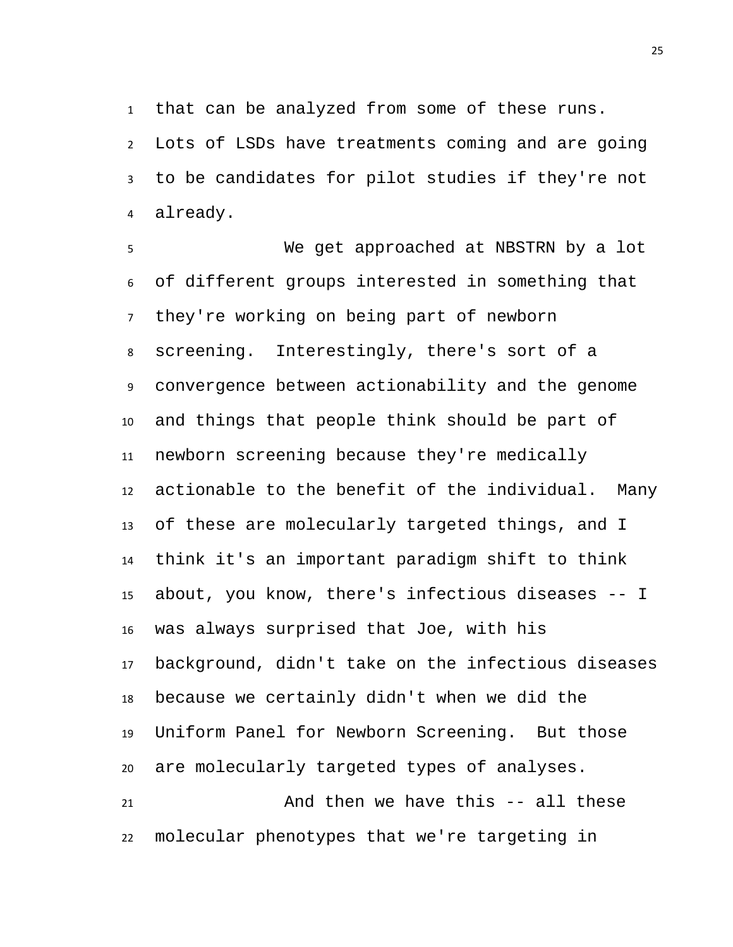that can be analyzed from some of these runs.

 Lots of LSDs have treatments coming and are going to be candidates for pilot studies if they're not already.

 We get approached at NBSTRN by a lot of different groups interested in something that they're working on being part of newborn screening. Interestingly, there's sort of a convergence between actionability and the genome and things that people think should be part of newborn screening because they're medically actionable to the benefit of the individual. Many of these are molecularly targeted things, and I think it's an important paradigm shift to think about, you know, there's infectious diseases -- I was always surprised that Joe, with his background, didn't take on the infectious diseases because we certainly didn't when we did the Uniform Panel for Newborn Screening. But those are molecularly targeted types of analyses. And then we have this -- all these molecular phenotypes that we're targeting in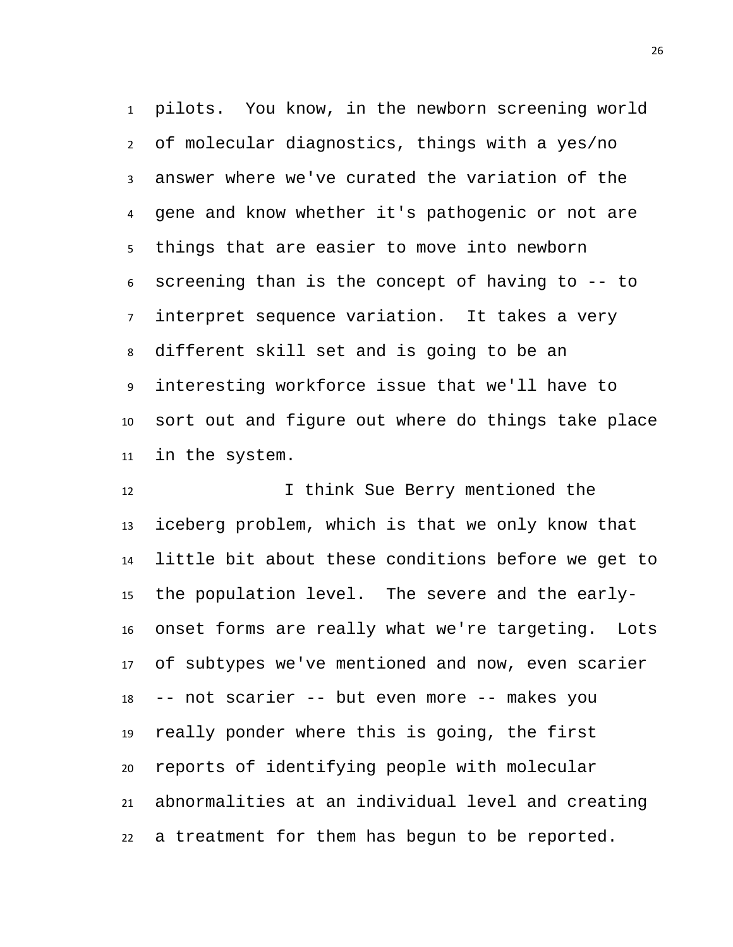pilots. You know, in the newborn screening world of molecular diagnostics, things with a yes/no answer where we've curated the variation of the gene and know whether it's pathogenic or not are things that are easier to move into newborn screening than is the concept of having to -- to interpret sequence variation. It takes a very different skill set and is going to be an interesting workforce issue that we'll have to sort out and figure out where do things take place in the system.

12 12 I think Sue Berry mentioned the iceberg problem, which is that we only know that little bit about these conditions before we get to the population level. The severe and the early- onset forms are really what we're targeting. Lots of subtypes we've mentioned and now, even scarier -- not scarier -- but even more -- makes you really ponder where this is going, the first reports of identifying people with molecular abnormalities at an individual level and creating a treatment for them has begun to be reported.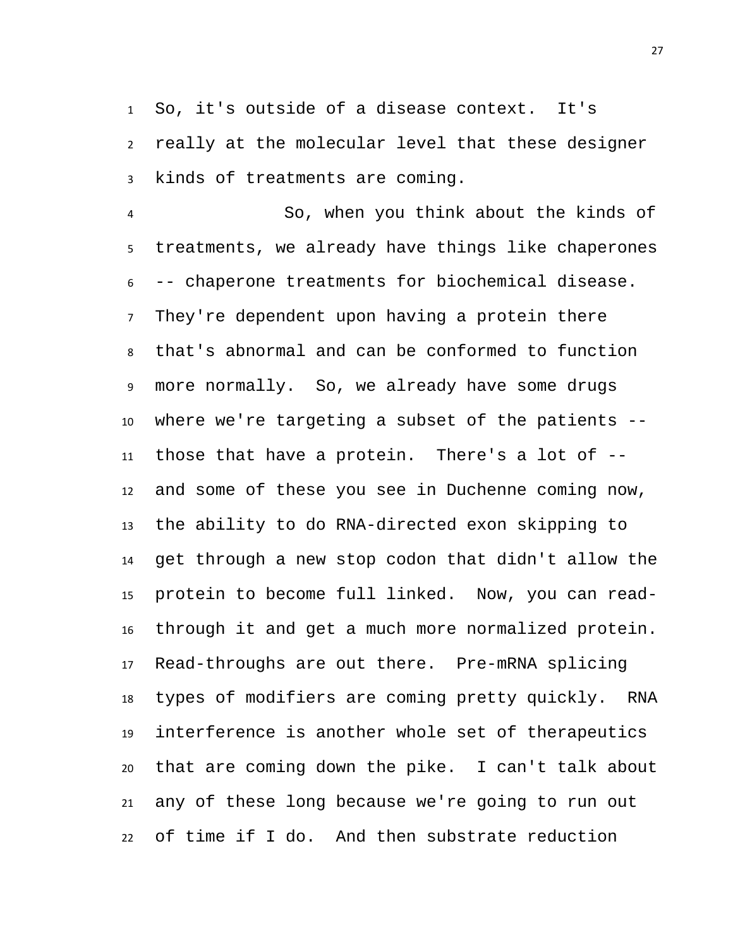So, it's outside of a disease context. It's really at the molecular level that these designer kinds of treatments are coming.

 So, when you think about the kinds of treatments, we already have things like chaperones -- chaperone treatments for biochemical disease. They're dependent upon having a protein there that's abnormal and can be conformed to function more normally. So, we already have some drugs where we're targeting a subset of the patients -- those that have a protein. There's a lot of -- and some of these you see in Duchenne coming now, the ability to do RNA-directed exon skipping to get through a new stop codon that didn't allow the protein to become full linked. Now, you can read- through it and get a much more normalized protein. Read-throughs are out there. Pre-mRNA splicing types of modifiers are coming pretty quickly. RNA interference is another whole set of therapeutics that are coming down the pike. I can't talk about any of these long because we're going to run out of time if I do. And then substrate reduction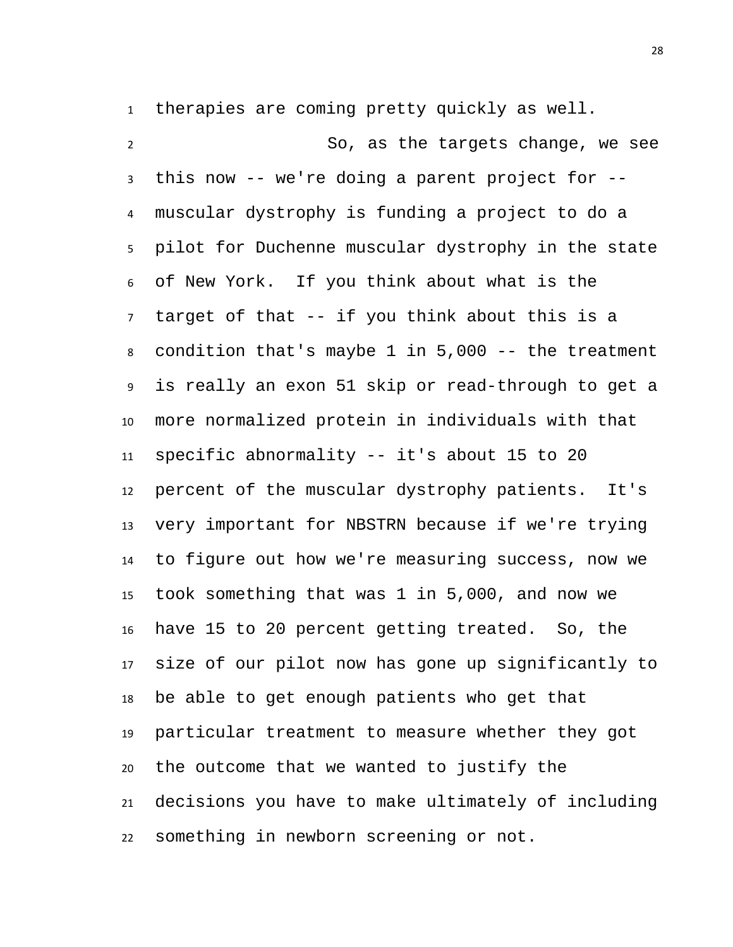therapies are coming pretty quickly as well.

 So, as the targets change, we see this now -- we're doing a parent project for -- muscular dystrophy is funding a project to do a pilot for Duchenne muscular dystrophy in the state of New York. If you think about what is the target of that -- if you think about this is a condition that's maybe 1 in 5,000 -- the treatment is really an exon 51 skip or read-through to get a more normalized protein in individuals with that specific abnormality -- it's about 15 to 20 percent of the muscular dystrophy patients. It's very important for NBSTRN because if we're trying to figure out how we're measuring success, now we took something that was 1 in 5,000, and now we have 15 to 20 percent getting treated. So, the size of our pilot now has gone up significantly to be able to get enough patients who get that particular treatment to measure whether they got the outcome that we wanted to justify the decisions you have to make ultimately of including something in newborn screening or not.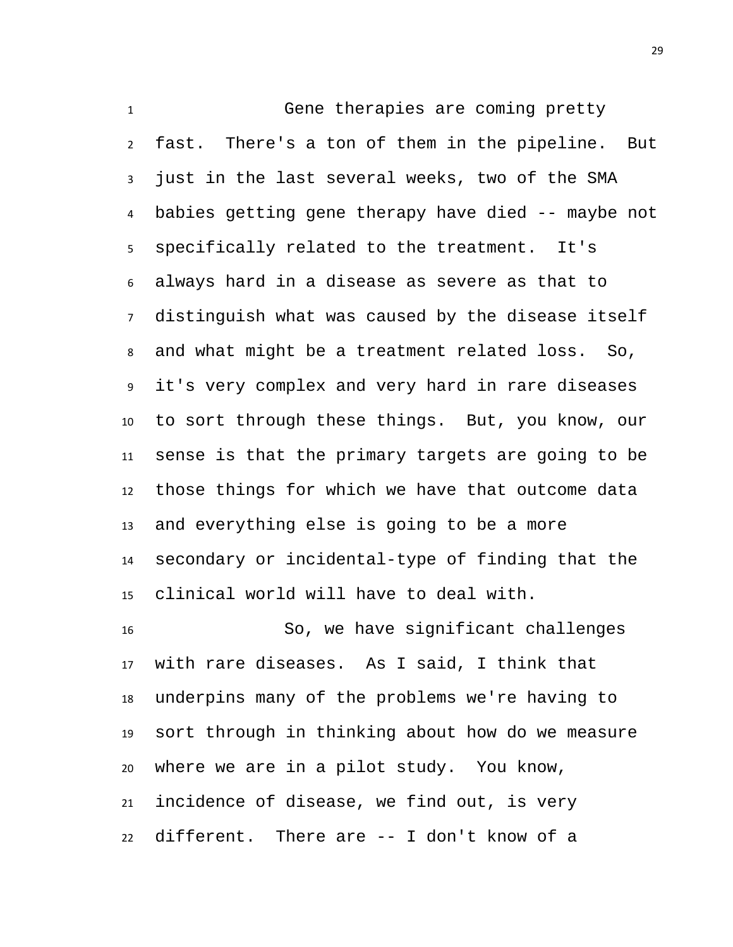Gene therapies are coming pretty fast. There's a ton of them in the pipeline. But just in the last several weeks, two of the SMA babies getting gene therapy have died -- maybe not specifically related to the treatment. It's always hard in a disease as severe as that to distinguish what was caused by the disease itself and what might be a treatment related loss. So, it's very complex and very hard in rare diseases to sort through these things. But, you know, our sense is that the primary targets are going to be those things for which we have that outcome data and everything else is going to be a more secondary or incidental-type of finding that the clinical world will have to deal with.

 So, we have significant challenges with rare diseases. As I said, I think that underpins many of the problems we're having to sort through in thinking about how do we measure where we are in a pilot study. You know, incidence of disease, we find out, is very different. There are -- I don't know of a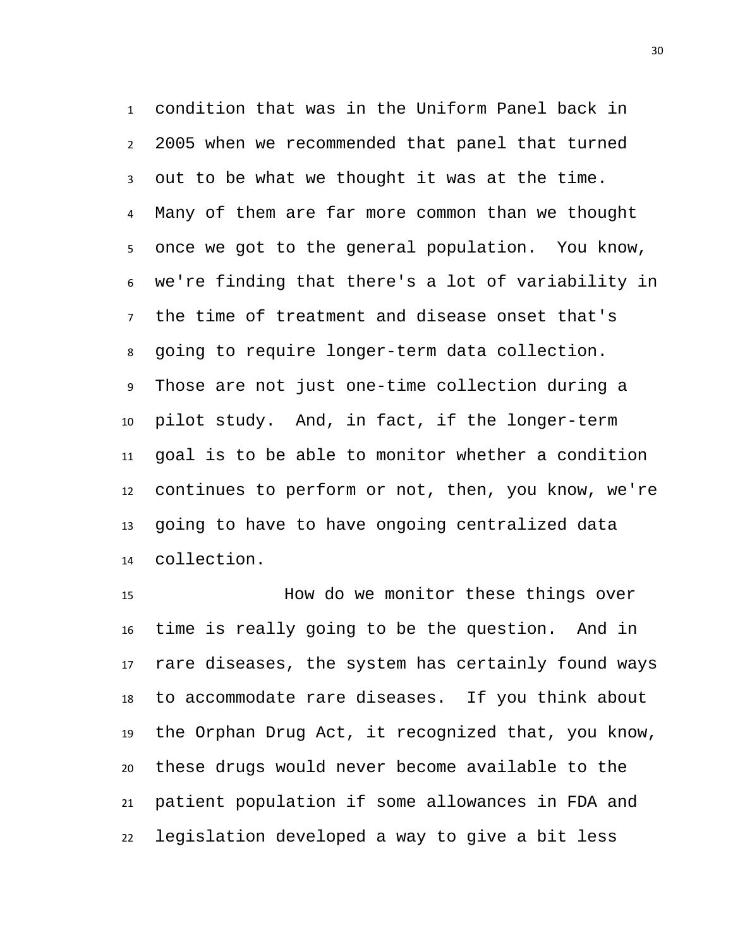condition that was in the Uniform Panel back in 2005 when we recommended that panel that turned out to be what we thought it was at the time. Many of them are far more common than we thought once we got to the general population. You know, we're finding that there's a lot of variability in the time of treatment and disease onset that's going to require longer-term data collection. Those are not just one-time collection during a pilot study. And, in fact, if the longer-term goal is to be able to monitor whether a condition continues to perform or not, then, you know, we're going to have to have ongoing centralized data collection.

 How do we monitor these things over time is really going to be the question. And in rare diseases, the system has certainly found ways to accommodate rare diseases. If you think about the Orphan Drug Act, it recognized that, you know, these drugs would never become available to the patient population if some allowances in FDA and legislation developed a way to give a bit less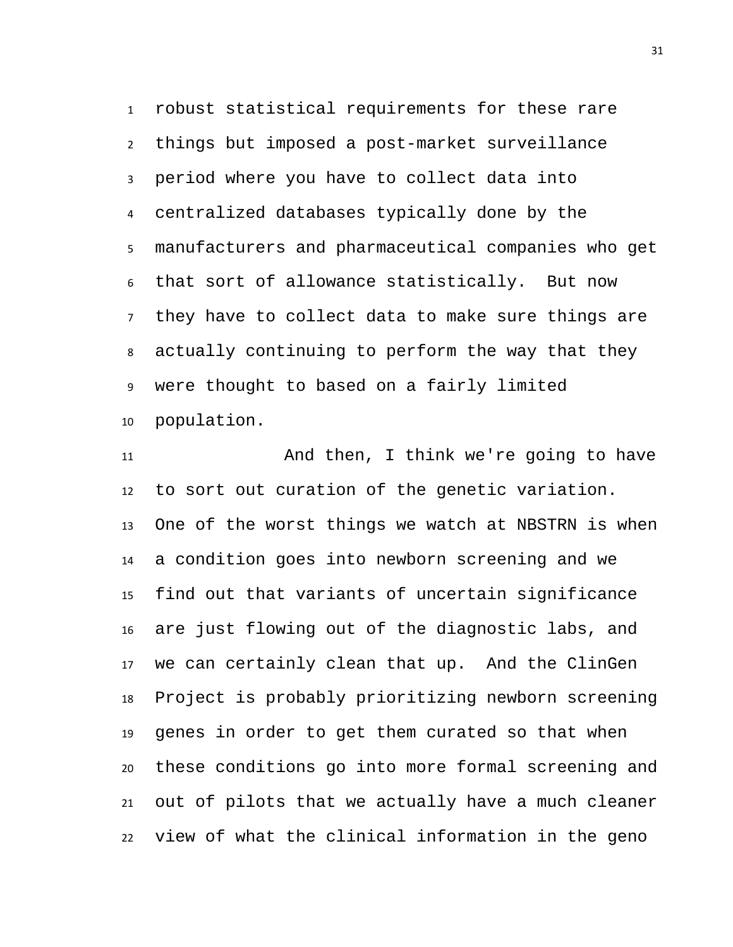robust statistical requirements for these rare things but imposed a post-market surveillance period where you have to collect data into centralized databases typically done by the manufacturers and pharmaceutical companies who get that sort of allowance statistically. But now they have to collect data to make sure things are actually continuing to perform the way that they were thought to based on a fairly limited population.

 And then, I think we're going to have to sort out curation of the genetic variation. One of the worst things we watch at NBSTRN is when a condition goes into newborn screening and we find out that variants of uncertain significance are just flowing out of the diagnostic labs, and we can certainly clean that up. And the ClinGen Project is probably prioritizing newborn screening genes in order to get them curated so that when these conditions go into more formal screening and out of pilots that we actually have a much cleaner view of what the clinical information in the geno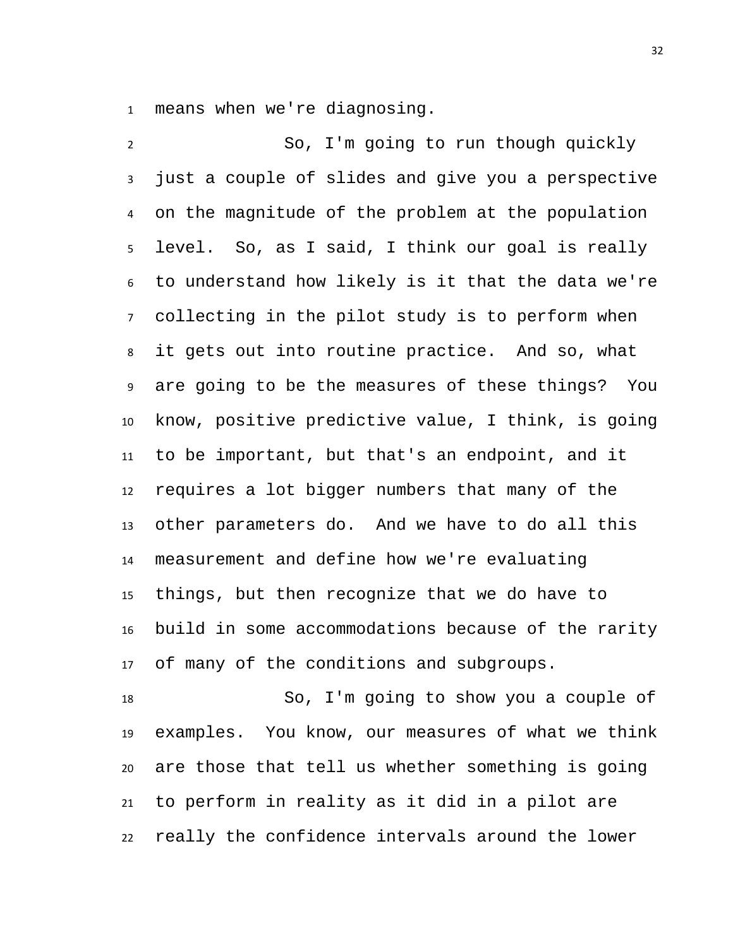means when we're diagnosing.

 So, I'm going to run though quickly just a couple of slides and give you a perspective on the magnitude of the problem at the population level. So, as I said, I think our goal is really to understand how likely is it that the data we're collecting in the pilot study is to perform when it gets out into routine practice. And so, what are going to be the measures of these things? You know, positive predictive value, I think, is going to be important, but that's an endpoint, and it requires a lot bigger numbers that many of the other parameters do. And we have to do all this measurement and define how we're evaluating things, but then recognize that we do have to build in some accommodations because of the rarity of many of the conditions and subgroups.

 So, I'm going to show you a couple of examples. You know, our measures of what we think are those that tell us whether something is going to perform in reality as it did in a pilot are really the confidence intervals around the lower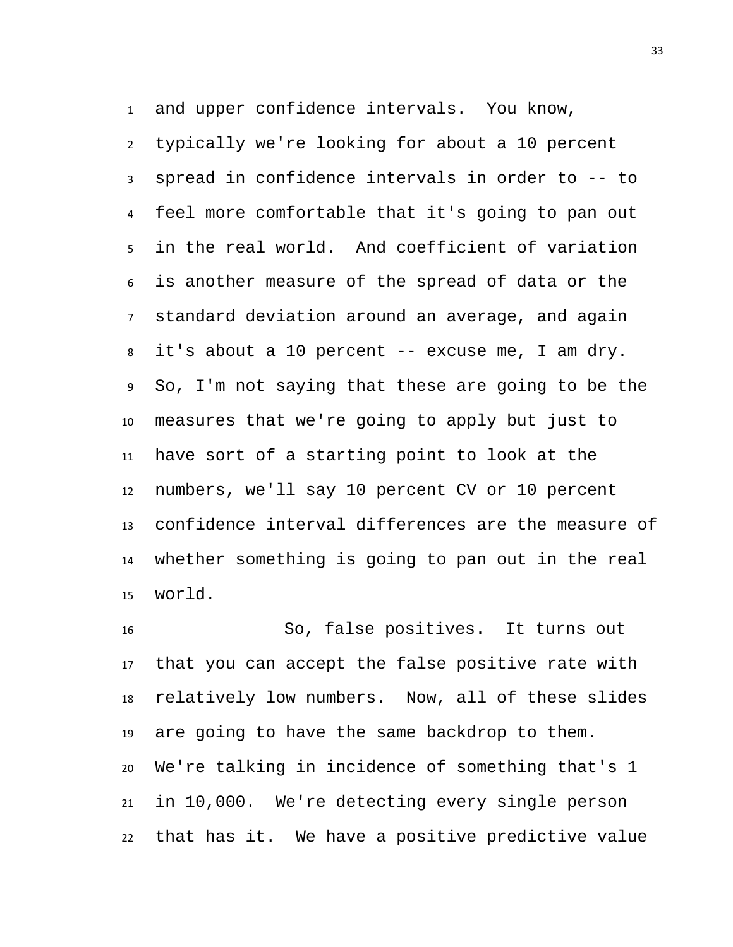and upper confidence intervals. You know,

 typically we're looking for about a 10 percent spread in confidence intervals in order to -- to feel more comfortable that it's going to pan out in the real world. And coefficient of variation is another measure of the spread of data or the standard deviation around an average, and again it's about a 10 percent -- excuse me, I am dry. So, I'm not saying that these are going to be the measures that we're going to apply but just to have sort of a starting point to look at the numbers, we'll say 10 percent CV or 10 percent confidence interval differences are the measure of whether something is going to pan out in the real world.

 So, false positives. It turns out that you can accept the false positive rate with relatively low numbers. Now, all of these slides are going to have the same backdrop to them. We're talking in incidence of something that's 1 in 10,000. We're detecting every single person that has it. We have a positive predictive value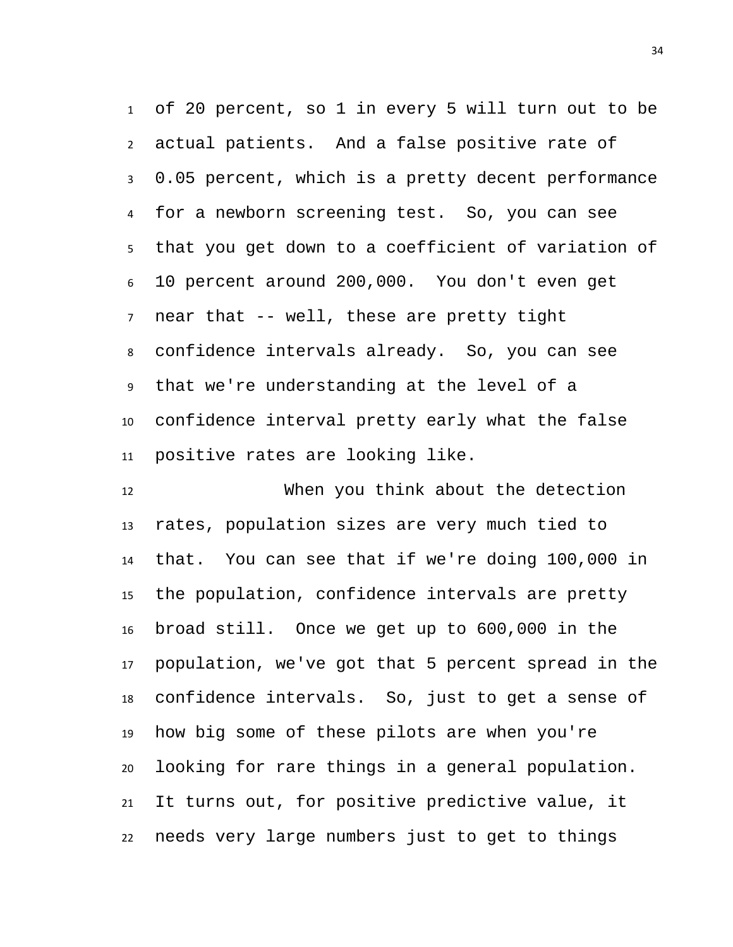of 20 percent, so 1 in every 5 will turn out to be actual patients. And a false positive rate of 0.05 percent, which is a pretty decent performance for a newborn screening test. So, you can see that you get down to a coefficient of variation of 10 percent around 200,000. You don't even get near that -- well, these are pretty tight confidence intervals already. So, you can see that we're understanding at the level of a confidence interval pretty early what the false positive rates are looking like.

 When you think about the detection rates, population sizes are very much tied to that. You can see that if we're doing 100,000 in the population, confidence intervals are pretty broad still. Once we get up to 600,000 in the population, we've got that 5 percent spread in the confidence intervals. So, just to get a sense of how big some of these pilots are when you're looking for rare things in a general population. It turns out, for positive predictive value, it needs very large numbers just to get to things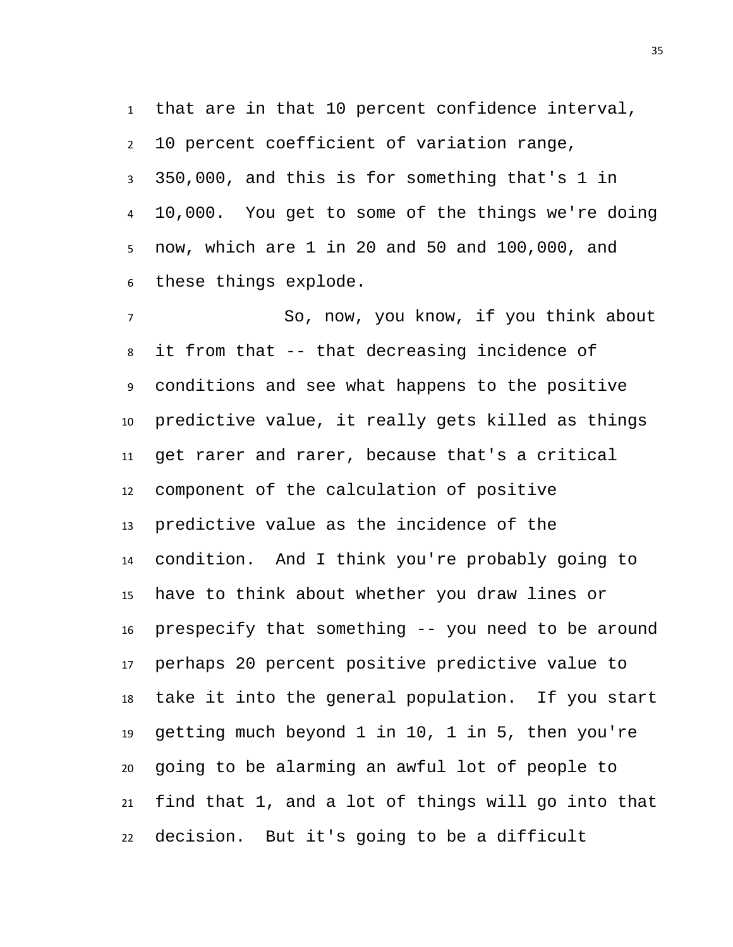that are in that 10 percent confidence interval, 10 percent coefficient of variation range, 350,000, and this is for something that's 1 in 10,000. You get to some of the things we're doing now, which are 1 in 20 and 50 and 100,000, and these things explode.

 So, now, you know, if you think about it from that -- that decreasing incidence of conditions and see what happens to the positive predictive value, it really gets killed as things get rarer and rarer, because that's a critical component of the calculation of positive predictive value as the incidence of the condition. And I think you're probably going to have to think about whether you draw lines or prespecify that something -- you need to be around perhaps 20 percent positive predictive value to take it into the general population. If you start getting much beyond 1 in 10, 1 in 5, then you're going to be alarming an awful lot of people to find that 1, and a lot of things will go into that decision. But it's going to be a difficult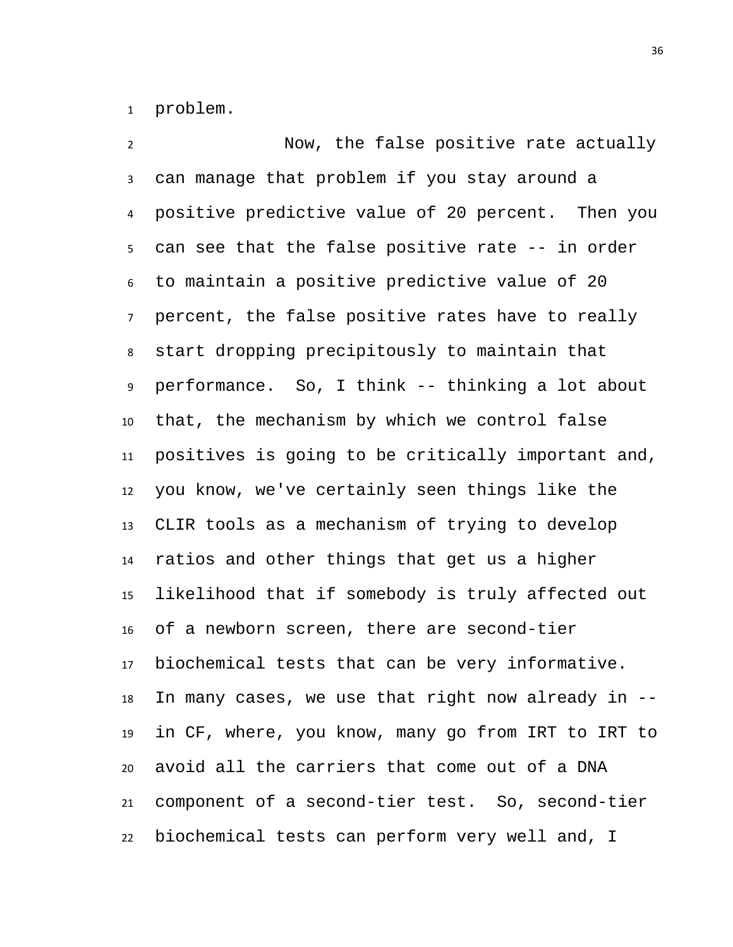problem.

 Now, the false positive rate actually can manage that problem if you stay around a positive predictive value of 20 percent. Then you can see that the false positive rate -- in order to maintain a positive predictive value of 20 percent, the false positive rates have to really start dropping precipitously to maintain that performance. So, I think -- thinking a lot about that, the mechanism by which we control false positives is going to be critically important and, you know, we've certainly seen things like the CLIR tools as a mechanism of trying to develop ratios and other things that get us a higher likelihood that if somebody is truly affected out of a newborn screen, there are second-tier biochemical tests that can be very informative. In many cases, we use that right now already in -- in CF, where, you know, many go from IRT to IRT to avoid all the carriers that come out of a DNA component of a second-tier test. So, second-tier biochemical tests can perform very well and, I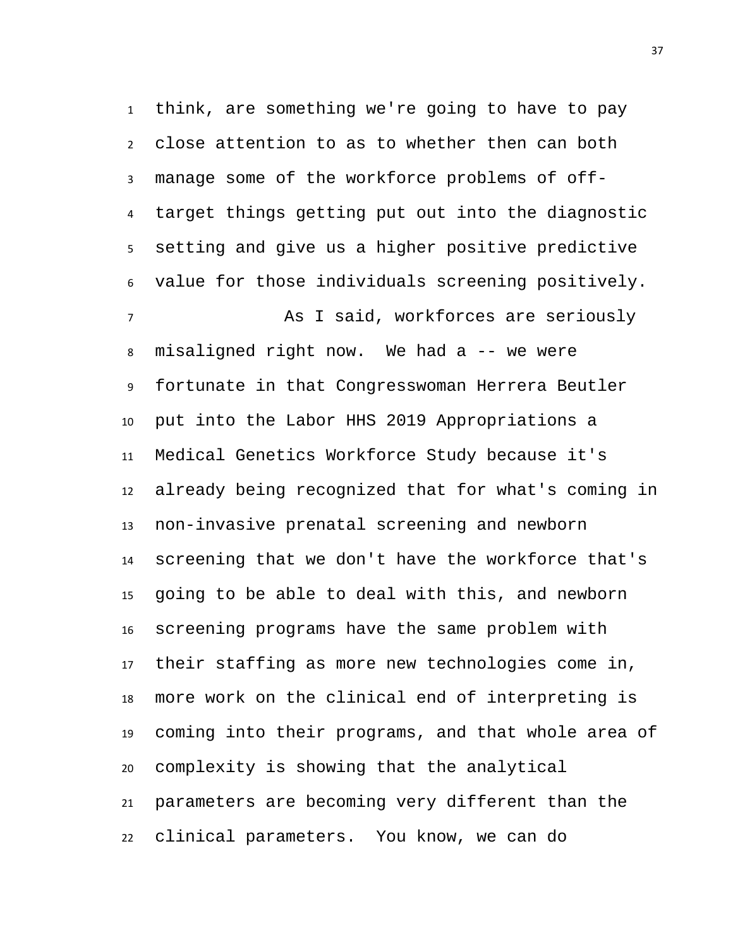think, are something we're going to have to pay close attention to as to whether then can both manage some of the workforce problems of off- target things getting put out into the diagnostic setting and give us a higher positive predictive value for those individuals screening positively. As I said, workforces are seriously misaligned right now. We had a -- we were fortunate in that Congresswoman Herrera Beutler put into the Labor HHS 2019 Appropriations a Medical Genetics Workforce Study because it's already being recognized that for what's coming in non-invasive prenatal screening and newborn screening that we don't have the workforce that's going to be able to deal with this, and newborn screening programs have the same problem with their staffing as more new technologies come in, more work on the clinical end of interpreting is coming into their programs, and that whole area of complexity is showing that the analytical parameters are becoming very different than the clinical parameters. You know, we can do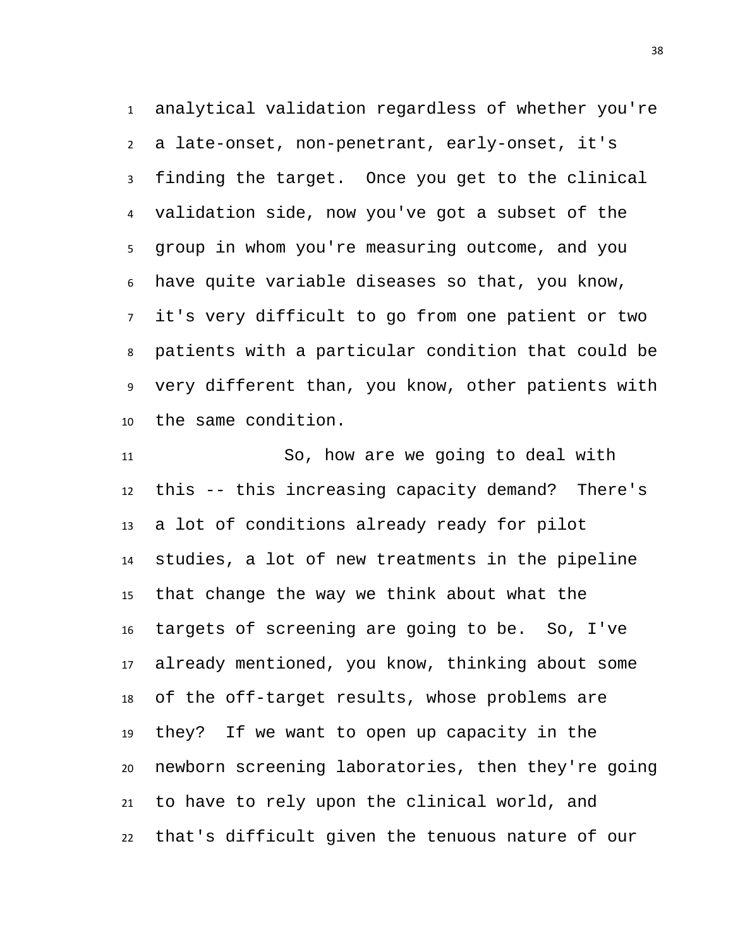analytical validation regardless of whether you're a late-onset, non-penetrant, early-onset, it's finding the target. Once you get to the clinical validation side, now you've got a subset of the group in whom you're measuring outcome, and you have quite variable diseases so that, you know, it's very difficult to go from one patient or two patients with a particular condition that could be very different than, you know, other patients with the same condition.

 So, how are we going to deal with this -- this increasing capacity demand? There's a lot of conditions already ready for pilot studies, a lot of new treatments in the pipeline that change the way we think about what the targets of screening are going to be. So, I've already mentioned, you know, thinking about some of the off-target results, whose problems are they? If we want to open up capacity in the newborn screening laboratories, then they're going to have to rely upon the clinical world, and that's difficult given the tenuous nature of our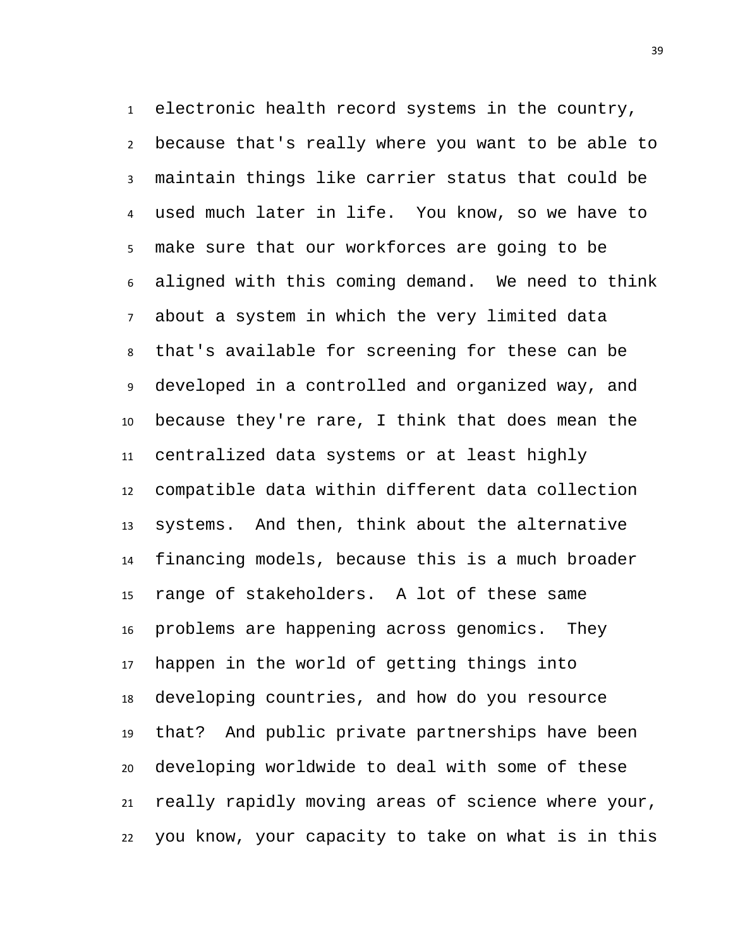electronic health record systems in the country, because that's really where you want to be able to maintain things like carrier status that could be used much later in life. You know, so we have to make sure that our workforces are going to be aligned with this coming demand. We need to think about a system in which the very limited data that's available for screening for these can be developed in a controlled and organized way, and because they're rare, I think that does mean the centralized data systems or at least highly compatible data within different data collection systems. And then, think about the alternative financing models, because this is a much broader range of stakeholders. A lot of these same problems are happening across genomics. They happen in the world of getting things into developing countries, and how do you resource that? And public private partnerships have been developing worldwide to deal with some of these really rapidly moving areas of science where your, you know, your capacity to take on what is in this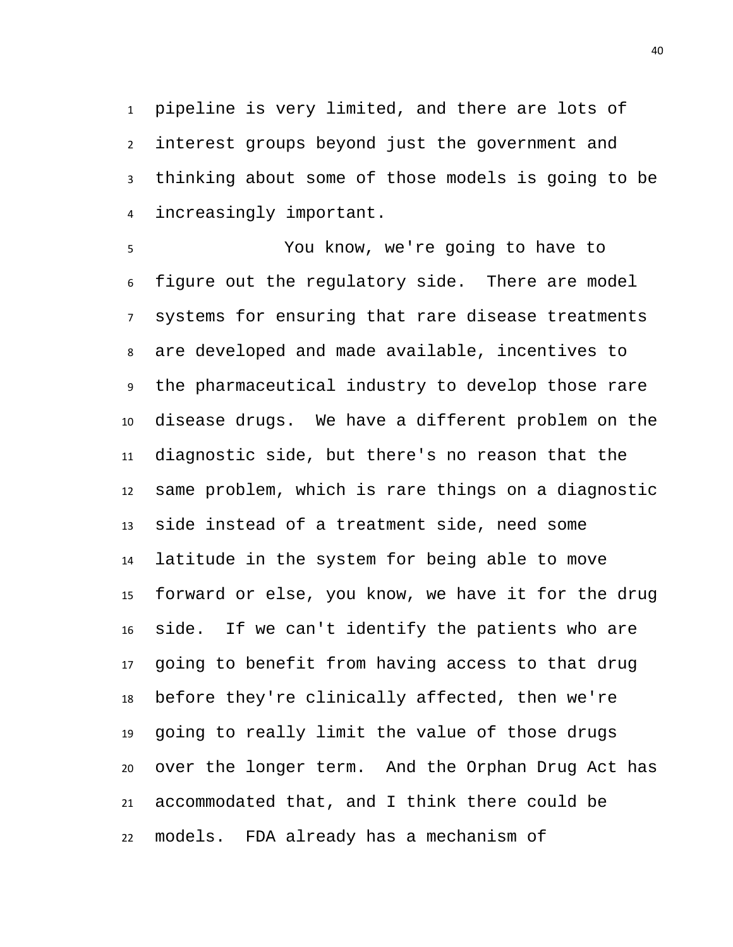pipeline is very limited, and there are lots of interest groups beyond just the government and thinking about some of those models is going to be increasingly important.

 You know, we're going to have to figure out the regulatory side. There are model systems for ensuring that rare disease treatments are developed and made available, incentives to the pharmaceutical industry to develop those rare disease drugs. We have a different problem on the diagnostic side, but there's no reason that the same problem, which is rare things on a diagnostic side instead of a treatment side, need some latitude in the system for being able to move forward or else, you know, we have it for the drug side. If we can't identify the patients who are going to benefit from having access to that drug before they're clinically affected, then we're going to really limit the value of those drugs over the longer term. And the Orphan Drug Act has accommodated that, and I think there could be models. FDA already has a mechanism of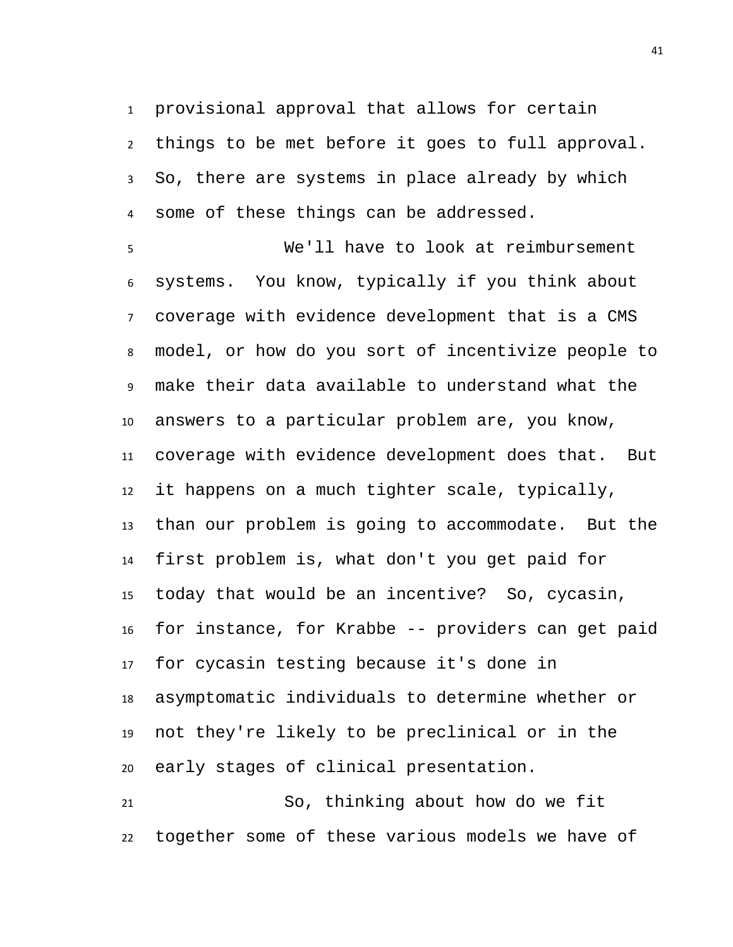provisional approval that allows for certain things to be met before it goes to full approval. So, there are systems in place already by which some of these things can be addressed.

 We'll have to look at reimbursement systems. You know, typically if you think about coverage with evidence development that is a CMS model, or how do you sort of incentivize people to make their data available to understand what the answers to a particular problem are, you know, coverage with evidence development does that. But it happens on a much tighter scale, typically, than our problem is going to accommodate. But the first problem is, what don't you get paid for today that would be an incentive? So, cycasin, for instance, for Krabbe -- providers can get paid for cycasin testing because it's done in asymptomatic individuals to determine whether or not they're likely to be preclinical or in the early stages of clinical presentation.

 So, thinking about how do we fit together some of these various models we have of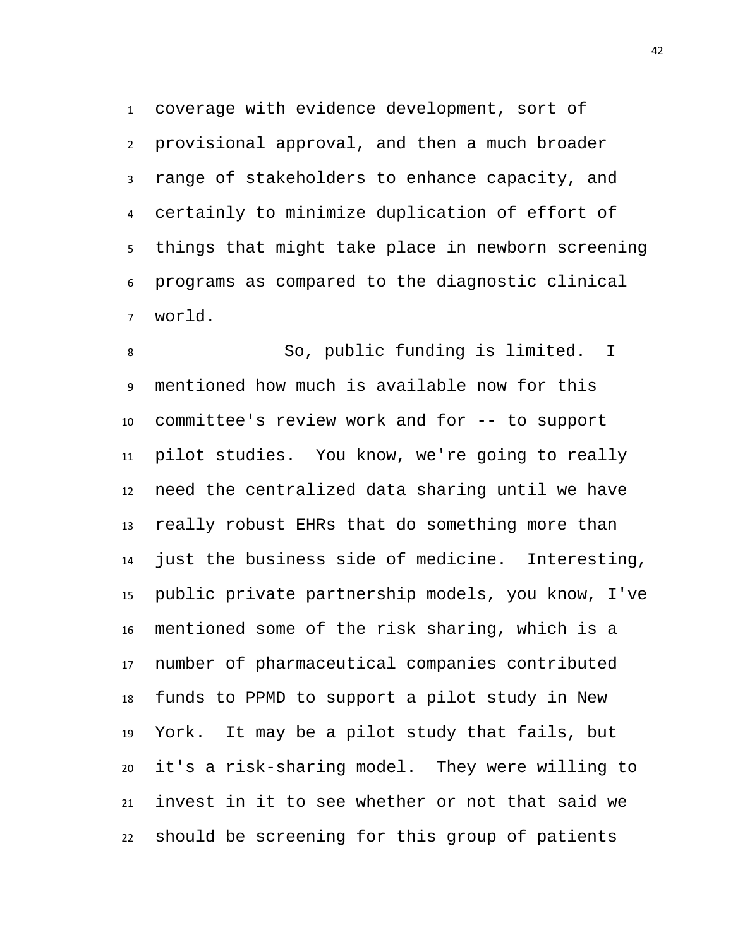coverage with evidence development, sort of provisional approval, and then a much broader range of stakeholders to enhance capacity, and certainly to minimize duplication of effort of things that might take place in newborn screening programs as compared to the diagnostic clinical world.

 So, public funding is limited. I mentioned how much is available now for this committee's review work and for -- to support pilot studies. You know, we're going to really need the centralized data sharing until we have really robust EHRs that do something more than just the business side of medicine. Interesting, public private partnership models, you know, I've mentioned some of the risk sharing, which is a number of pharmaceutical companies contributed funds to PPMD to support a pilot study in New York. It may be a pilot study that fails, but it's a risk-sharing model. They were willing to invest in it to see whether or not that said we should be screening for this group of patients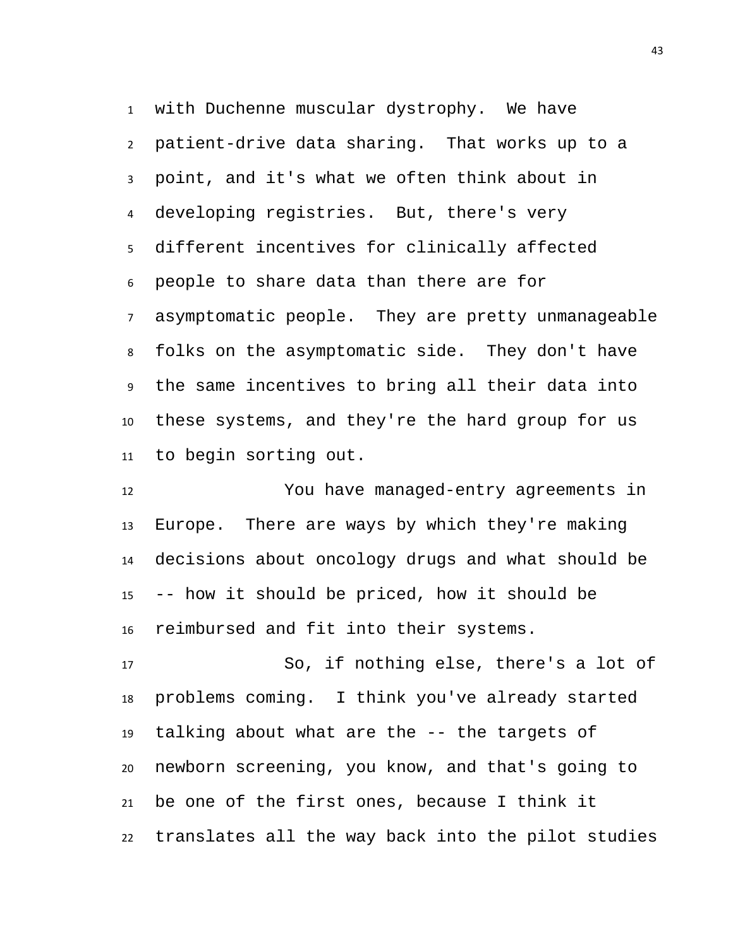with Duchenne muscular dystrophy. We have patient-drive data sharing. That works up to a point, and it's what we often think about in developing registries. But, there's very different incentives for clinically affected people to share data than there are for asymptomatic people. They are pretty unmanageable folks on the asymptomatic side. They don't have the same incentives to bring all their data into these systems, and they're the hard group for us to begin sorting out.

 You have managed-entry agreements in Europe. There are ways by which they're making decisions about oncology drugs and what should be -- how it should be priced, how it should be reimbursed and fit into their systems.

 So, if nothing else, there's a lot of problems coming. I think you've already started talking about what are the -- the targets of newborn screening, you know, and that's going to be one of the first ones, because I think it translates all the way back into the pilot studies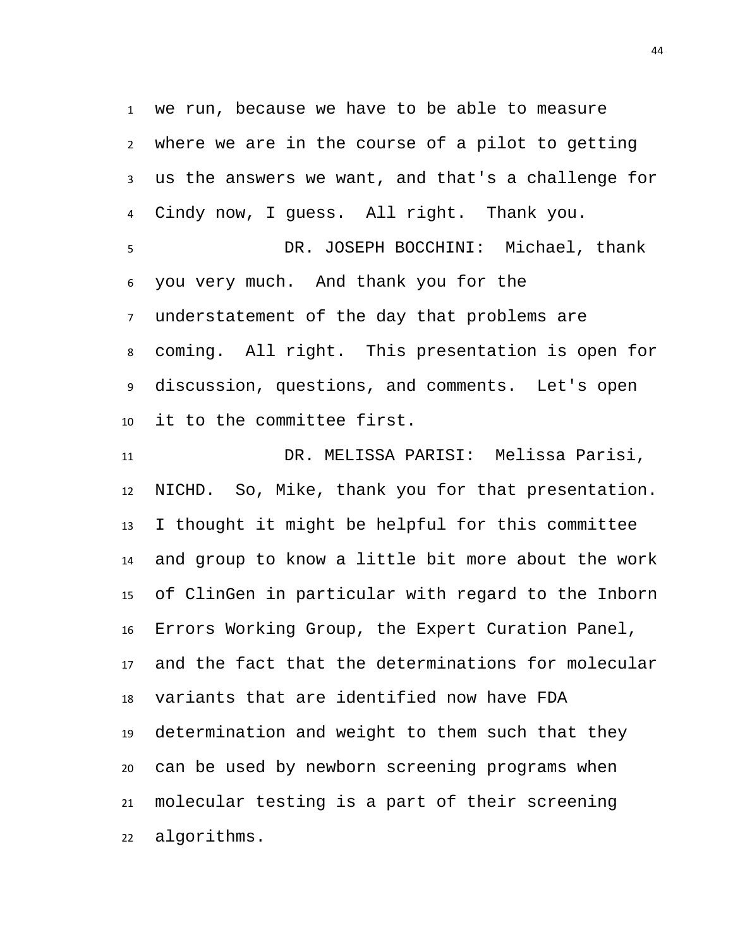we run, because we have to be able to measure where we are in the course of a pilot to getting us the answers we want, and that's a challenge for Cindy now, I guess. All right. Thank you. DR. JOSEPH BOCCHINI: Michael, thank you very much. And thank you for the understatement of the day that problems are coming. All right. This presentation is open for discussion, questions, and comments. Let's open it to the committee first.

 DR. MELISSA PARISI: Melissa Parisi, NICHD. So, Mike, thank you for that presentation. I thought it might be helpful for this committee and group to know a little bit more about the work of ClinGen in particular with regard to the Inborn Errors Working Group, the Expert Curation Panel, and the fact that the determinations for molecular variants that are identified now have FDA determination and weight to them such that they can be used by newborn screening programs when molecular testing is a part of their screening algorithms.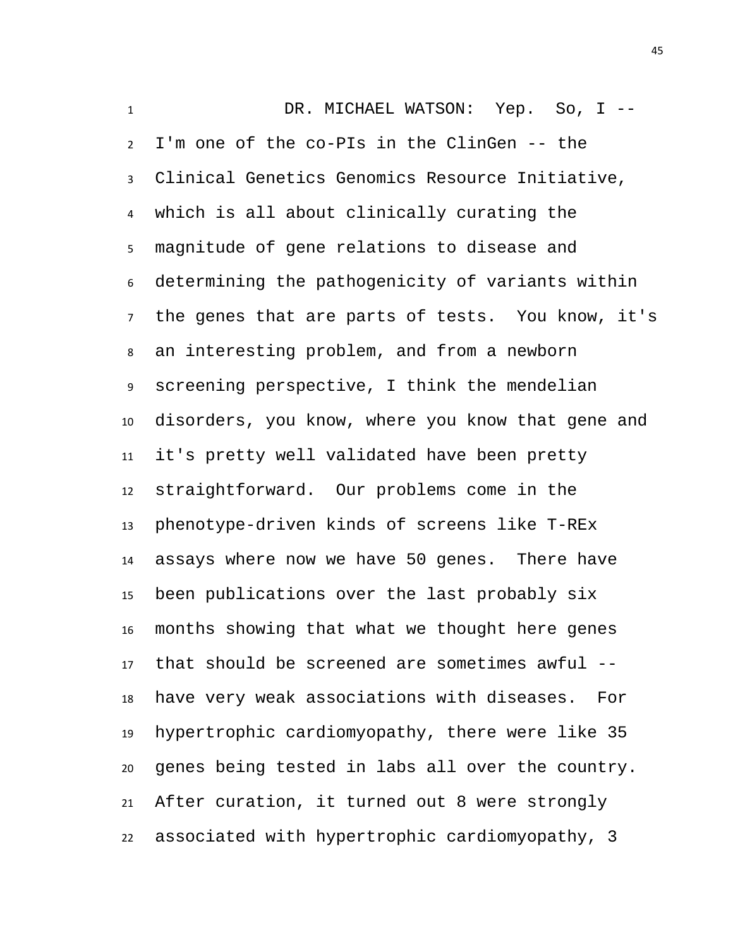DR. MICHAEL WATSON: Yep. So, I -- I'm one of the co-PIs in the ClinGen -- the Clinical Genetics Genomics Resource Initiative, which is all about clinically curating the magnitude of gene relations to disease and determining the pathogenicity of variants within the genes that are parts of tests. You know, it's an interesting problem, and from a newborn screening perspective, I think the mendelian disorders, you know, where you know that gene and it's pretty well validated have been pretty straightforward. Our problems come in the phenotype-driven kinds of screens like T-REx assays where now we have 50 genes. There have been publications over the last probably six months showing that what we thought here genes that should be screened are sometimes awful -- have very weak associations with diseases. For hypertrophic cardiomyopathy, there were like 35 genes being tested in labs all over the country. After curation, it turned out 8 were strongly associated with hypertrophic cardiomyopathy, 3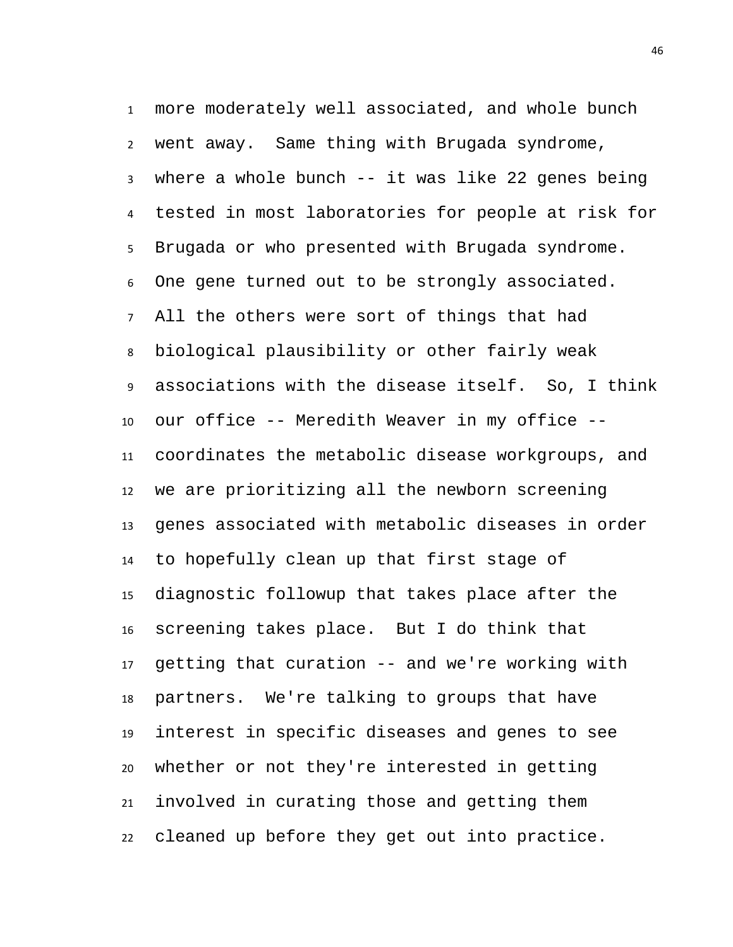more moderately well associated, and whole bunch went away. Same thing with Brugada syndrome, where a whole bunch -- it was like 22 genes being tested in most laboratories for people at risk for Brugada or who presented with Brugada syndrome. One gene turned out to be strongly associated. All the others were sort of things that had biological plausibility or other fairly weak associations with the disease itself. So, I think our office -- Meredith Weaver in my office -- coordinates the metabolic disease workgroups, and we are prioritizing all the newborn screening genes associated with metabolic diseases in order to hopefully clean up that first stage of diagnostic followup that takes place after the screening takes place. But I do think that getting that curation -- and we're working with partners. We're talking to groups that have interest in specific diseases and genes to see whether or not they're interested in getting involved in curating those and getting them cleaned up before they get out into practice.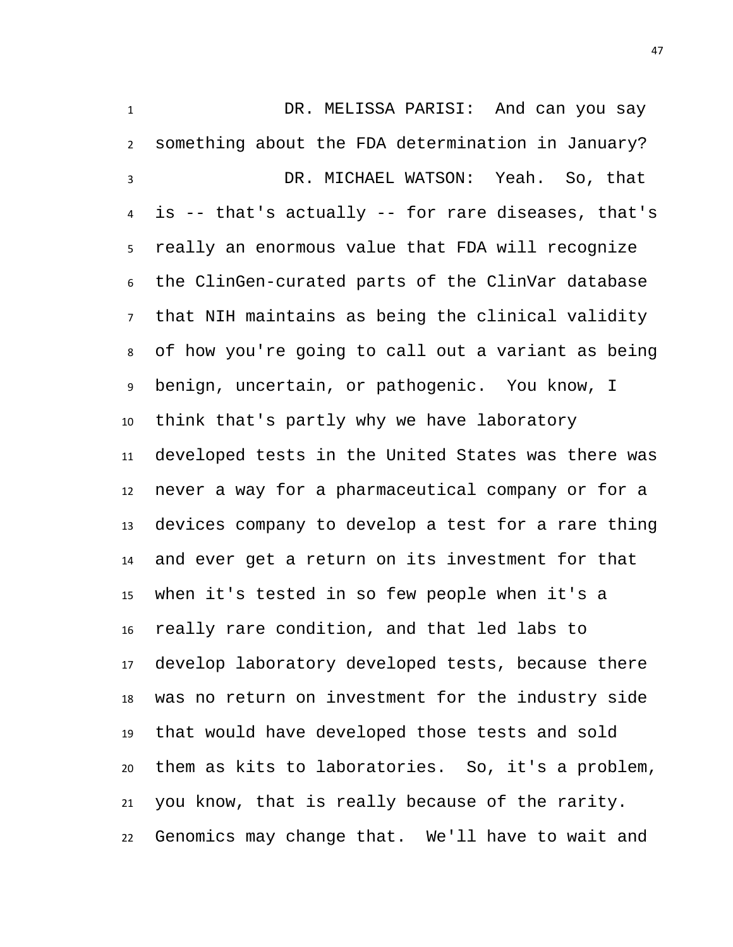DR. MELISSA PARISI: And can you say something about the FDA determination in January? DR. MICHAEL WATSON: Yeah. So, that is -- that's actually -- for rare diseases, that's really an enormous value that FDA will recognize the ClinGen-curated parts of the ClinVar database that NIH maintains as being the clinical validity of how you're going to call out a variant as being benign, uncertain, or pathogenic. You know, I think that's partly why we have laboratory developed tests in the United States was there was never a way for a pharmaceutical company or for a devices company to develop a test for a rare thing and ever get a return on its investment for that when it's tested in so few people when it's a really rare condition, and that led labs to develop laboratory developed tests, because there was no return on investment for the industry side that would have developed those tests and sold them as kits to laboratories. So, it's a problem, you know, that is really because of the rarity. Genomics may change that. We'll have to wait and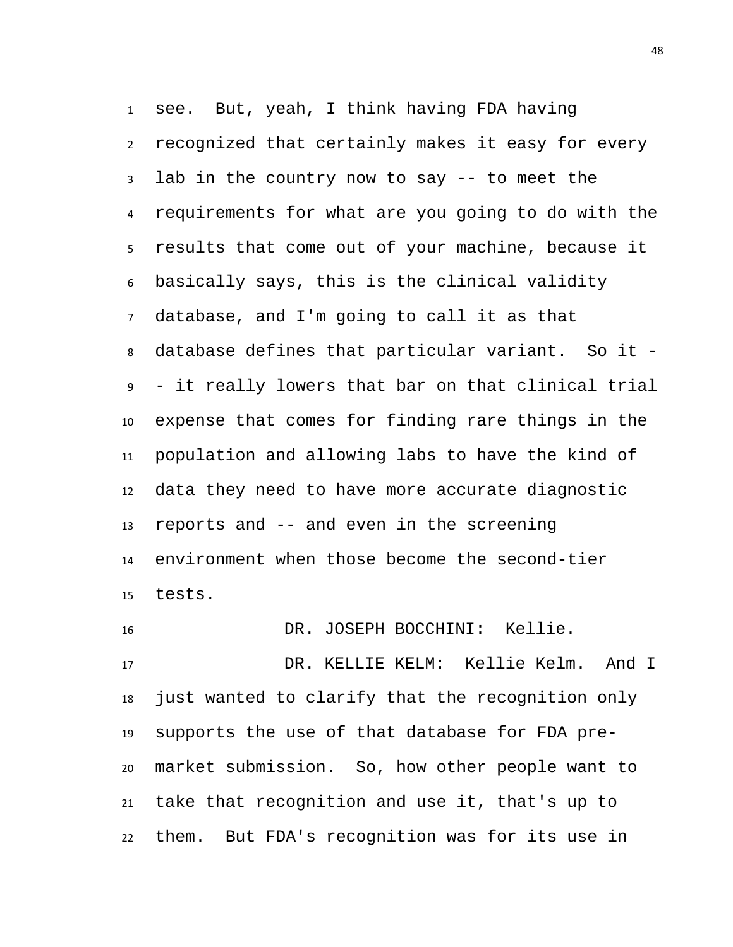see. But, yeah, I think having FDA having recognized that certainly makes it easy for every lab in the country now to say -- to meet the requirements for what are you going to do with the results that come out of your machine, because it basically says, this is the clinical validity database, and I'm going to call it as that database defines that particular variant. So it - - it really lowers that bar on that clinical trial expense that comes for finding rare things in the population and allowing labs to have the kind of data they need to have more accurate diagnostic reports and -- and even in the screening environment when those become the second-tier tests.

 DR. JOSEPH BOCCHINI: Kellie. DR. KELLIE KELM: Kellie Kelm. And I just wanted to clarify that the recognition only supports the use of that database for FDA pre- market submission. So, how other people want to take that recognition and use it, that's up to them. But FDA's recognition was for its use in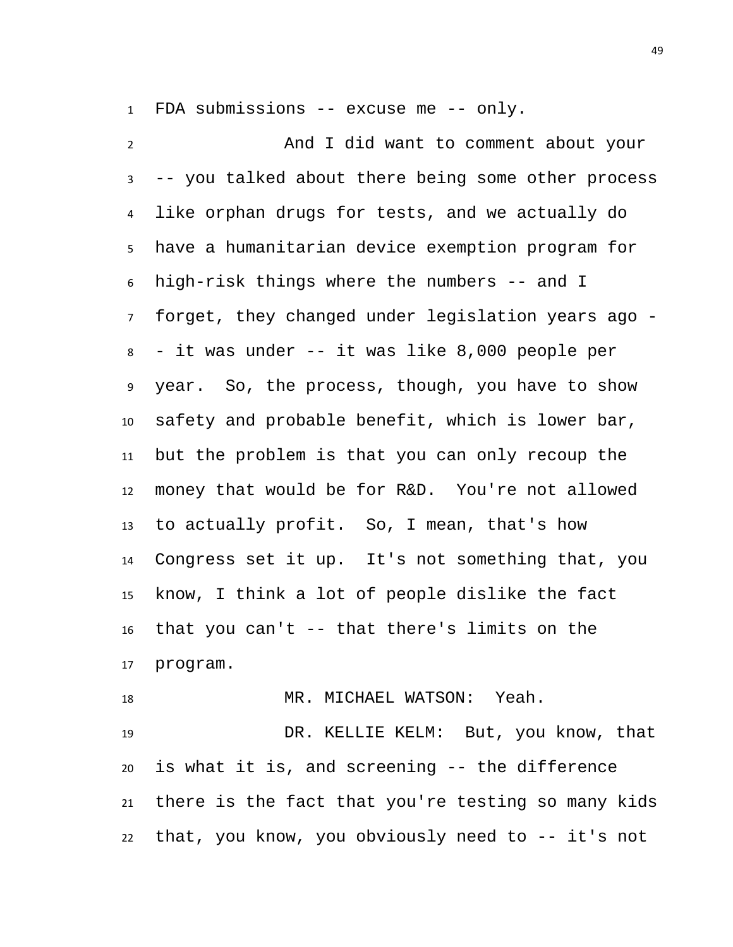FDA submissions -- excuse me -- only.

 And I did want to comment about your -- you talked about there being some other process like orphan drugs for tests, and we actually do have a humanitarian device exemption program for high-risk things where the numbers -- and I forget, they changed under legislation years ago - - it was under -- it was like 8,000 people per year. So, the process, though, you have to show safety and probable benefit, which is lower bar, but the problem is that you can only recoup the money that would be for R&D. You're not allowed to actually profit. So, I mean, that's how Congress set it up. It's not something that, you know, I think a lot of people dislike the fact that you can't -- that there's limits on the program.

 MR. MICHAEL WATSON: Yeah. DR. KELLIE KELM: But, you know, that is what it is, and screening -- the difference there is the fact that you're testing so many kids that, you know, you obviously need to -- it's not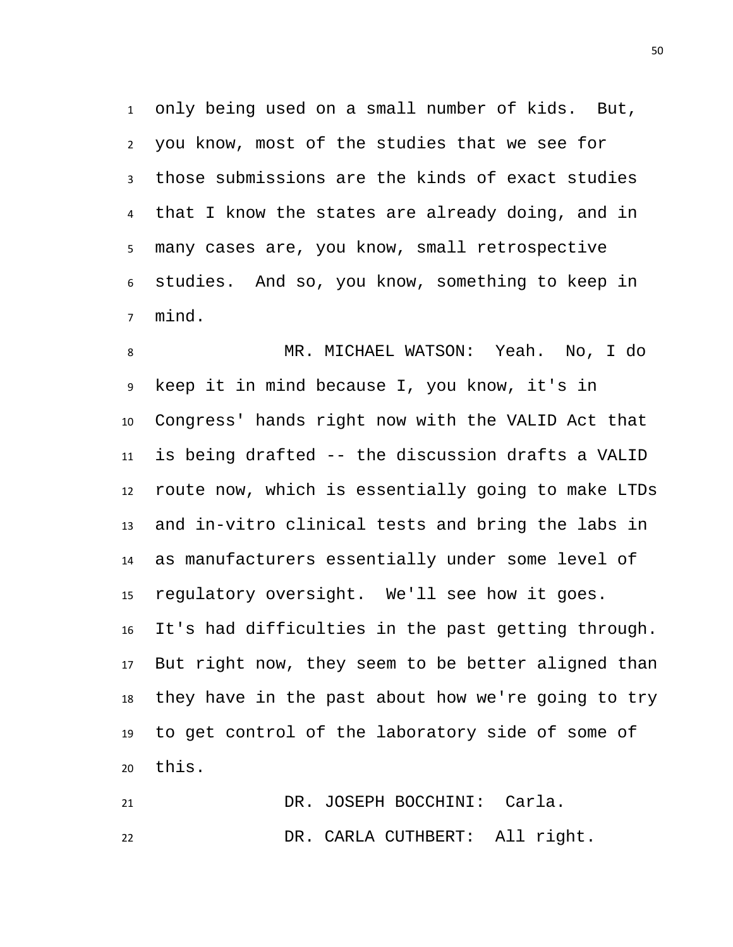only being used on a small number of kids. But, you know, most of the studies that we see for those submissions are the kinds of exact studies that I know the states are already doing, and in many cases are, you know, small retrospective studies. And so, you know, something to keep in mind.

 MR. MICHAEL WATSON: Yeah. No, I do keep it in mind because I, you know, it's in Congress' hands right now with the VALID Act that is being drafted -- the discussion drafts a VALID route now, which is essentially going to make LTDs and in-vitro clinical tests and bring the labs in as manufacturers essentially under some level of regulatory oversight. We'll see how it goes. It's had difficulties in the past getting through. But right now, they seem to be better aligned than they have in the past about how we're going to try to get control of the laboratory side of some of this.

 DR. JOSEPH BOCCHINI: Carla. DR. CARLA CUTHBERT: All right.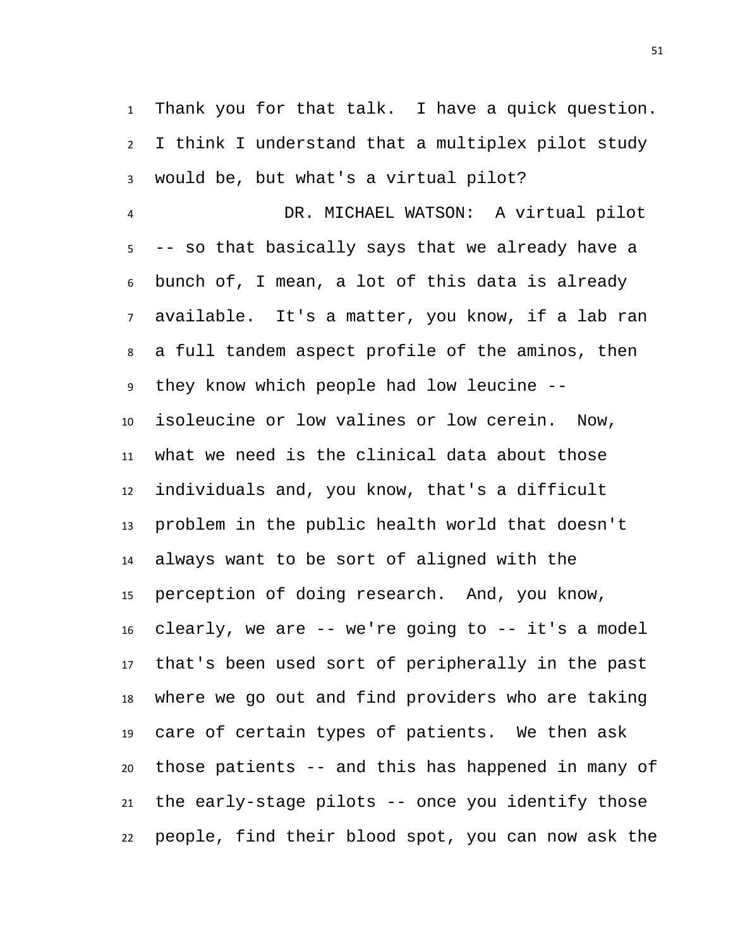Thank you for that talk. I have a quick question. I think I understand that a multiplex pilot study would be, but what's a virtual pilot?

 DR. MICHAEL WATSON: A virtual pilot -- so that basically says that we already have a bunch of, I mean, a lot of this data is already available. It's a matter, you know, if a lab ran a full tandem aspect profile of the aminos, then they know which people had low leucine -- isoleucine or low valines or low cerein. Now, what we need is the clinical data about those individuals and, you know, that's a difficult problem in the public health world that doesn't always want to be sort of aligned with the perception of doing research. And, you know, clearly, we are -- we're going to -- it's a model that's been used sort of peripherally in the past where we go out and find providers who are taking care of certain types of patients. We then ask those patients -- and this has happened in many of the early-stage pilots -- once you identify those people, find their blood spot, you can now ask the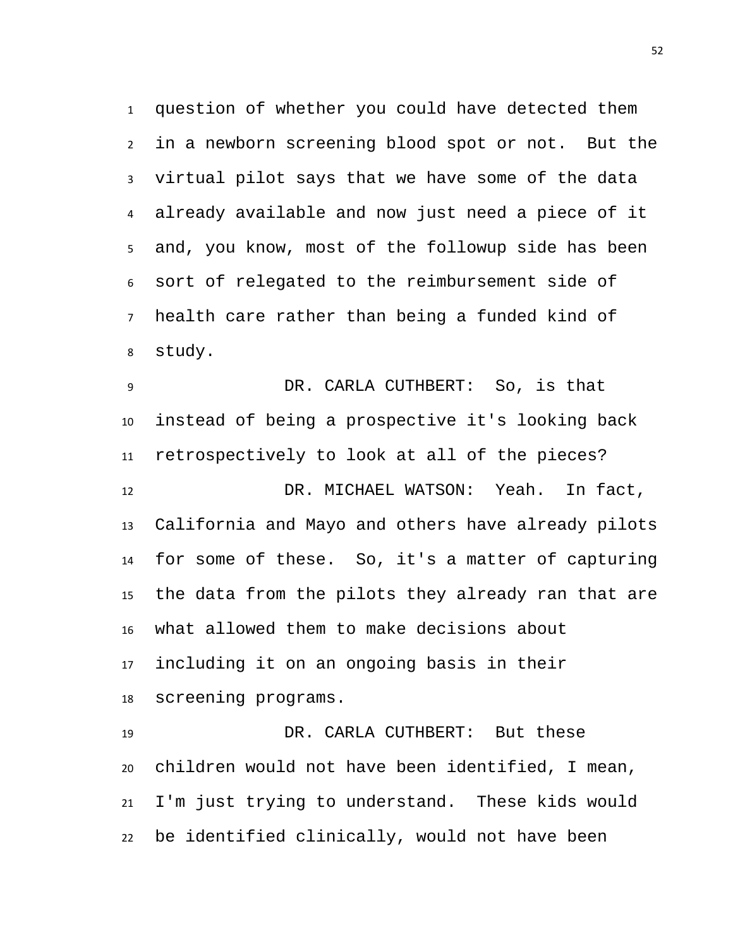question of whether you could have detected them in a newborn screening blood spot or not. But the virtual pilot says that we have some of the data already available and now just need a piece of it and, you know, most of the followup side has been sort of relegated to the reimbursement side of health care rather than being a funded kind of study.

 DR. CARLA CUTHBERT: So, is that instead of being a prospective it's looking back retrospectively to look at all of the pieces? DR. MICHAEL WATSON: Yeah. In fact, California and Mayo and others have already pilots for some of these. So, it's a matter of capturing the data from the pilots they already ran that are what allowed them to make decisions about including it on an ongoing basis in their screening programs.

 DR. CARLA CUTHBERT: But these children would not have been identified, I mean, I'm just trying to understand. These kids would be identified clinically, would not have been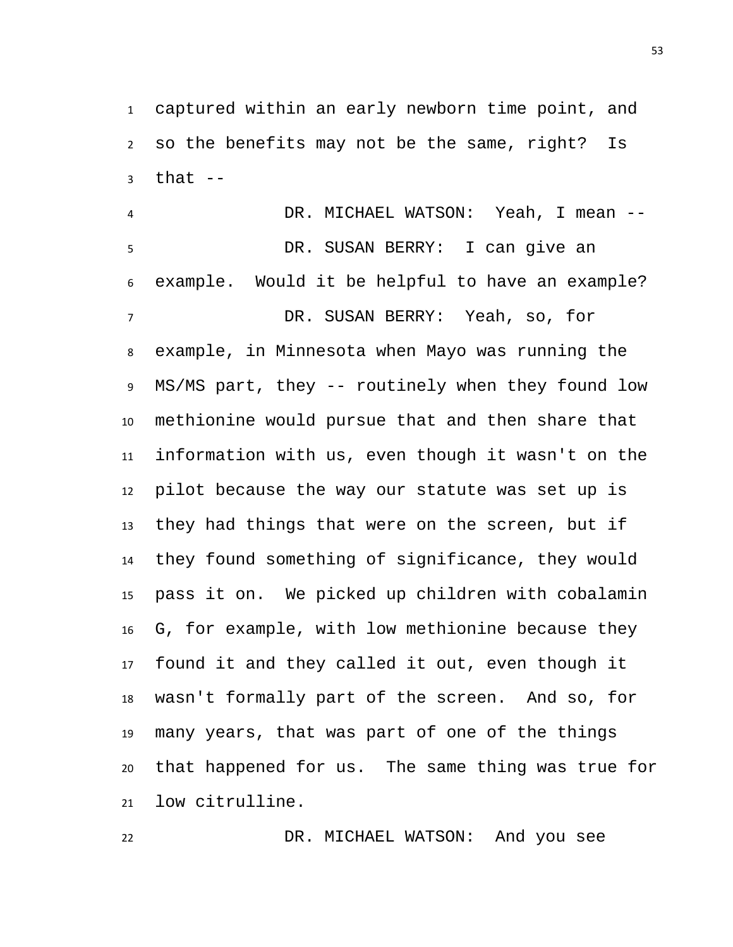captured within an early newborn time point, and so the benefits may not be the same, right? Is that  $-$ 

 DR. MICHAEL WATSON: Yeah, I mean -- DR. SUSAN BERRY: I can give an example. Would it be helpful to have an example? DR. SUSAN BERRY: Yeah, so, for example, in Minnesota when Mayo was running the MS/MS part, they -- routinely when they found low methionine would pursue that and then share that information with us, even though it wasn't on the pilot because the way our statute was set up is they had things that were on the screen, but if they found something of significance, they would pass it on. We picked up children with cobalamin G, for example, with low methionine because they found it and they called it out, even though it wasn't formally part of the screen. And so, for many years, that was part of one of the things that happened for us. The same thing was true for low citrulline.

DR. MICHAEL WATSON: And you see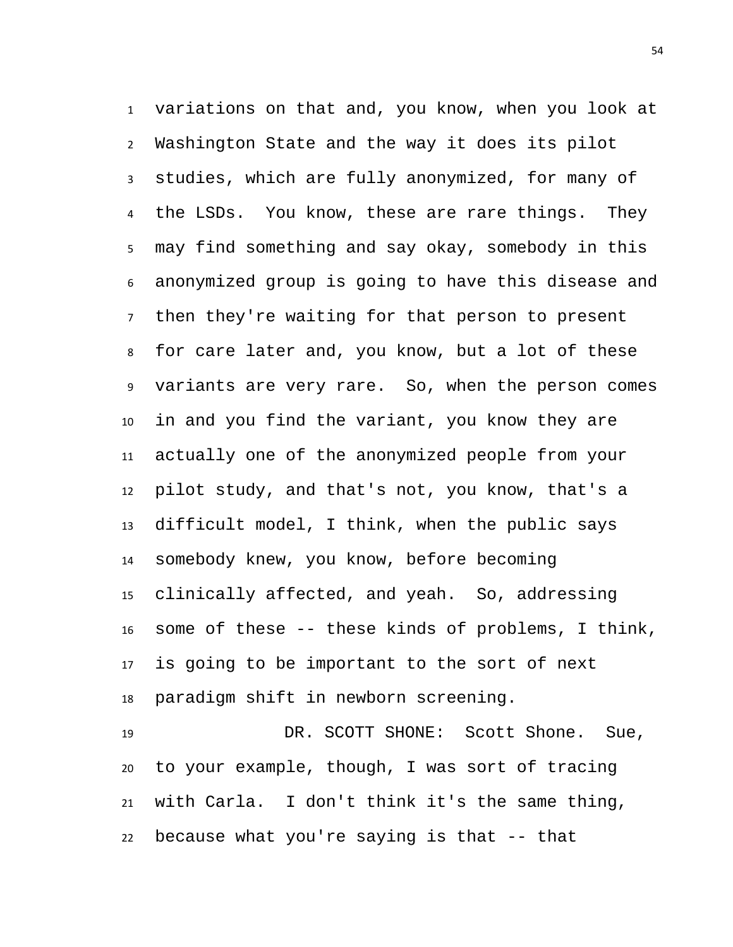variations on that and, you know, when you look at Washington State and the way it does its pilot studies, which are fully anonymized, for many of 4 the LSDs. You know, these are rare things. They may find something and say okay, somebody in this anonymized group is going to have this disease and then they're waiting for that person to present for care later and, you know, but a lot of these variants are very rare. So, when the person comes in and you find the variant, you know they are actually one of the anonymized people from your pilot study, and that's not, you know, that's a difficult model, I think, when the public says somebody knew, you know, before becoming clinically affected, and yeah. So, addressing some of these -- these kinds of problems, I think, is going to be important to the sort of next paradigm shift in newborn screening.

 DR. SCOTT SHONE: Scott Shone. Sue, to your example, though, I was sort of tracing with Carla. I don't think it's the same thing, because what you're saying is that -- that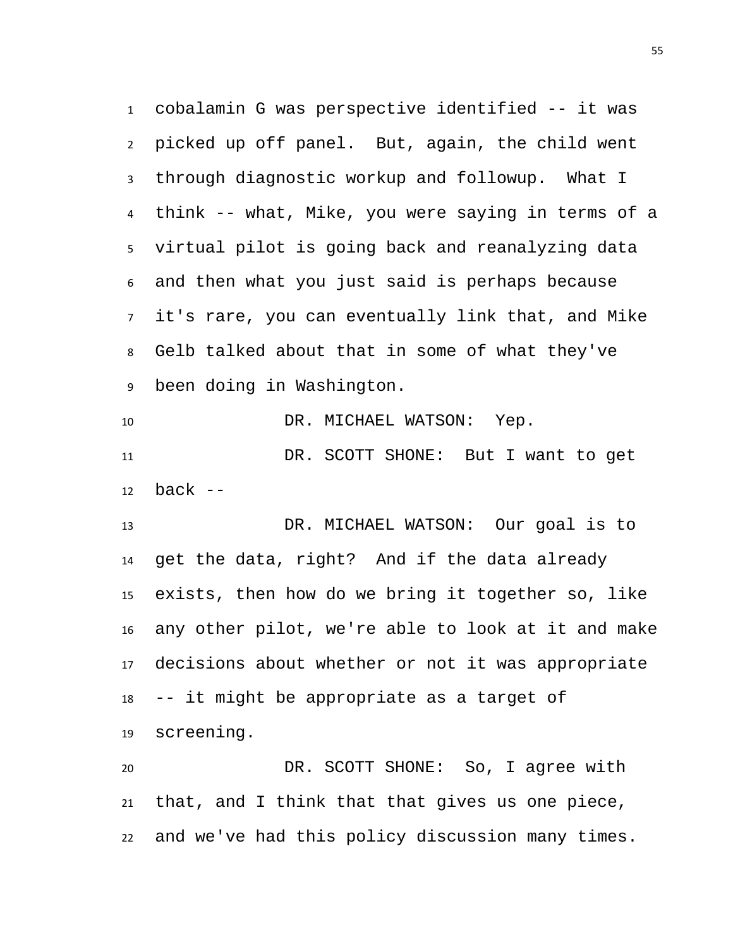cobalamin G was perspective identified -- it was picked up off panel. But, again, the child went through diagnostic workup and followup. What I think -- what, Mike, you were saying in terms of a virtual pilot is going back and reanalyzing data and then what you just said is perhaps because it's rare, you can eventually link that, and Mike Gelb talked about that in some of what they've been doing in Washington.

10 DR. MICHAEL WATSON: Yep. DR. SCOTT SHONE: But I want to get back  $-$ 

 DR. MICHAEL WATSON: Our goal is to get the data, right? And if the data already exists, then how do we bring it together so, like any other pilot, we're able to look at it and make decisions about whether or not it was appropriate -- it might be appropriate as a target of screening.

 DR. SCOTT SHONE: So, I agree with that, and I think that that gives us one piece, and we've had this policy discussion many times.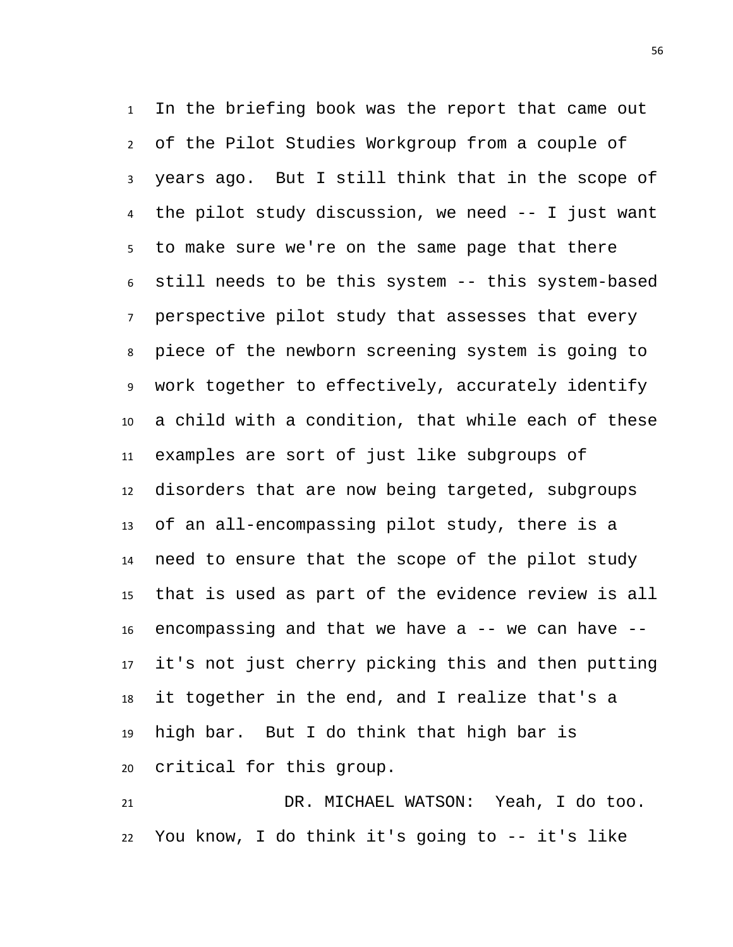In the briefing book was the report that came out of the Pilot Studies Workgroup from a couple of years ago. But I still think that in the scope of the pilot study discussion, we need -- I just want to make sure we're on the same page that there still needs to be this system -- this system-based perspective pilot study that assesses that every piece of the newborn screening system is going to work together to effectively, accurately identify a child with a condition, that while each of these examples are sort of just like subgroups of disorders that are now being targeted, subgroups of an all-encompassing pilot study, there is a need to ensure that the scope of the pilot study that is used as part of the evidence review is all 16 encompassing and that we have  $a$  -- we can have  $-$  it's not just cherry picking this and then putting it together in the end, and I realize that's a high bar. But I do think that high bar is critical for this group.

 DR. MICHAEL WATSON: Yeah, I do too. You know, I do think it's going to -- it's like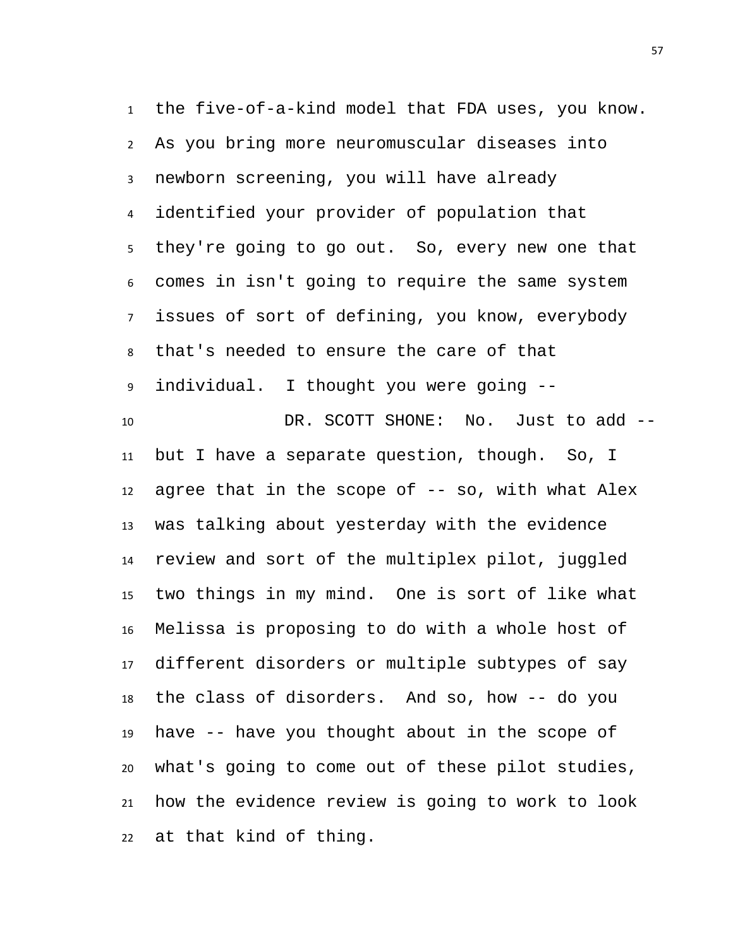the five-of-a-kind model that FDA uses, you know. As you bring more neuromuscular diseases into newborn screening, you will have already identified your provider of population that they're going to go out. So, every new one that comes in isn't going to require the same system issues of sort of defining, you know, everybody that's needed to ensure the care of that individual. I thought you were going -- DR. SCOTT SHONE: No. Just to add -- but I have a separate question, though. So, I 12 agree that in the scope of  $-$ - so, with what Alex was talking about yesterday with the evidence review and sort of the multiplex pilot, juggled two things in my mind. One is sort of like what Melissa is proposing to do with a whole host of different disorders or multiple subtypes of say the class of disorders. And so, how -- do you have -- have you thought about in the scope of what's going to come out of these pilot studies, how the evidence review is going to work to look at that kind of thing.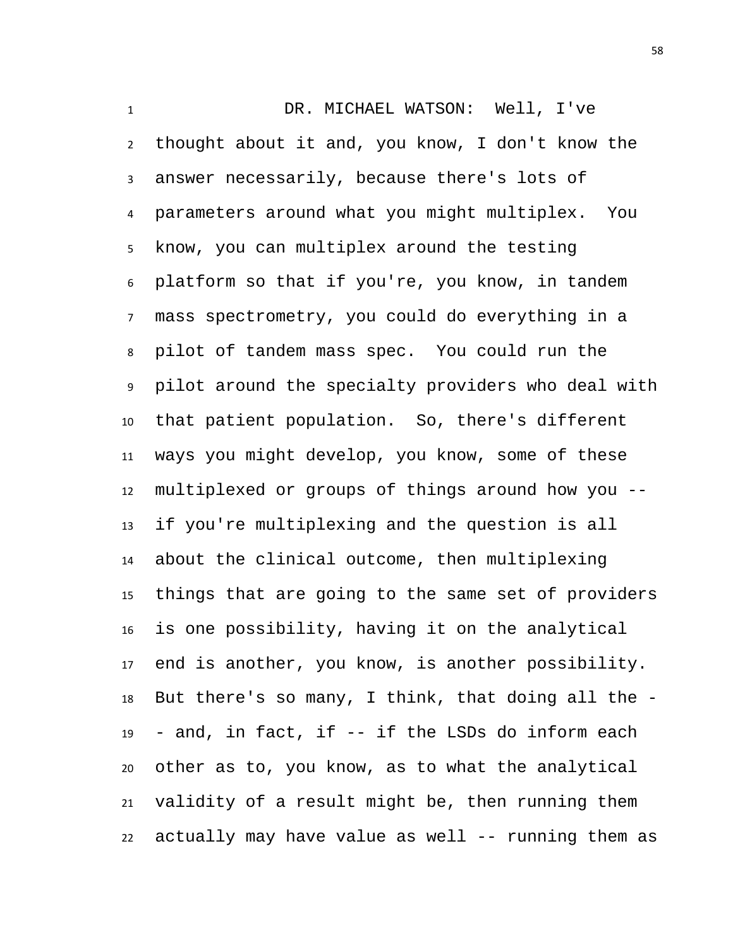DR. MICHAEL WATSON: Well, I've thought about it and, you know, I don't know the answer necessarily, because there's lots of parameters around what you might multiplex. You know, you can multiplex around the testing platform so that if you're, you know, in tandem mass spectrometry, you could do everything in a pilot of tandem mass spec. You could run the pilot around the specialty providers who deal with that patient population. So, there's different ways you might develop, you know, some of these multiplexed or groups of things around how you -- if you're multiplexing and the question is all about the clinical outcome, then multiplexing things that are going to the same set of providers is one possibility, having it on the analytical end is another, you know, is another possibility. But there's so many, I think, that doing all the - - and, in fact, if -- if the LSDs do inform each other as to, you know, as to what the analytical validity of a result might be, then running them actually may have value as well -- running them as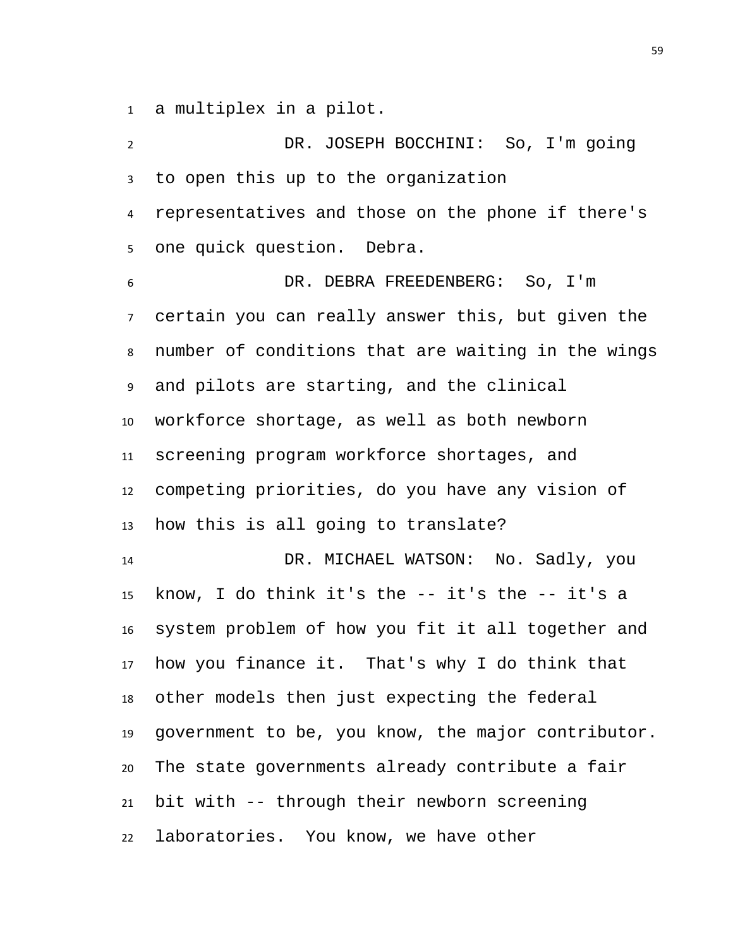a multiplex in a pilot.

| $\overline{2}$  | DR. JOSEPH BOCCHINI: So, I'm going                 |
|-----------------|----------------------------------------------------|
| $\mathbf{3}$    | to open this up to the organization                |
| 4               | representatives and those on the phone if there's  |
| 5               | one quick question. Debra.                         |
| 6               | DR. DEBRA FREEDENBERG: So, I'm                     |
| 7 <sup>7</sup>  | certain you can really answer this, but given the  |
| 8               | number of conditions that are waiting in the wings |
| 9               | and pilots are starting, and the clinical          |
| 10 <sup>°</sup> | workforce shortage, as well as both newborn        |
| 11              | screening program workforce shortages, and         |
| 12              | competing priorities, do you have any vision of    |
| 13              | how this is all going to translate?                |
| 14              | DR. MICHAEL WATSON: No. Sadly, you                 |
| 15              | know, I do think it's the $-$ it's the $-$ it's a  |
| 16              | system problem of how you fit it all together and  |
| 17              | how you finance it. That's why I do think that     |
| 18              | other models then just expecting the federal       |
| 19              | government to be, you know, the major contributor. |
| 20              | The state governments already contribute a fair    |
| 21              | bit with -- through their newborn screening        |
| 22              | laboratories. You know, we have other              |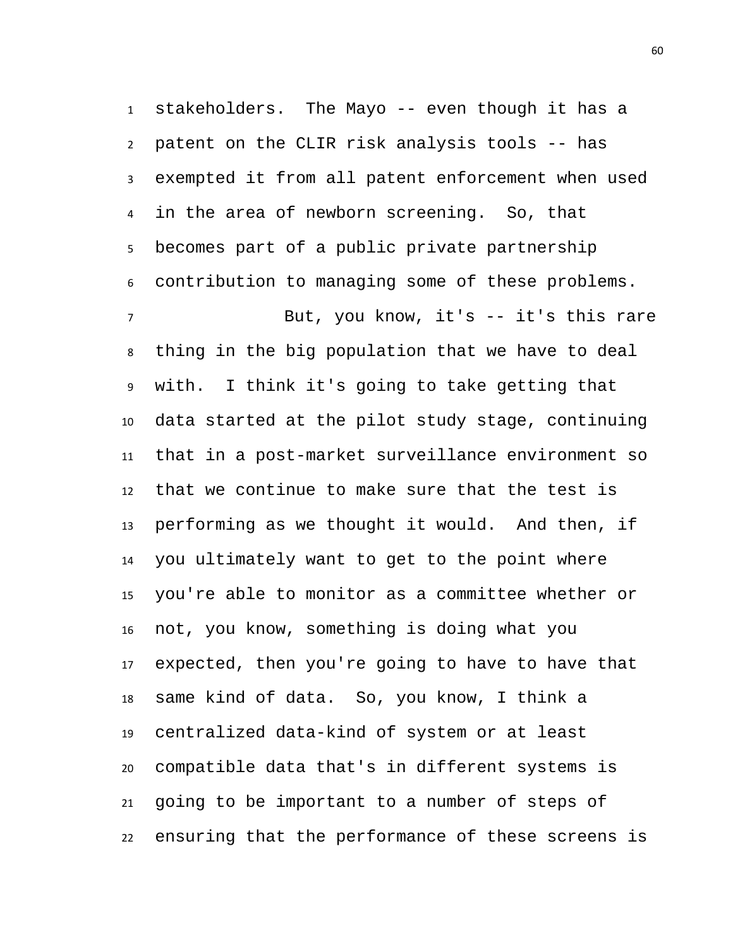stakeholders. The Mayo -- even though it has a patent on the CLIR risk analysis tools -- has exempted it from all patent enforcement when used in the area of newborn screening. So, that becomes part of a public private partnership contribution to managing some of these problems. But, you know, it's -- it's this rare thing in the big population that we have to deal with. I think it's going to take getting that data started at the pilot study stage, continuing that in a post-market surveillance environment so that we continue to make sure that the test is performing as we thought it would. And then, if you ultimately want to get to the point where you're able to monitor as a committee whether or not, you know, something is doing what you expected, then you're going to have to have that same kind of data. So, you know, I think a centralized data-kind of system or at least compatible data that's in different systems is going to be important to a number of steps of ensuring that the performance of these screens is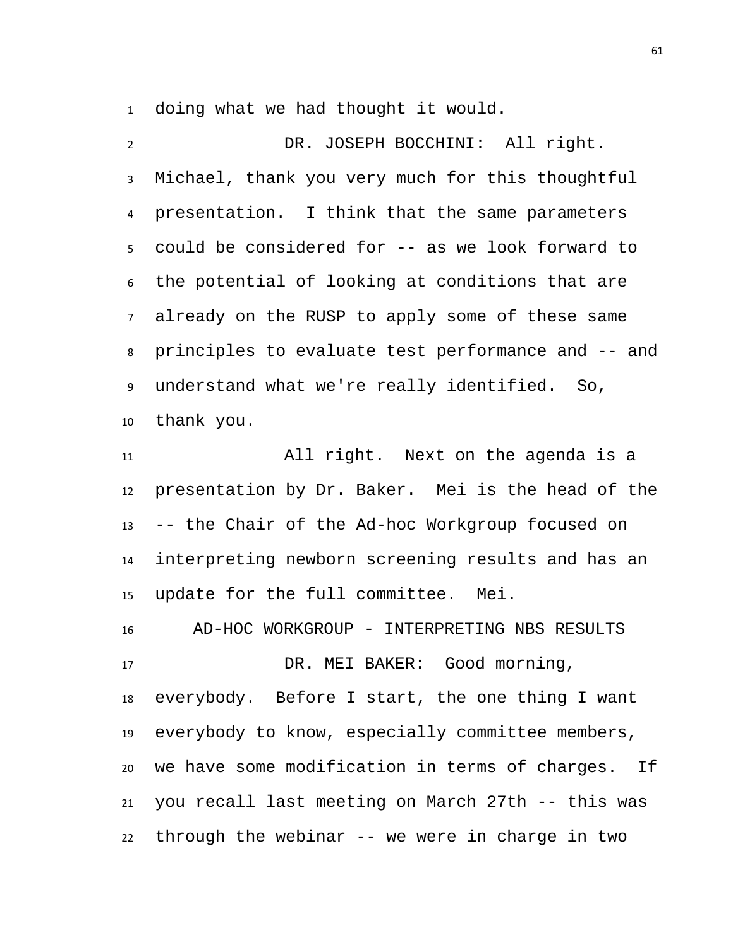doing what we had thought it would.

 DR. JOSEPH BOCCHINI: All right. Michael, thank you very much for this thoughtful presentation. I think that the same parameters could be considered for -- as we look forward to the potential of looking at conditions that are already on the RUSP to apply some of these same principles to evaluate test performance and -- and understand what we're really identified. So, thank you.

 All right. Next on the agenda is a presentation by Dr. Baker. Mei is the head of the -- the Chair of the Ad-hoc Workgroup focused on interpreting newborn screening results and has an update for the full committee. Mei.

 AD-HOC WORKGROUP - INTERPRETING NBS RESULTS DR. MEI BAKER: Good morning, everybody. Before I start, the one thing I want everybody to know, especially committee members, we have some modification in terms of charges. If you recall last meeting on March 27th -- this was through the webinar -- we were in charge in two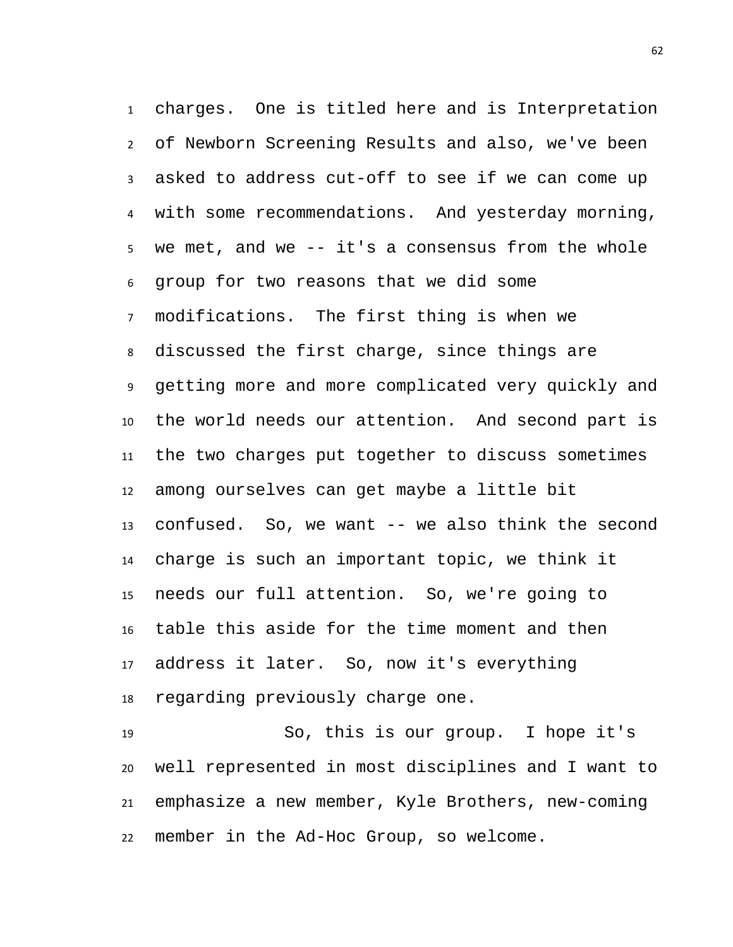charges. One is titled here and is Interpretation of Newborn Screening Results and also, we've been asked to address cut-off to see if we can come up with some recommendations. And yesterday morning, we met, and we -- it's a consensus from the whole group for two reasons that we did some modifications. The first thing is when we discussed the first charge, since things are getting more and more complicated very quickly and the world needs our attention. And second part is the two charges put together to discuss sometimes among ourselves can get maybe a little bit confused. So, we want -- we also think the second charge is such an important topic, we think it needs our full attention. So, we're going to table this aside for the time moment and then address it later. So, now it's everything regarding previously charge one.

 So, this is our group. I hope it's well represented in most disciplines and I want to emphasize a new member, Kyle Brothers, new-coming member in the Ad-Hoc Group, so welcome.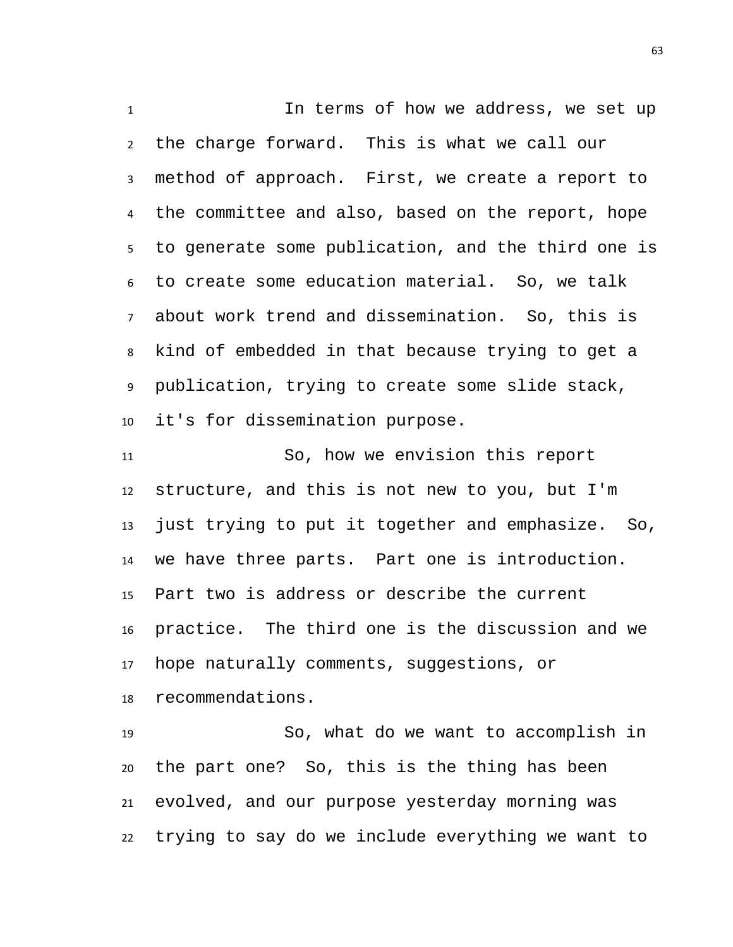1 1 In terms of how we address, we set up the charge forward. This is what we call our method of approach. First, we create a report to the committee and also, based on the report, hope to generate some publication, and the third one is to create some education material. So, we talk about work trend and dissemination. So, this is kind of embedded in that because trying to get a publication, trying to create some slide stack, it's for dissemination purpose.

 So, how we envision this report structure, and this is not new to you, but I'm just trying to put it together and emphasize. So, we have three parts. Part one is introduction. Part two is address or describe the current practice. The third one is the discussion and we hope naturally comments, suggestions, or recommendations.

 So, what do we want to accomplish in the part one? So, this is the thing has been evolved, and our purpose yesterday morning was trying to say do we include everything we want to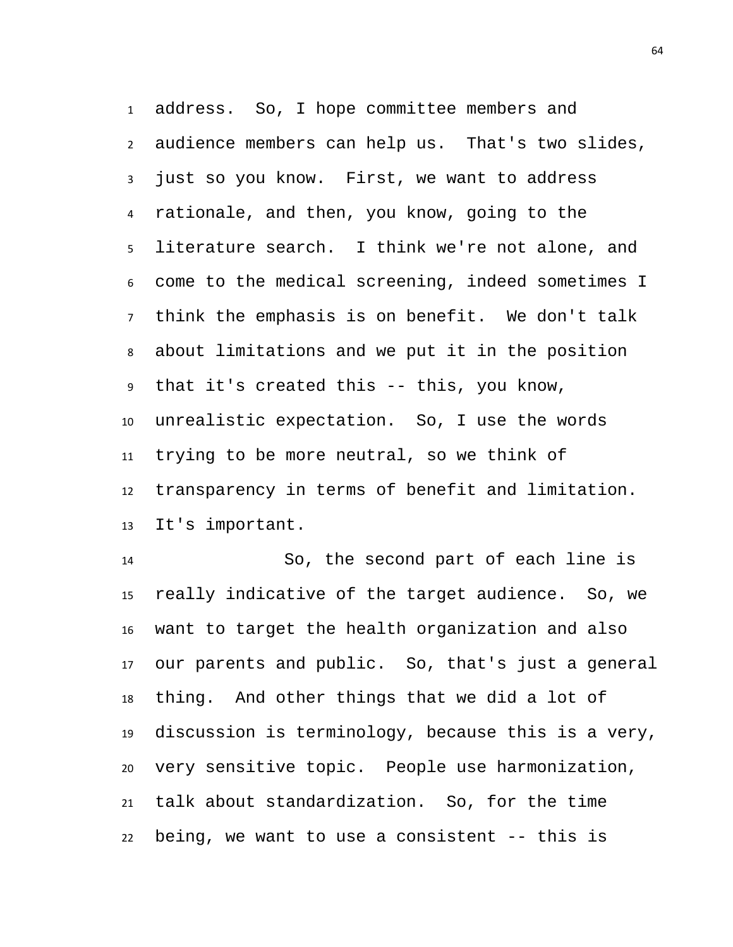address. So, I hope committee members and audience members can help us. That's two slides, just so you know. First, we want to address rationale, and then, you know, going to the literature search. I think we're not alone, and come to the medical screening, indeed sometimes I think the emphasis is on benefit. We don't talk about limitations and we put it in the position that it's created this -- this, you know, unrealistic expectation. So, I use the words trying to be more neutral, so we think of transparency in terms of benefit and limitation. It's important.

 So, the second part of each line is really indicative of the target audience. So, we want to target the health organization and also our parents and public. So, that's just a general thing. And other things that we did a lot of discussion is terminology, because this is a very, very sensitive topic. People use harmonization, talk about standardization. So, for the time being, we want to use a consistent -- this is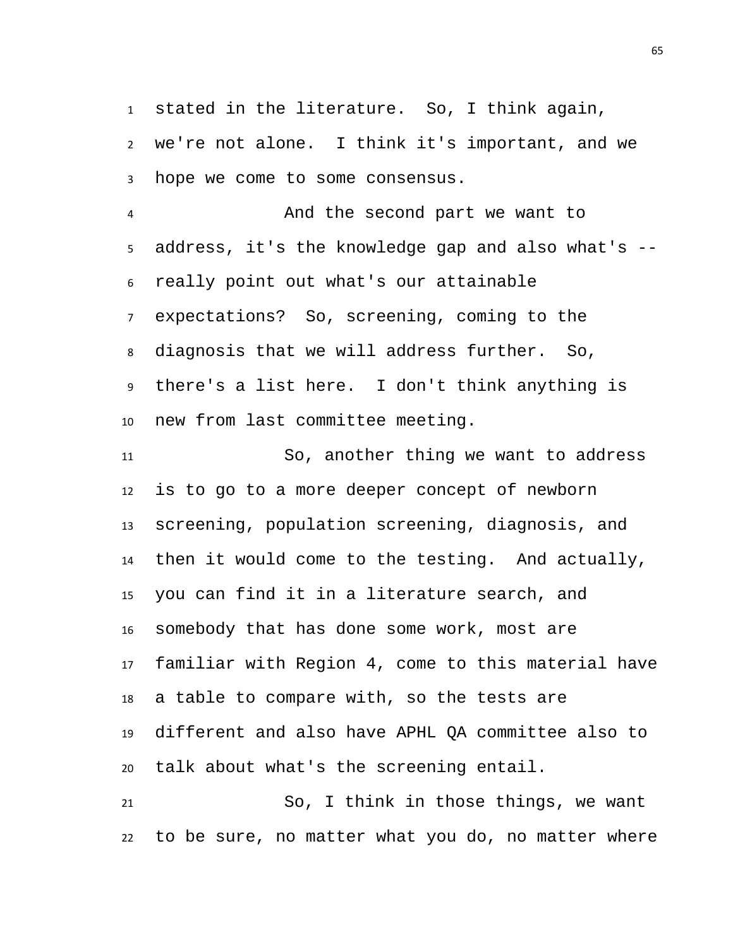stated in the literature. So, I think again, we're not alone. I think it's important, and we hope we come to some consensus.

 And the second part we want to address, it's the knowledge gap and also what's -- really point out what's our attainable expectations? So, screening, coming to the diagnosis that we will address further. So, there's a list here. I don't think anything is new from last committee meeting.

 So, another thing we want to address is to go to a more deeper concept of newborn screening, population screening, diagnosis, and then it would come to the testing. And actually, you can find it in a literature search, and somebody that has done some work, most are familiar with Region 4, come to this material have a table to compare with, so the tests are different and also have APHL QA committee also to talk about what's the screening entail.

 So, I think in those things, we want to be sure, no matter what you do, no matter where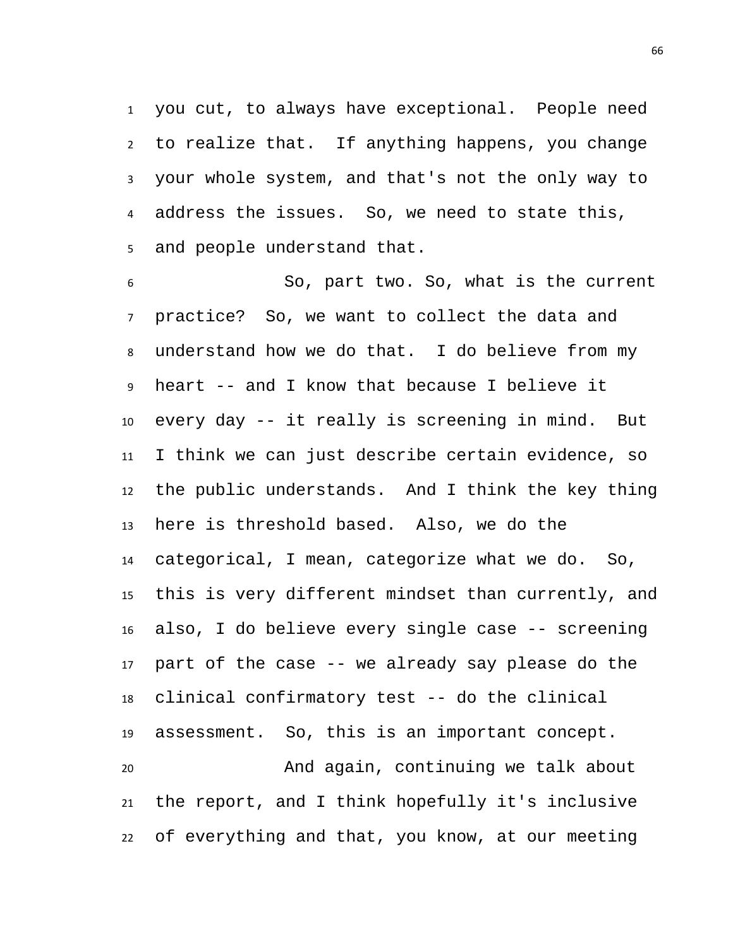you cut, to always have exceptional. People need to realize that. If anything happens, you change your whole system, and that's not the only way to address the issues. So, we need to state this, and people understand that.

 So, part two. So, what is the current practice? So, we want to collect the data and understand how we do that. I do believe from my heart -- and I know that because I believe it every day -- it really is screening in mind. But I think we can just describe certain evidence, so the public understands. And I think the key thing here is threshold based. Also, we do the categorical, I mean, categorize what we do. So, this is very different mindset than currently, and also, I do believe every single case -- screening part of the case -- we already say please do the clinical confirmatory test -- do the clinical assessment. So, this is an important concept. And again, continuing we talk about the report, and I think hopefully it's inclusive of everything and that, you know, at our meeting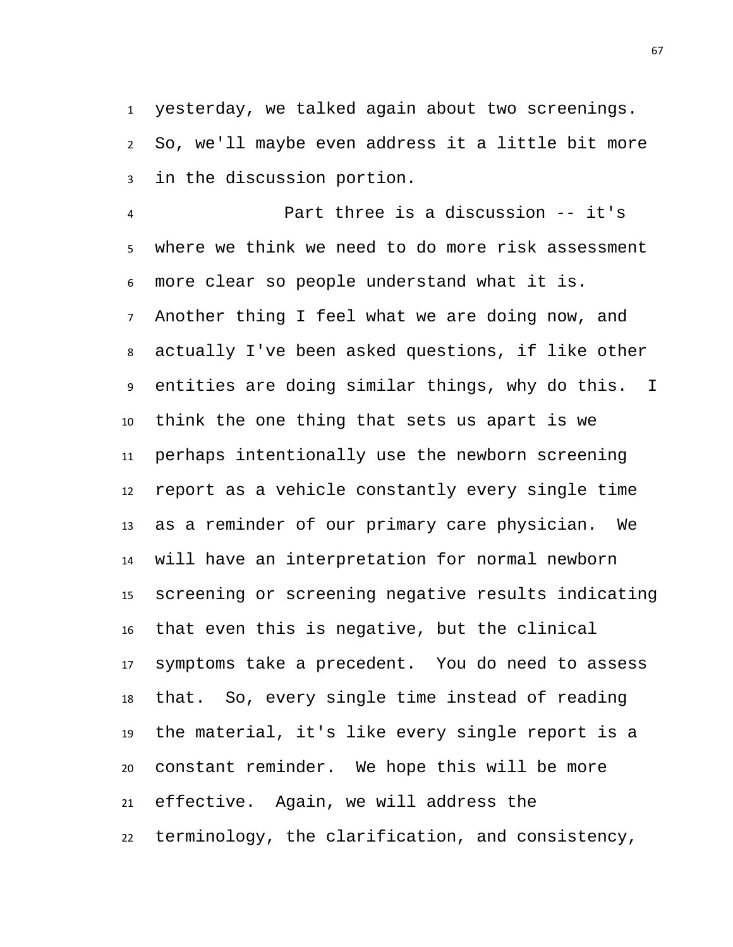yesterday, we talked again about two screenings. So, we'll maybe even address it a little bit more in the discussion portion.

 Part three is a discussion -- it's where we think we need to do more risk assessment more clear so people understand what it is. Another thing I feel what we are doing now, and actually I've been asked questions, if like other entities are doing similar things, why do this. I think the one thing that sets us apart is we perhaps intentionally use the newborn screening report as a vehicle constantly every single time as a reminder of our primary care physician. We will have an interpretation for normal newborn screening or screening negative results indicating that even this is negative, but the clinical symptoms take a precedent. You do need to assess that. So, every single time instead of reading the material, it's like every single report is a constant reminder. We hope this will be more effective. Again, we will address the terminology, the clarification, and consistency,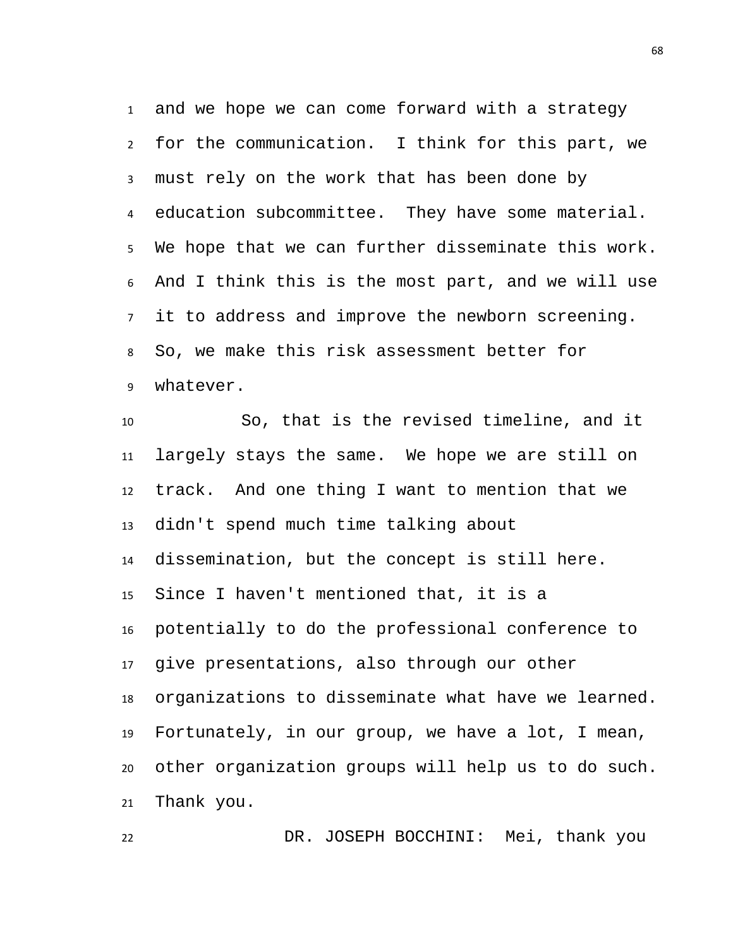and we hope we can come forward with a strategy for the communication. I think for this part, we must rely on the work that has been done by education subcommittee. They have some material. We hope that we can further disseminate this work. And I think this is the most part, and we will use it to address and improve the newborn screening. So, we make this risk assessment better for whatever.

 So, that is the revised timeline, and it largely stays the same. We hope we are still on track. And one thing I want to mention that we didn't spend much time talking about dissemination, but the concept is still here. Since I haven't mentioned that, it is a potentially to do the professional conference to give presentations, also through our other organizations to disseminate what have we learned. Fortunately, in our group, we have a lot, I mean, other organization groups will help us to do such. Thank you.

DR. JOSEPH BOCCHINI: Mei, thank you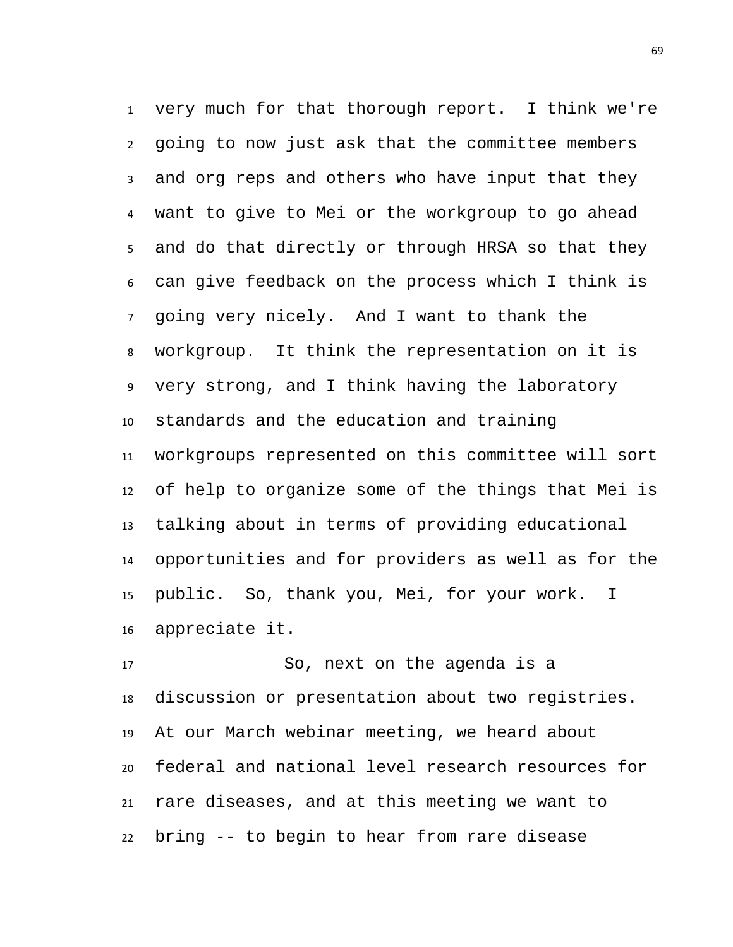very much for that thorough report. I think we're going to now just ask that the committee members and org reps and others who have input that they want to give to Mei or the workgroup to go ahead and do that directly or through HRSA so that they can give feedback on the process which I think is going very nicely. And I want to thank the workgroup. It think the representation on it is very strong, and I think having the laboratory standards and the education and training workgroups represented on this committee will sort of help to organize some of the things that Mei is talking about in terms of providing educational opportunities and for providers as well as for the public. So, thank you, Mei, for your work. I appreciate it.

 So, next on the agenda is a discussion or presentation about two registries. At our March webinar meeting, we heard about federal and national level research resources for rare diseases, and at this meeting we want to bring -- to begin to hear from rare disease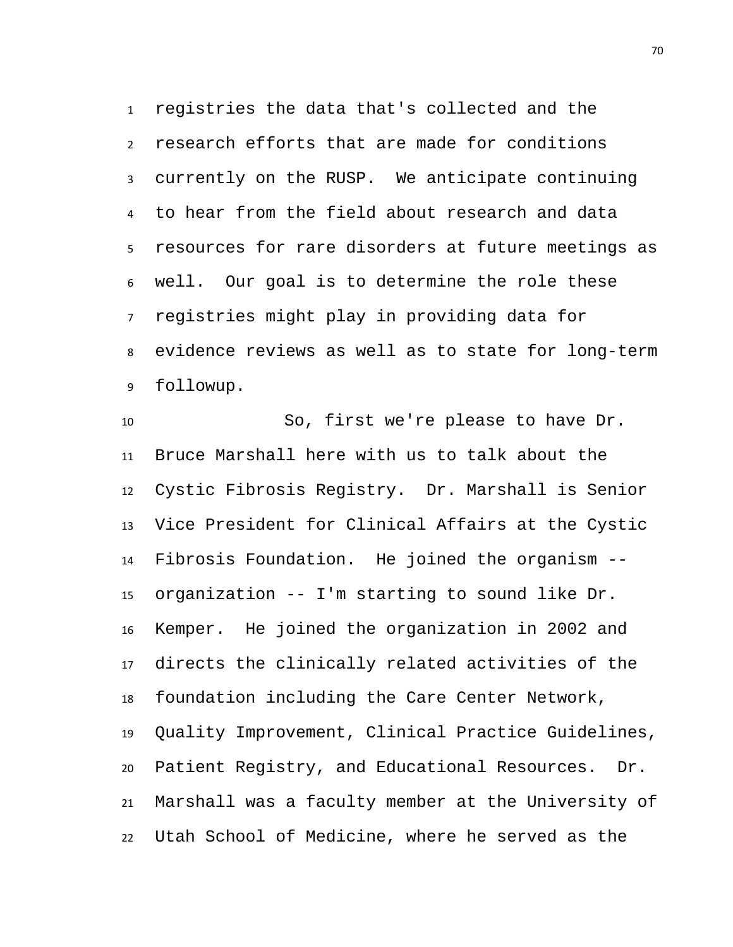registries the data that's collected and the research efforts that are made for conditions currently on the RUSP. We anticipate continuing to hear from the field about research and data resources for rare disorders at future meetings as well. Our goal is to determine the role these registries might play in providing data for evidence reviews as well as to state for long-term followup.

 So, first we're please to have Dr. Bruce Marshall here with us to talk about the Cystic Fibrosis Registry. Dr. Marshall is Senior Vice President for Clinical Affairs at the Cystic Fibrosis Foundation. He joined the organism -- organization -- I'm starting to sound like Dr. Kemper. He joined the organization in 2002 and directs the clinically related activities of the foundation including the Care Center Network, Quality Improvement, Clinical Practice Guidelines, Patient Registry, and Educational Resources. Dr. Marshall was a faculty member at the University of Utah School of Medicine, where he served as the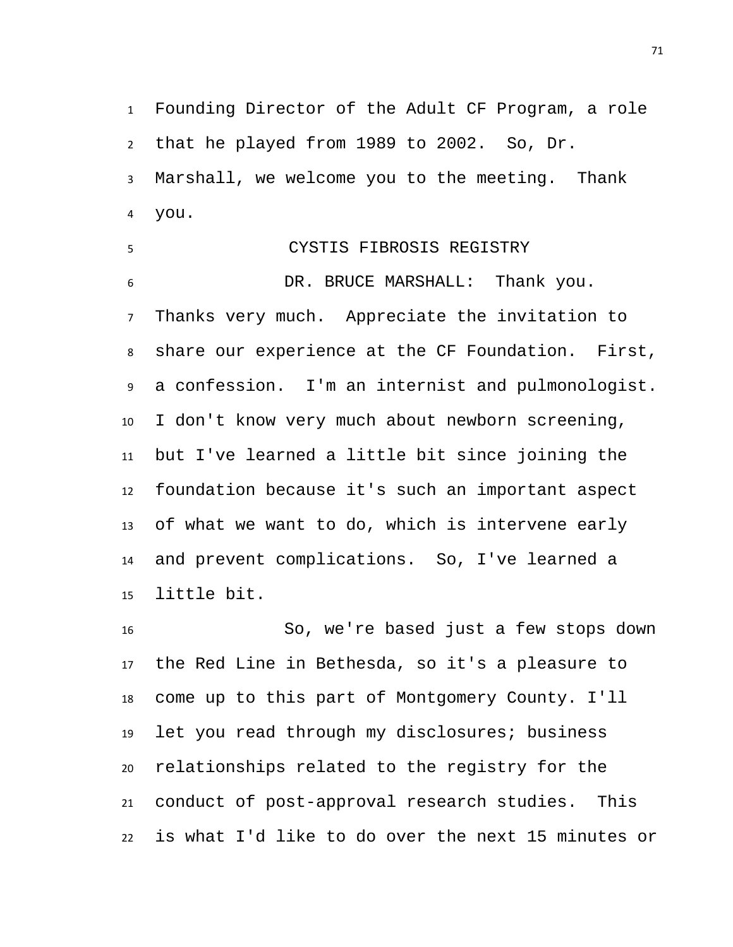Founding Director of the Adult CF Program, a role that he played from 1989 to 2002. So, Dr. Marshall, we welcome you to the meeting. Thank you.

 CYSTIS FIBROSIS REGISTRY DR. BRUCE MARSHALL: Thank you. Thanks very much. Appreciate the invitation to share our experience at the CF Foundation. First, a confession. I'm an internist and pulmonologist. I don't know very much about newborn screening, but I've learned a little bit since joining the foundation because it's such an important aspect of what we want to do, which is intervene early and prevent complications. So, I've learned a little bit.

 So, we're based just a few stops down the Red Line in Bethesda, so it's a pleasure to come up to this part of Montgomery County. I'll let you read through my disclosures; business relationships related to the registry for the conduct of post-approval research studies. This is what I'd like to do over the next 15 minutes or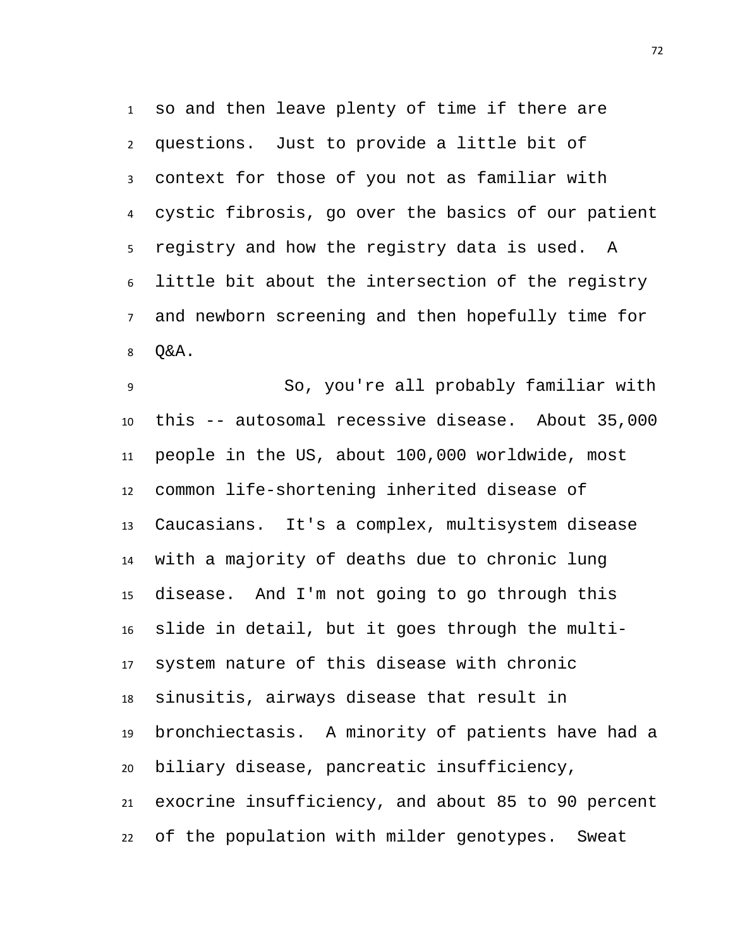so and then leave plenty of time if there are questions. Just to provide a little bit of context for those of you not as familiar with cystic fibrosis, go over the basics of our patient registry and how the registry data is used. A little bit about the intersection of the registry and newborn screening and then hopefully time for Q&A.

 So, you're all probably familiar with this -- autosomal recessive disease. About 35,000 people in the US, about 100,000 worldwide, most common life-shortening inherited disease of Caucasians. It's a complex, multisystem disease with a majority of deaths due to chronic lung disease. And I'm not going to go through this slide in detail, but it goes through the multi- system nature of this disease with chronic sinusitis, airways disease that result in bronchiectasis. A minority of patients have had a biliary disease, pancreatic insufficiency, exocrine insufficiency, and about 85 to 90 percent of the population with milder genotypes. Sweat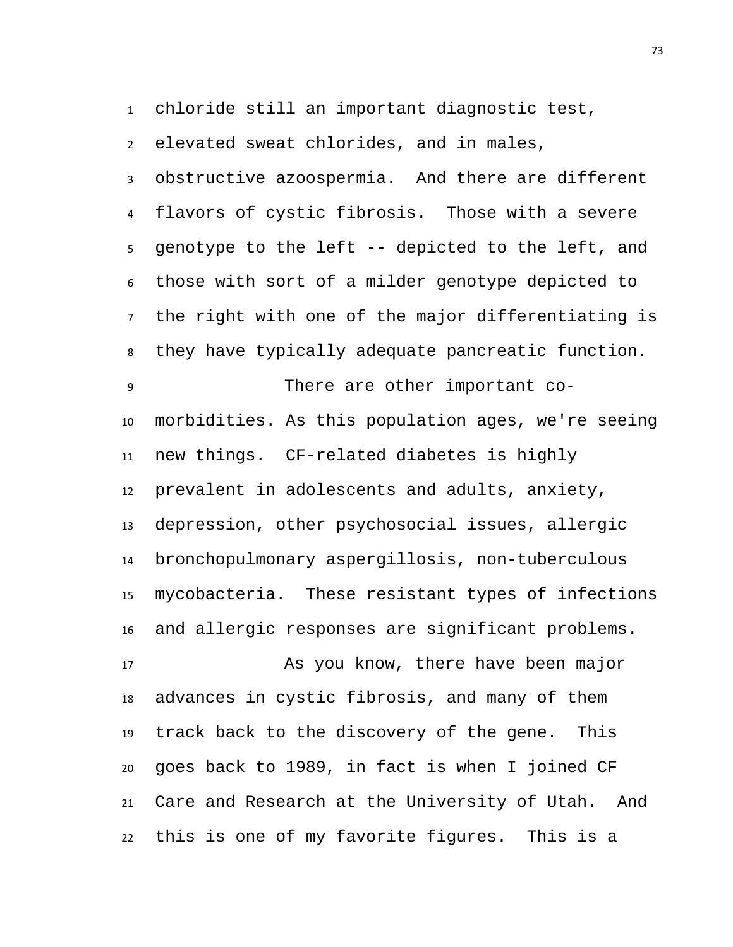chloride still an important diagnostic test,

 elevated sweat chlorides, and in males, obstructive azoospermia. And there are different flavors of cystic fibrosis. Those with a severe genotype to the left -- depicted to the left, and those with sort of a milder genotype depicted to the right with one of the major differentiating is they have typically adequate pancreatic function.

 There are other important co- morbidities. As this population ages, we're seeing new things. CF-related diabetes is highly prevalent in adolescents and adults, anxiety, depression, other psychosocial issues, allergic bronchopulmonary aspergillosis, non-tuberculous mycobacteria. These resistant types of infections and allergic responses are significant problems.

 As you know, there have been major advances in cystic fibrosis, and many of them track back to the discovery of the gene. This goes back to 1989, in fact is when I joined CF Care and Research at the University of Utah. And this is one of my favorite figures. This is a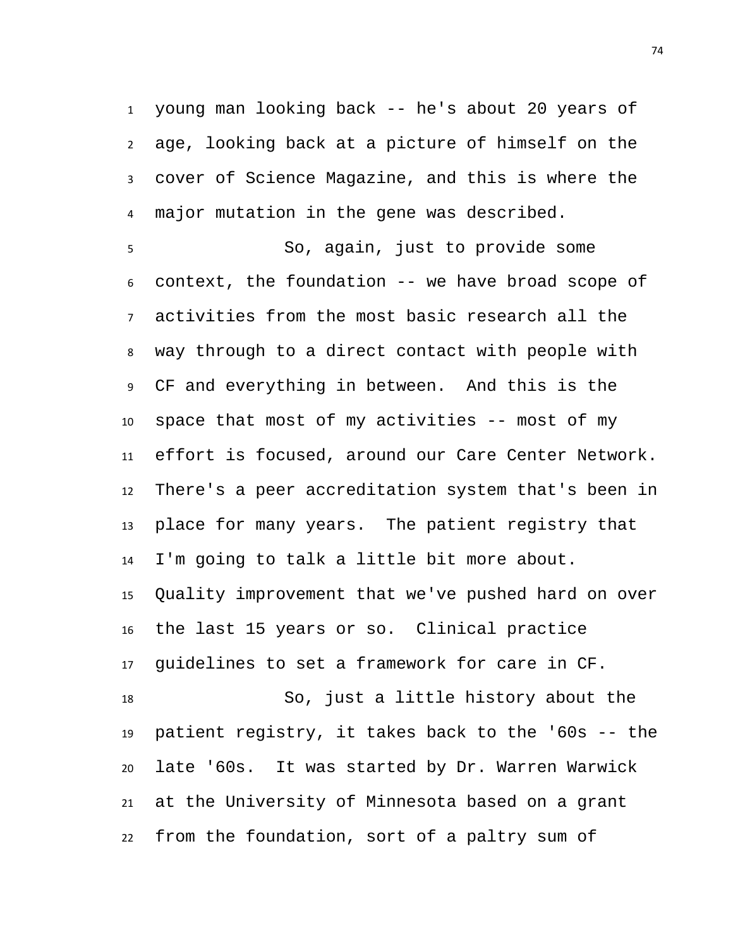young man looking back -- he's about 20 years of age, looking back at a picture of himself on the cover of Science Magazine, and this is where the major mutation in the gene was described.

 So, again, just to provide some context, the foundation -- we have broad scope of activities from the most basic research all the way through to a direct contact with people with CF and everything in between. And this is the space that most of my activities -- most of my effort is focused, around our Care Center Network. There's a peer accreditation system that's been in place for many years. The patient registry that I'm going to talk a little bit more about. Quality improvement that we've pushed hard on over the last 15 years or so. Clinical practice guidelines to set a framework for care in CF. So, just a little history about the patient registry, it takes back to the '60s -- the late '60s. It was started by Dr. Warren Warwick at the University of Minnesota based on a grant from the foundation, sort of a paltry sum of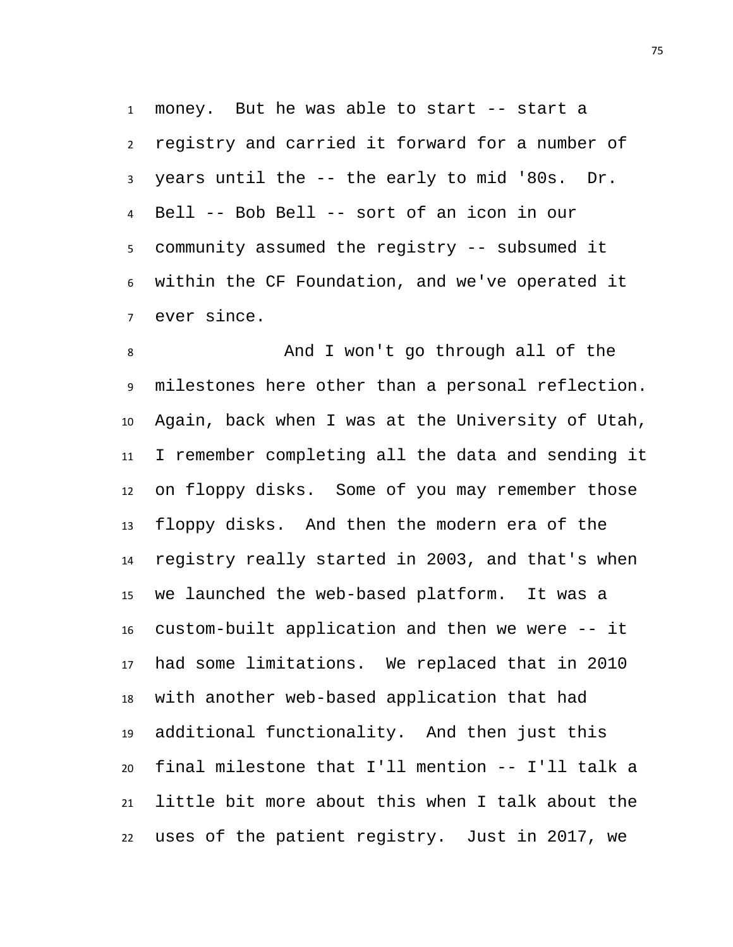money. But he was able to start -- start a registry and carried it forward for a number of years until the -- the early to mid '80s. Dr. Bell -- Bob Bell -- sort of an icon in our community assumed the registry -- subsumed it within the CF Foundation, and we've operated it ever since.

 And I won't go through all of the milestones here other than a personal reflection. Again, back when I was at the University of Utah, I remember completing all the data and sending it on floppy disks. Some of you may remember those floppy disks. And then the modern era of the registry really started in 2003, and that's when we launched the web-based platform. It was a custom-built application and then we were -- it had some limitations. We replaced that in 2010 with another web-based application that had additional functionality. And then just this final milestone that I'll mention -- I'll talk a little bit more about this when I talk about the uses of the patient registry. Just in 2017, we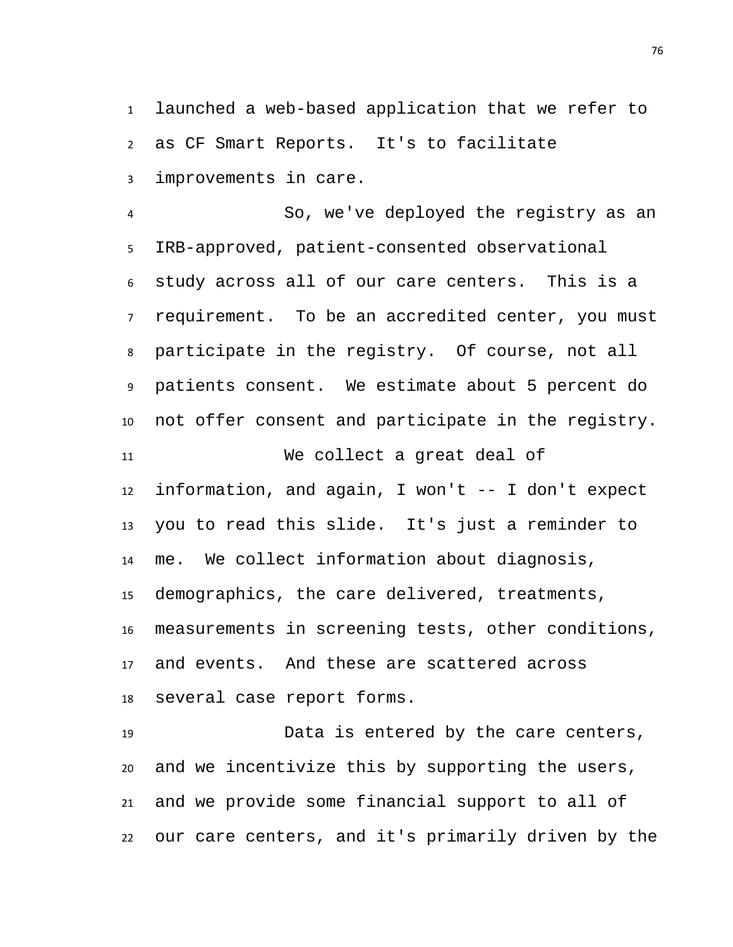launched a web-based application that we refer to as CF Smart Reports. It's to facilitate improvements in care.

 So, we've deployed the registry as an IRB-approved, patient-consented observational study across all of our care centers. This is a requirement. To be an accredited center, you must participate in the registry. Of course, not all patients consent. We estimate about 5 percent do not offer consent and participate in the registry. We collect a great deal of information, and again, I won't -- I don't expect you to read this slide. It's just a reminder to me. We collect information about diagnosis, demographics, the care delivered, treatments, measurements in screening tests, other conditions, and events. And these are scattered across several case report forms.

 Data is entered by the care centers, and we incentivize this by supporting the users, and we provide some financial support to all of our care centers, and it's primarily driven by the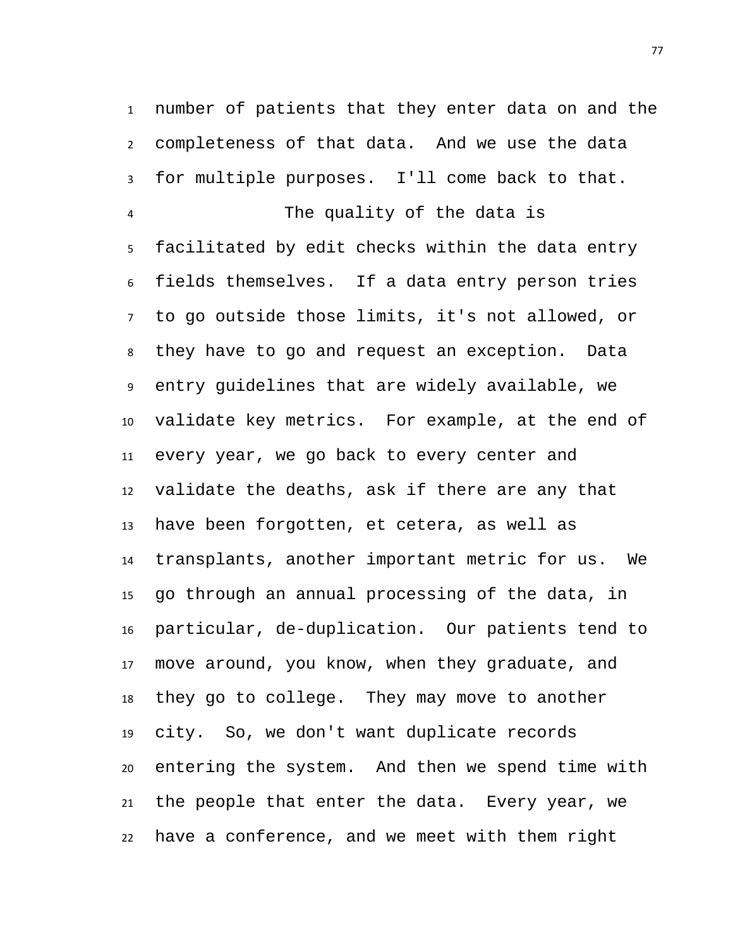number of patients that they enter data on and the completeness of that data. And we use the data for multiple purposes. I'll come back to that.

 The quality of the data is facilitated by edit checks within the data entry fields themselves. If a data entry person tries to go outside those limits, it's not allowed, or they have to go and request an exception. Data entry guidelines that are widely available, we validate key metrics. For example, at the end of every year, we go back to every center and validate the deaths, ask if there are any that have been forgotten, et cetera, as well as transplants, another important metric for us. We go through an annual processing of the data, in particular, de-duplication. Our patients tend to move around, you know, when they graduate, and they go to college. They may move to another city. So, we don't want duplicate records entering the system. And then we spend time with the people that enter the data. Every year, we have a conference, and we meet with them right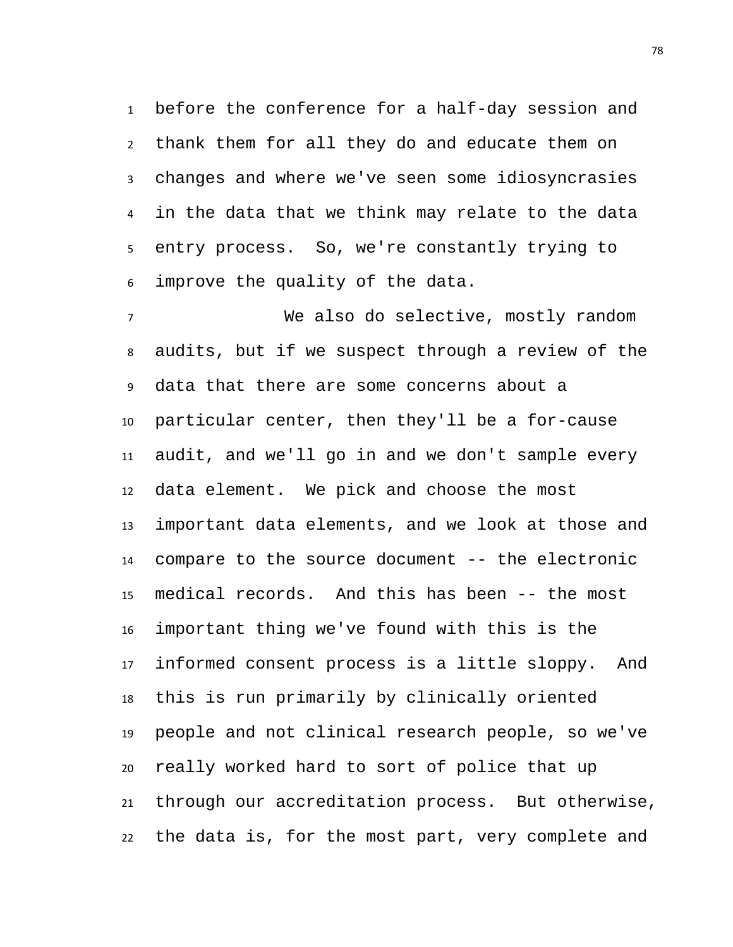before the conference for a half-day session and thank them for all they do and educate them on changes and where we've seen some idiosyncrasies in the data that we think may relate to the data entry process. So, we're constantly trying to improve the quality of the data.

 We also do selective, mostly random audits, but if we suspect through a review of the data that there are some concerns about a particular center, then they'll be a for-cause audit, and we'll go in and we don't sample every data element. We pick and choose the most important data elements, and we look at those and compare to the source document -- the electronic medical records. And this has been -- the most important thing we've found with this is the informed consent process is a little sloppy. And this is run primarily by clinically oriented people and not clinical research people, so we've really worked hard to sort of police that up through our accreditation process. But otherwise, the data is, for the most part, very complete and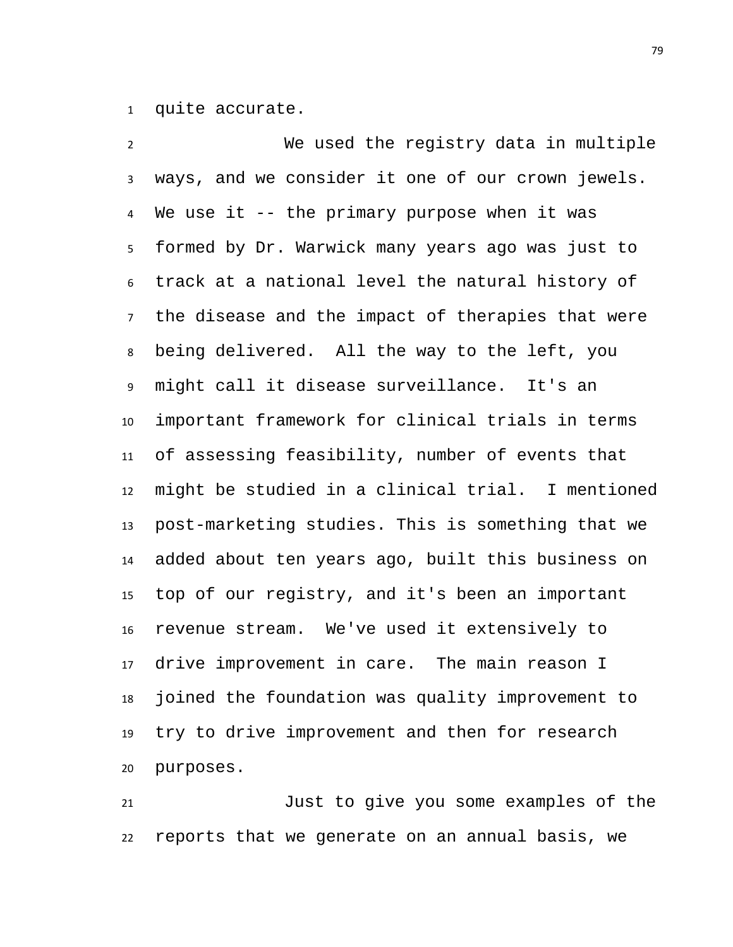quite accurate.

 We used the registry data in multiple ways, and we consider it one of our crown jewels. We use it -- the primary purpose when it was formed by Dr. Warwick many years ago was just to track at a national level the natural history of the disease and the impact of therapies that were being delivered. All the way to the left, you might call it disease surveillance. It's an important framework for clinical trials in terms of assessing feasibility, number of events that might be studied in a clinical trial. I mentioned post-marketing studies. This is something that we added about ten years ago, built this business on top of our registry, and it's been an important revenue stream. We've used it extensively to drive improvement in care. The main reason I joined the foundation was quality improvement to try to drive improvement and then for research purposes.

 Just to give you some examples of the reports that we generate on an annual basis, we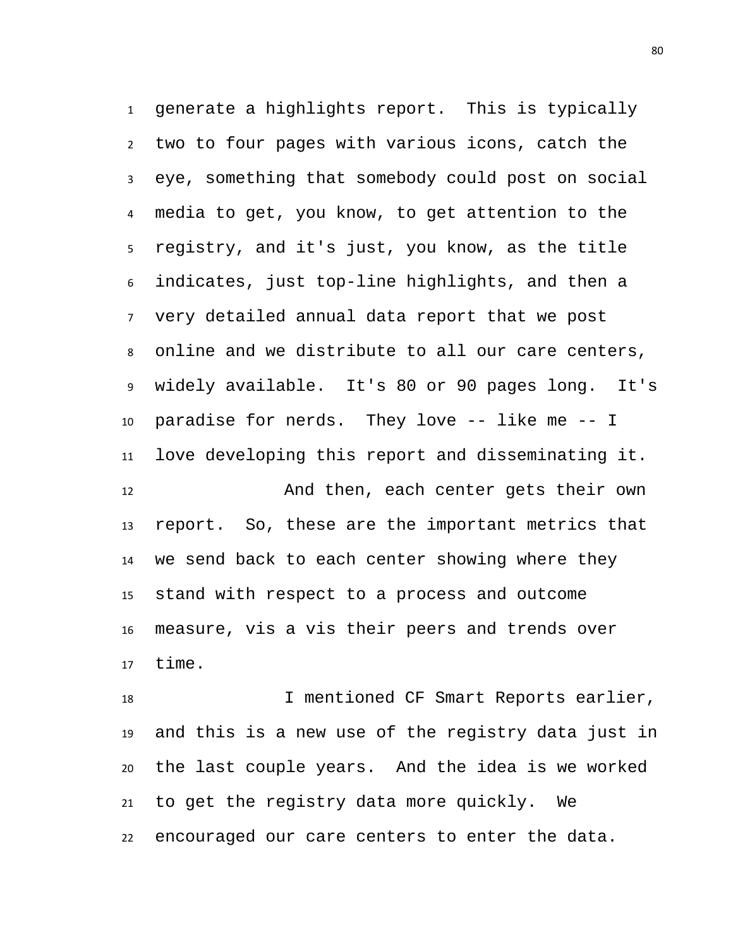generate a highlights report. This is typically two to four pages with various icons, catch the eye, something that somebody could post on social media to get, you know, to get attention to the registry, and it's just, you know, as the title indicates, just top-line highlights, and then a very detailed annual data report that we post online and we distribute to all our care centers, widely available. It's 80 or 90 pages long. It's paradise for nerds. They love -- like me -- I love developing this report and disseminating it. And then, each center gets their own report. So, these are the important metrics that we send back to each center showing where they stand with respect to a process and outcome measure, vis a vis their peers and trends over

time.

 I mentioned CF Smart Reports earlier, and this is a new use of the registry data just in the last couple years. And the idea is we worked to get the registry data more quickly. We encouraged our care centers to enter the data.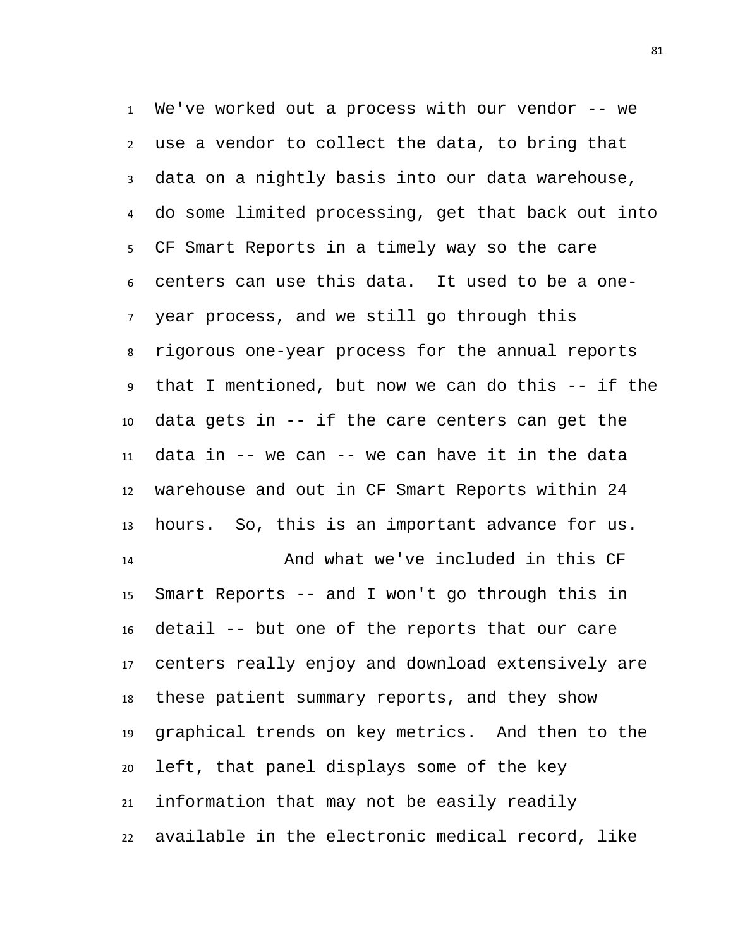We've worked out a process with our vendor -- we use a vendor to collect the data, to bring that data on a nightly basis into our data warehouse, do some limited processing, get that back out into CF Smart Reports in a timely way so the care centers can use this data. It used to be a one- year process, and we still go through this rigorous one-year process for the annual reports that I mentioned, but now we can do this -- if the data gets in -- if the care centers can get the data in -- we can -- we can have it in the data warehouse and out in CF Smart Reports within 24 hours. So, this is an important advance for us. And what we've included in this CF Smart Reports -- and I won't go through this in detail -- but one of the reports that our care centers really enjoy and download extensively are these patient summary reports, and they show graphical trends on key metrics. And then to the left, that panel displays some of the key information that may not be easily readily available in the electronic medical record, like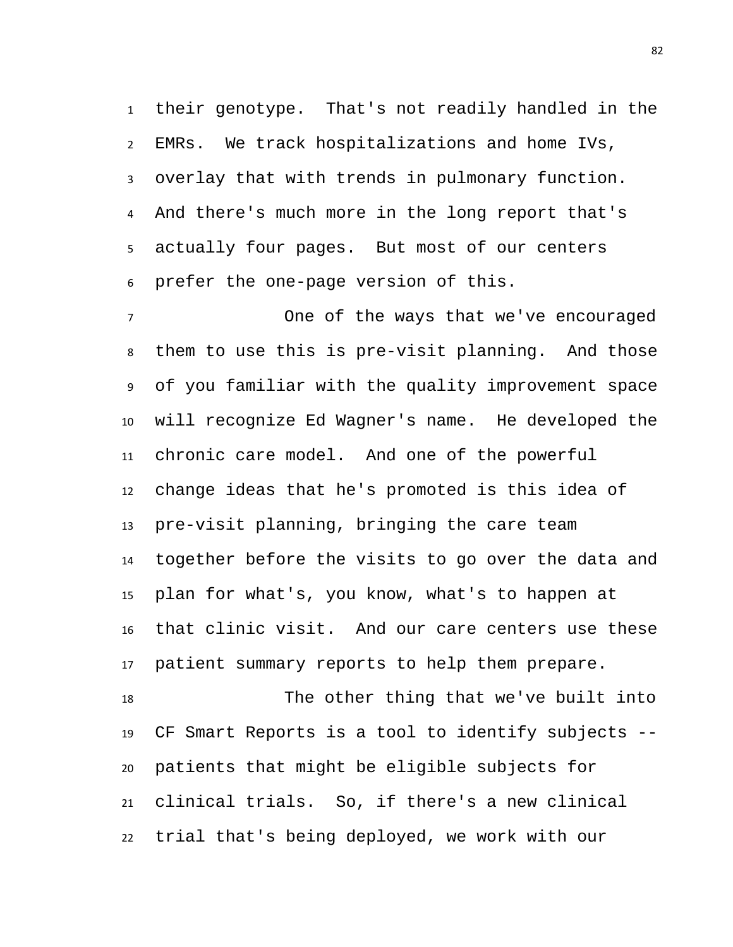their genotype. That's not readily handled in the EMRs. We track hospitalizations and home IVs, overlay that with trends in pulmonary function. And there's much more in the long report that's actually four pages. But most of our centers prefer the one-page version of this.

 One of the ways that we've encouraged them to use this is pre-visit planning. And those of you familiar with the quality improvement space will recognize Ed Wagner's name. He developed the chronic care model. And one of the powerful change ideas that he's promoted is this idea of pre-visit planning, bringing the care team together before the visits to go over the data and plan for what's, you know, what's to happen at that clinic visit. And our care centers use these patient summary reports to help them prepare.

 The other thing that we've built into CF Smart Reports is a tool to identify subjects -- patients that might be eligible subjects for clinical trials. So, if there's a new clinical trial that's being deployed, we work with our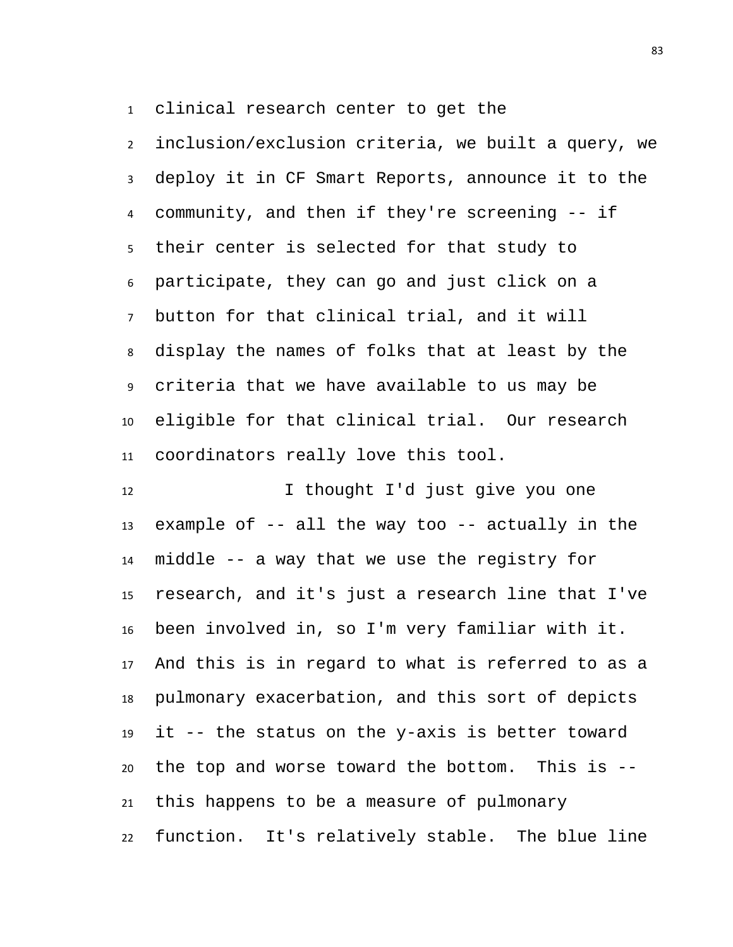clinical research center to get the

 inclusion/exclusion criteria, we built a query, we deploy it in CF Smart Reports, announce it to the community, and then if they're screening -- if their center is selected for that study to participate, they can go and just click on a button for that clinical trial, and it will display the names of folks that at least by the criteria that we have available to us may be eligible for that clinical trial. Our research coordinators really love this tool.

12 12 I thought I'd just give you one 13 example of  $-$ - all the way too  $-$ - actually in the middle -- a way that we use the registry for research, and it's just a research line that I've been involved in, so I'm very familiar with it. And this is in regard to what is referred to as a pulmonary exacerbation, and this sort of depicts it -- the status on the y-axis is better toward the top and worse toward the bottom. This is -- this happens to be a measure of pulmonary function. It's relatively stable. The blue line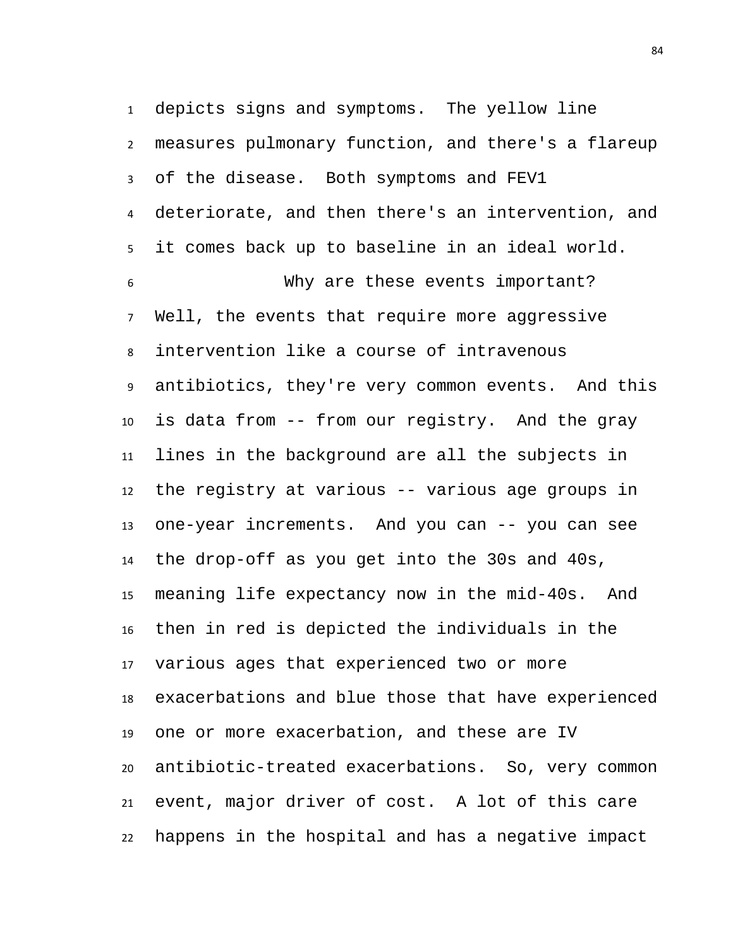depicts signs and symptoms. The yellow line measures pulmonary function, and there's a flareup of the disease. Both symptoms and FEV1 deteriorate, and then there's an intervention, and it comes back up to baseline in an ideal world. Why are these events important? Well, the events that require more aggressive intervention like a course of intravenous antibiotics, they're very common events. And this is data from -- from our registry. And the gray lines in the background are all the subjects in the registry at various -- various age groups in one-year increments. And you can -- you can see the drop-off as you get into the 30s and 40s, meaning life expectancy now in the mid-40s. And then in red is depicted the individuals in the various ages that experienced two or more exacerbations and blue those that have experienced one or more exacerbation, and these are IV antibiotic-treated exacerbations. So, very common event, major driver of cost. A lot of this care happens in the hospital and has a negative impact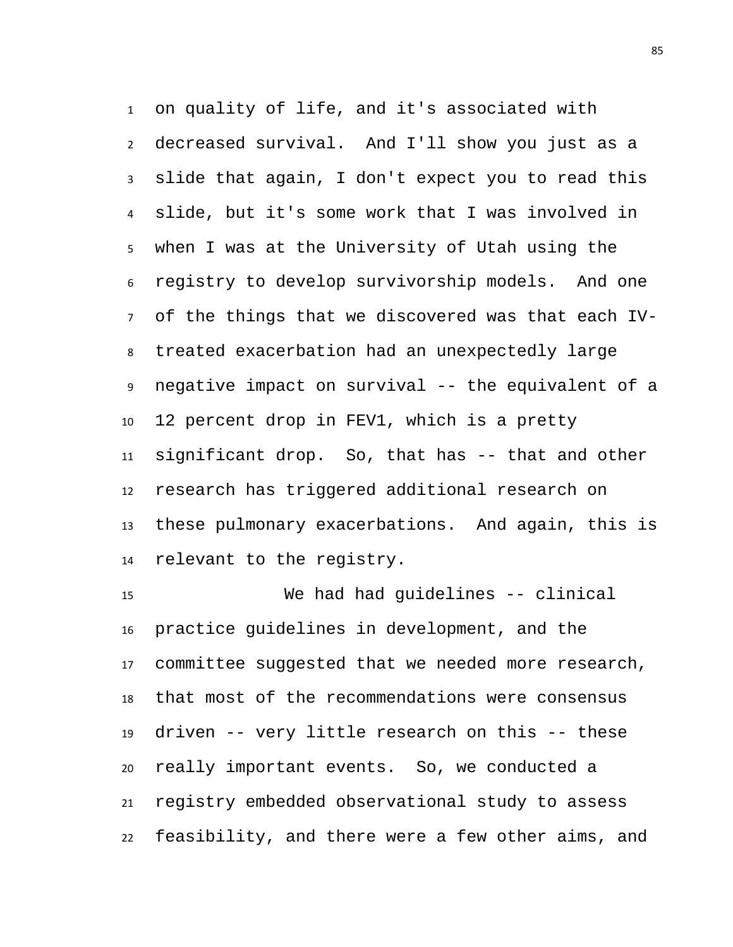on quality of life, and it's associated with decreased survival. And I'll show you just as a slide that again, I don't expect you to read this slide, but it's some work that I was involved in when I was at the University of Utah using the registry to develop survivorship models. And one of the things that we discovered was that each IV- treated exacerbation had an unexpectedly large negative impact on survival -- the equivalent of a 12 percent drop in FEV1, which is a pretty significant drop. So, that has -- that and other research has triggered additional research on these pulmonary exacerbations. And again, this is relevant to the registry.

 We had had guidelines -- clinical practice guidelines in development, and the committee suggested that we needed more research, that most of the recommendations were consensus driven -- very little research on this -- these really important events. So, we conducted a registry embedded observational study to assess feasibility, and there were a few other aims, and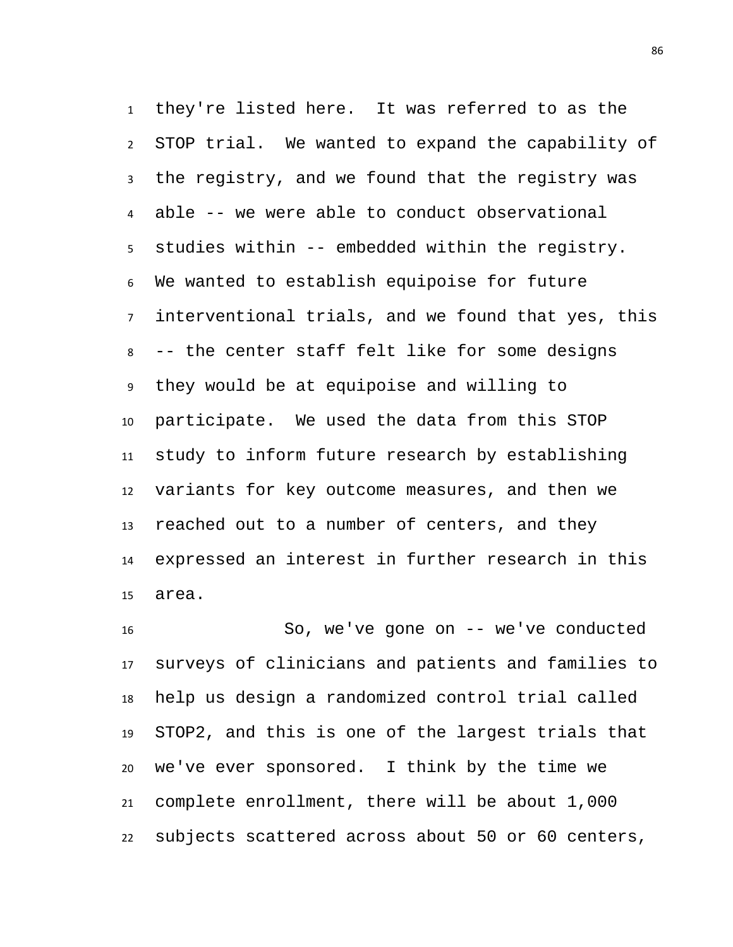they're listed here. It was referred to as the STOP trial. We wanted to expand the capability of the registry, and we found that the registry was able -- we were able to conduct observational studies within -- embedded within the registry. We wanted to establish equipoise for future interventional trials, and we found that yes, this -- the center staff felt like for some designs they would be at equipoise and willing to participate. We used the data from this STOP study to inform future research by establishing variants for key outcome measures, and then we reached out to a number of centers, and they expressed an interest in further research in this area.

 So, we've gone on -- we've conducted surveys of clinicians and patients and families to help us design a randomized control trial called STOP2, and this is one of the largest trials that we've ever sponsored. I think by the time we complete enrollment, there will be about 1,000 subjects scattered across about 50 or 60 centers,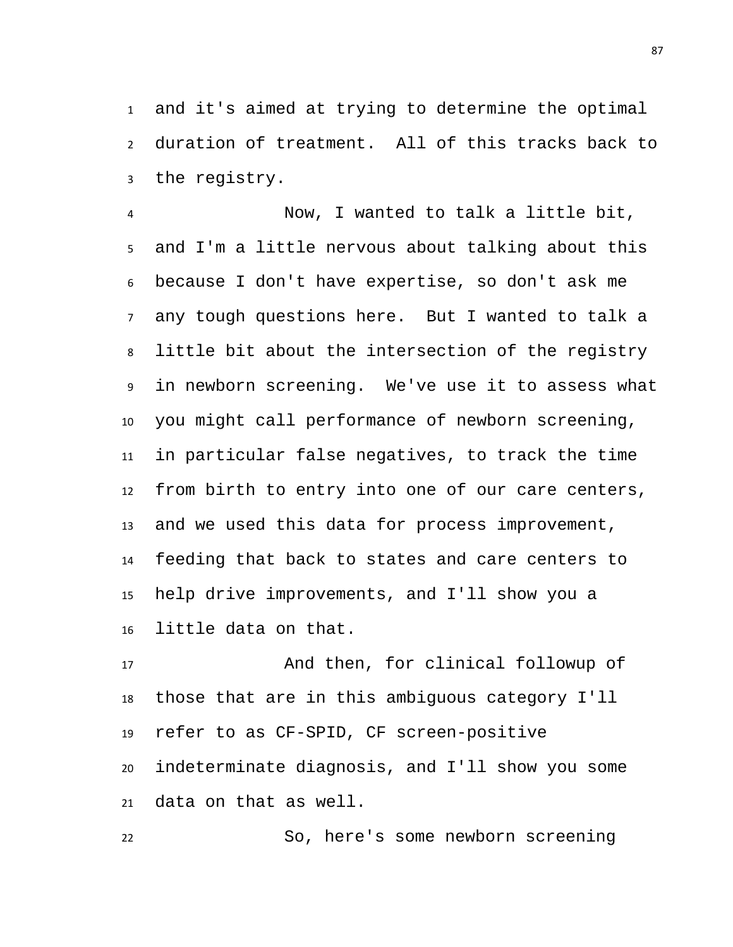and it's aimed at trying to determine the optimal duration of treatment. All of this tracks back to the registry.

 Now, I wanted to talk a little bit, and I'm a little nervous about talking about this because I don't have expertise, so don't ask me any tough questions here. But I wanted to talk a little bit about the intersection of the registry in newborn screening. We've use it to assess what you might call performance of newborn screening, in particular false negatives, to track the time from birth to entry into one of our care centers, and we used this data for process improvement, feeding that back to states and care centers to help drive improvements, and I'll show you a little data on that.

 And then, for clinical followup of those that are in this ambiguous category I'll refer to as CF-SPID, CF screen-positive indeterminate diagnosis, and I'll show you some data on that as well.

So, here's some newborn screening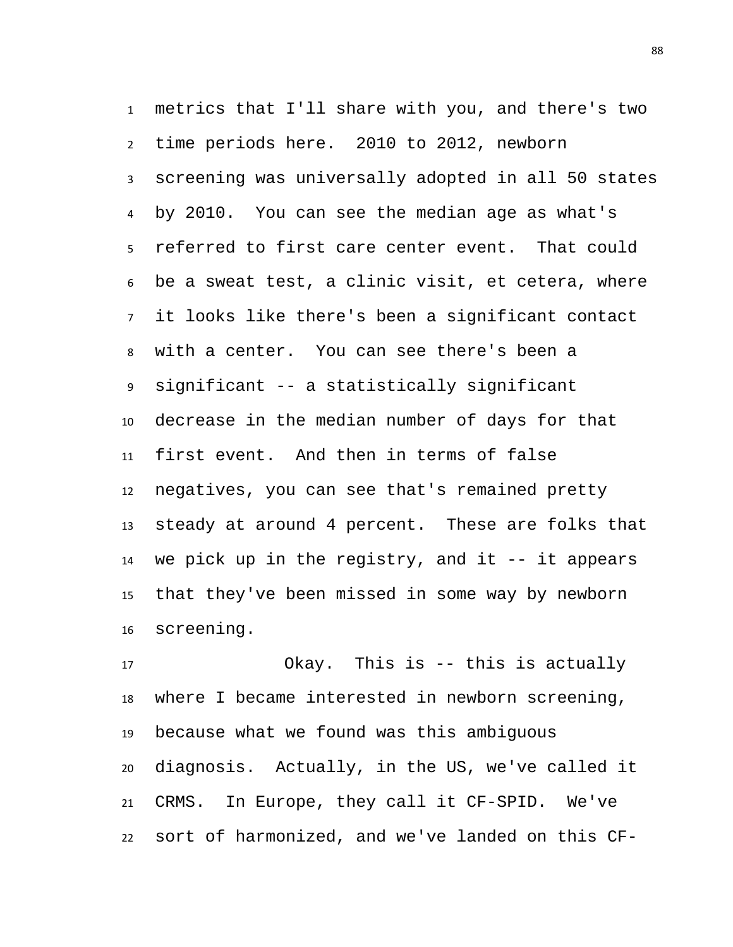metrics that I'll share with you, and there's two time periods here. 2010 to 2012, newborn screening was universally adopted in all 50 states by 2010. You can see the median age as what's referred to first care center event. That could be a sweat test, a clinic visit, et cetera, where it looks like there's been a significant contact with a center. You can see there's been a significant -- a statistically significant decrease in the median number of days for that first event. And then in terms of false negatives, you can see that's remained pretty steady at around 4 percent. These are folks that we pick up in the registry, and it -- it appears that they've been missed in some way by newborn screening.

 Okay. This is -- this is actually where I became interested in newborn screening, because what we found was this ambiguous diagnosis. Actually, in the US, we've called it CRMS. In Europe, they call it CF-SPID. We've sort of harmonized, and we've landed on this CF-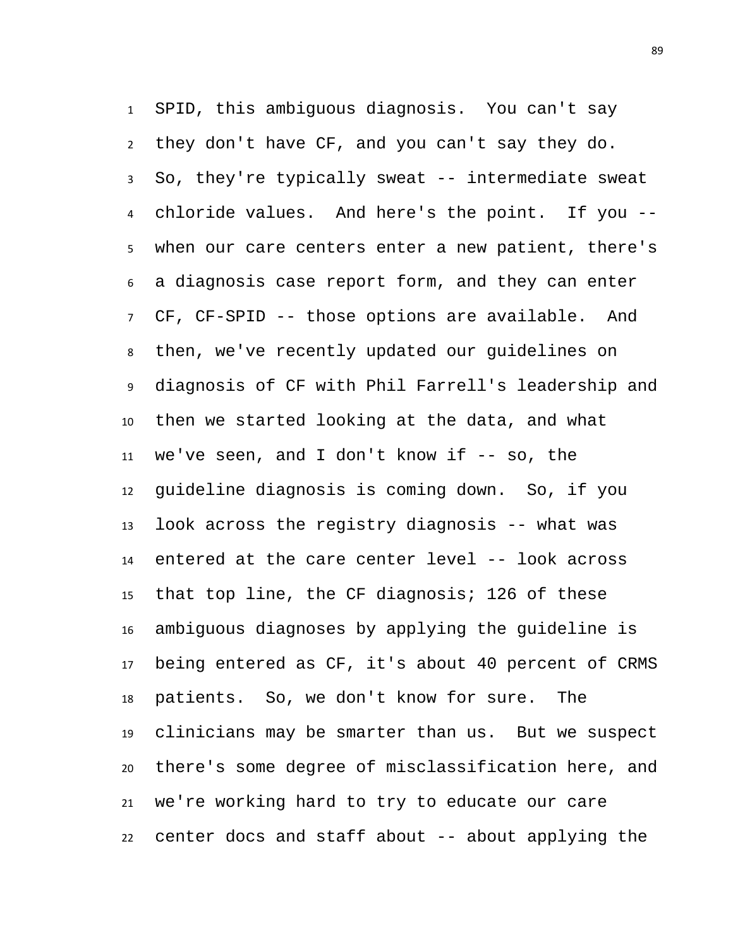SPID, this ambiguous diagnosis. You can't say they don't have CF, and you can't say they do. So, they're typically sweat -- intermediate sweat chloride values. And here's the point. If you -- when our care centers enter a new patient, there's a diagnosis case report form, and they can enter CF, CF-SPID -- those options are available. And then, we've recently updated our guidelines on diagnosis of CF with Phil Farrell's leadership and then we started looking at the data, and what we've seen, and I don't know if -- so, the guideline diagnosis is coming down. So, if you look across the registry diagnosis -- what was entered at the care center level -- look across that top line, the CF diagnosis; 126 of these ambiguous diagnoses by applying the guideline is being entered as CF, it's about 40 percent of CRMS patients. So, we don't know for sure. The clinicians may be smarter than us. But we suspect there's some degree of misclassification here, and we're working hard to try to educate our care center docs and staff about -- about applying the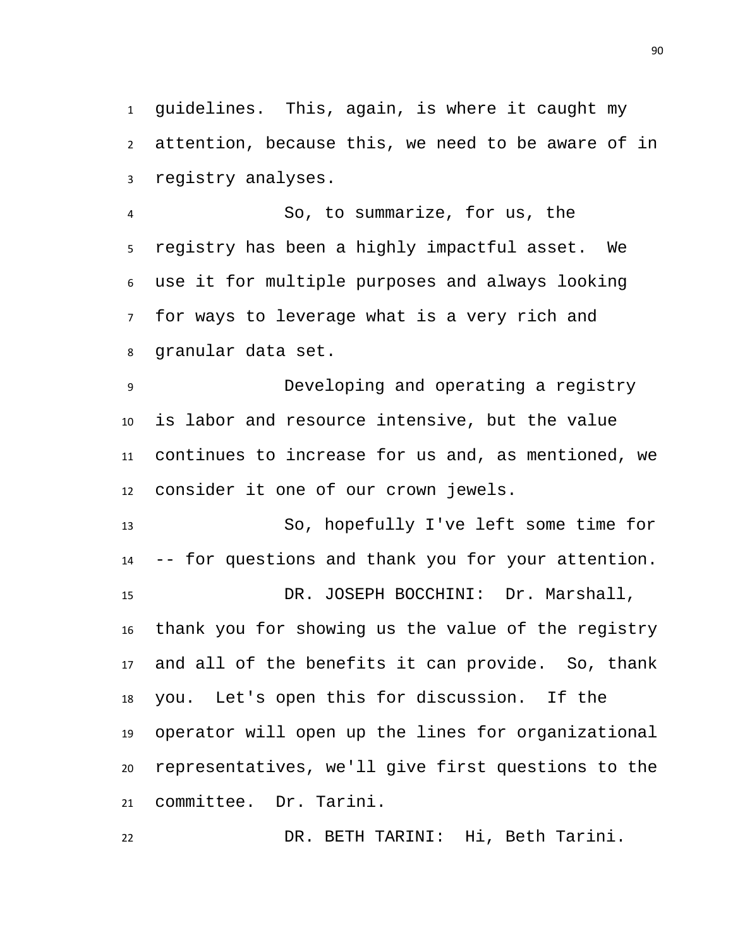guidelines. This, again, is where it caught my attention, because this, we need to be aware of in registry analyses.

 So, to summarize, for us, the registry has been a highly impactful asset. We use it for multiple purposes and always looking for ways to leverage what is a very rich and granular data set.

 Developing and operating a registry is labor and resource intensive, but the value continues to increase for us and, as mentioned, we consider it one of our crown jewels.

 So, hopefully I've left some time for -- for questions and thank you for your attention. DR. JOSEPH BOCCHINI: Dr. Marshall, thank you for showing us the value of the registry and all of the benefits it can provide. So, thank you. Let's open this for discussion. If the operator will open up the lines for organizational representatives, we'll give first questions to the committee. Dr. Tarini.

DR. BETH TARINI: Hi, Beth Tarini.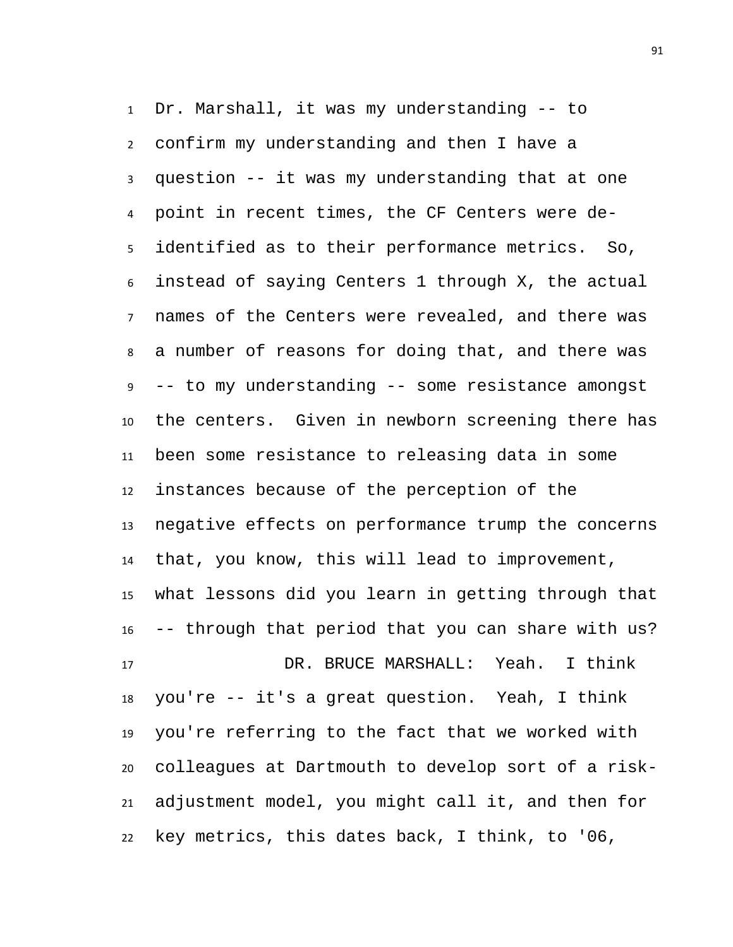Dr. Marshall, it was my understanding -- to confirm my understanding and then I have a question -- it was my understanding that at one point in recent times, the CF Centers were de- identified as to their performance metrics. So, instead of saying Centers 1 through X, the actual names of the Centers were revealed, and there was a number of reasons for doing that, and there was -- to my understanding -- some resistance amongst the centers. Given in newborn screening there has been some resistance to releasing data in some instances because of the perception of the negative effects on performance trump the concerns that, you know, this will lead to improvement, what lessons did you learn in getting through that -- through that period that you can share with us? DR. BRUCE MARSHALL: Yeah. I think you're -- it's a great question. Yeah, I think you're referring to the fact that we worked with colleagues at Dartmouth to develop sort of a risk-adjustment model, you might call it, and then for

key metrics, this dates back, I think, to '06,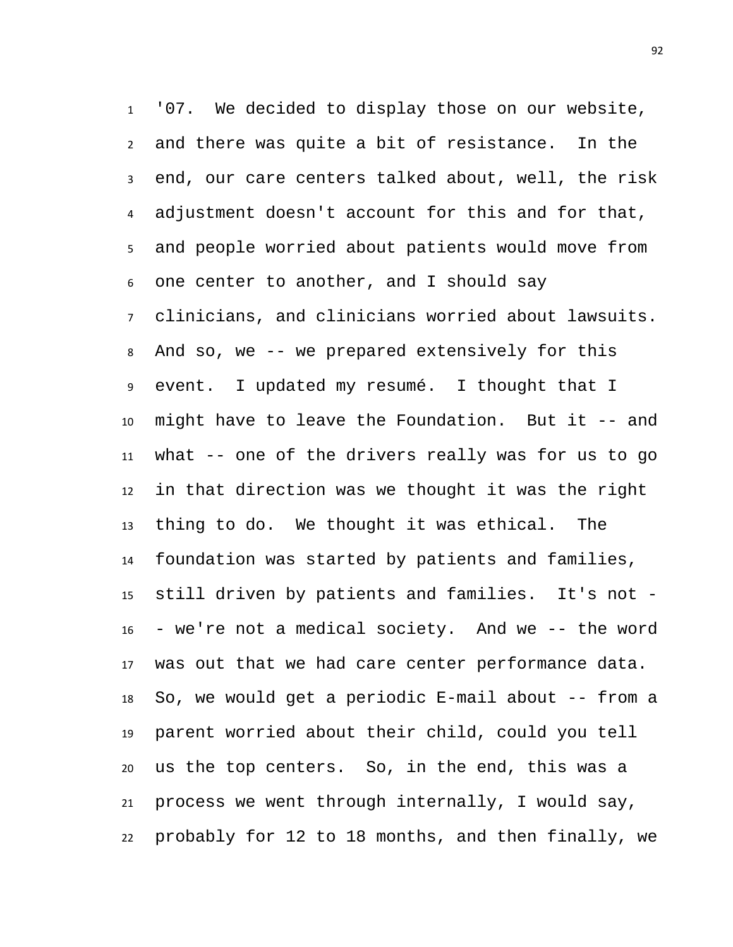'07. We decided to display those on our website, and there was quite a bit of resistance. In the end, our care centers talked about, well, the risk adjustment doesn't account for this and for that, and people worried about patients would move from one center to another, and I should say clinicians, and clinicians worried about lawsuits. And so, we -- we prepared extensively for this event. I updated my resumé. I thought that I might have to leave the Foundation. But it -- and what -- one of the drivers really was for us to go in that direction was we thought it was the right thing to do. We thought it was ethical. The foundation was started by patients and families, still driven by patients and families. It's not - - we're not a medical society. And we -- the word was out that we had care center performance data. So, we would get a periodic E-mail about -- from a parent worried about their child, could you tell us the top centers. So, in the end, this was a process we went through internally, I would say, probably for 12 to 18 months, and then finally, we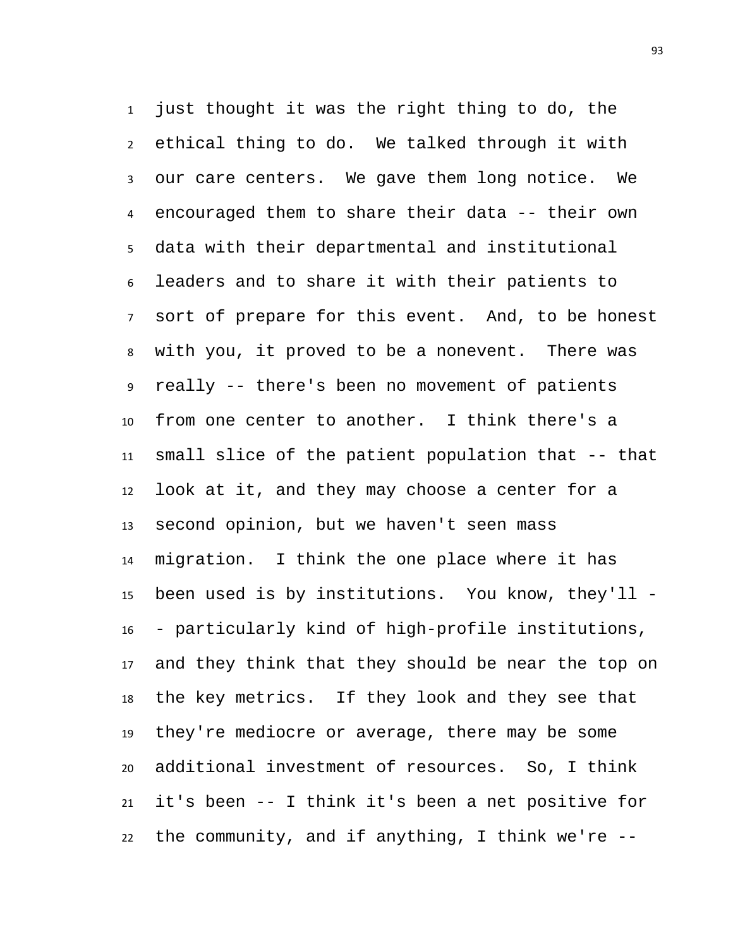just thought it was the right thing to do, the ethical thing to do. We talked through it with our care centers. We gave them long notice. We encouraged them to share their data -- their own data with their departmental and institutional leaders and to share it with their patients to sort of prepare for this event. And, to be honest with you, it proved to be a nonevent. There was really -- there's been no movement of patients from one center to another. I think there's a small slice of the patient population that -- that look at it, and they may choose a center for a second opinion, but we haven't seen mass migration. I think the one place where it has been used is by institutions. You know, they'll - - particularly kind of high-profile institutions, and they think that they should be near the top on the key metrics. If they look and they see that they're mediocre or average, there may be some additional investment of resources. So, I think it's been -- I think it's been a net positive for the community, and if anything, I think we're --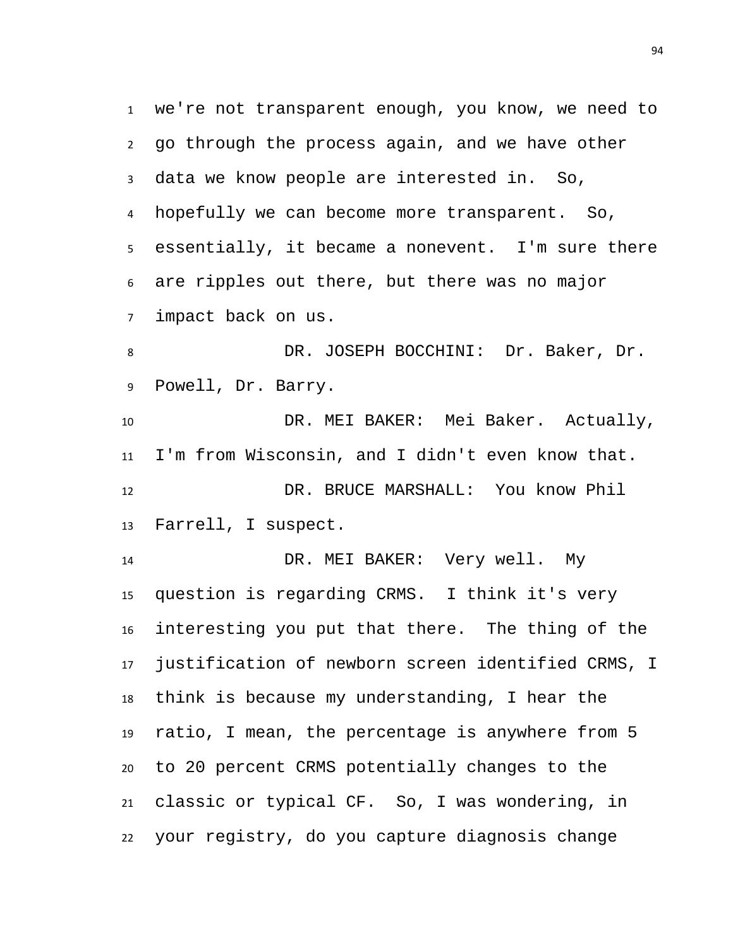we're not transparent enough, you know, we need to go through the process again, and we have other data we know people are interested in. So, hopefully we can become more transparent. So, essentially, it became a nonevent. I'm sure there are ripples out there, but there was no major impact back on us. DR. JOSEPH BOCCHINI: Dr. Baker, Dr. Powell, Dr. Barry. DR. MEI BAKER: Mei Baker. Actually, I'm from Wisconsin, and I didn't even know that. DR. BRUCE MARSHALL: You know Phil Farrell, I suspect. DR. MEI BAKER: Very well. My question is regarding CRMS. I think it's very interesting you put that there. The thing of the justification of newborn screen identified CRMS, I think is because my understanding, I hear the ratio, I mean, the percentage is anywhere from 5 to 20 percent CRMS potentially changes to the

 classic or typical CF. So, I was wondering, in your registry, do you capture diagnosis change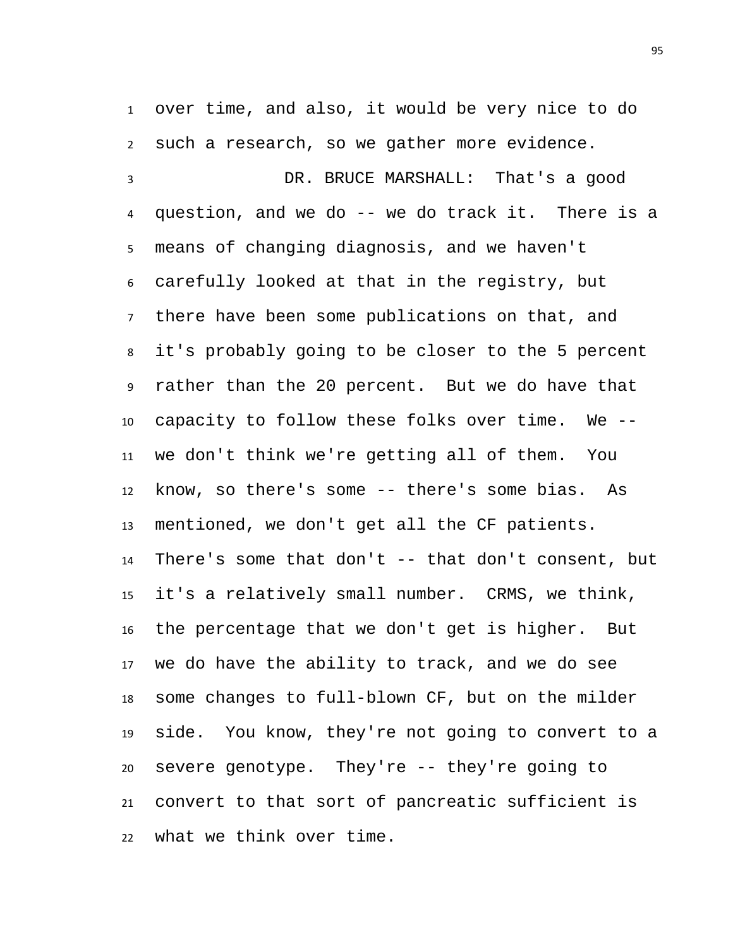over time, and also, it would be very nice to do such a research, so we gather more evidence.

 DR. BRUCE MARSHALL: That's a good question, and we do -- we do track it. There is a means of changing diagnosis, and we haven't carefully looked at that in the registry, but there have been some publications on that, and it's probably going to be closer to the 5 percent rather than the 20 percent. But we do have that capacity to follow these folks over time. We -- we don't think we're getting all of them. You know, so there's some -- there's some bias. As mentioned, we don't get all the CF patients. There's some that don't -- that don't consent, but it's a relatively small number. CRMS, we think, the percentage that we don't get is higher. But we do have the ability to track, and we do see some changes to full-blown CF, but on the milder side. You know, they're not going to convert to a severe genotype. They're -- they're going to convert to that sort of pancreatic sufficient is what we think over time.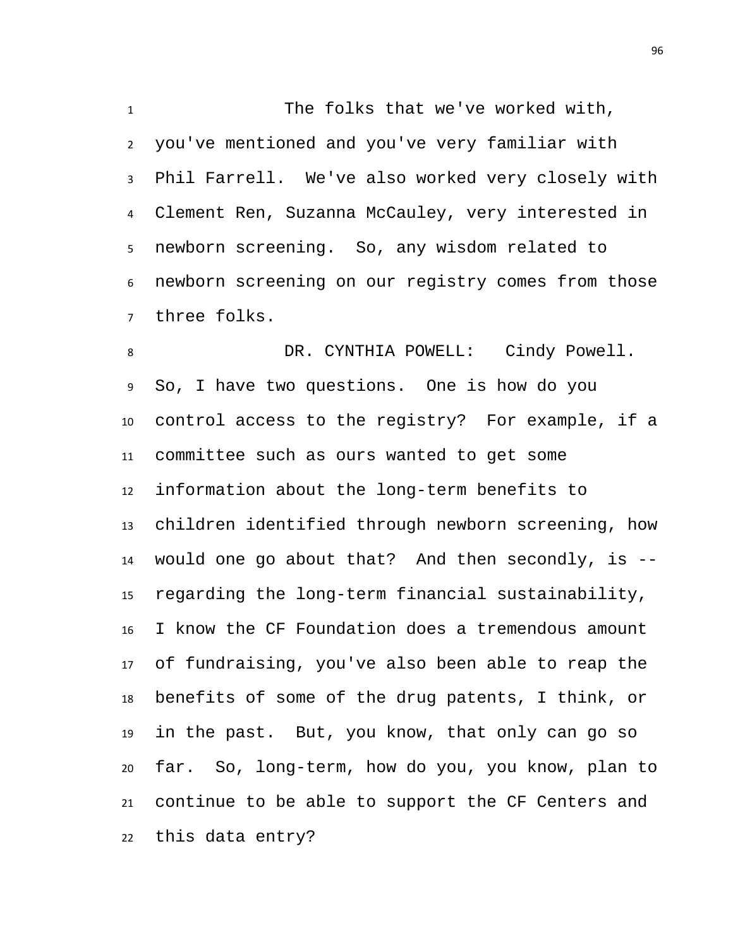The folks that we've worked with, you've mentioned and you've very familiar with Phil Farrell. We've also worked very closely with Clement Ren, Suzanna McCauley, very interested in newborn screening. So, any wisdom related to newborn screening on our registry comes from those three folks.

8 DR. CYNTHIA POWELL: Cindy Powell. So, I have two questions. One is how do you control access to the registry? For example, if a committee such as ours wanted to get some information about the long-term benefits to children identified through newborn screening, how would one go about that? And then secondly, is -- regarding the long-term financial sustainability, I know the CF Foundation does a tremendous amount of fundraising, you've also been able to reap the benefits of some of the drug patents, I think, or in the past. But, you know, that only can go so far. So, long-term, how do you, you know, plan to continue to be able to support the CF Centers and this data entry?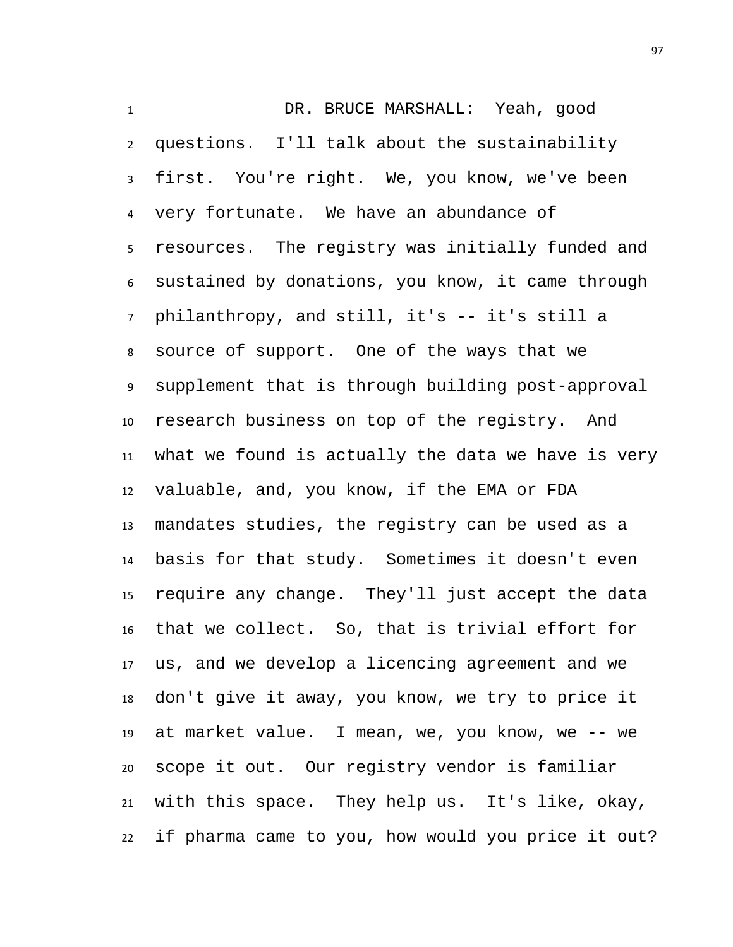DR. BRUCE MARSHALL: Yeah, good questions. I'll talk about the sustainability first. You're right. We, you know, we've been very fortunate. We have an abundance of resources. The registry was initially funded and sustained by donations, you know, it came through philanthropy, and still, it's -- it's still a source of support. One of the ways that we supplement that is through building post-approval research business on top of the registry. And what we found is actually the data we have is very valuable, and, you know, if the EMA or FDA mandates studies, the registry can be used as a basis for that study. Sometimes it doesn't even require any change. They'll just accept the data that we collect. So, that is trivial effort for us, and we develop a licencing agreement and we don't give it away, you know, we try to price it at market value. I mean, we, you know, we -- we scope it out. Our registry vendor is familiar with this space. They help us. It's like, okay, if pharma came to you, how would you price it out?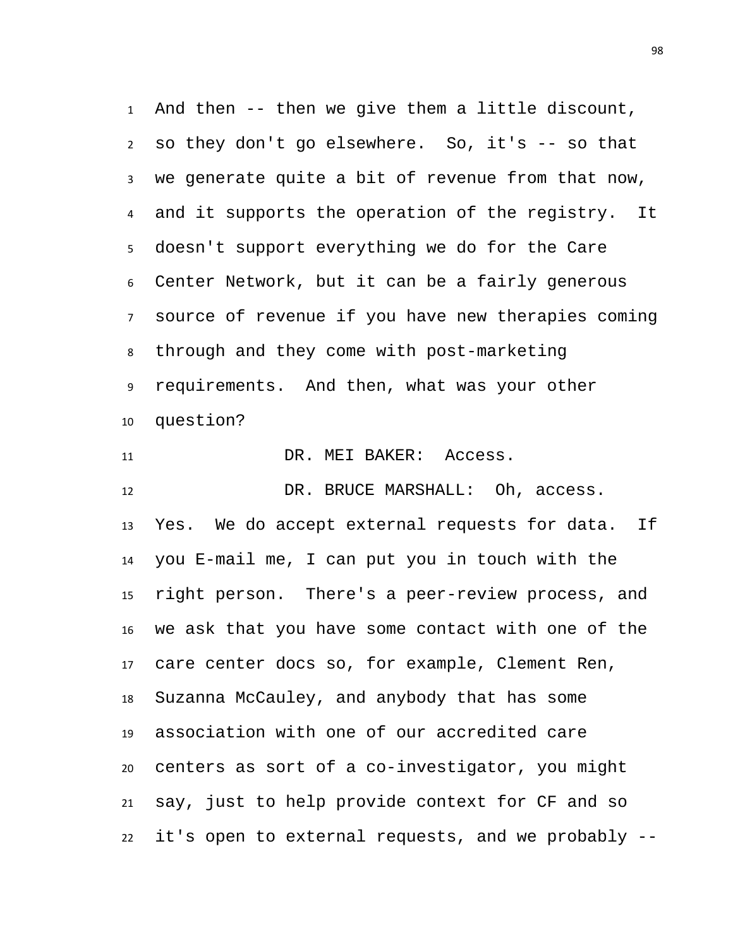And then -- then we give them a little discount, so they don't go elsewhere. So, it's -- so that we generate quite a bit of revenue from that now, and it supports the operation of the registry. It doesn't support everything we do for the Care Center Network, but it can be a fairly generous source of revenue if you have new therapies coming through and they come with post-marketing requirements. And then, what was your other question?

11 DR. MEI BAKER: Access.

 DR. BRUCE MARSHALL: Oh, access. Yes. We do accept external requests for data. If you E-mail me, I can put you in touch with the right person. There's a peer-review process, and we ask that you have some contact with one of the care center docs so, for example, Clement Ren, Suzanna McCauley, and anybody that has some association with one of our accredited care centers as sort of a co-investigator, you might say, just to help provide context for CF and so it's open to external requests, and we probably --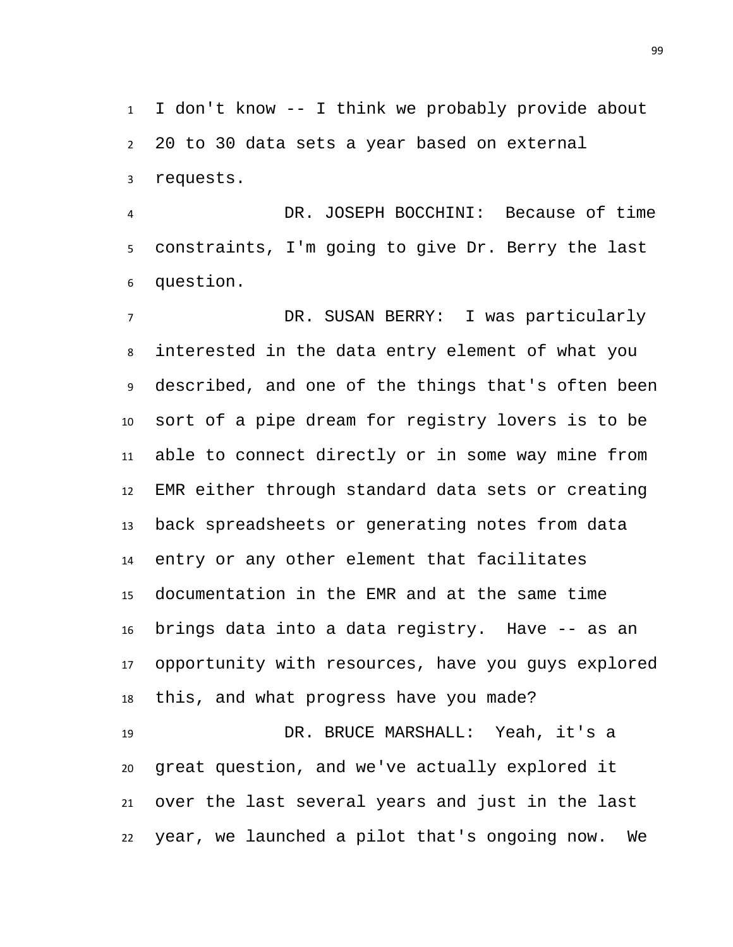I don't know -- I think we probably provide about 20 to 30 data sets a year based on external requests.

 DR. JOSEPH BOCCHINI: Because of time constraints, I'm going to give Dr. Berry the last question.

 DR. SUSAN BERRY: I was particularly interested in the data entry element of what you described, and one of the things that's often been sort of a pipe dream for registry lovers is to be able to connect directly or in some way mine from EMR either through standard data sets or creating back spreadsheets or generating notes from data entry or any other element that facilitates documentation in the EMR and at the same time brings data into a data registry. Have -- as an opportunity with resources, have you guys explored this, and what progress have you made? DR. BRUCE MARSHALL: Yeah, it's a great question, and we've actually explored it

 over the last several years and just in the last year, we launched a pilot that's ongoing now. We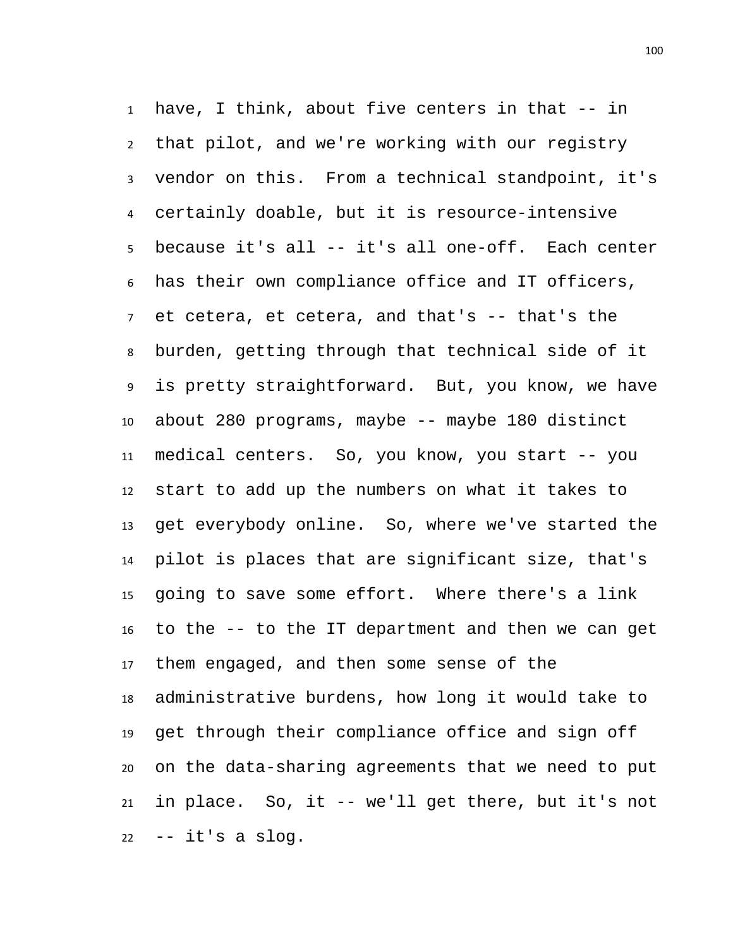have, I think, about five centers in that -- in that pilot, and we're working with our registry vendor on this. From a technical standpoint, it's certainly doable, but it is resource-intensive because it's all -- it's all one-off. Each center has their own compliance office and IT officers, et cetera, et cetera, and that's -- that's the burden, getting through that technical side of it is pretty straightforward. But, you know, we have about 280 programs, maybe -- maybe 180 distinct medical centers. So, you know, you start -- you start to add up the numbers on what it takes to get everybody online. So, where we've started the pilot is places that are significant size, that's going to save some effort. Where there's a link to the -- to the IT department and then we can get them engaged, and then some sense of the administrative burdens, how long it would take to get through their compliance office and sign off on the data-sharing agreements that we need to put in place. So, it -- we'll get there, but it's not -- it's a slog.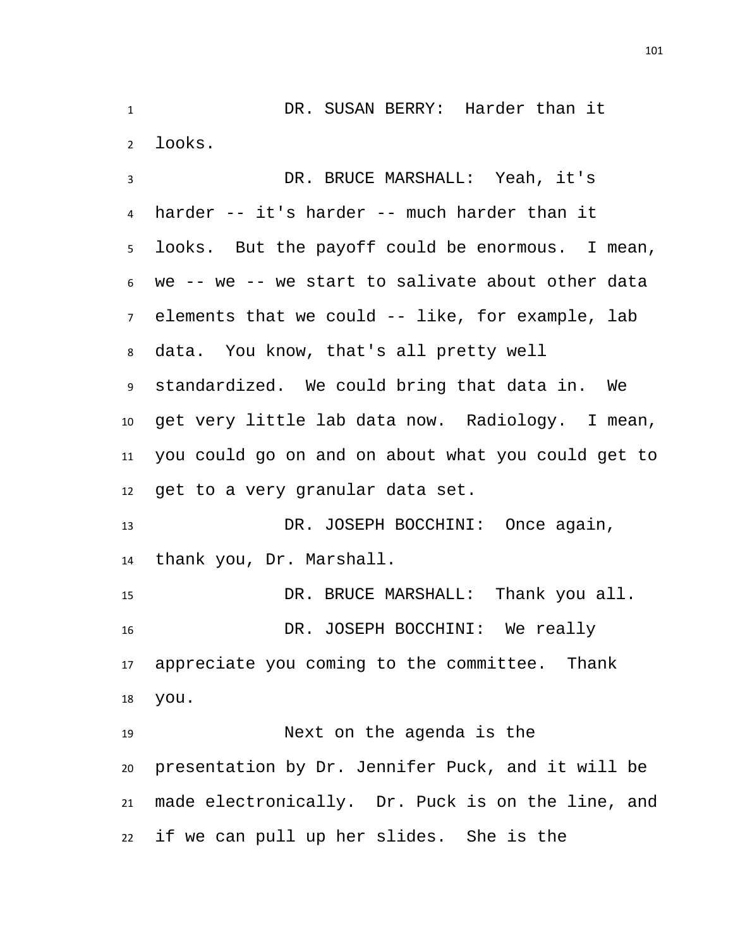DR. SUSAN BERRY: Harder than it looks. DR. BRUCE MARSHALL: Yeah, it's harder -- it's harder -- much harder than it looks. But the payoff could be enormous. I mean, we -- we -- we start to salivate about other data elements that we could -- like, for example, lab data. You know, that's all pretty well standardized. We could bring that data in. We get very little lab data now. Radiology. I mean, you could go on and on about what you could get to get to a very granular data set. 13 DR. JOSEPH BOCCHINI: Once again, thank you, Dr. Marshall. DR. BRUCE MARSHALL: Thank you all. DR. JOSEPH BOCCHINI: We really appreciate you coming to the committee. Thank you. Next on the agenda is the presentation by Dr. Jennifer Puck, and it will be made electronically. Dr. Puck is on the line, and if we can pull up her slides. She is the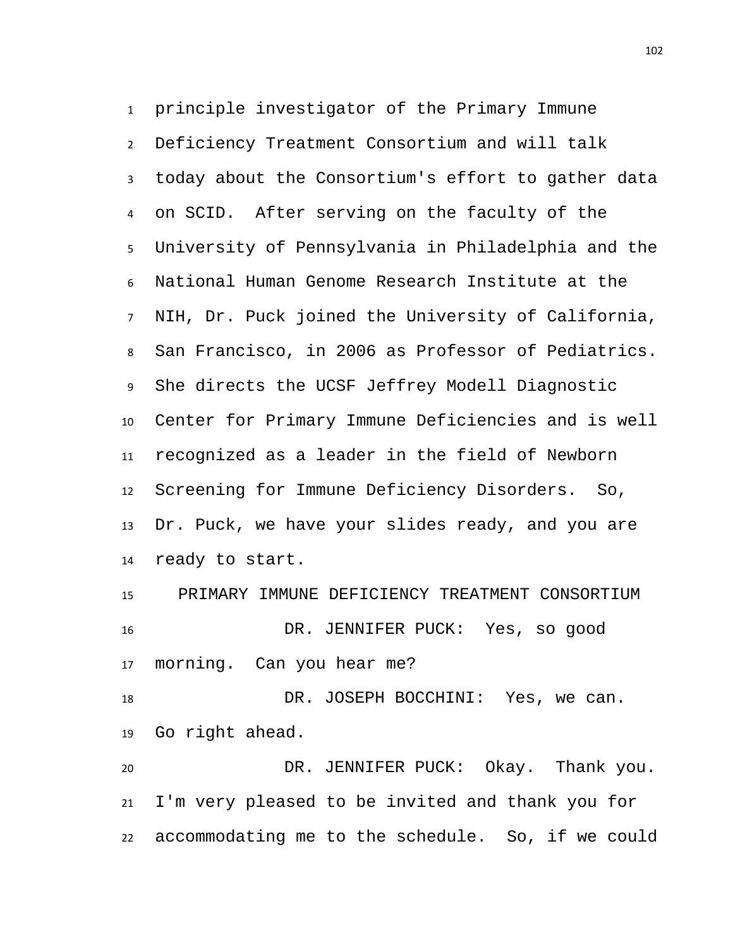principle investigator of the Primary Immune Deficiency Treatment Consortium and will talk today about the Consortium's effort to gather data on SCID. After serving on the faculty of the University of Pennsylvania in Philadelphia and the National Human Genome Research Institute at the NIH, Dr. Puck joined the University of California, San Francisco, in 2006 as Professor of Pediatrics. She directs the UCSF Jeffrey Modell Diagnostic Center for Primary Immune Deficiencies and is well recognized as a leader in the field of Newborn Screening for Immune Deficiency Disorders. So, Dr. Puck, we have your slides ready, and you are ready to start.

 PRIMARY IMMUNE DEFICIENCY TREATMENT CONSORTIUM DR. JENNIFER PUCK: Yes, so good morning. Can you hear me?

 DR. JOSEPH BOCCHINI: Yes, we can. Go right ahead.

 DR. JENNIFER PUCK: Okay. Thank you. I'm very pleased to be invited and thank you for accommodating me to the schedule. So, if we could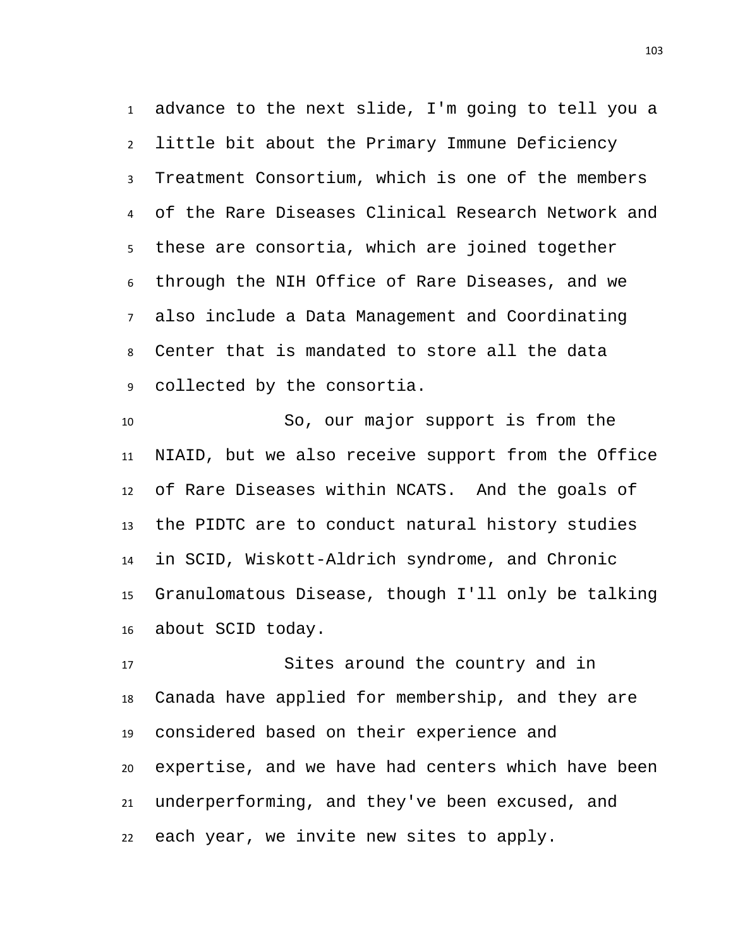advance to the next slide, I'm going to tell you a little bit about the Primary Immune Deficiency Treatment Consortium, which is one of the members of the Rare Diseases Clinical Research Network and these are consortia, which are joined together through the NIH Office of Rare Diseases, and we also include a Data Management and Coordinating Center that is mandated to store all the data collected by the consortia.

 So, our major support is from the NIAID, but we also receive support from the Office of Rare Diseases within NCATS. And the goals of the PIDTC are to conduct natural history studies in SCID, Wiskott-Aldrich syndrome, and Chronic Granulomatous Disease, though I'll only be talking about SCID today.

 Sites around the country and in Canada have applied for membership, and they are considered based on their experience and expertise, and we have had centers which have been underperforming, and they've been excused, and each year, we invite new sites to apply.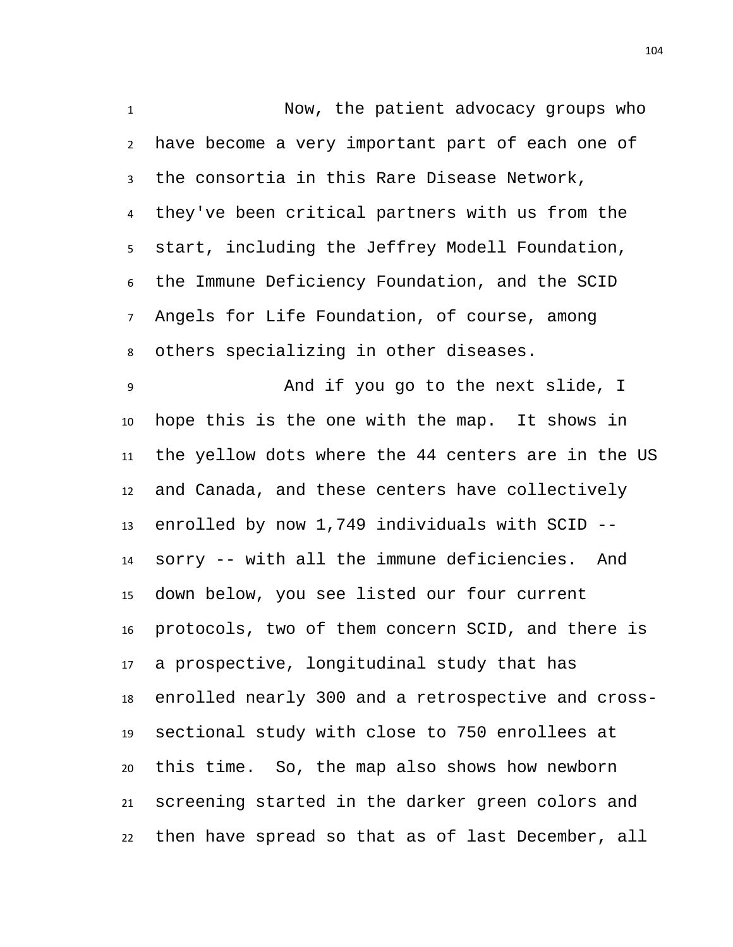Now, the patient advocacy groups who have become a very important part of each one of the consortia in this Rare Disease Network, they've been critical partners with us from the start, including the Jeffrey Modell Foundation, the Immune Deficiency Foundation, and the SCID Angels for Life Foundation, of course, among others specializing in other diseases. And if you go to the next slide, I hope this is the one with the map. It shows in the yellow dots where the 44 centers are in the US and Canada, and these centers have collectively

 enrolled by now 1,749 individuals with SCID -- sorry -- with all the immune deficiencies. And down below, you see listed our four current protocols, two of them concern SCID, and there is a prospective, longitudinal study that has enrolled nearly 300 and a retrospective and cross- sectional study with close to 750 enrollees at this time. So, the map also shows how newborn screening started in the darker green colors and then have spread so that as of last December, all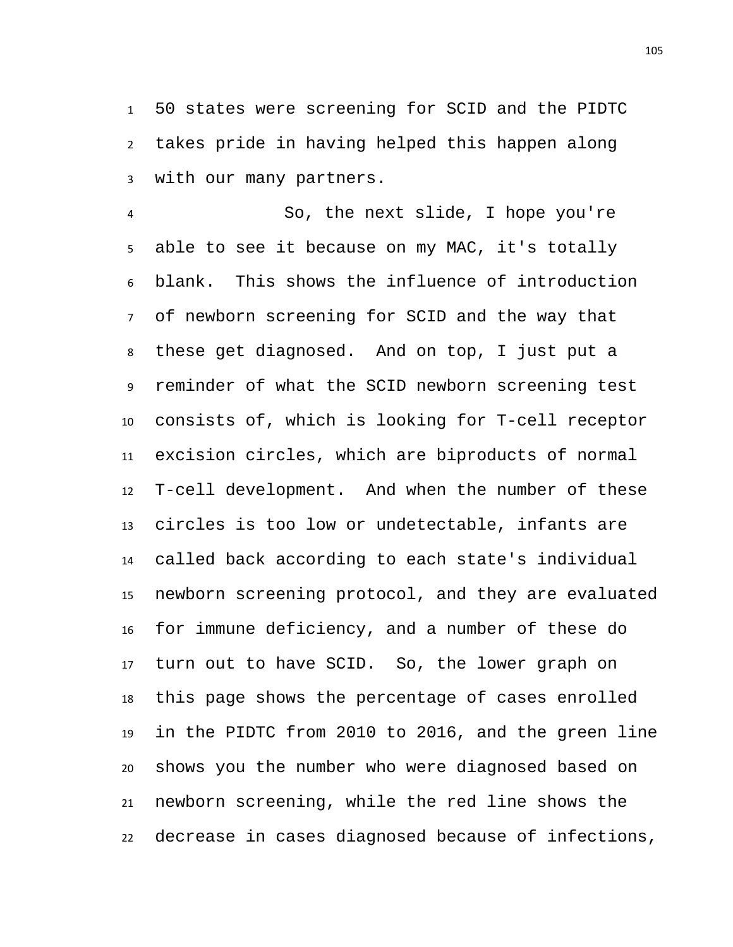50 states were screening for SCID and the PIDTC takes pride in having helped this happen along with our many partners.

 So, the next slide, I hope you're able to see it because on my MAC, it's totally blank. This shows the influence of introduction of newborn screening for SCID and the way that these get diagnosed. And on top, I just put a reminder of what the SCID newborn screening test consists of, which is looking for T-cell receptor excision circles, which are biproducts of normal T-cell development. And when the number of these circles is too low or undetectable, infants are called back according to each state's individual newborn screening protocol, and they are evaluated for immune deficiency, and a number of these do turn out to have SCID. So, the lower graph on this page shows the percentage of cases enrolled in the PIDTC from 2010 to 2016, and the green line shows you the number who were diagnosed based on newborn screening, while the red line shows the decrease in cases diagnosed because of infections,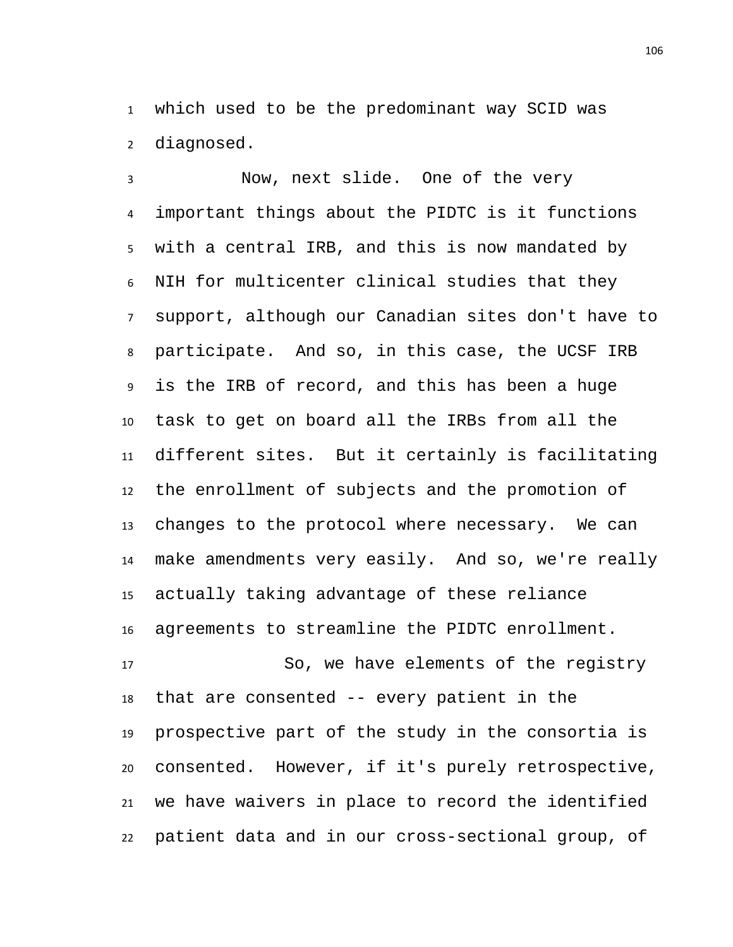which used to be the predominant way SCID was diagnosed.

 Now, next slide. One of the very important things about the PIDTC is it functions with a central IRB, and this is now mandated by NIH for multicenter clinical studies that they support, although our Canadian sites don't have to participate. And so, in this case, the UCSF IRB is the IRB of record, and this has been a huge task to get on board all the IRBs from all the different sites. But it certainly is facilitating the enrollment of subjects and the promotion of changes to the protocol where necessary. We can make amendments very easily. And so, we're really actually taking advantage of these reliance agreements to streamline the PIDTC enrollment.

 So, we have elements of the registry that are consented -- every patient in the prospective part of the study in the consortia is consented. However, if it's purely retrospective, we have waivers in place to record the identified patient data and in our cross-sectional group, of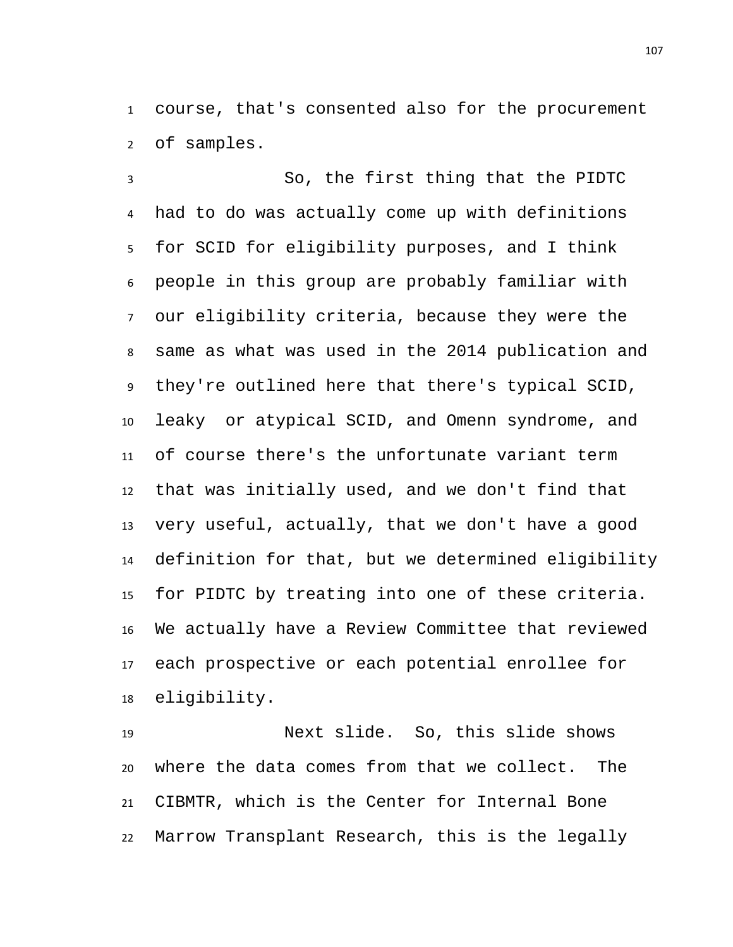course, that's consented also for the procurement of samples.

 So, the first thing that the PIDTC had to do was actually come up with definitions for SCID for eligibility purposes, and I think people in this group are probably familiar with our eligibility criteria, because they were the same as what was used in the 2014 publication and they're outlined here that there's typical SCID, leaky or atypical SCID, and Omenn syndrome, and of course there's the unfortunate variant term that was initially used, and we don't find that very useful, actually, that we don't have a good definition for that, but we determined eligibility for PIDTC by treating into one of these criteria. We actually have a Review Committee that reviewed each prospective or each potential enrollee for eligibility.

 Next slide. So, this slide shows where the data comes from that we collect. The CIBMTR, which is the Center for Internal Bone Marrow Transplant Research, this is the legally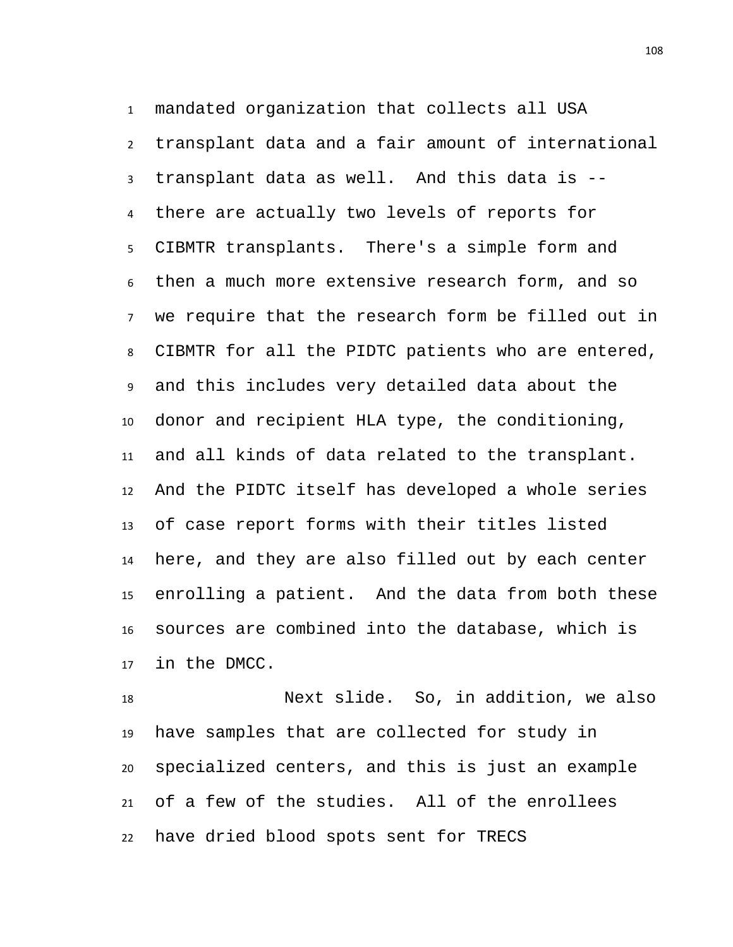mandated organization that collects all USA transplant data and a fair amount of international transplant data as well. And this data is -- there are actually two levels of reports for CIBMTR transplants. There's a simple form and then a much more extensive research form, and so we require that the research form be filled out in CIBMTR for all the PIDTC patients who are entered, and this includes very detailed data about the donor and recipient HLA type, the conditioning, and all kinds of data related to the transplant. And the PIDTC itself has developed a whole series of case report forms with their titles listed here, and they are also filled out by each center enrolling a patient. And the data from both these sources are combined into the database, which is in the DMCC.

 Next slide. So, in addition, we also have samples that are collected for study in specialized centers, and this is just an example of a few of the studies. All of the enrollees have dried blood spots sent for TRECS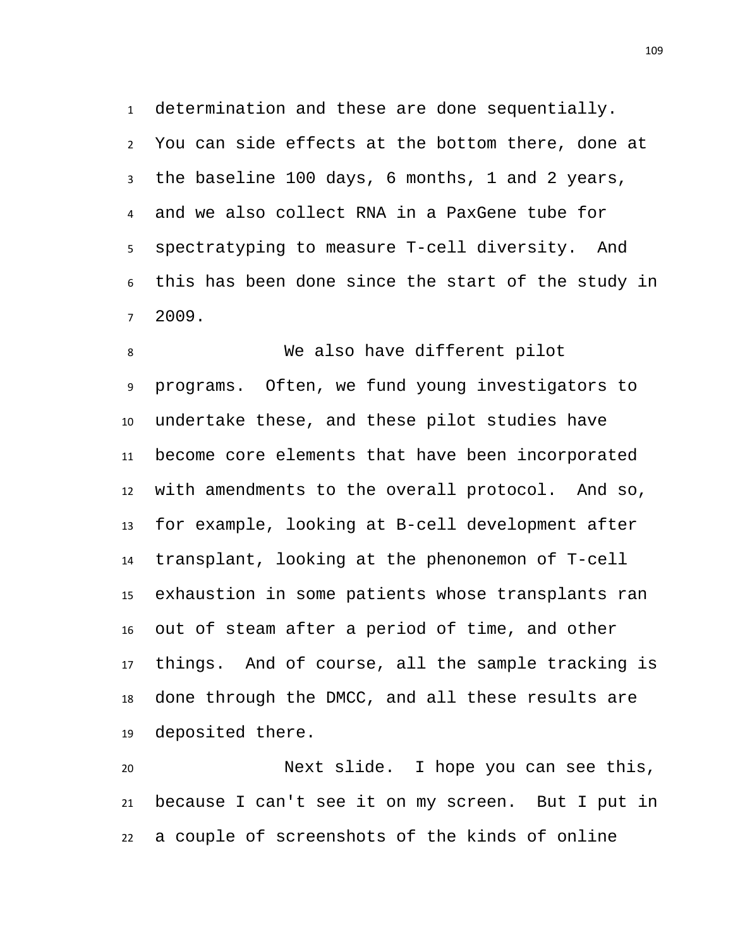determination and these are done sequentially. You can side effects at the bottom there, done at the baseline 100 days, 6 months, 1 and 2 years, and we also collect RNA in a PaxGene tube for spectratyping to measure T-cell diversity. And this has been done since the start of the study in 2009.

 We also have different pilot programs. Often, we fund young investigators to undertake these, and these pilot studies have become core elements that have been incorporated with amendments to the overall protocol. And so, for example, looking at B-cell development after transplant, looking at the phenonemon of T-cell exhaustion in some patients whose transplants ran out of steam after a period of time, and other things. And of course, all the sample tracking is done through the DMCC, and all these results are deposited there.

 Next slide. I hope you can see this, because I can't see it on my screen. But I put in a couple of screenshots of the kinds of online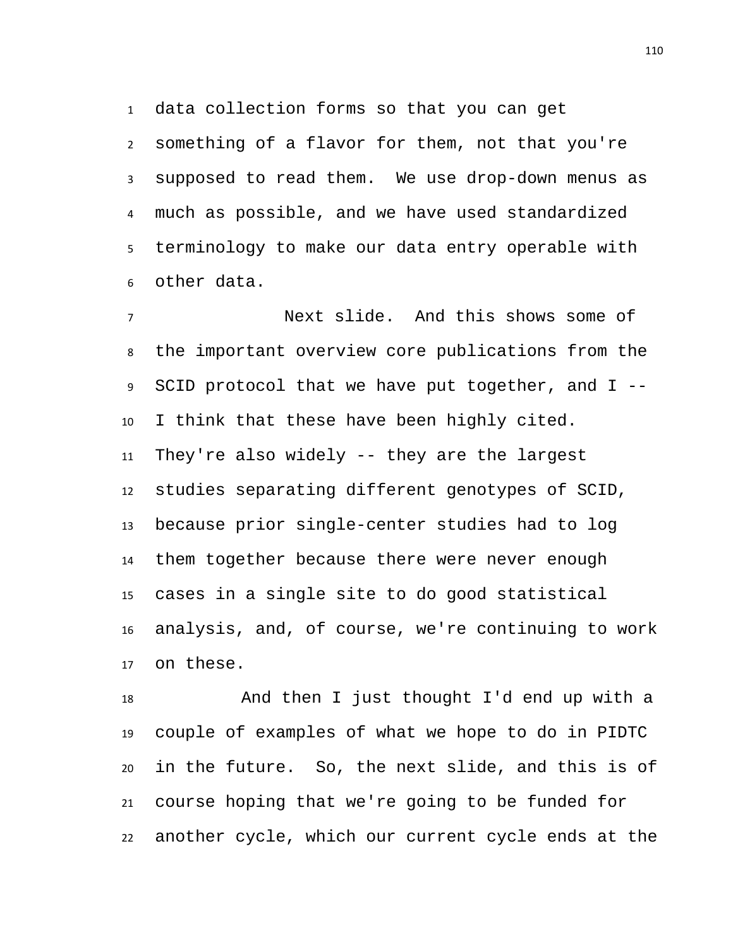data collection forms so that you can get

 something of a flavor for them, not that you're supposed to read them. We use drop-down menus as much as possible, and we have used standardized terminology to make our data entry operable with other data.

 Next slide. And this shows some of the important overview core publications from the SCID protocol that we have put together, and I -- I think that these have been highly cited. They're also widely -- they are the largest studies separating different genotypes of SCID, because prior single-center studies had to log them together because there were never enough cases in a single site to do good statistical analysis, and, of course, we're continuing to work on these.

 And then I just thought I'd end up with a couple of examples of what we hope to do in PIDTC in the future. So, the next slide, and this is of course hoping that we're going to be funded for another cycle, which our current cycle ends at the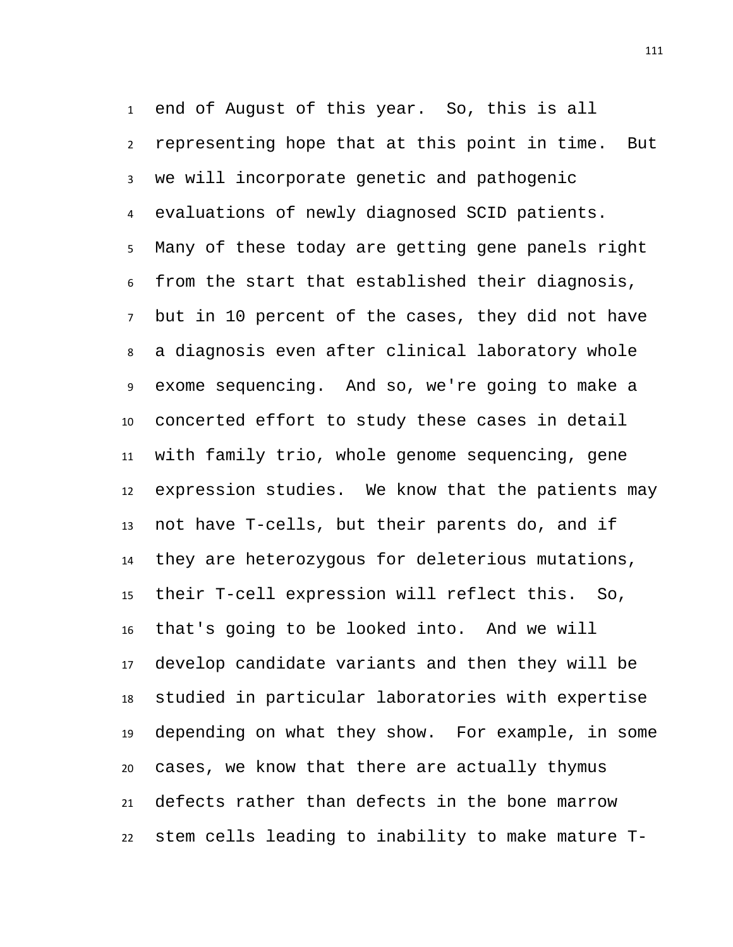end of August of this year. So, this is all representing hope that at this point in time. But we will incorporate genetic and pathogenic evaluations of newly diagnosed SCID patients. Many of these today are getting gene panels right from the start that established their diagnosis, but in 10 percent of the cases, they did not have a diagnosis even after clinical laboratory whole exome sequencing. And so, we're going to make a concerted effort to study these cases in detail with family trio, whole genome sequencing, gene expression studies. We know that the patients may not have T-cells, but their parents do, and if they are heterozygous for deleterious mutations, their T-cell expression will reflect this. So, that's going to be looked into. And we will develop candidate variants and then they will be studied in particular laboratories with expertise depending on what they show. For example, in some cases, we know that there are actually thymus defects rather than defects in the bone marrow stem cells leading to inability to make mature T-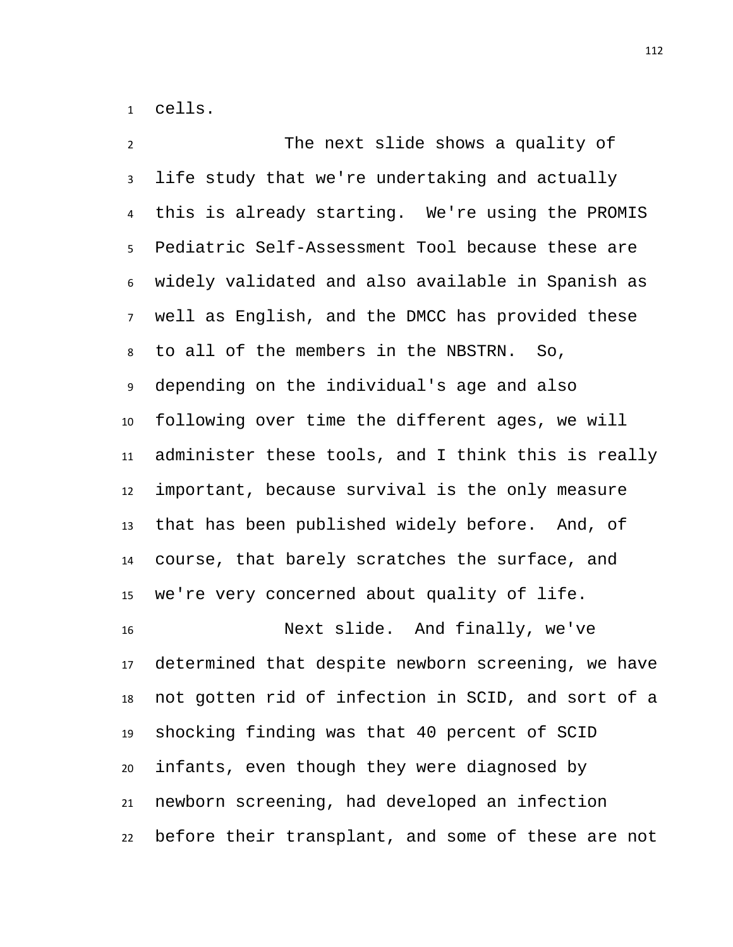cells.

 The next slide shows a quality of life study that we're undertaking and actually this is already starting. We're using the PROMIS Pediatric Self-Assessment Tool because these are widely validated and also available in Spanish as well as English, and the DMCC has provided these to all of the members in the NBSTRN. So, depending on the individual's age and also following over time the different ages, we will administer these tools, and I think this is really important, because survival is the only measure that has been published widely before. And, of course, that barely scratches the surface, and we're very concerned about quality of life. Next slide. And finally, we've determined that despite newborn screening, we have not gotten rid of infection in SCID, and sort of a shocking finding was that 40 percent of SCID infants, even though they were diagnosed by newborn screening, had developed an infection before their transplant, and some of these are not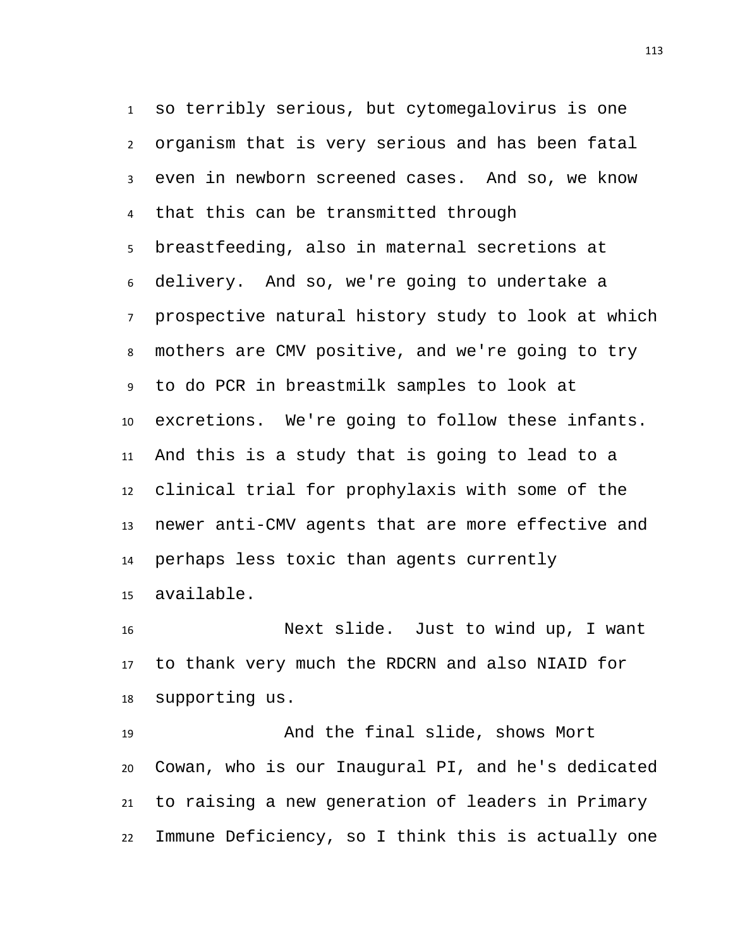so terribly serious, but cytomegalovirus is one organism that is very serious and has been fatal even in newborn screened cases. And so, we know that this can be transmitted through breastfeeding, also in maternal secretions at delivery. And so, we're going to undertake a prospective natural history study to look at which mothers are CMV positive, and we're going to try to do PCR in breastmilk samples to look at excretions. We're going to follow these infants. And this is a study that is going to lead to a clinical trial for prophylaxis with some of the newer anti-CMV agents that are more effective and perhaps less toxic than agents currently available.

 Next slide. Just to wind up, I want to thank very much the RDCRN and also NIAID for supporting us.

 And the final slide, shows Mort Cowan, who is our Inaugural PI, and he's dedicated to raising a new generation of leaders in Primary Immune Deficiency, so I think this is actually one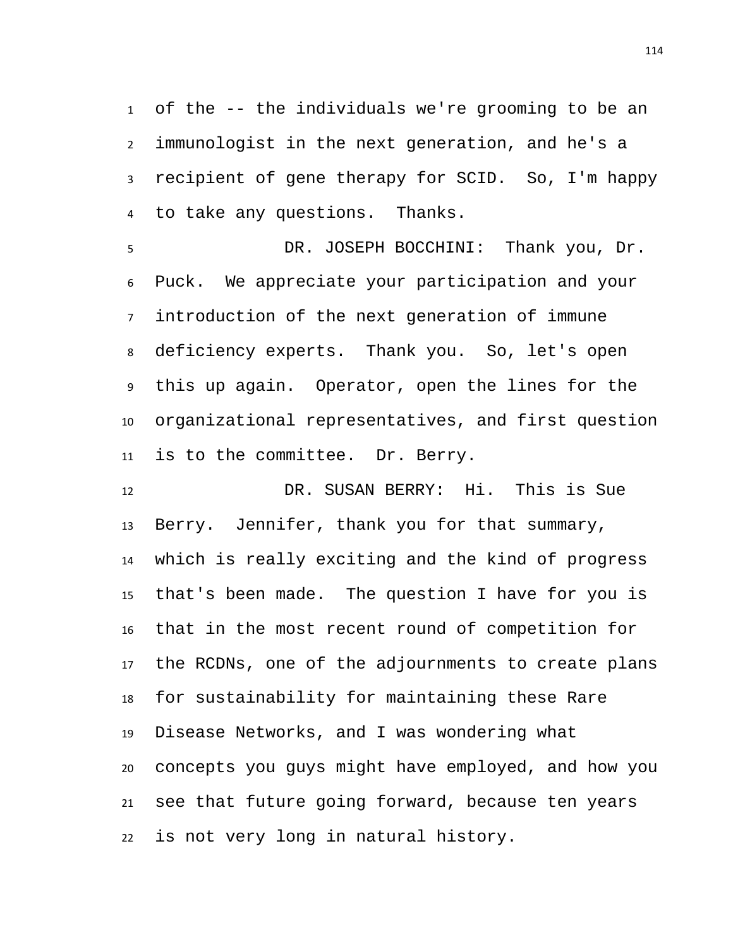of the -- the individuals we're grooming to be an immunologist in the next generation, and he's a recipient of gene therapy for SCID. So, I'm happy to take any questions. Thanks.

 DR. JOSEPH BOCCHINI: Thank you, Dr. Puck. We appreciate your participation and your introduction of the next generation of immune deficiency experts. Thank you. So, let's open this up again. Operator, open the lines for the organizational representatives, and first question is to the committee. Dr. Berry.

 DR. SUSAN BERRY: Hi. This is Sue Berry. Jennifer, thank you for that summary, which is really exciting and the kind of progress that's been made. The question I have for you is that in the most recent round of competition for the RCDNs, one of the adjournments to create plans for sustainability for maintaining these Rare Disease Networks, and I was wondering what concepts you guys might have employed, and how you see that future going forward, because ten years is not very long in natural history.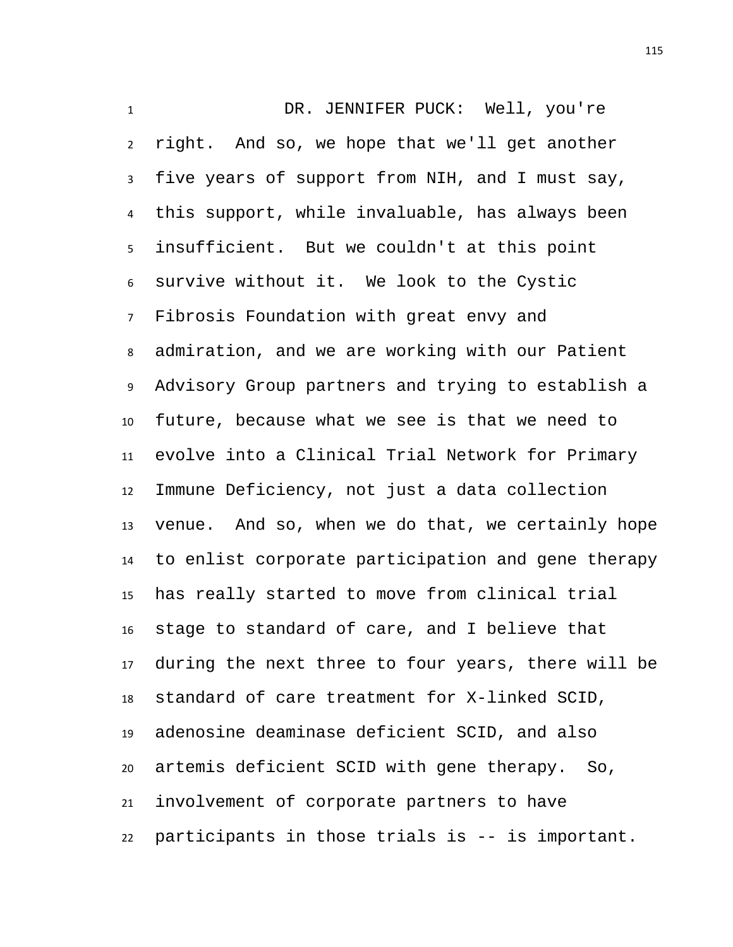DR. JENNIFER PUCK: Well, you're right. And so, we hope that we'll get another five years of support from NIH, and I must say, this support, while invaluable, has always been insufficient. But we couldn't at this point survive without it. We look to the Cystic Fibrosis Foundation with great envy and admiration, and we are working with our Patient Advisory Group partners and trying to establish a future, because what we see is that we need to evolve into a Clinical Trial Network for Primary Immune Deficiency, not just a data collection venue. And so, when we do that, we certainly hope to enlist corporate participation and gene therapy has really started to move from clinical trial stage to standard of care, and I believe that during the next three to four years, there will be standard of care treatment for X-linked SCID, adenosine deaminase deficient SCID, and also artemis deficient SCID with gene therapy. So, involvement of corporate partners to have participants in those trials is -- is important.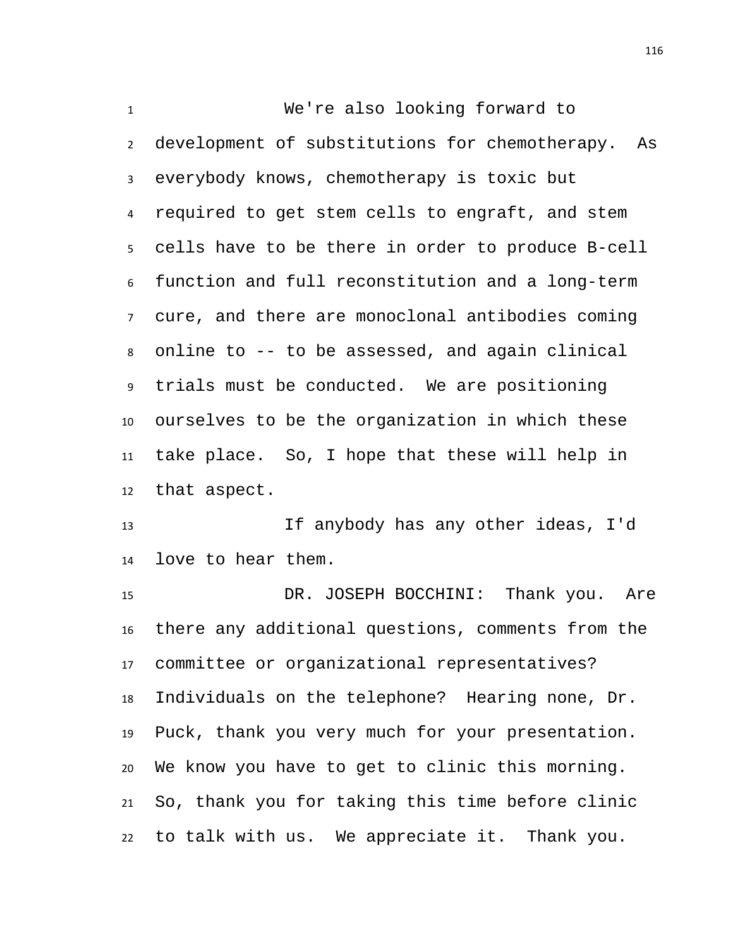We're also looking forward to development of substitutions for chemotherapy. As everybody knows, chemotherapy is toxic but required to get stem cells to engraft, and stem cells have to be there in order to produce B-cell function and full reconstitution and a long-term cure, and there are monoclonal antibodies coming online to -- to be assessed, and again clinical trials must be conducted. We are positioning ourselves to be the organization in which these take place. So, I hope that these will help in that aspect.

 If anybody has any other ideas, I'd love to hear them.

 DR. JOSEPH BOCCHINI: Thank you. Are there any additional questions, comments from the committee or organizational representatives? Individuals on the telephone? Hearing none, Dr. Puck, thank you very much for your presentation. We know you have to get to clinic this morning. So, thank you for taking this time before clinic to talk with us. We appreciate it. Thank you.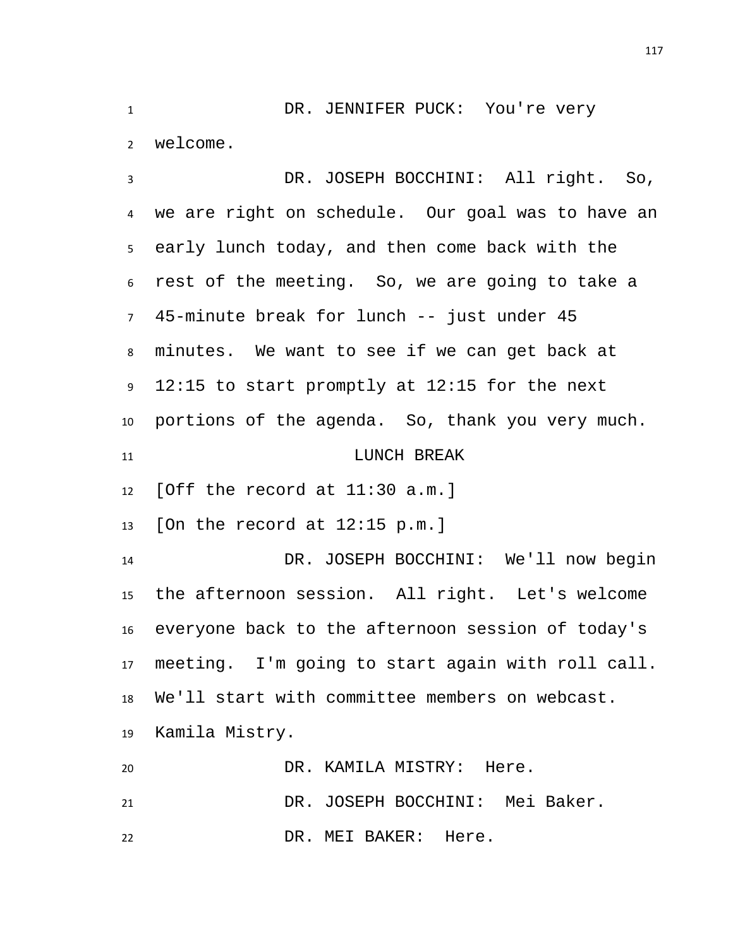1 DR. JENNIFER PUCK: You're very welcome.

 DR. JOSEPH BOCCHINI: All right. So, we are right on schedule. Our goal was to have an early lunch today, and then come back with the rest of the meeting. So, we are going to take a 45-minute break for lunch -- just under 45 minutes. We want to see if we can get back at 12:15 to start promptly at 12:15 for the next portions of the agenda. So, thank you very much. 11 LUNCH BREAK [Off the record at 11:30 a.m.] [On the record at 12:15 p.m.] DR. JOSEPH BOCCHINI: We'll now begin the afternoon session. All right. Let's welcome everyone back to the afternoon session of today's meeting. I'm going to start again with roll call. We'll start with committee members on webcast. Kamila Mistry. DR. KAMILA MISTRY: Here.

 DR. JOSEPH BOCCHINI: Mei Baker. DR. MEI BAKER: Here.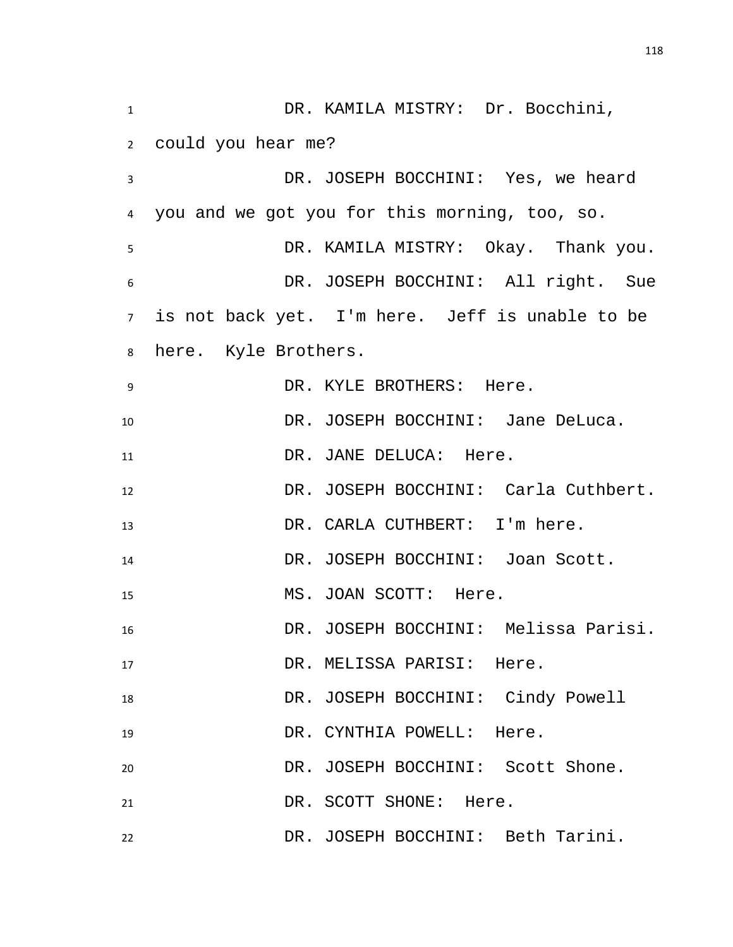DR. KAMILA MISTRY: Dr. Bocchini, could you hear me? DR. JOSEPH BOCCHINI: Yes, we heard you and we got you for this morning, too, so. DR. KAMILA MISTRY: Okay. Thank you. DR. JOSEPH BOCCHINI: All right. Sue is not back yet. I'm here. Jeff is unable to be here. Kyle Brothers. DR. KYLE BROTHERS: Here. 10 DR. JOSEPH BOCCHINI: Jane DeLuca. 11 DR. JANE DELUCA: Here. DR. JOSEPH BOCCHINI: Carla Cuthbert. DR. CARLA CUTHBERT: I'm here. DR. JOSEPH BOCCHINI: Joan Scott. MS. JOAN SCOTT: Here. DR. JOSEPH BOCCHINI: Melissa Parisi. 17 DR. MELISSA PARISI: Here. DR. JOSEPH BOCCHINI: Cindy Powell DR. CYNTHIA POWELL: Here. DR. JOSEPH BOCCHINI: Scott Shone. 21 DR. SCOTT SHONE: Here. DR. JOSEPH BOCCHINI: Beth Tarini.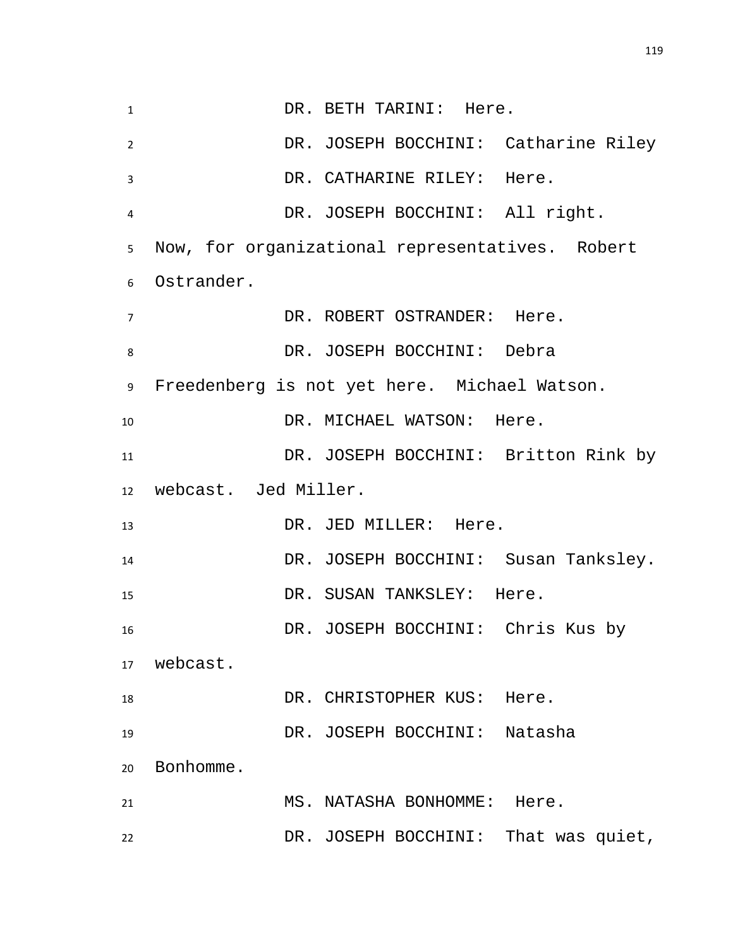| $\mathbf{1}$   |                      | DR. BETH TARINI: Here.                          |
|----------------|----------------------|-------------------------------------------------|
| $\overline{2}$ |                      | DR. JOSEPH BOCCHINI: Catharine Riley            |
| 3              |                      | DR. CATHARINE RILEY: Here.                      |
| 4              |                      | DR. JOSEPH BOCCHINI: All right.                 |
| 5              |                      | Now, for organizational representatives. Robert |
| 6              | Ostrander.           |                                                 |
| 7              |                      | DR. ROBERT OSTRANDER: Here.                     |
| 8              |                      | DR. JOSEPH BOCCHINI: Debra                      |
| 9              |                      | Freedenberg is not yet here. Michael Watson.    |
| 10             |                      | DR. MICHAEL WATSON: Here.                       |
| 11             |                      | DR. JOSEPH BOCCHINI: Britton Rink by            |
| 12             |                      |                                                 |
|                | webcast. Jed Miller. |                                                 |
| 13             |                      | DR. JED MILLER: Here.                           |
| 14             |                      | DR. JOSEPH BOCCHINI: Susan Tanksley.            |
| 15             |                      | DR. SUSAN TANKSLEY: Here.                       |
| 16             |                      | DR. JOSEPH BOCCHINI: Chris Kus by               |
| 17             | webcast.             |                                                 |
| 18             |                      | DR. CHRISTOPHER KUS: Here.                      |
| 19             |                      | DR. JOSEPH BOCCHINI: Natasha                    |
| 20             | Bonhomme.            |                                                 |
| 21             |                      | MS. NATASHA BONHOMME: Here.                     |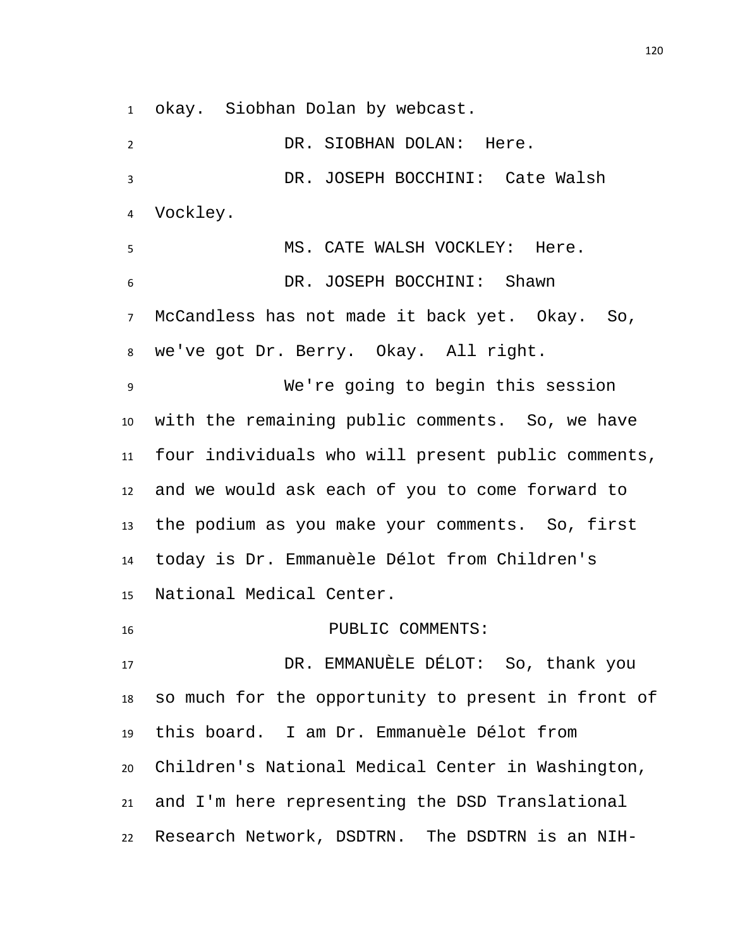okay. Siobhan Dolan by webcast.

2 DR. SIOBHAN DOLAN: Here. DR. JOSEPH BOCCHINI: Cate Walsh Vockley. MS. CATE WALSH VOCKLEY: Here. DR. JOSEPH BOCCHINI: Shawn McCandless has not made it back yet. Okay. So, we've got Dr. Berry. Okay. All right. We're going to begin this session with the remaining public comments. So, we have four individuals who will present public comments, and we would ask each of you to come forward to the podium as you make your comments. So, first today is Dr. Emmanuèle Délot from Children's National Medical Center. 16 PUBLIC COMMENTS: DR. EMMANUÈLE DÉLOT: So, thank you so much for the opportunity to present in front of this board. I am Dr. Emmanuèle Délot from Children's National Medical Center in Washington, and I'm here representing the DSD Translational Research Network, DSDTRN. The DSDTRN is an NIH-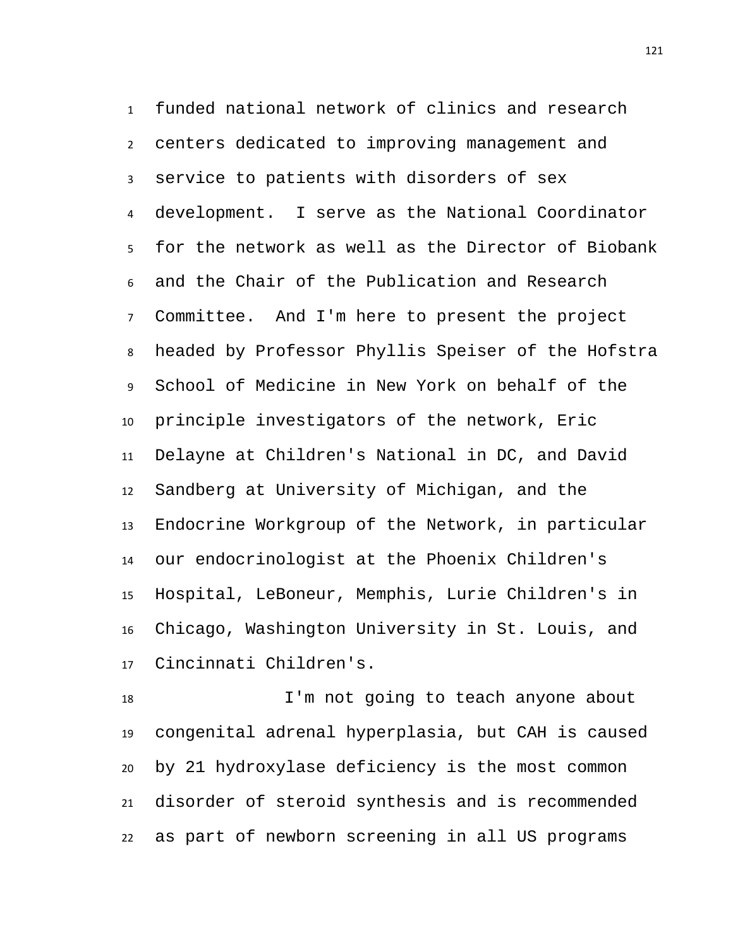funded national network of clinics and research centers dedicated to improving management and service to patients with disorders of sex development. I serve as the National Coordinator for the network as well as the Director of Biobank and the Chair of the Publication and Research Committee. And I'm here to present the project headed by Professor Phyllis Speiser of the Hofstra School of Medicine in New York on behalf of the principle investigators of the network, Eric Delayne at Children's National in DC, and David Sandberg at University of Michigan, and the Endocrine Workgroup of the Network, in particular our endocrinologist at the Phoenix Children's Hospital, LeBoneur, Memphis, Lurie Children's in Chicago, Washington University in St. Louis, and Cincinnati Children's.

 I'm not going to teach anyone about congenital adrenal hyperplasia, but CAH is caused by 21 hydroxylase deficiency is the most common disorder of steroid synthesis and is recommended as part of newborn screening in all US programs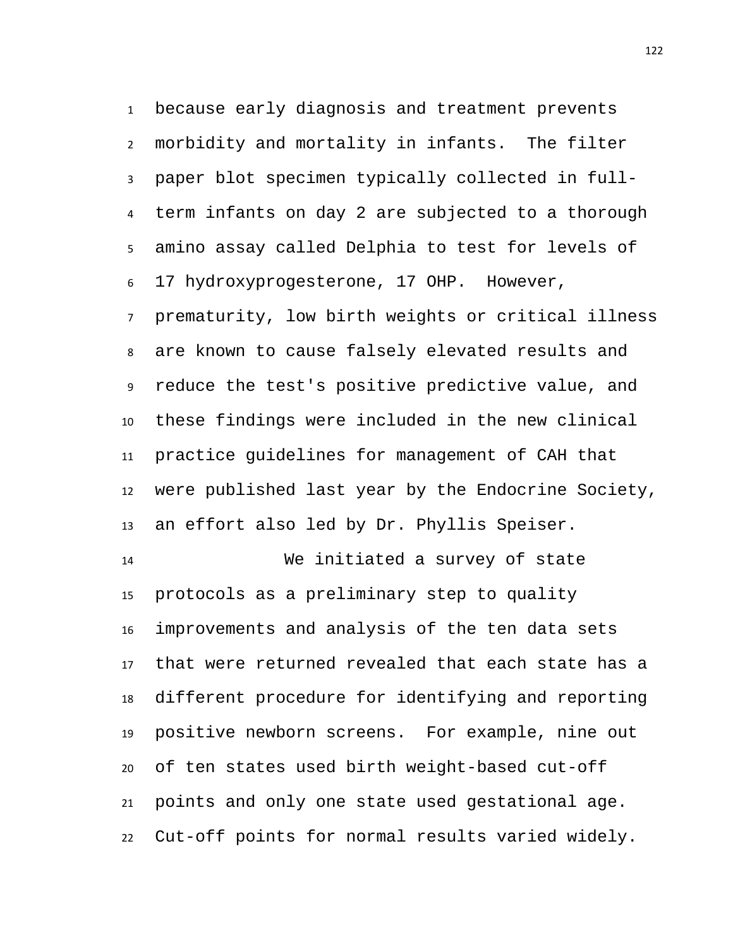because early diagnosis and treatment prevents morbidity and mortality in infants. The filter paper blot specimen typically collected in full- term infants on day 2 are subjected to a thorough amino assay called Delphia to test for levels of 17 hydroxyprogesterone, 17 OHP. However,

 prematurity, low birth weights or critical illness are known to cause falsely elevated results and reduce the test's positive predictive value, and these findings were included in the new clinical practice guidelines for management of CAH that were published last year by the Endocrine Society, an effort also led by Dr. Phyllis Speiser.

 We initiated a survey of state protocols as a preliminary step to quality improvements and analysis of the ten data sets that were returned revealed that each state has a different procedure for identifying and reporting positive newborn screens. For example, nine out of ten states used birth weight-based cut-off points and only one state used gestational age. Cut-off points for normal results varied widely.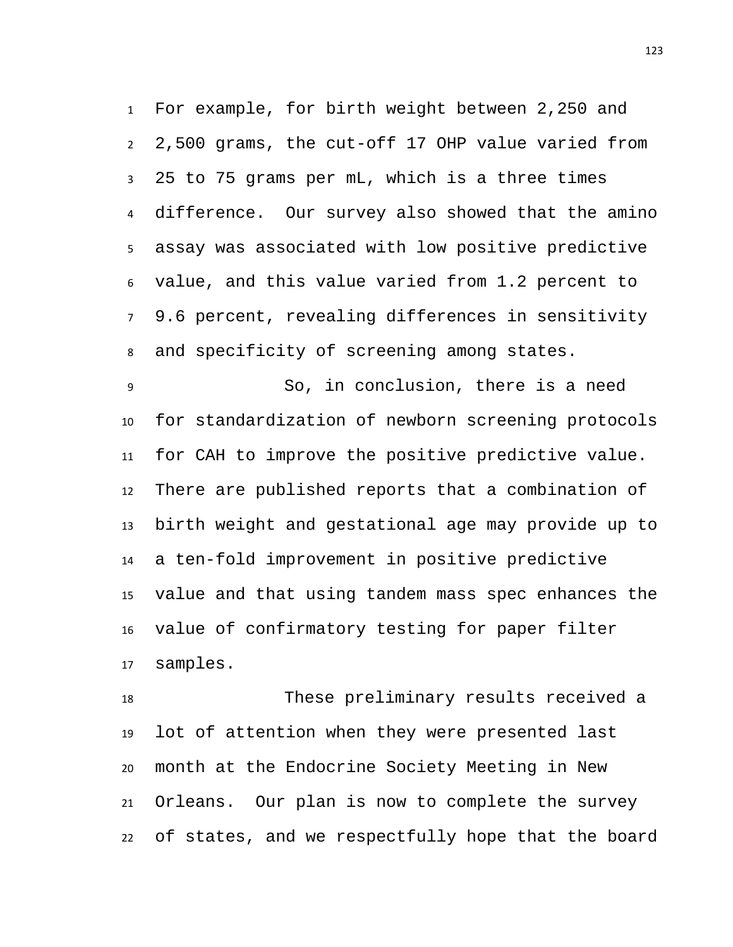For example, for birth weight between 2,250 and 2,500 grams, the cut-off 17 OHP value varied from 25 to 75 grams per mL, which is a three times difference. Our survey also showed that the amino assay was associated with low positive predictive value, and this value varied from 1.2 percent to 9.6 percent, revealing differences in sensitivity and specificity of screening among states.

 So, in conclusion, there is a need for standardization of newborn screening protocols for CAH to improve the positive predictive value. There are published reports that a combination of birth weight and gestational age may provide up to a ten-fold improvement in positive predictive value and that using tandem mass spec enhances the value of confirmatory testing for paper filter samples.

 These preliminary results received a lot of attention when they were presented last month at the Endocrine Society Meeting in New Orleans. Our plan is now to complete the survey of states, and we respectfully hope that the board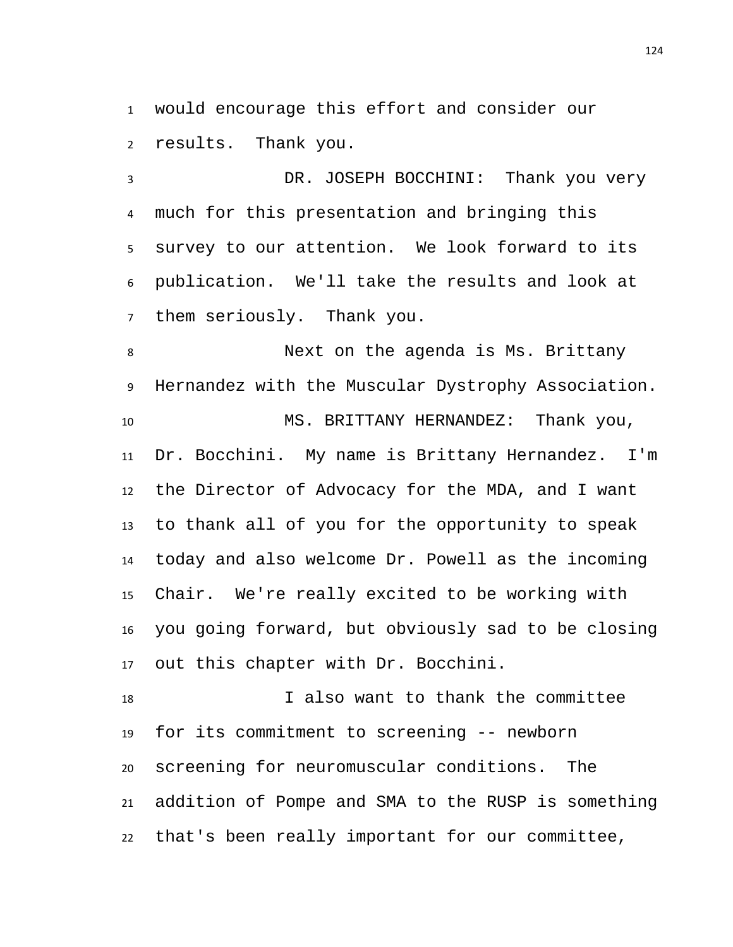would encourage this effort and consider our results. Thank you.

 DR. JOSEPH BOCCHINI: Thank you very much for this presentation and bringing this survey to our attention. We look forward to its publication. We'll take the results and look at them seriously. Thank you.

 Next on the agenda is Ms. Brittany Hernandez with the Muscular Dystrophy Association. MS. BRITTANY HERNANDEZ: Thank you, Dr. Bocchini. My name is Brittany Hernandez. I'm the Director of Advocacy for the MDA, and I want to thank all of you for the opportunity to speak today and also welcome Dr. Powell as the incoming Chair. We're really excited to be working with you going forward, but obviously sad to be closing out this chapter with Dr. Bocchini.

 I also want to thank the committee for its commitment to screening -- newborn screening for neuromuscular conditions. The addition of Pompe and SMA to the RUSP is something that's been really important for our committee,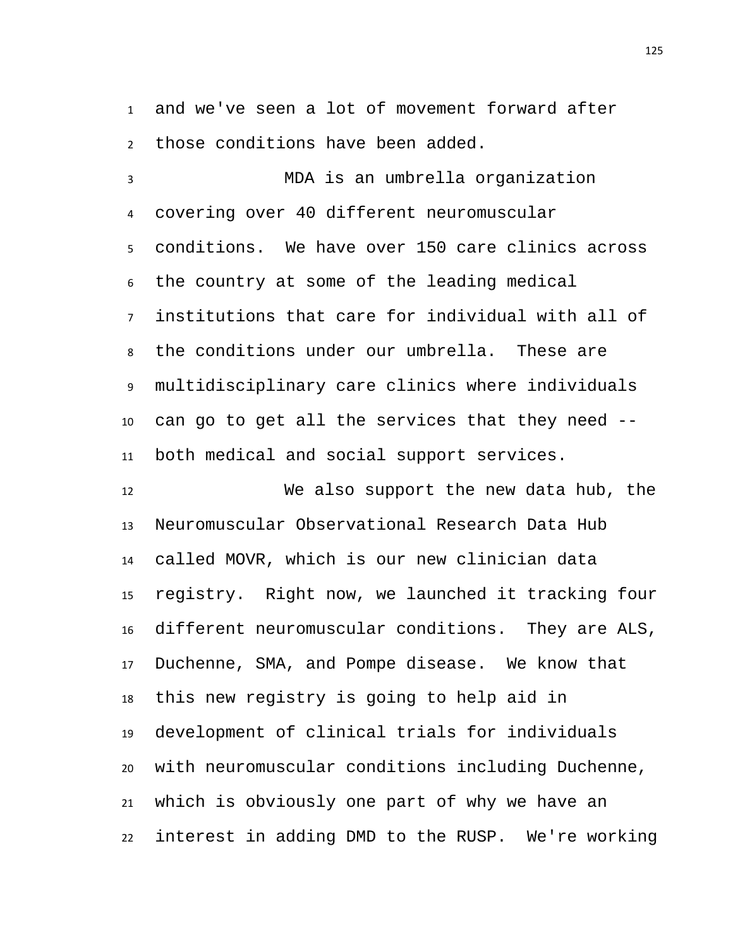and we've seen a lot of movement forward after those conditions have been added.

 MDA is an umbrella organization covering over 40 different neuromuscular conditions. We have over 150 care clinics across the country at some of the leading medical institutions that care for individual with all of the conditions under our umbrella. These are multidisciplinary care clinics where individuals can go to get all the services that they need -- both medical and social support services.

 We also support the new data hub, the Neuromuscular Observational Research Data Hub called MOVR, which is our new clinician data registry. Right now, we launched it tracking four different neuromuscular conditions. They are ALS, Duchenne, SMA, and Pompe disease. We know that this new registry is going to help aid in development of clinical trials for individuals with neuromuscular conditions including Duchenne, which is obviously one part of why we have an interest in adding DMD to the RUSP. We're working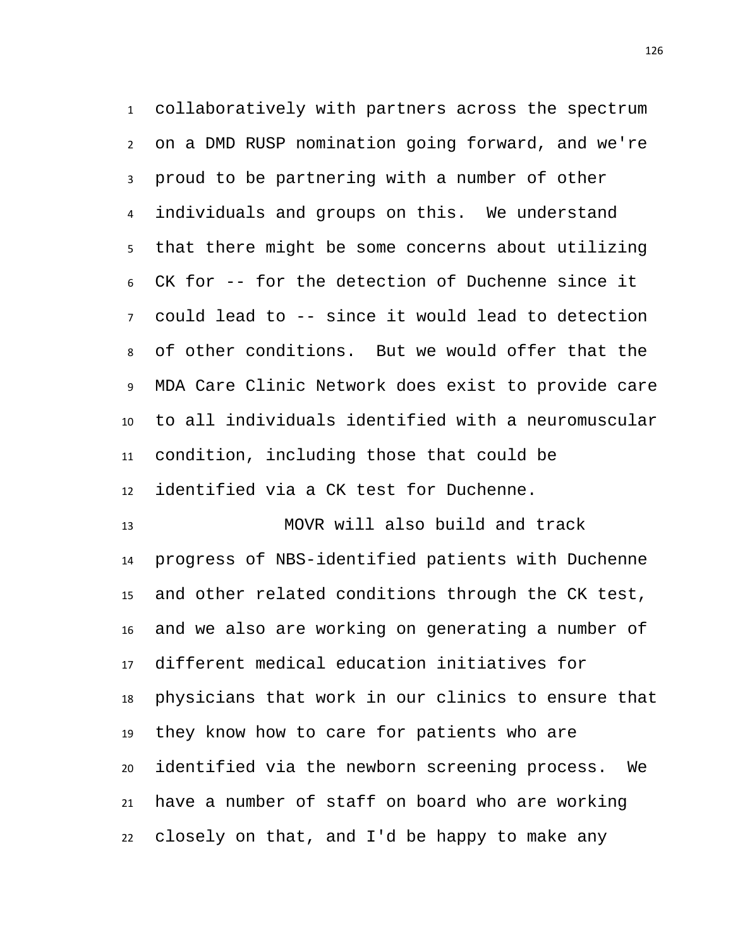collaboratively with partners across the spectrum on a DMD RUSP nomination going forward, and we're proud to be partnering with a number of other individuals and groups on this. We understand that there might be some concerns about utilizing CK for -- for the detection of Duchenne since it could lead to -- since it would lead to detection of other conditions. But we would offer that the MDA Care Clinic Network does exist to provide care to all individuals identified with a neuromuscular condition, including those that could be identified via a CK test for Duchenne.

 MOVR will also build and track progress of NBS-identified patients with Duchenne and other related conditions through the CK test, and we also are working on generating a number of different medical education initiatives for physicians that work in our clinics to ensure that they know how to care for patients who are identified via the newborn screening process. We have a number of staff on board who are working closely on that, and I'd be happy to make any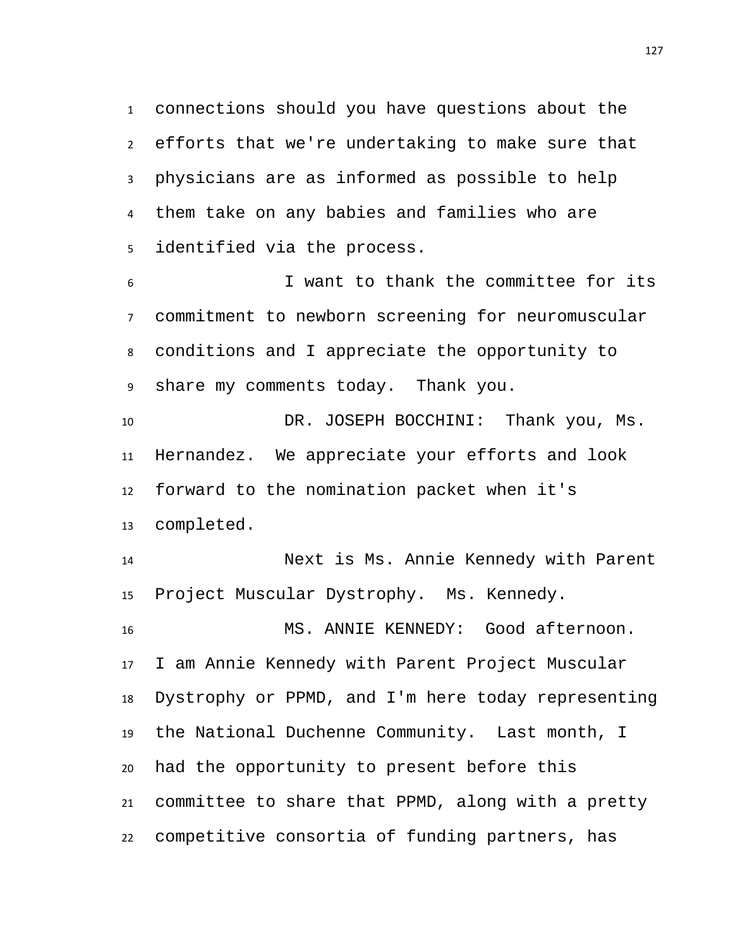connections should you have questions about the efforts that we're undertaking to make sure that physicians are as informed as possible to help them take on any babies and families who are identified via the process.

 I want to thank the committee for its commitment to newborn screening for neuromuscular conditions and I appreciate the opportunity to share my comments today. Thank you.

 DR. JOSEPH BOCCHINI: Thank you, Ms. Hernandez. We appreciate your efforts and look forward to the nomination packet when it's completed.

 Next is Ms. Annie Kennedy with Parent Project Muscular Dystrophy. Ms. Kennedy.

 MS. ANNIE KENNEDY: Good afternoon. I am Annie Kennedy with Parent Project Muscular Dystrophy or PPMD, and I'm here today representing the National Duchenne Community. Last month, I had the opportunity to present before this committee to share that PPMD, along with a pretty competitive consortia of funding partners, has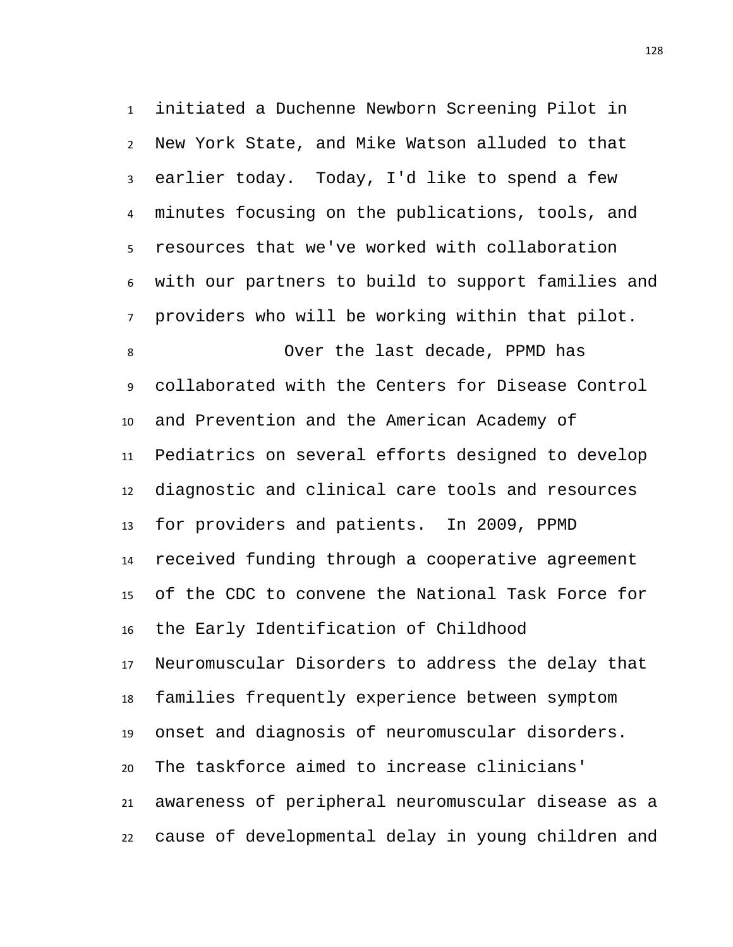initiated a Duchenne Newborn Screening Pilot in New York State, and Mike Watson alluded to that earlier today. Today, I'd like to spend a few minutes focusing on the publications, tools, and resources that we've worked with collaboration with our partners to build to support families and providers who will be working within that pilot. Over the last decade, PPMD has collaborated with the Centers for Disease Control and Prevention and the American Academy of Pediatrics on several efforts designed to develop diagnostic and clinical care tools and resources for providers and patients. In 2009, PPMD received funding through a cooperative agreement of the CDC to convene the National Task Force for the Early Identification of Childhood Neuromuscular Disorders to address the delay that families frequently experience between symptom onset and diagnosis of neuromuscular disorders. The taskforce aimed to increase clinicians' awareness of peripheral neuromuscular disease as a cause of developmental delay in young children and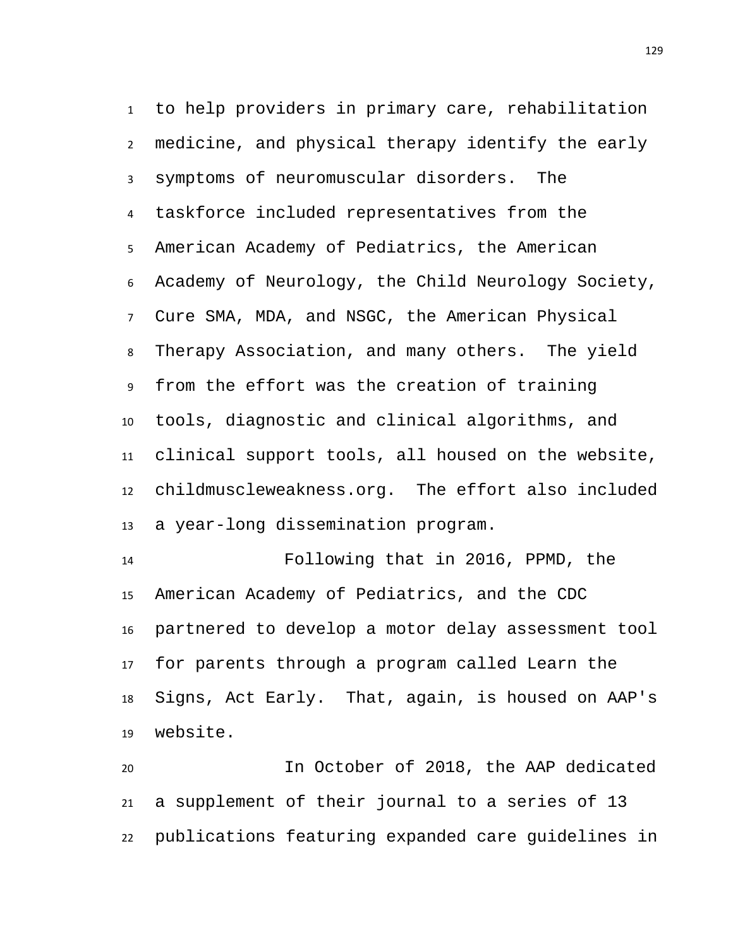to help providers in primary care, rehabilitation medicine, and physical therapy identify the early symptoms of neuromuscular disorders. The taskforce included representatives from the American Academy of Pediatrics, the American Academy of Neurology, the Child Neurology Society, Cure SMA, MDA, and NSGC, the American Physical Therapy Association, and many others. The yield from the effort was the creation of training tools, diagnostic and clinical algorithms, and clinical support tools, all housed on the website, childmuscleweakness.org. The effort also included a year-long dissemination program.

 Following that in 2016, PPMD, the American Academy of Pediatrics, and the CDC partnered to develop a motor delay assessment tool for parents through a program called Learn the Signs, Act Early. That, again, is housed on AAP's website.

 In October of 2018, the AAP dedicated a supplement of their journal to a series of 13 publications featuring expanded care guidelines in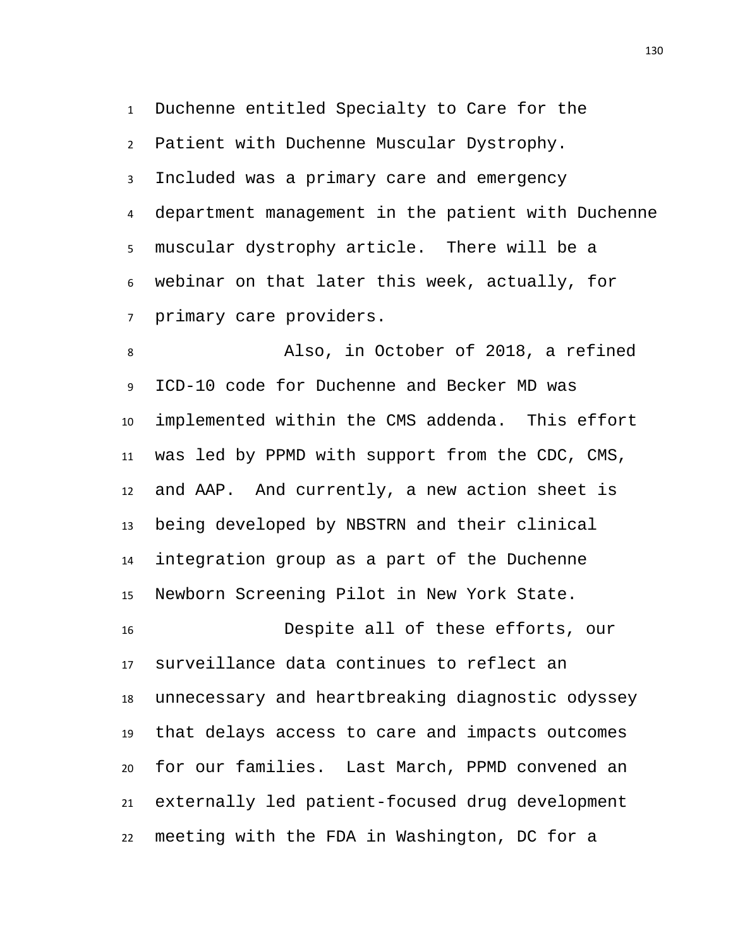Duchenne entitled Specialty to Care for the Patient with Duchenne Muscular Dystrophy. Included was a primary care and emergency department management in the patient with Duchenne muscular dystrophy article. There will be a webinar on that later this week, actually, for primary care providers.

 Also, in October of 2018, a refined ICD-10 code for Duchenne and Becker MD was implemented within the CMS addenda. This effort was led by PPMD with support from the CDC, CMS, and AAP. And currently, a new action sheet is being developed by NBSTRN and their clinical integration group as a part of the Duchenne Newborn Screening Pilot in New York State.

 Despite all of these efforts, our surveillance data continues to reflect an unnecessary and heartbreaking diagnostic odyssey that delays access to care and impacts outcomes for our families. Last March, PPMD convened an externally led patient-focused drug development meeting with the FDA in Washington, DC for a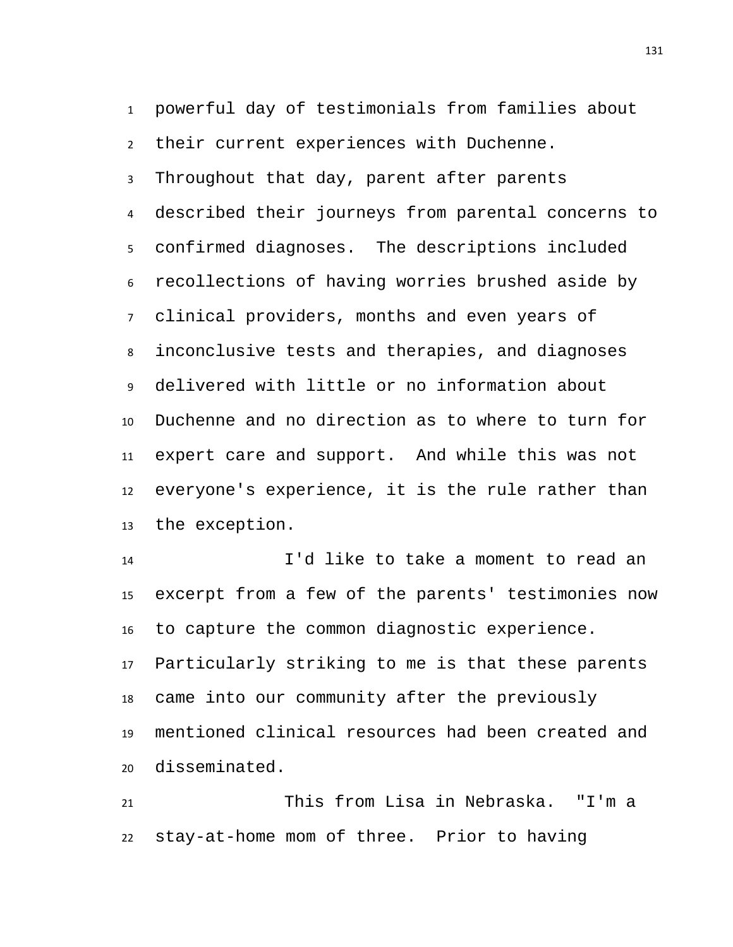powerful day of testimonials from families about their current experiences with Duchenne. Throughout that day, parent after parents described their journeys from parental concerns to confirmed diagnoses. The descriptions included recollections of having worries brushed aside by clinical providers, months and even years of inconclusive tests and therapies, and diagnoses delivered with little or no information about Duchenne and no direction as to where to turn for expert care and support. And while this was not everyone's experience, it is the rule rather than the exception.

 I'd like to take a moment to read an excerpt from a few of the parents' testimonies now to capture the common diagnostic experience. Particularly striking to me is that these parents came into our community after the previously mentioned clinical resources had been created and disseminated.

 This from Lisa in Nebraska. "I'm a stay-at-home mom of three. Prior to having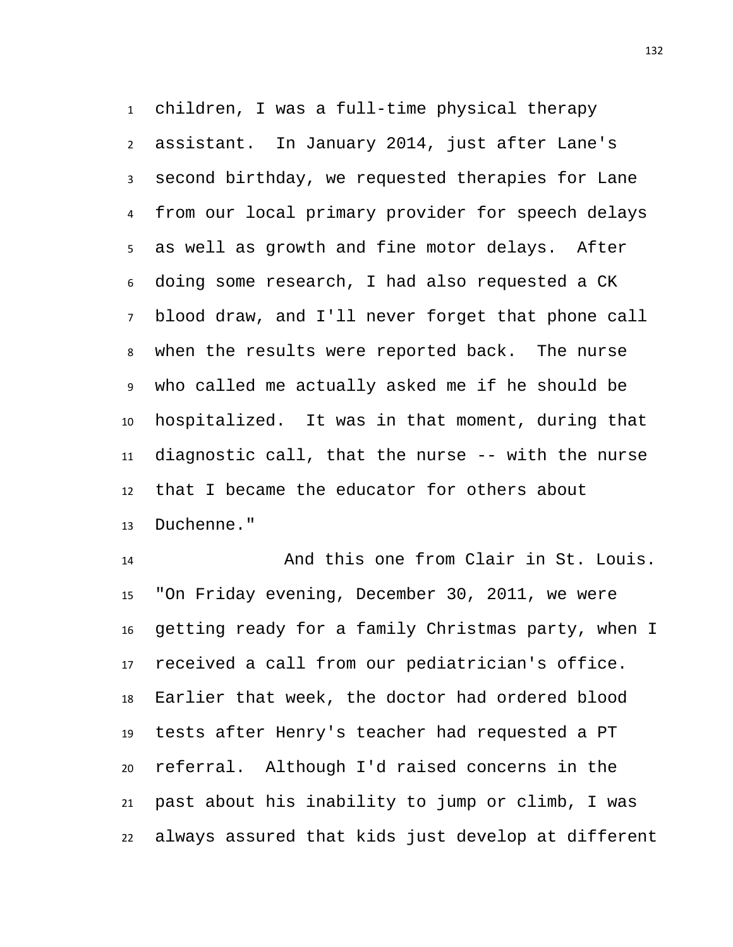children, I was a full-time physical therapy assistant. In January 2014, just after Lane's second birthday, we requested therapies for Lane from our local primary provider for speech delays as well as growth and fine motor delays. After doing some research, I had also requested a CK blood draw, and I'll never forget that phone call when the results were reported back. The nurse who called me actually asked me if he should be hospitalized. It was in that moment, during that diagnostic call, that the nurse -- with the nurse that I became the educator for others about Duchenne."

 And this one from Clair in St. Louis. "On Friday evening, December 30, 2011, we were getting ready for a family Christmas party, when I received a call from our pediatrician's office. Earlier that week, the doctor had ordered blood tests after Henry's teacher had requested a PT referral. Although I'd raised concerns in the past about his inability to jump or climb, I was always assured that kids just develop at different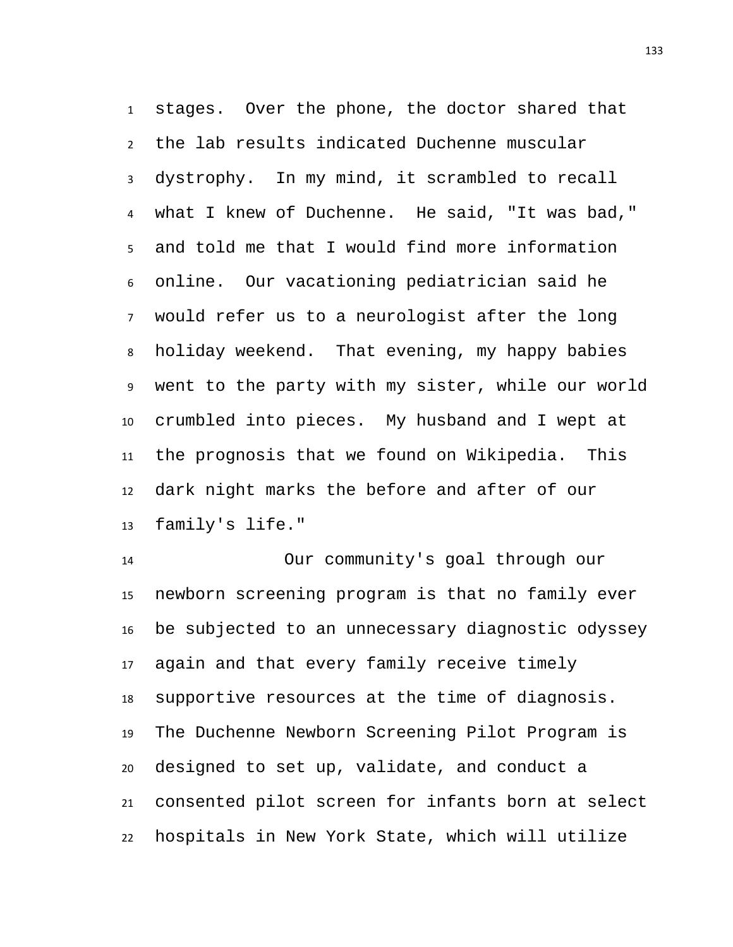stages. Over the phone, the doctor shared that the lab results indicated Duchenne muscular dystrophy. In my mind, it scrambled to recall what I knew of Duchenne. He said, "It was bad," and told me that I would find more information online. Our vacationing pediatrician said he would refer us to a neurologist after the long holiday weekend. That evening, my happy babies went to the party with my sister, while our world crumbled into pieces. My husband and I wept at the prognosis that we found on Wikipedia. This dark night marks the before and after of our family's life."

 Our community's goal through our newborn screening program is that no family ever be subjected to an unnecessary diagnostic odyssey again and that every family receive timely supportive resources at the time of diagnosis. The Duchenne Newborn Screening Pilot Program is designed to set up, validate, and conduct a consented pilot screen for infants born at select hospitals in New York State, which will utilize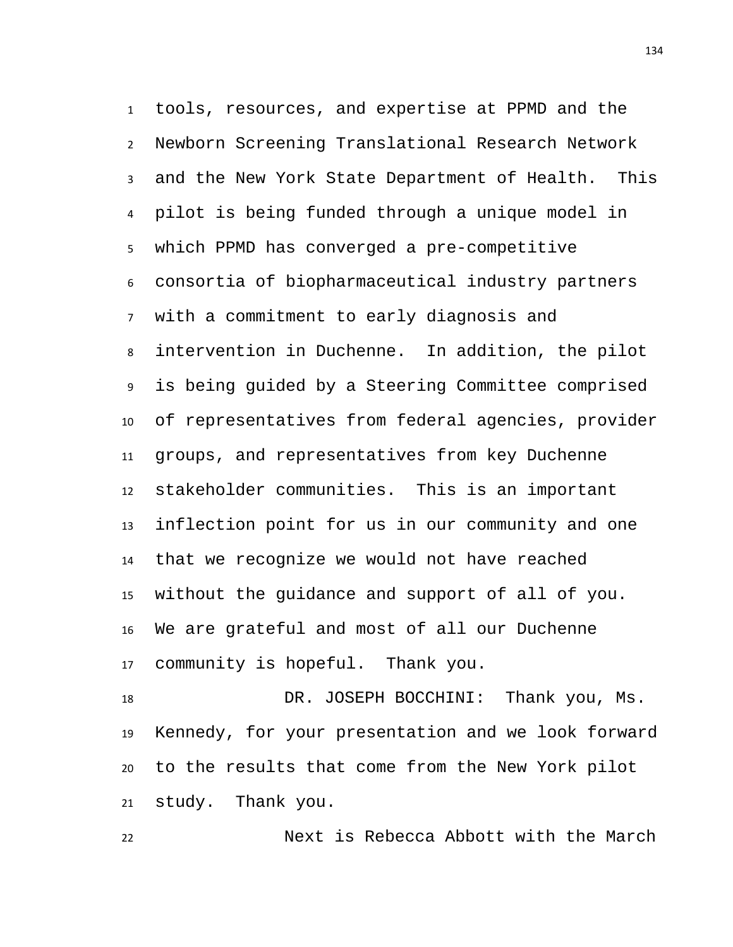tools, resources, and expertise at PPMD and the Newborn Screening Translational Research Network and the New York State Department of Health. This pilot is being funded through a unique model in which PPMD has converged a pre-competitive consortia of biopharmaceutical industry partners with a commitment to early diagnosis and intervention in Duchenne. In addition, the pilot is being guided by a Steering Committee comprised of representatives from federal agencies, provider groups, and representatives from key Duchenne stakeholder communities. This is an important inflection point for us in our community and one that we recognize we would not have reached without the guidance and support of all of you. We are grateful and most of all our Duchenne community is hopeful. Thank you.

 DR. JOSEPH BOCCHINI: Thank you, Ms. Kennedy, for your presentation and we look forward to the results that come from the New York pilot study. Thank you.

Next is Rebecca Abbott with the March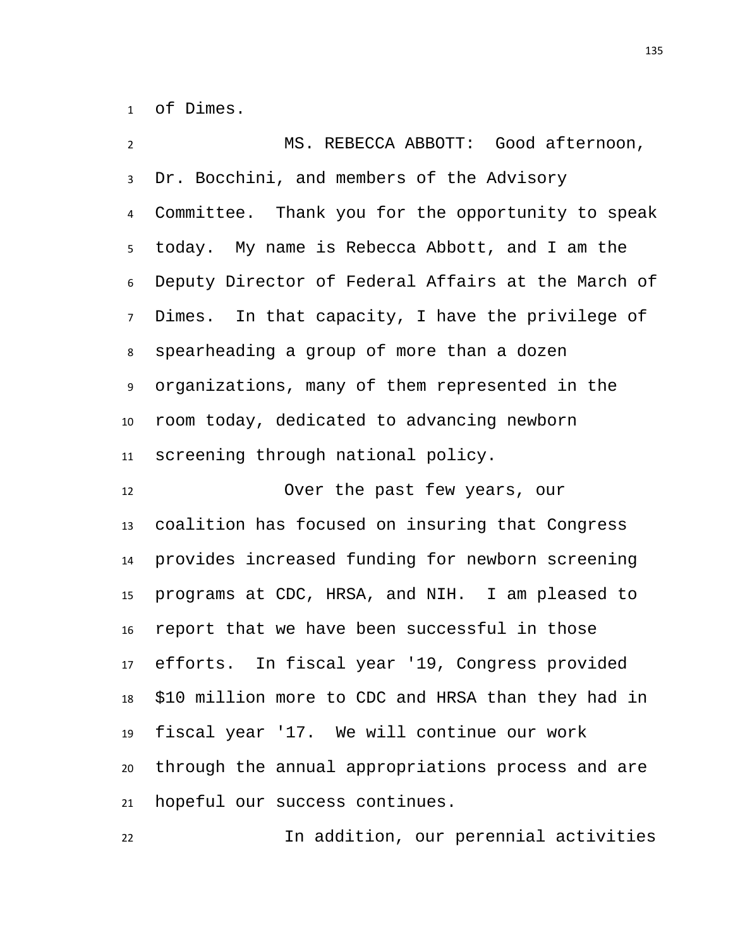of Dimes.

 MS. REBECCA ABBOTT: Good afternoon, Dr. Bocchini, and members of the Advisory Committee. Thank you for the opportunity to speak today. My name is Rebecca Abbott, and I am the Deputy Director of Federal Affairs at the March of Dimes. In that capacity, I have the privilege of spearheading a group of more than a dozen organizations, many of them represented in the room today, dedicated to advancing newborn screening through national policy. Over the past few years, our coalition has focused on insuring that Congress provides increased funding for newborn screening programs at CDC, HRSA, and NIH. I am pleased to report that we have been successful in those efforts. In fiscal year '19, Congress provided \$10 million more to CDC and HRSA than they had in fiscal year '17. We will continue our work through the annual appropriations process and are hopeful our success continues.

In addition, our perennial activities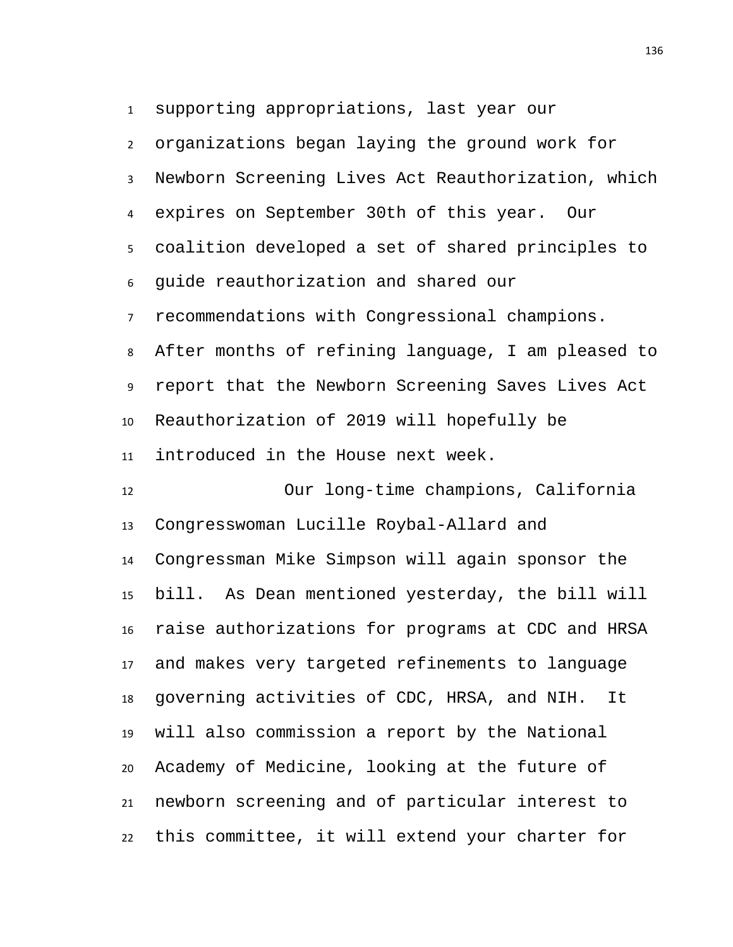supporting appropriations, last year our

 organizations began laying the ground work for Newborn Screening Lives Act Reauthorization, which expires on September 30th of this year. Our coalition developed a set of shared principles to guide reauthorization and shared our recommendations with Congressional champions. After months of refining language, I am pleased to report that the Newborn Screening Saves Lives Act Reauthorization of 2019 will hopefully be introduced in the House next week. Our long-time champions, California Congresswoman Lucille Roybal-Allard and Congressman Mike Simpson will again sponsor the bill. As Dean mentioned yesterday, the bill will raise authorizations for programs at CDC and HRSA and makes very targeted refinements to language governing activities of CDC, HRSA, and NIH. It will also commission a report by the National Academy of Medicine, looking at the future of newborn screening and of particular interest to this committee, it will extend your charter for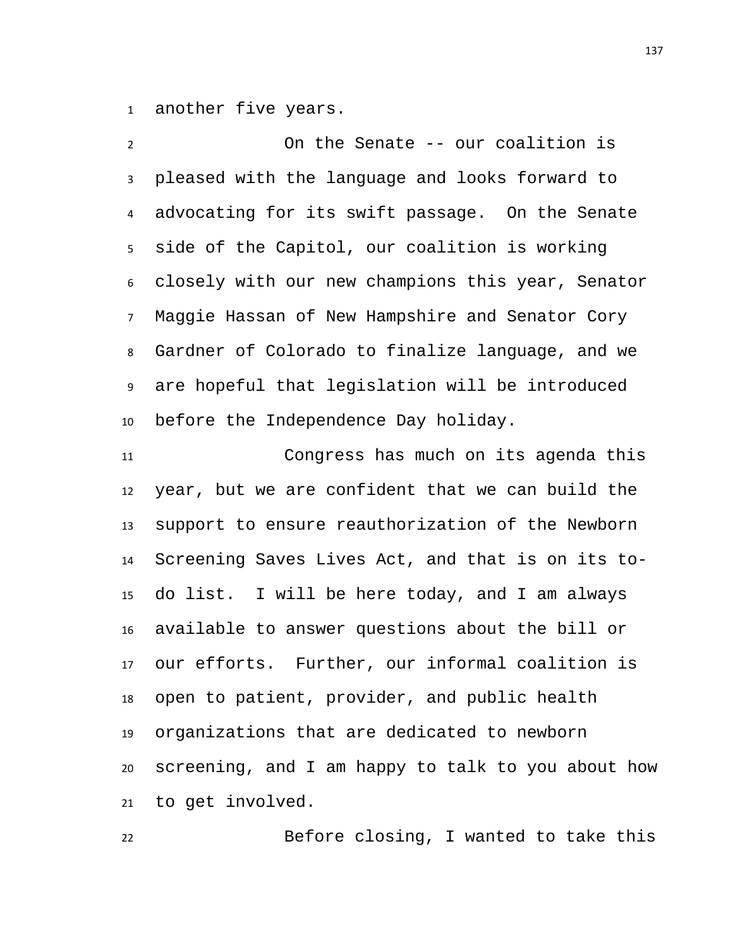another five years.

 On the Senate -- our coalition is pleased with the language and looks forward to advocating for its swift passage. On the Senate side of the Capitol, our coalition is working closely with our new champions this year, Senator Maggie Hassan of New Hampshire and Senator Cory Gardner of Colorado to finalize language, and we are hopeful that legislation will be introduced before the Independence Day holiday.

 Congress has much on its agenda this year, but we are confident that we can build the support to ensure reauthorization of the Newborn Screening Saves Lives Act, and that is on its to- do list. I will be here today, and I am always available to answer questions about the bill or our efforts. Further, our informal coalition is open to patient, provider, and public health organizations that are dedicated to newborn screening, and I am happy to talk to you about how to get involved.

Before closing, I wanted to take this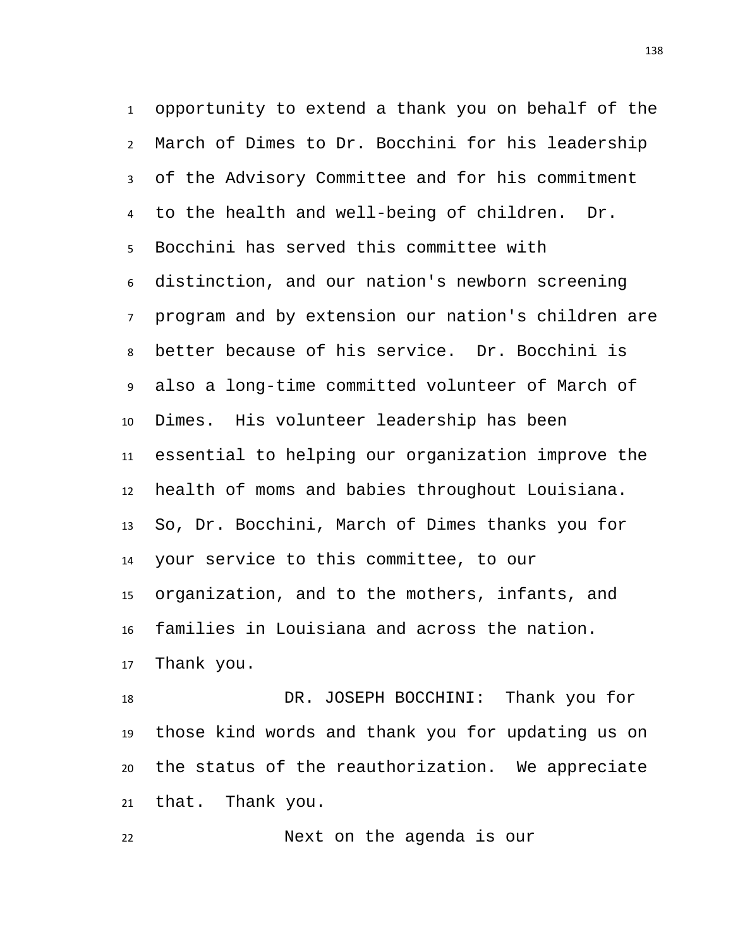opportunity to extend a thank you on behalf of the March of Dimes to Dr. Bocchini for his leadership of the Advisory Committee and for his commitment to the health and well-being of children. Dr. Bocchini has served this committee with distinction, and our nation's newborn screening program and by extension our nation's children are better because of his service. Dr. Bocchini is also a long-time committed volunteer of March of Dimes. His volunteer leadership has been essential to helping our organization improve the health of moms and babies throughout Louisiana. So, Dr. Bocchini, March of Dimes thanks you for your service to this committee, to our organization, and to the mothers, infants, and families in Louisiana and across the nation. Thank you.

 DR. JOSEPH BOCCHINI: Thank you for those kind words and thank you for updating us on the status of the reauthorization. We appreciate that. Thank you.

Next on the agenda is our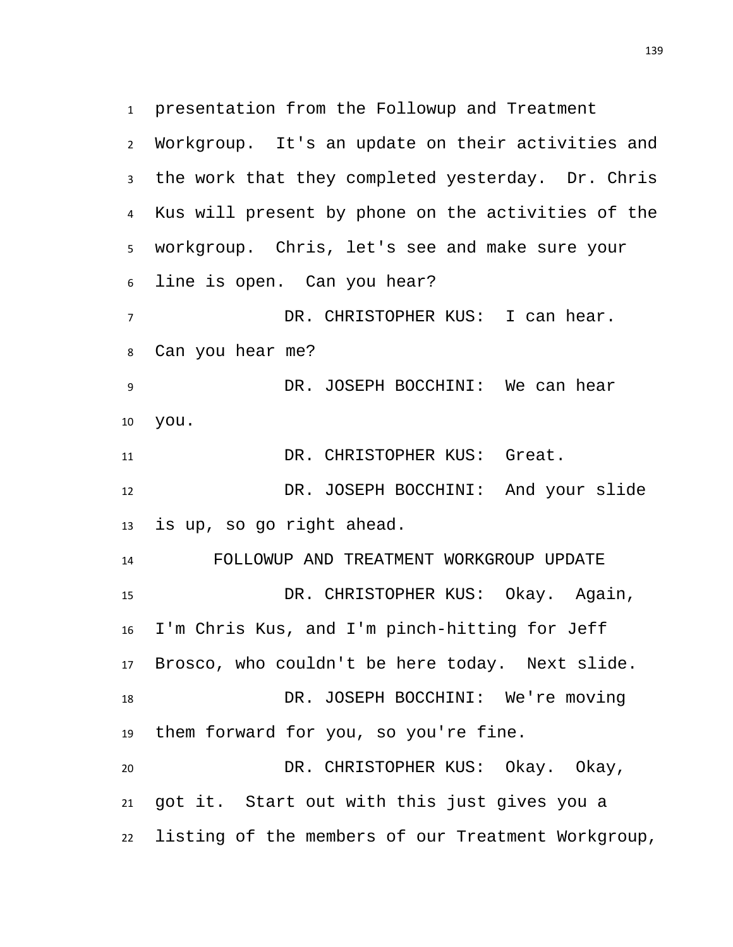presentation from the Followup and Treatment Workgroup. It's an update on their activities and the work that they completed yesterday. Dr. Chris Kus will present by phone on the activities of the workgroup. Chris, let's see and make sure your line is open. Can you hear? DR. CHRISTOPHER KUS: I can hear. Can you hear me? DR. JOSEPH BOCCHINI: We can hear you. 11 DR. CHRISTOPHER KUS: Great. DR. JOSEPH BOCCHINI: And your slide is up, so go right ahead. FOLLOWUP AND TREATMENT WORKGROUP UPDATE DR. CHRISTOPHER KUS: Okay. Again, I'm Chris Kus, and I'm pinch-hitting for Jeff Brosco, who couldn't be here today. Next slide.

 DR. JOSEPH BOCCHINI: We're moving them forward for you, so you're fine.

 DR. CHRISTOPHER KUS: Okay. Okay, got it. Start out with this just gives you a listing of the members of our Treatment Workgroup,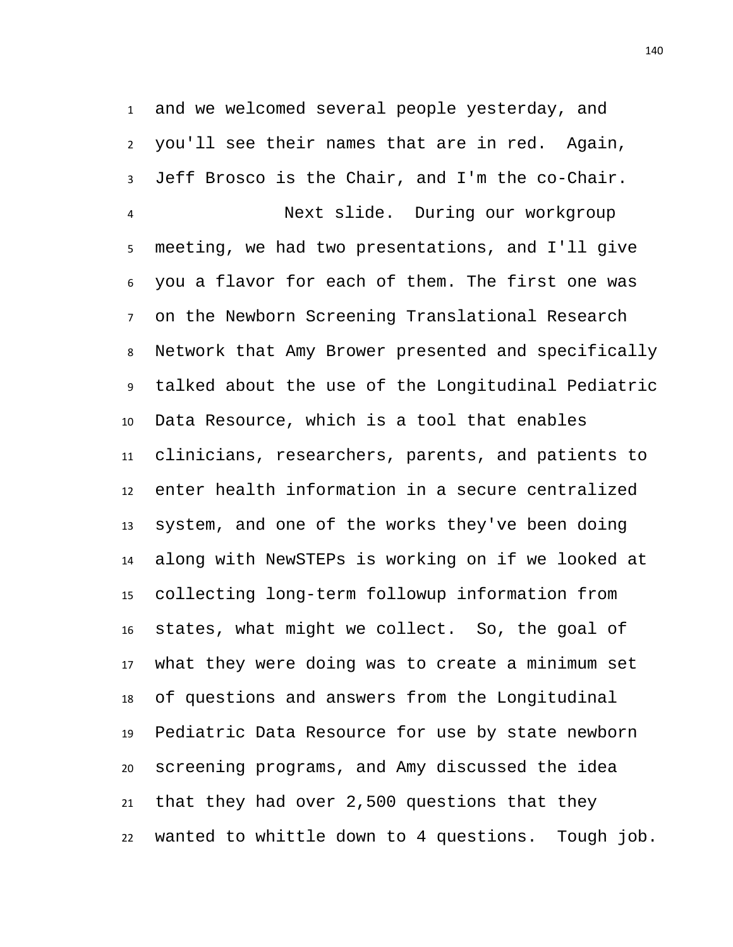and we welcomed several people yesterday, and you'll see their names that are in red. Again, Jeff Brosco is the Chair, and I'm the co-Chair. Next slide. During our workgroup meeting, we had two presentations, and I'll give you a flavor for each of them. The first one was on the Newborn Screening Translational Research Network that Amy Brower presented and specifically talked about the use of the Longitudinal Pediatric Data Resource, which is a tool that enables clinicians, researchers, parents, and patients to enter health information in a secure centralized system, and one of the works they've been doing along with NewSTEPs is working on if we looked at collecting long-term followup information from states, what might we collect. So, the goal of what they were doing was to create a minimum set of questions and answers from the Longitudinal Pediatric Data Resource for use by state newborn screening programs, and Amy discussed the idea that they had over 2,500 questions that they wanted to whittle down to 4 questions. Tough job.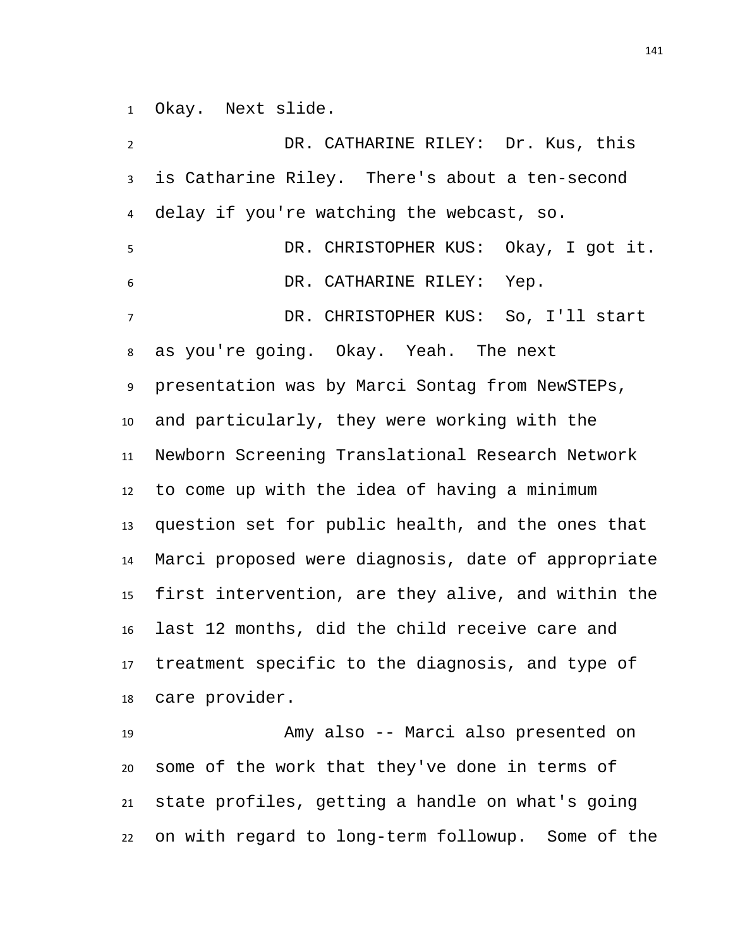Okay. Next slide.

 DR. CATHARINE RILEY: Dr. Kus, this is Catharine Riley. There's about a ten-second delay if you're watching the webcast, so. DR. CHRISTOPHER KUS: Okay, I got it. DR. CATHARINE RILEY: Yep. DR. CHRISTOPHER KUS: So, I'll start as you're going. Okay. Yeah. The next presentation was by Marci Sontag from NewSTEPs, and particularly, they were working with the Newborn Screening Translational Research Network to come up with the idea of having a minimum question set for public health, and the ones that Marci proposed were diagnosis, date of appropriate first intervention, are they alive, and within the last 12 months, did the child receive care and treatment specific to the diagnosis, and type of care provider.

 Amy also -- Marci also presented on some of the work that they've done in terms of state profiles, getting a handle on what's going on with regard to long-term followup. Some of the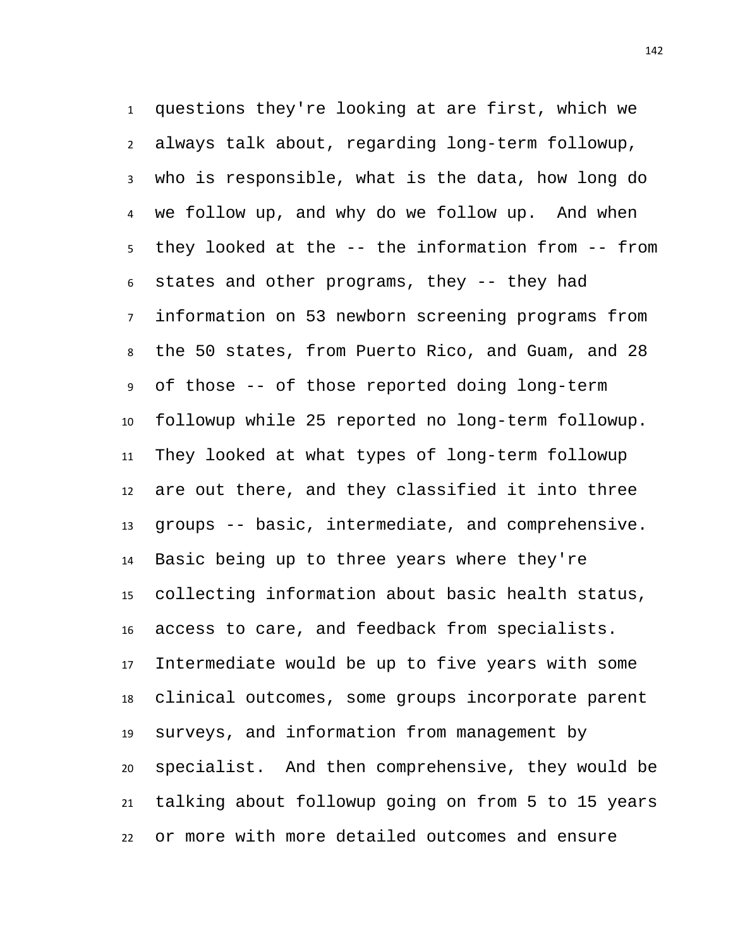questions they're looking at are first, which we always talk about, regarding long-term followup, who is responsible, what is the data, how long do we follow up, and why do we follow up. And when they looked at the -- the information from -- from states and other programs, they -- they had information on 53 newborn screening programs from the 50 states, from Puerto Rico, and Guam, and 28 of those -- of those reported doing long-term followup while 25 reported no long-term followup. They looked at what types of long-term followup are out there, and they classified it into three groups -- basic, intermediate, and comprehensive. Basic being up to three years where they're collecting information about basic health status, access to care, and feedback from specialists. Intermediate would be up to five years with some clinical outcomes, some groups incorporate parent surveys, and information from management by specialist. And then comprehensive, they would be talking about followup going on from 5 to 15 years or more with more detailed outcomes and ensure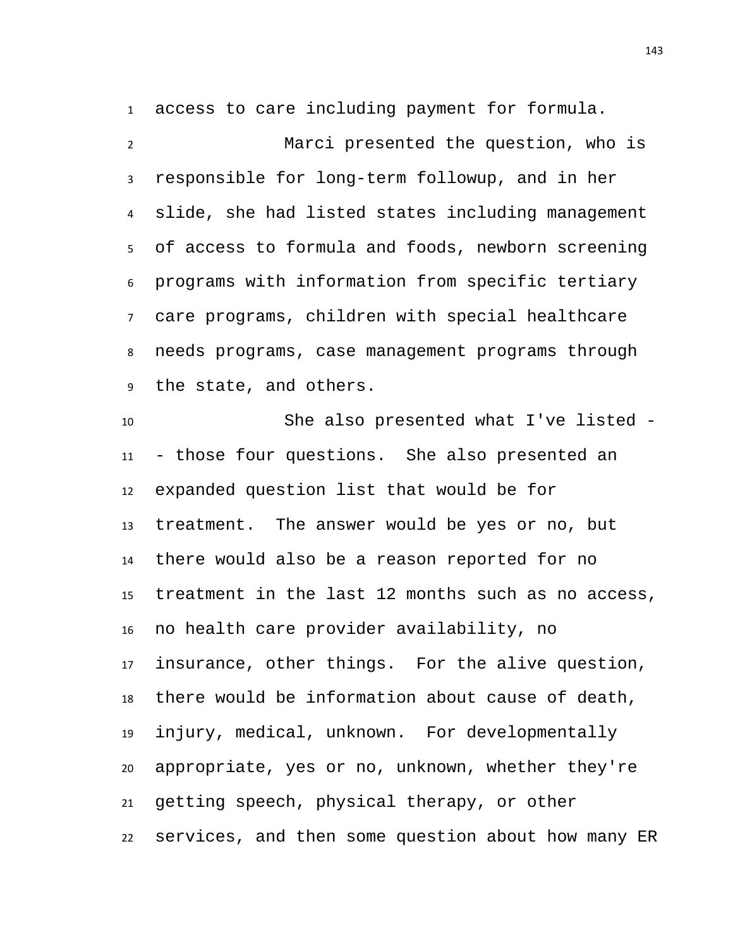access to care including payment for formula.

 Marci presented the question, who is responsible for long-term followup, and in her slide, she had listed states including management of access to formula and foods, newborn screening programs with information from specific tertiary care programs, children with special healthcare needs programs, case management programs through the state, and others.

 She also presented what I've listed - - those four questions. She also presented an expanded question list that would be for treatment. The answer would be yes or no, but there would also be a reason reported for no treatment in the last 12 months such as no access, no health care provider availability, no insurance, other things. For the alive question, there would be information about cause of death, injury, medical, unknown. For developmentally appropriate, yes or no, unknown, whether they're getting speech, physical therapy, or other services, and then some question about how many ER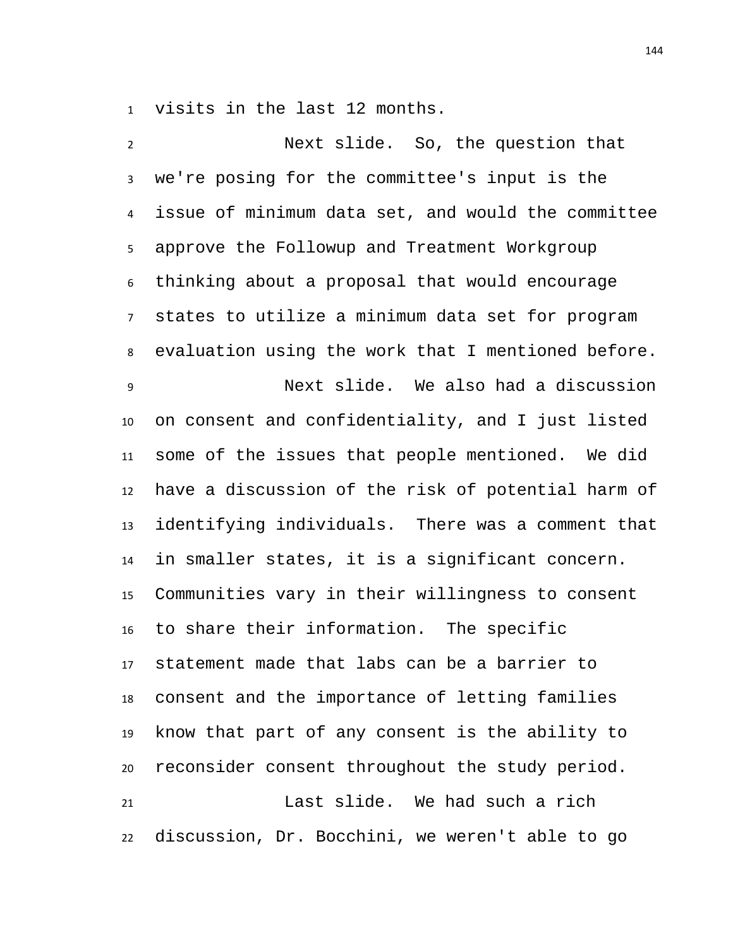visits in the last 12 months.

 Next slide. So, the question that we're posing for the committee's input is the issue of minimum data set, and would the committee approve the Followup and Treatment Workgroup thinking about a proposal that would encourage states to utilize a minimum data set for program evaluation using the work that I mentioned before. Next slide. We also had a discussion on consent and confidentiality, and I just listed some of the issues that people mentioned. We did have a discussion of the risk of potential harm of identifying individuals. There was a comment that in smaller states, it is a significant concern. Communities vary in their willingness to consent to share their information. The specific statement made that labs can be a barrier to consent and the importance of letting families know that part of any consent is the ability to reconsider consent throughout the study period. Last slide. We had such a rich discussion, Dr. Bocchini, we weren't able to go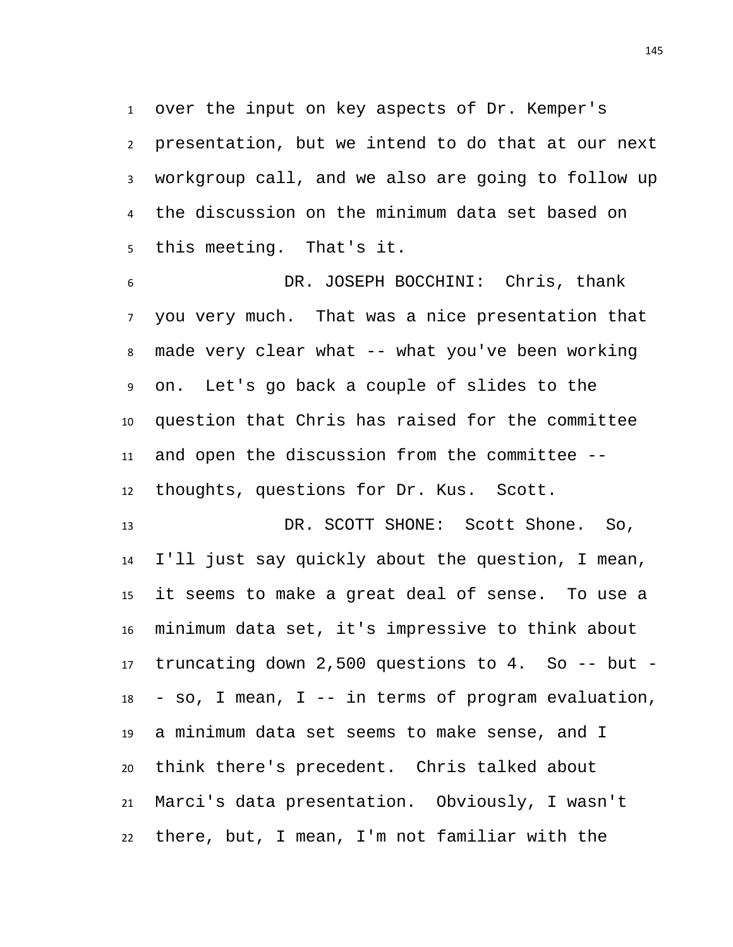over the input on key aspects of Dr. Kemper's presentation, but we intend to do that at our next workgroup call, and we also are going to follow up the discussion on the minimum data set based on this meeting. That's it.

 DR. JOSEPH BOCCHINI: Chris, thank you very much. That was a nice presentation that made very clear what -- what you've been working on. Let's go back a couple of slides to the question that Chris has raised for the committee and open the discussion from the committee -- thoughts, questions for Dr. Kus. Scott.

13 DR. SCOTT SHONE: Scott Shone. So, I'll just say quickly about the question, I mean, it seems to make a great deal of sense. To use a minimum data set, it's impressive to think about truncating down 2,500 questions to 4. So -- but - - so, I mean, I -- in terms of program evaluation, a minimum data set seems to make sense, and I think there's precedent. Chris talked about Marci's data presentation. Obviously, I wasn't there, but, I mean, I'm not familiar with the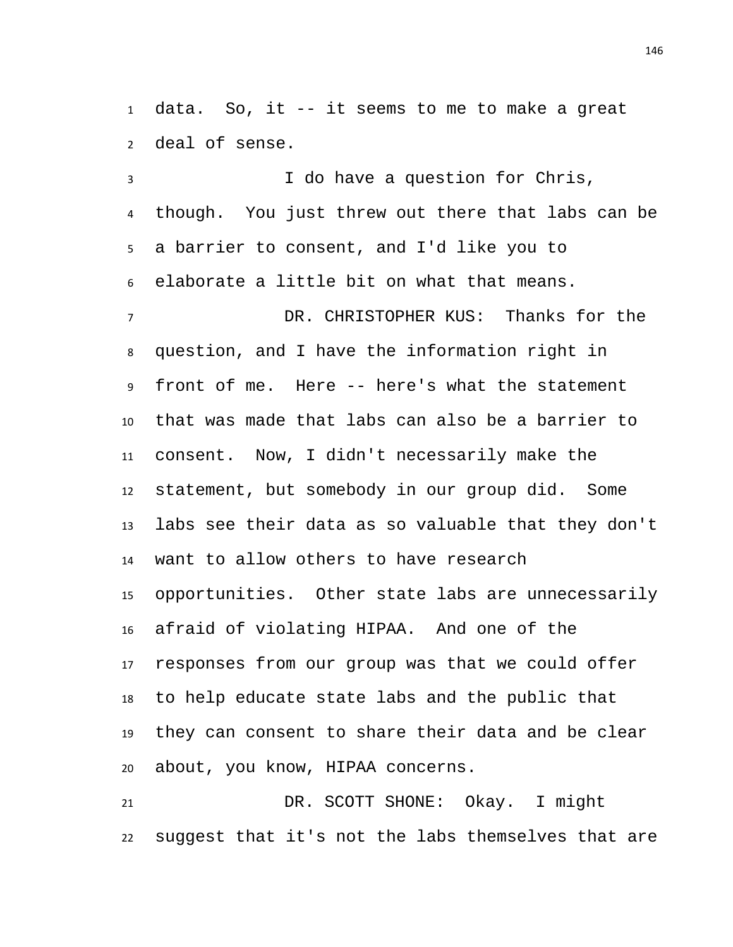data. So, it -- it seems to me to make a great deal of sense.

 I do have a question for Chris, though. You just threw out there that labs can be a barrier to consent, and I'd like you to elaborate a little bit on what that means. DR. CHRISTOPHER KUS: Thanks for the question, and I have the information right in front of me. Here -- here's what the statement that was made that labs can also be a barrier to consent. Now, I didn't necessarily make the statement, but somebody in our group did. Some labs see their data as so valuable that they don't want to allow others to have research opportunities. Other state labs are unnecessarily afraid of violating HIPAA. And one of the responses from our group was that we could offer to help educate state labs and the public that they can consent to share their data and be clear about, you know, HIPAA concerns.

 DR. SCOTT SHONE: Okay. I might suggest that it's not the labs themselves that are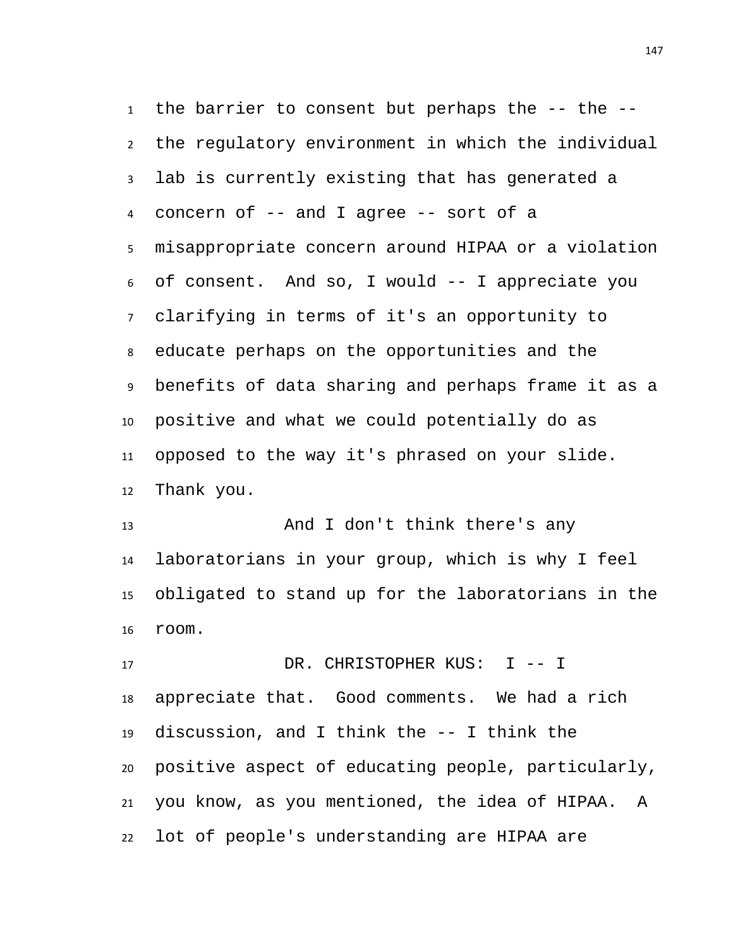the barrier to consent but perhaps the -- the -- the regulatory environment in which the individual lab is currently existing that has generated a concern of -- and I agree -- sort of a misappropriate concern around HIPAA or a violation of consent. And so, I would -- I appreciate you clarifying in terms of it's an opportunity to educate perhaps on the opportunities and the benefits of data sharing and perhaps frame it as a positive and what we could potentially do as opposed to the way it's phrased on your slide. Thank you.

13 And I don't think there's any laboratorians in your group, which is why I feel obligated to stand up for the laboratorians in the room.

17 DR. CHRISTOPHER KUS: I -- I appreciate that. Good comments. We had a rich discussion, and I think the -- I think the positive aspect of educating people, particularly, you know, as you mentioned, the idea of HIPAA. A lot of people's understanding are HIPAA are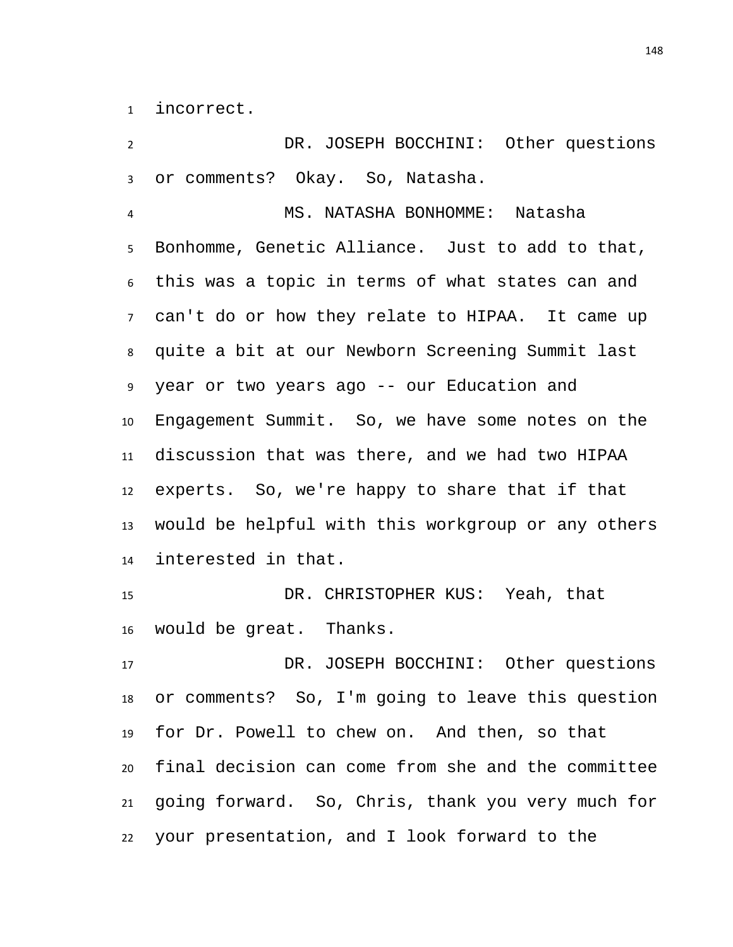incorrect.

 DR. JOSEPH BOCCHINI: Other questions or comments? Okay. So, Natasha.

 MS. NATASHA BONHOMME: Natasha Bonhomme, Genetic Alliance. Just to add to that, this was a topic in terms of what states can and can't do or how they relate to HIPAA. It came up quite a bit at our Newborn Screening Summit last year or two years ago -- our Education and Engagement Summit. So, we have some notes on the discussion that was there, and we had two HIPAA experts. So, we're happy to share that if that would be helpful with this workgroup or any others interested in that.

 DR. CHRISTOPHER KUS: Yeah, that would be great. Thanks.

 DR. JOSEPH BOCCHINI: Other questions or comments? So, I'm going to leave this question for Dr. Powell to chew on. And then, so that final decision can come from she and the committee going forward. So, Chris, thank you very much for your presentation, and I look forward to the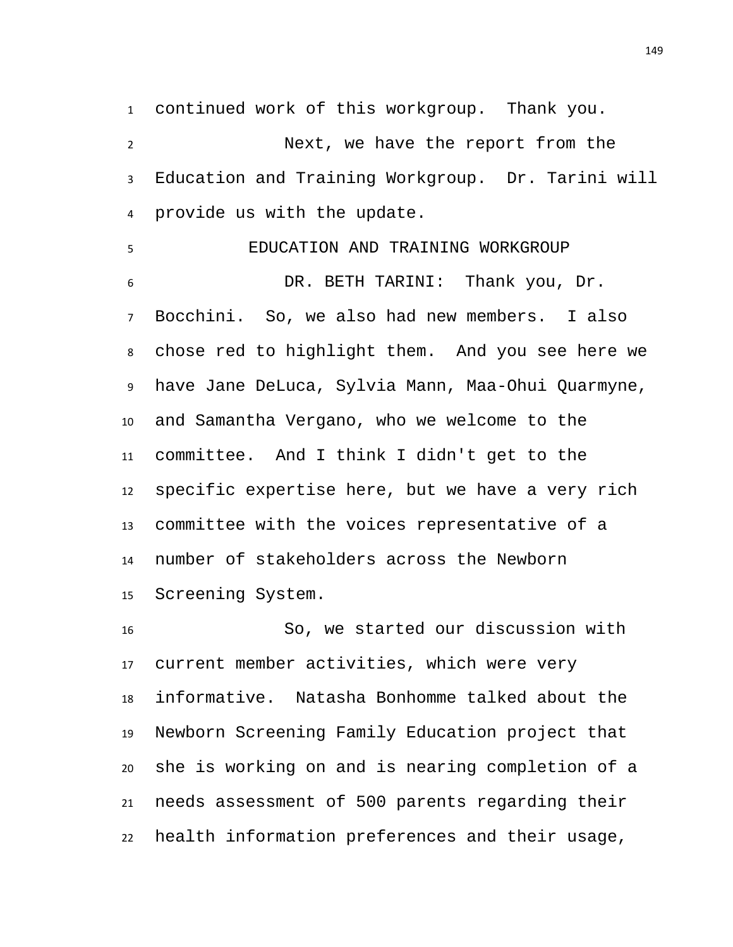continued work of this workgroup. Thank you.

 Next, we have the report from the Education and Training Workgroup. Dr. Tarini will provide us with the update.

 EDUCATION AND TRAINING WORKGROUP DR. BETH TARINI: Thank you, Dr. Bocchini. So, we also had new members. I also chose red to highlight them. And you see here we have Jane DeLuca, Sylvia Mann, Maa-Ohui Quarmyne, and Samantha Vergano, who we welcome to the committee. And I think I didn't get to the specific expertise here, but we have a very rich committee with the voices representative of a number of stakeholders across the Newborn Screening System.

 So, we started our discussion with current member activities, which were very informative. Natasha Bonhomme talked about the Newborn Screening Family Education project that she is working on and is nearing completion of a needs assessment of 500 parents regarding their health information preferences and their usage,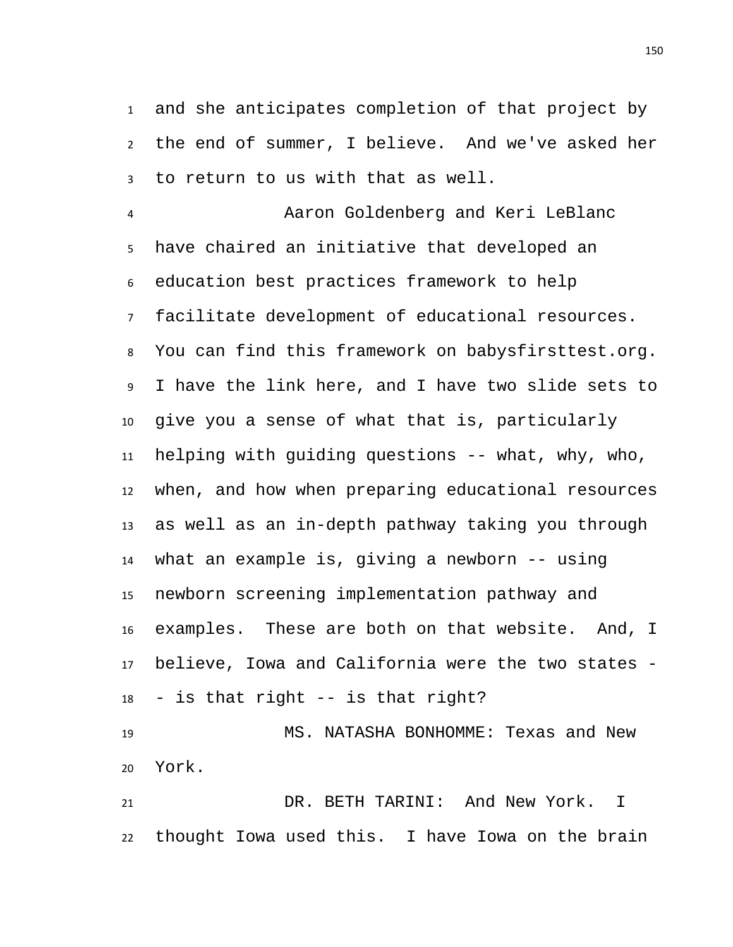and she anticipates completion of that project by the end of summer, I believe. And we've asked her to return to us with that as well.

 Aaron Goldenberg and Keri LeBlanc have chaired an initiative that developed an education best practices framework to help facilitate development of educational resources. You can find this framework on babysfirsttest.org. I have the link here, and I have two slide sets to give you a sense of what that is, particularly helping with guiding questions -- what, why, who, when, and how when preparing educational resources as well as an in-depth pathway taking you through what an example is, giving a newborn -- using newborn screening implementation pathway and examples. These are both on that website. And, I believe, Iowa and California were the two states - - is that right -- is that right?

 MS. NATASHA BONHOMME: Texas and New York.

 DR. BETH TARINI: And New York. I thought Iowa used this. I have Iowa on the brain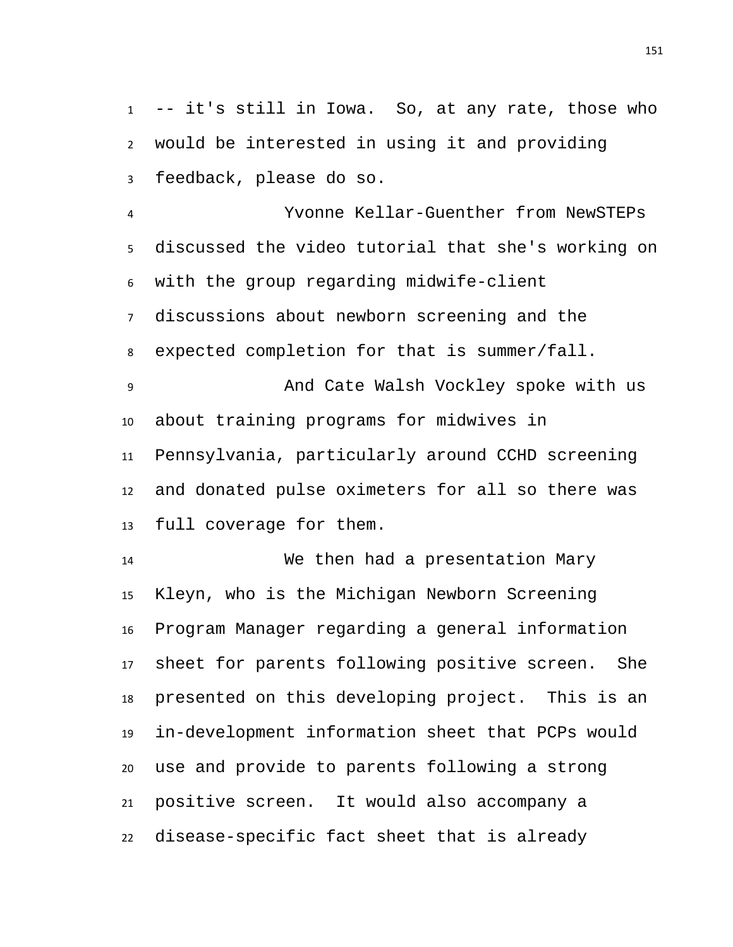-- it's still in Iowa. So, at any rate, those who would be interested in using it and providing feedback, please do so.

 Yvonne Kellar-Guenther from NewSTEPs discussed the video tutorial that she's working on with the group regarding midwife-client discussions about newborn screening and the expected completion for that is summer/fall. And Cate Walsh Vockley spoke with us about training programs for midwives in Pennsylvania, particularly around CCHD screening and donated pulse oximeters for all so there was full coverage for them.

 We then had a presentation Mary Kleyn, who is the Michigan Newborn Screening Program Manager regarding a general information sheet for parents following positive screen. She presented on this developing project. This is an in-development information sheet that PCPs would use and provide to parents following a strong positive screen. It would also accompany a disease-specific fact sheet that is already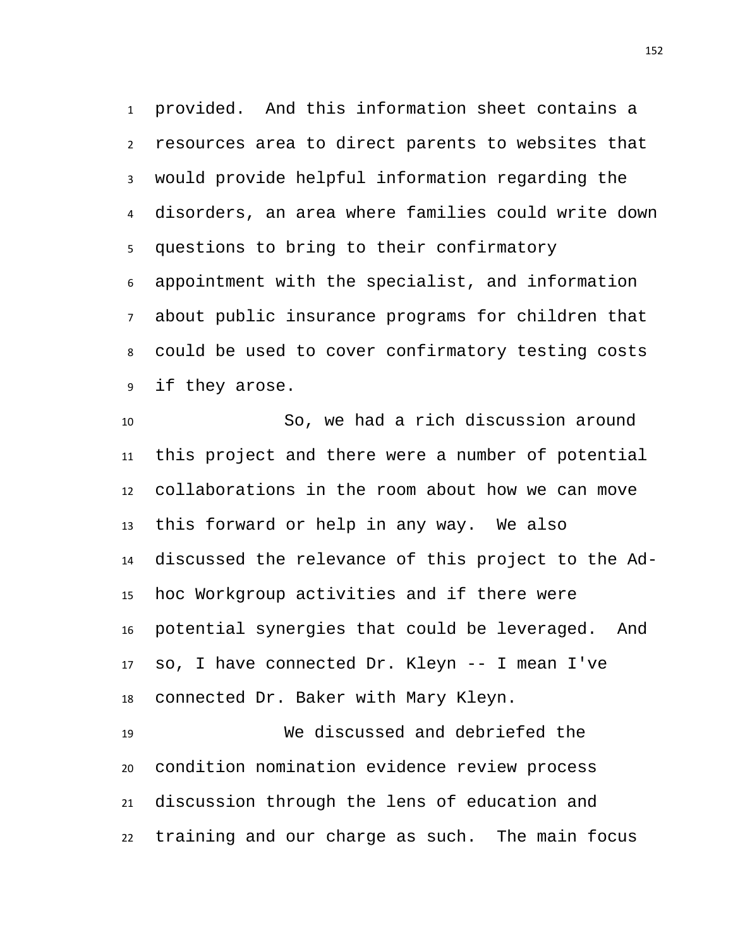provided. And this information sheet contains a resources area to direct parents to websites that would provide helpful information regarding the disorders, an area where families could write down questions to bring to their confirmatory appointment with the specialist, and information about public insurance programs for children that could be used to cover confirmatory testing costs if they arose.

 So, we had a rich discussion around this project and there were a number of potential collaborations in the room about how we can move this forward or help in any way. We also discussed the relevance of this project to the Ad- hoc Workgroup activities and if there were potential synergies that could be leveraged. And so, I have connected Dr. Kleyn -- I mean I've connected Dr. Baker with Mary Kleyn.

 We discussed and debriefed the condition nomination evidence review process discussion through the lens of education and training and our charge as such. The main focus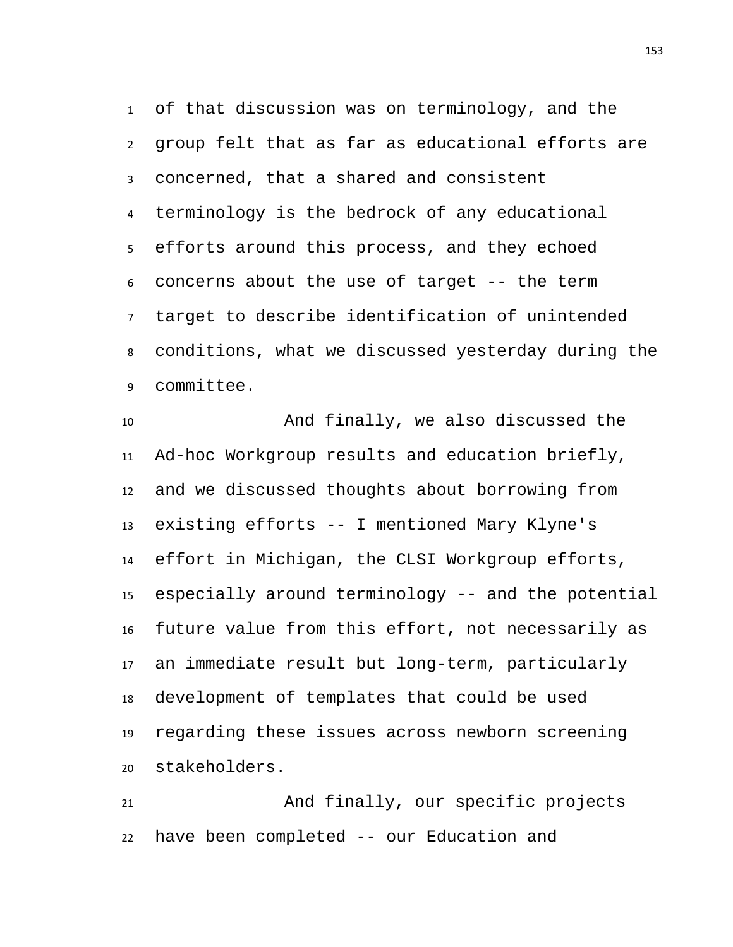of that discussion was on terminology, and the group felt that as far as educational efforts are concerned, that a shared and consistent terminology is the bedrock of any educational efforts around this process, and they echoed concerns about the use of target -- the term target to describe identification of unintended conditions, what we discussed yesterday during the committee.

 And finally, we also discussed the Ad-hoc Workgroup results and education briefly, and we discussed thoughts about borrowing from existing efforts -- I mentioned Mary Klyne's effort in Michigan, the CLSI Workgroup efforts, especially around terminology -- and the potential future value from this effort, not necessarily as an immediate result but long-term, particularly development of templates that could be used regarding these issues across newborn screening stakeholders.

 And finally, our specific projects have been completed -- our Education and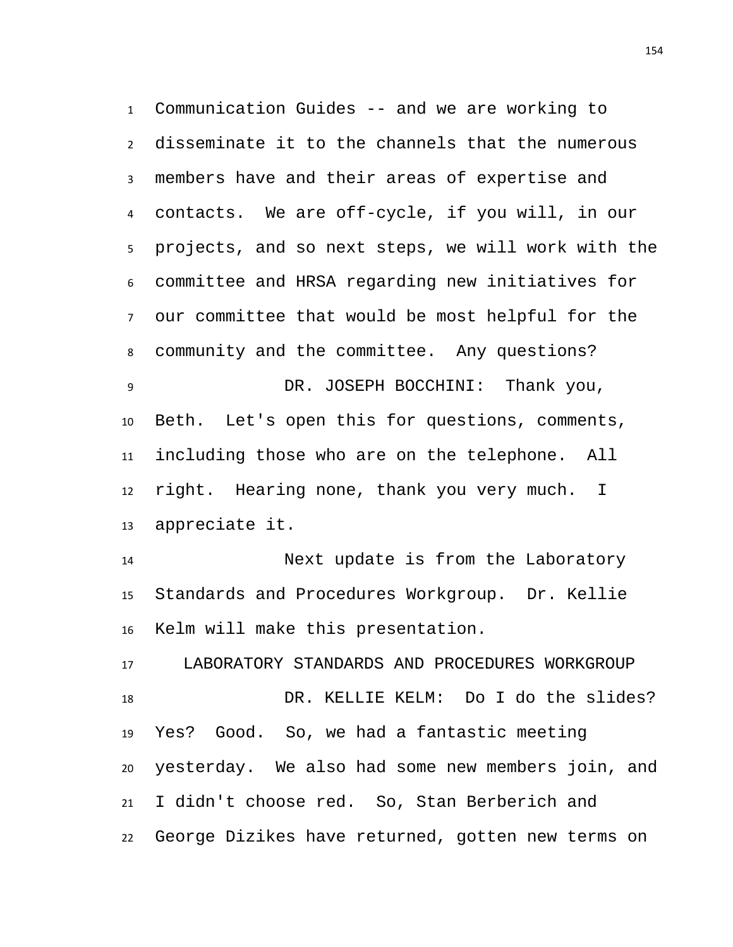Communication Guides -- and we are working to disseminate it to the channels that the numerous members have and their areas of expertise and contacts. We are off-cycle, if you will, in our projects, and so next steps, we will work with the committee and HRSA regarding new initiatives for our committee that would be most helpful for the community and the committee. Any questions? DR. JOSEPH BOCCHINI: Thank you, Beth. Let's open this for questions, comments, including those who are on the telephone. All right. Hearing none, thank you very much. I appreciate it.

 Next update is from the Laboratory Standards and Procedures Workgroup. Dr. Kellie Kelm will make this presentation.

 LABORATORY STANDARDS AND PROCEDURES WORKGROUP DR. KELLIE KELM: Do I do the slides? Yes? Good. So, we had a fantastic meeting yesterday. We also had some new members join, and I didn't choose red. So, Stan Berberich and George Dizikes have returned, gotten new terms on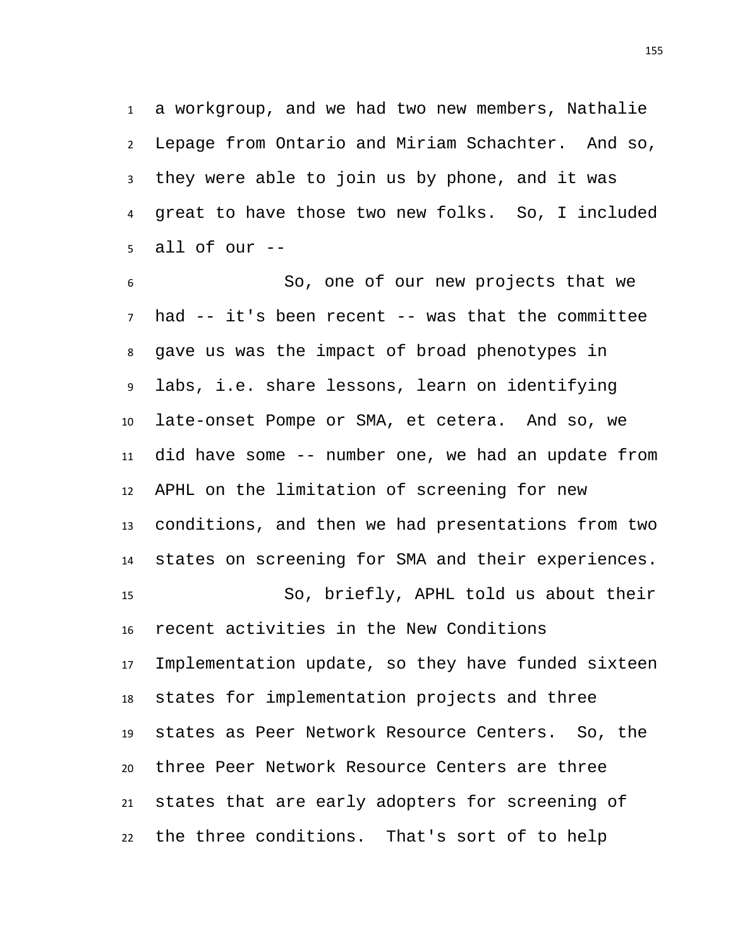a workgroup, and we had two new members, Nathalie Lepage from Ontario and Miriam Schachter. And so, they were able to join us by phone, and it was great to have those two new folks. So, I included all of our --

 So, one of our new projects that we had -- it's been recent -- was that the committee gave us was the impact of broad phenotypes in labs, i.e. share lessons, learn on identifying late-onset Pompe or SMA, et cetera. And so, we did have some -- number one, we had an update from APHL on the limitation of screening for new conditions, and then we had presentations from two states on screening for SMA and their experiences. So, briefly, APHL told us about their recent activities in the New Conditions Implementation update, so they have funded sixteen states for implementation projects and three states as Peer Network Resource Centers. So, the three Peer Network Resource Centers are three states that are early adopters for screening of the three conditions. That's sort of to help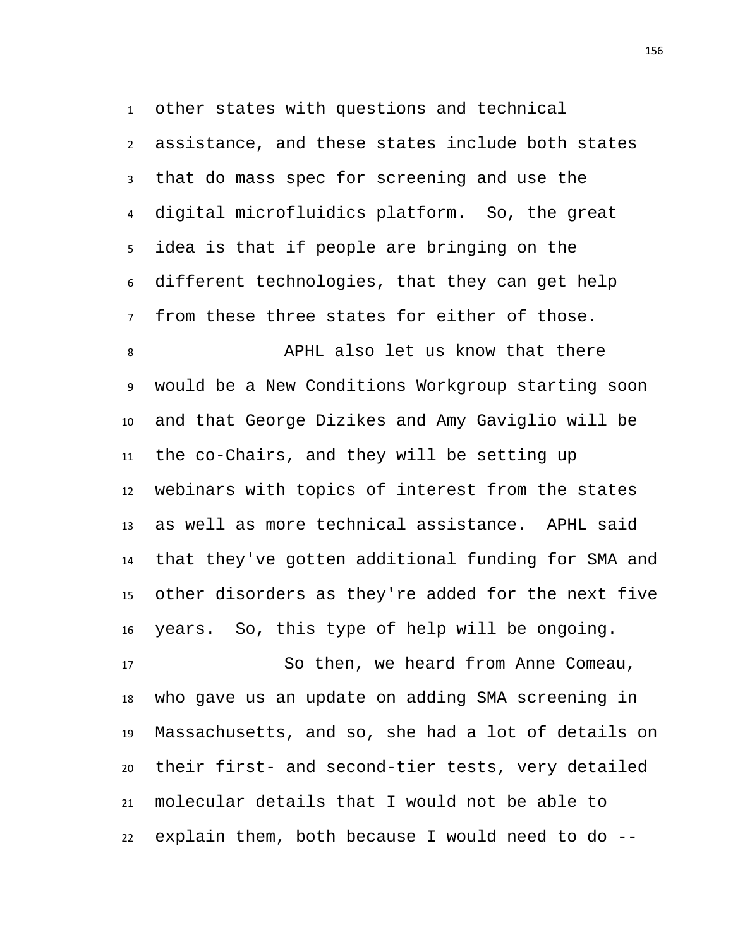other states with questions and technical assistance, and these states include both states that do mass spec for screening and use the digital microfluidics platform. So, the great idea is that if people are bringing on the different technologies, that they can get help from these three states for either of those.

 APHL also let us know that there would be a New Conditions Workgroup starting soon and that George Dizikes and Amy Gaviglio will be the co-Chairs, and they will be setting up webinars with topics of interest from the states as well as more technical assistance. APHL said that they've gotten additional funding for SMA and other disorders as they're added for the next five years. So, this type of help will be ongoing.

 So then, we heard from Anne Comeau, who gave us an update on adding SMA screening in Massachusetts, and so, she had a lot of details on their first- and second-tier tests, very detailed molecular details that I would not be able to explain them, both because I would need to do --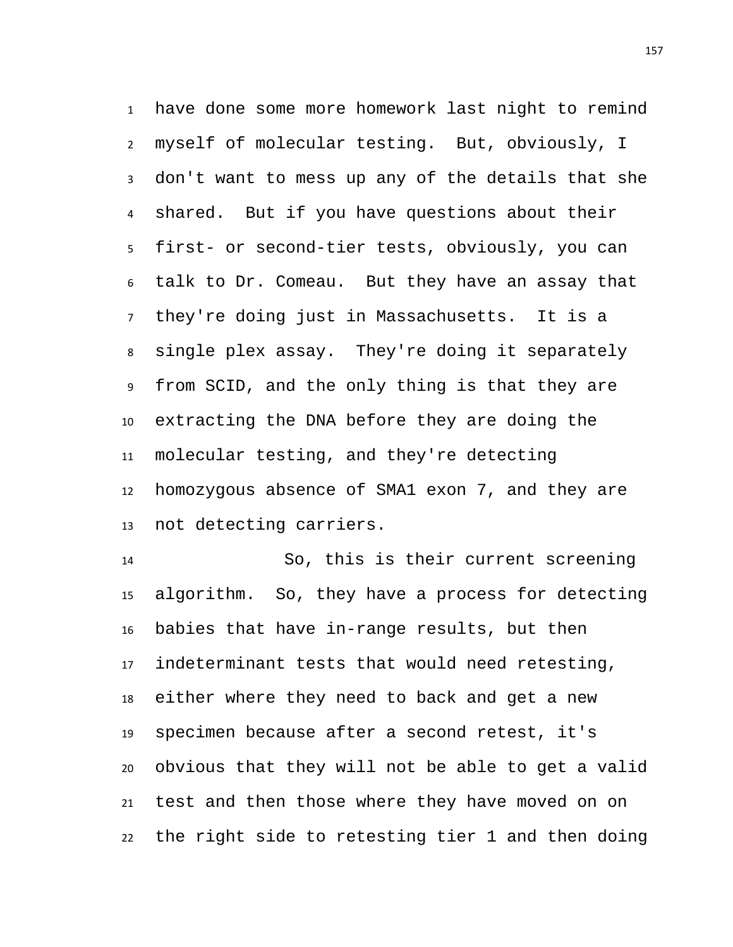have done some more homework last night to remind myself of molecular testing. But, obviously, I don't want to mess up any of the details that she shared. But if you have questions about their first- or second-tier tests, obviously, you can talk to Dr. Comeau. But they have an assay that they're doing just in Massachusetts. It is a single plex assay. They're doing it separately from SCID, and the only thing is that they are extracting the DNA before they are doing the molecular testing, and they're detecting homozygous absence of SMA1 exon 7, and they are not detecting carriers.

 So, this is their current screening algorithm. So, they have a process for detecting babies that have in-range results, but then indeterminant tests that would need retesting, either where they need to back and get a new specimen because after a second retest, it's obvious that they will not be able to get a valid test and then those where they have moved on on the right side to retesting tier 1 and then doing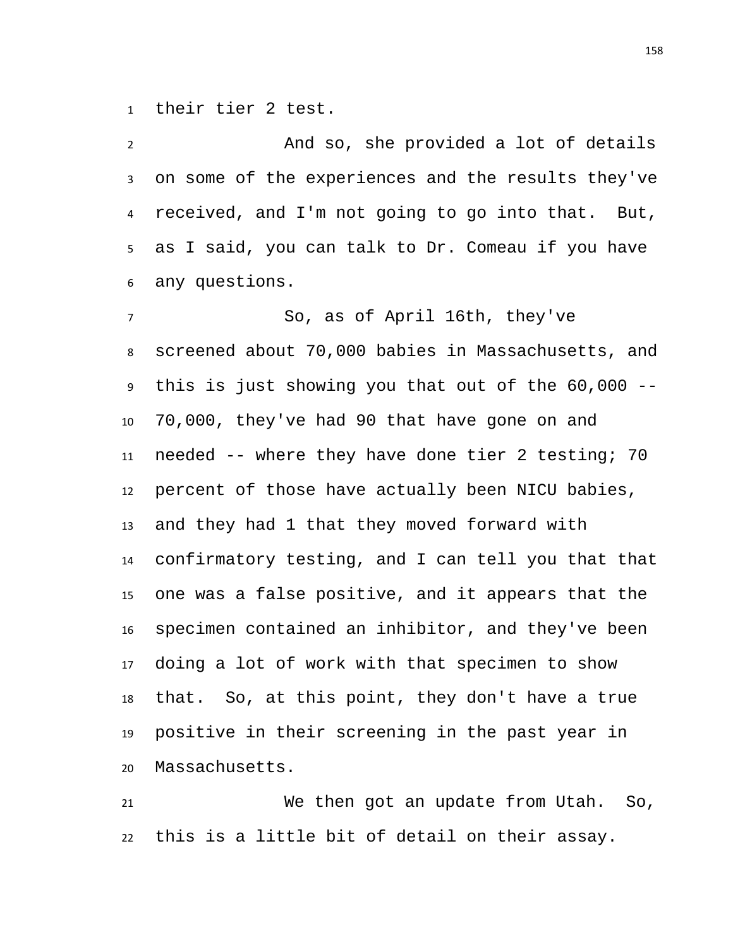their tier 2 test.

 And so, she provided a lot of details on some of the experiences and the results they've received, and I'm not going to go into that. But, as I said, you can talk to Dr. Comeau if you have any questions.

 So, as of April 16th, they've screened about 70,000 babies in Massachusetts, and this is just showing you that out of the 60,000 -- 70,000, they've had 90 that have gone on and needed -- where they have done tier 2 testing; 70 percent of those have actually been NICU babies, and they had 1 that they moved forward with confirmatory testing, and I can tell you that that one was a false positive, and it appears that the specimen contained an inhibitor, and they've been doing a lot of work with that specimen to show that. So, at this point, they don't have a true positive in their screening in the past year in Massachusetts.

 We then got an update from Utah. So, this is a little bit of detail on their assay.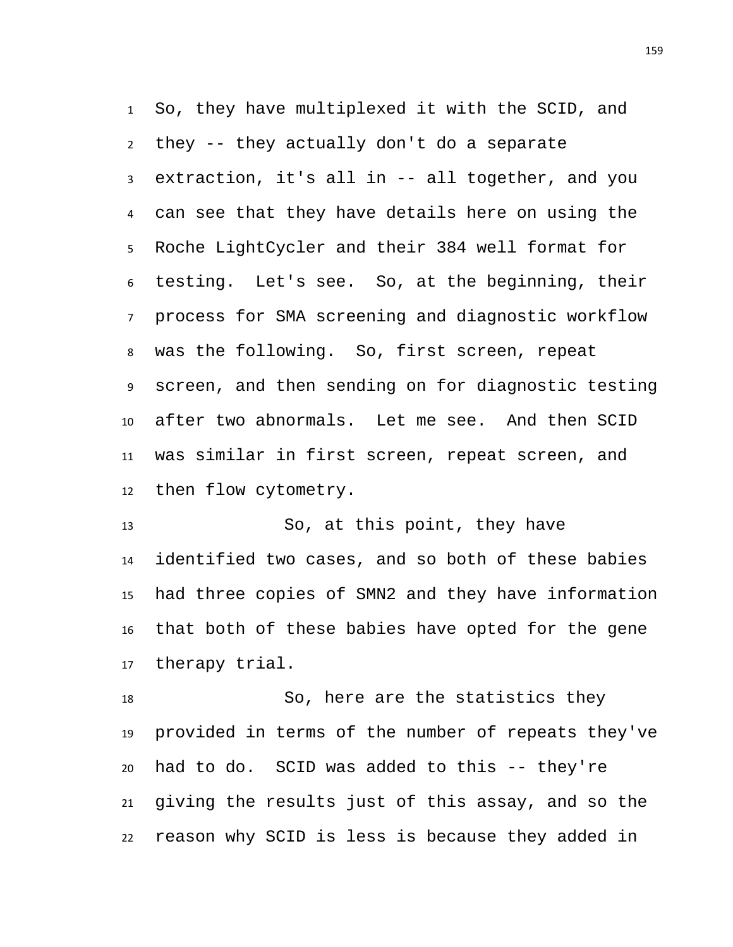So, they have multiplexed it with the SCID, and they -- they actually don't do a separate extraction, it's all in -- all together, and you can see that they have details here on using the Roche LightCycler and their 384 well format for testing. Let's see. So, at the beginning, their process for SMA screening and diagnostic workflow was the following. So, first screen, repeat screen, and then sending on for diagnostic testing after two abnormals. Let me see. And then SCID was similar in first screen, repeat screen, and then flow cytometry.

 So, at this point, they have identified two cases, and so both of these babies had three copies of SMN2 and they have information that both of these babies have opted for the gene therapy trial.

 So, here are the statistics they provided in terms of the number of repeats they've had to do. SCID was added to this -- they're giving the results just of this assay, and so the reason why SCID is less is because they added in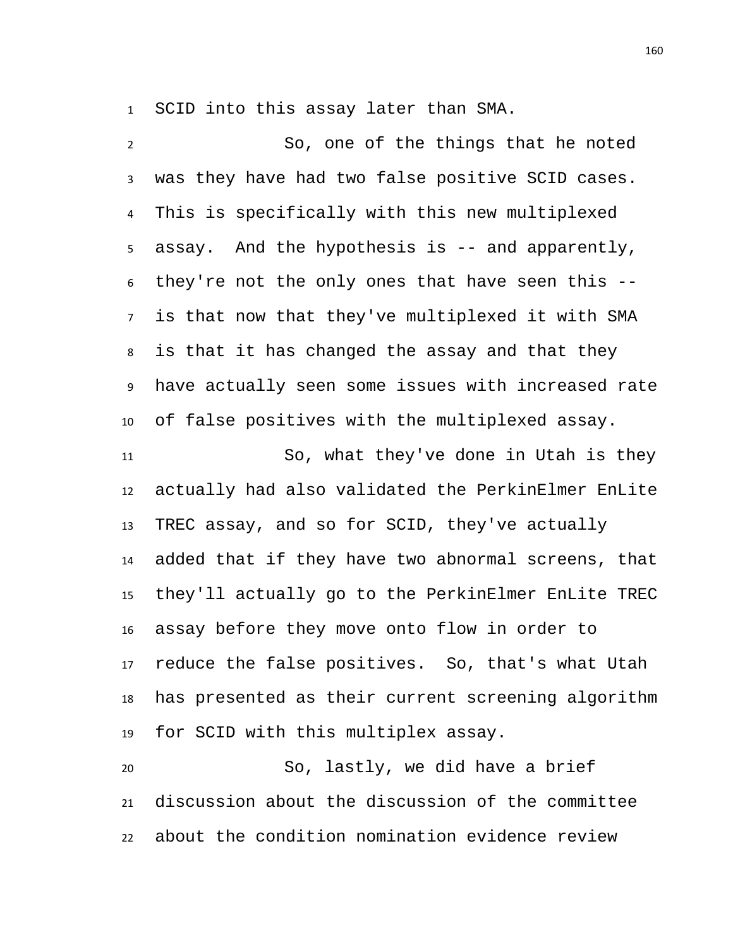SCID into this assay later than SMA.

 So, one of the things that he noted was they have had two false positive SCID cases. This is specifically with this new multiplexed assay. And the hypothesis is -- and apparently, they're not the only ones that have seen this -- is that now that they've multiplexed it with SMA is that it has changed the assay and that they have actually seen some issues with increased rate of false positives with the multiplexed assay. So, what they've done in Utah is they actually had also validated the PerkinElmer EnLite TREC assay, and so for SCID, they've actually added that if they have two abnormal screens, that they'll actually go to the PerkinElmer EnLite TREC assay before they move onto flow in order to reduce the false positives. So, that's what Utah has presented as their current screening algorithm for SCID with this multiplex assay.

 So, lastly, we did have a brief discussion about the discussion of the committee about the condition nomination evidence review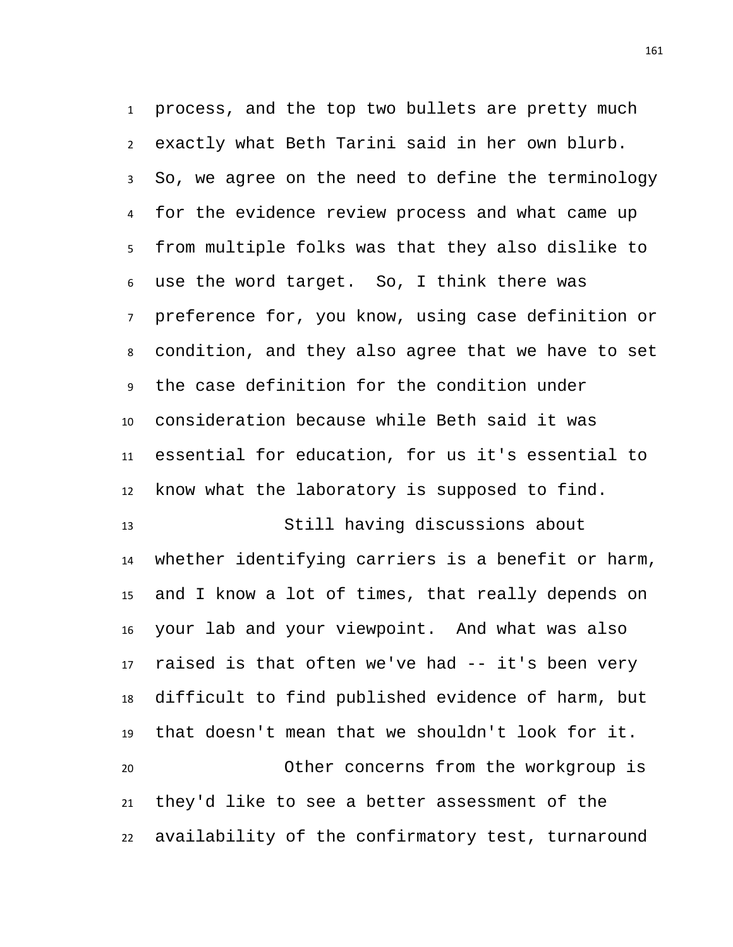process, and the top two bullets are pretty much exactly what Beth Tarini said in her own blurb. So, we agree on the need to define the terminology for the evidence review process and what came up from multiple folks was that they also dislike to use the word target. So, I think there was preference for, you know, using case definition or condition, and they also agree that we have to set the case definition for the condition under consideration because while Beth said it was essential for education, for us it's essential to know what the laboratory is supposed to find.

 Still having discussions about whether identifying carriers is a benefit or harm, and I know a lot of times, that really depends on your lab and your viewpoint. And what was also raised is that often we've had -- it's been very difficult to find published evidence of harm, but that doesn't mean that we shouldn't look for it. Other concerns from the workgroup is they'd like to see a better assessment of the

availability of the confirmatory test, turnaround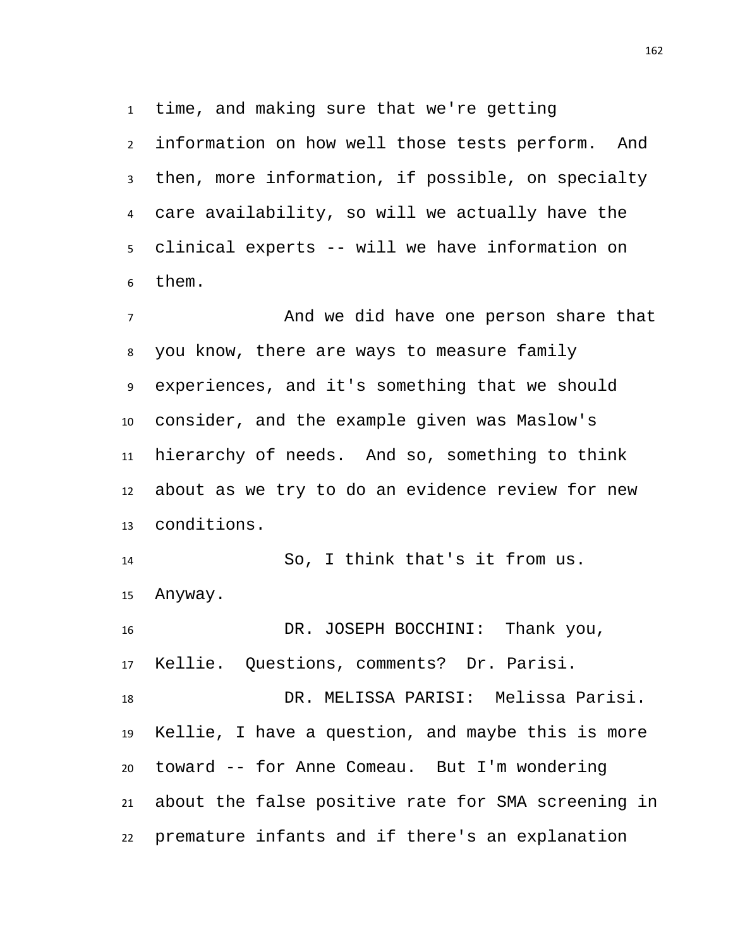time, and making sure that we're getting

 information on how well those tests perform. And then, more information, if possible, on specialty care availability, so will we actually have the clinical experts -- will we have information on them.

 And we did have one person share that you know, there are ways to measure family experiences, and it's something that we should consider, and the example given was Maslow's hierarchy of needs. And so, something to think about as we try to do an evidence review for new conditions.

 So, I think that's it from us. Anyway.

 DR. JOSEPH BOCCHINI: Thank you, Kellie. Questions, comments? Dr. Parisi.

 DR. MELISSA PARISI: Melissa Parisi. Kellie, I have a question, and maybe this is more toward -- for Anne Comeau. But I'm wondering about the false positive rate for SMA screening in premature infants and if there's an explanation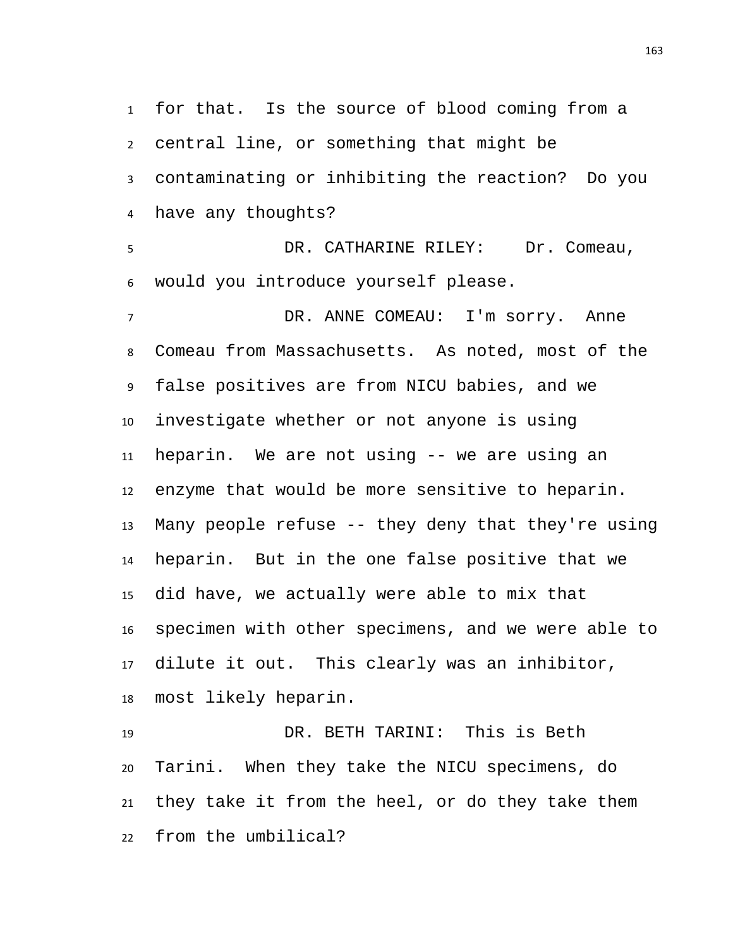for that. Is the source of blood coming from a central line, or something that might be contaminating or inhibiting the reaction? Do you have any thoughts? DR. CATHARINE RILEY: Dr. Comeau, would you introduce yourself please. DR. ANNE COMEAU: I'm sorry. Anne Comeau from Massachusetts. As noted, most of the false positives are from NICU babies, and we investigate whether or not anyone is using heparin. We are not using -- we are using an enzyme that would be more sensitive to heparin. Many people refuse -- they deny that they're using heparin. But in the one false positive that we did have, we actually were able to mix that specimen with other specimens, and we were able to dilute it out. This clearly was an inhibitor, most likely heparin. DR. BETH TARINI: This is Beth Tarini. When they take the NICU specimens, do

they take it from the heel, or do they take them

from the umbilical?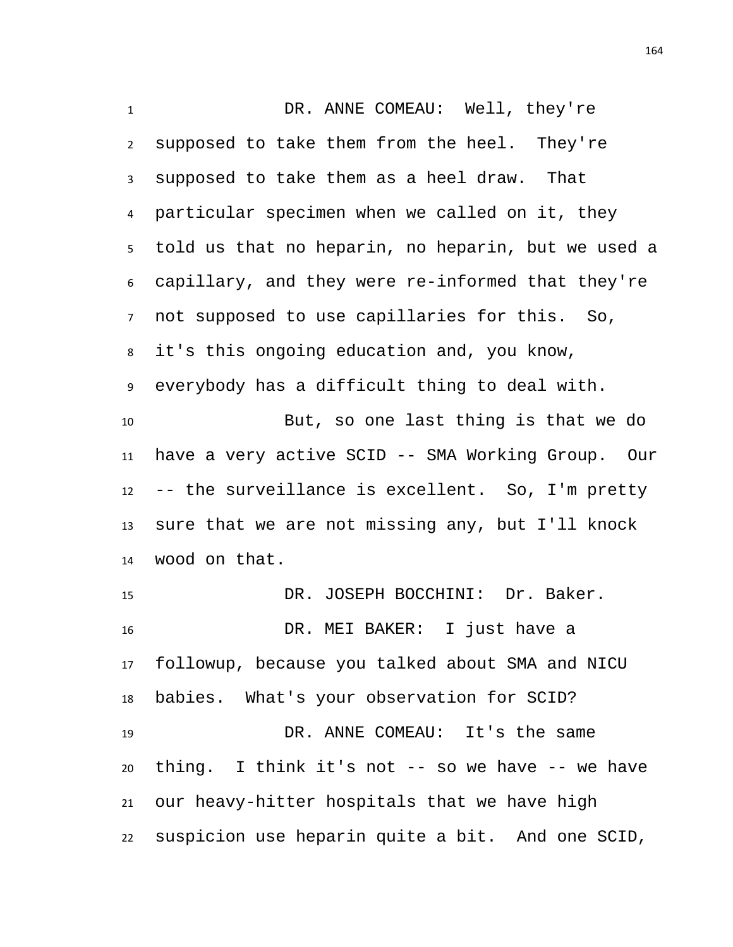1 DR. ANNE COMEAU: Well, they're supposed to take them from the heel. They're supposed to take them as a heel draw. That particular specimen when we called on it, they told us that no heparin, no heparin, but we used a capillary, and they were re-informed that they're not supposed to use capillaries for this. So, it's this ongoing education and, you know, everybody has a difficult thing to deal with. But, so one last thing is that we do have a very active SCID -- SMA Working Group. Our -- the surveillance is excellent. So, I'm pretty sure that we are not missing any, but I'll knock wood on that. DR. JOSEPH BOCCHINI: Dr. Baker. DR. MEI BAKER: I just have a followup, because you talked about SMA and NICU babies. What's your observation for SCID? DR. ANNE COMEAU: It's the same thing. I think it's not -- so we have -- we have our heavy-hitter hospitals that we have high suspicion use heparin quite a bit. And one SCID,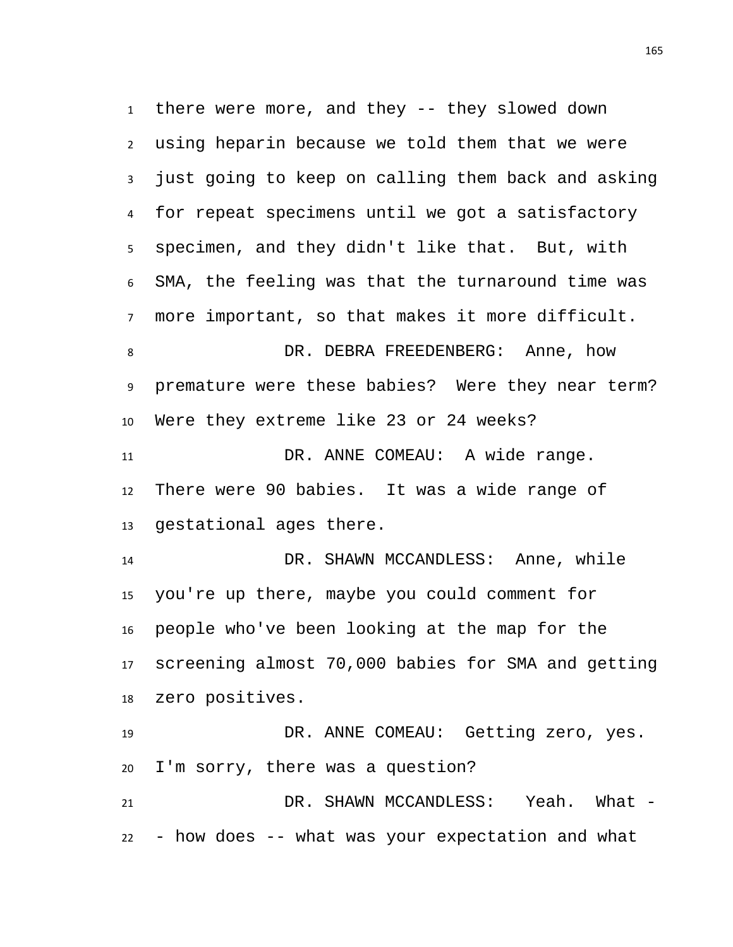there were more, and they -- they slowed down using heparin because we told them that we were just going to keep on calling them back and asking for repeat specimens until we got a satisfactory specimen, and they didn't like that. But, with SMA, the feeling was that the turnaround time was more important, so that makes it more difficult. 8 DR. DEBRA FREEDENBERG: Anne, how premature were these babies? Were they near term? Were they extreme like 23 or 24 weeks? 11 DR. ANNE COMEAU: A wide range. There were 90 babies. It was a wide range of gestational ages there. DR. SHAWN MCCANDLESS: Anne, while you're up there, maybe you could comment for people who've been looking at the map for the screening almost 70,000 babies for SMA and getting zero positives. DR. ANNE COMEAU: Getting zero, yes. I'm sorry, there was a question? DR. SHAWN MCCANDLESS: Yeah. What - - how does -- what was your expectation and what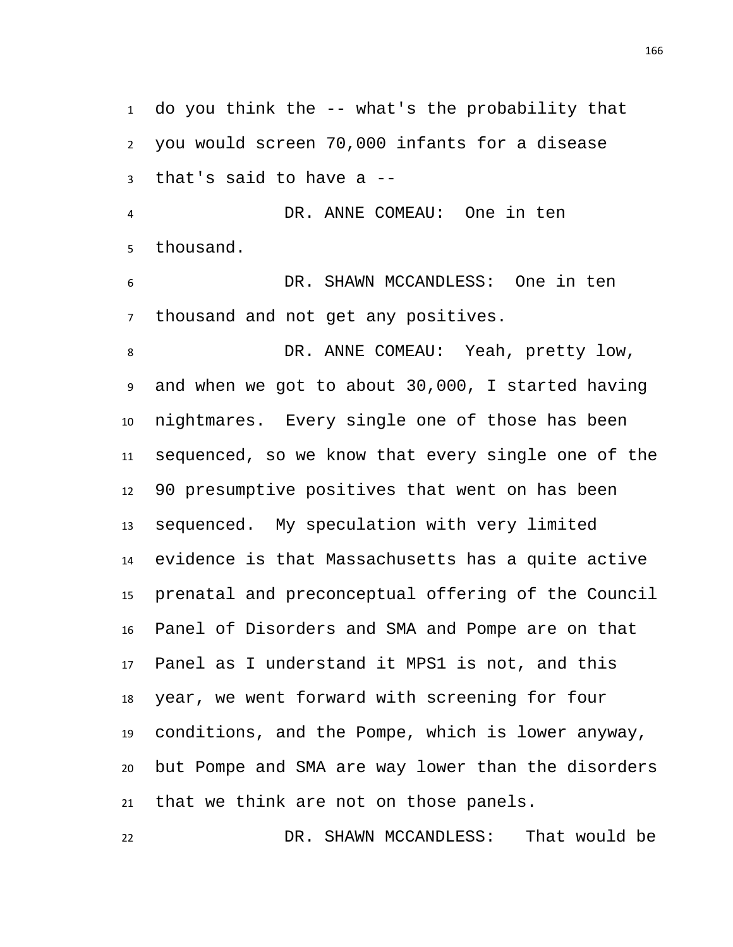do you think the -- what's the probability that you would screen 70,000 infants for a disease that's said to have a --

 DR. ANNE COMEAU: One in ten thousand.

 DR. SHAWN MCCANDLESS: One in ten thousand and not get any positives.

8 DR. ANNE COMEAU: Yeah, pretty low, and when we got to about 30,000, I started having nightmares. Every single one of those has been sequenced, so we know that every single one of the 90 presumptive positives that went on has been sequenced. My speculation with very limited evidence is that Massachusetts has a quite active prenatal and preconceptual offering of the Council Panel of Disorders and SMA and Pompe are on that Panel as I understand it MPS1 is not, and this year, we went forward with screening for four conditions, and the Pompe, which is lower anyway, but Pompe and SMA are way lower than the disorders that we think are not on those panels.

DR. SHAWN MCCANDLESS: That would be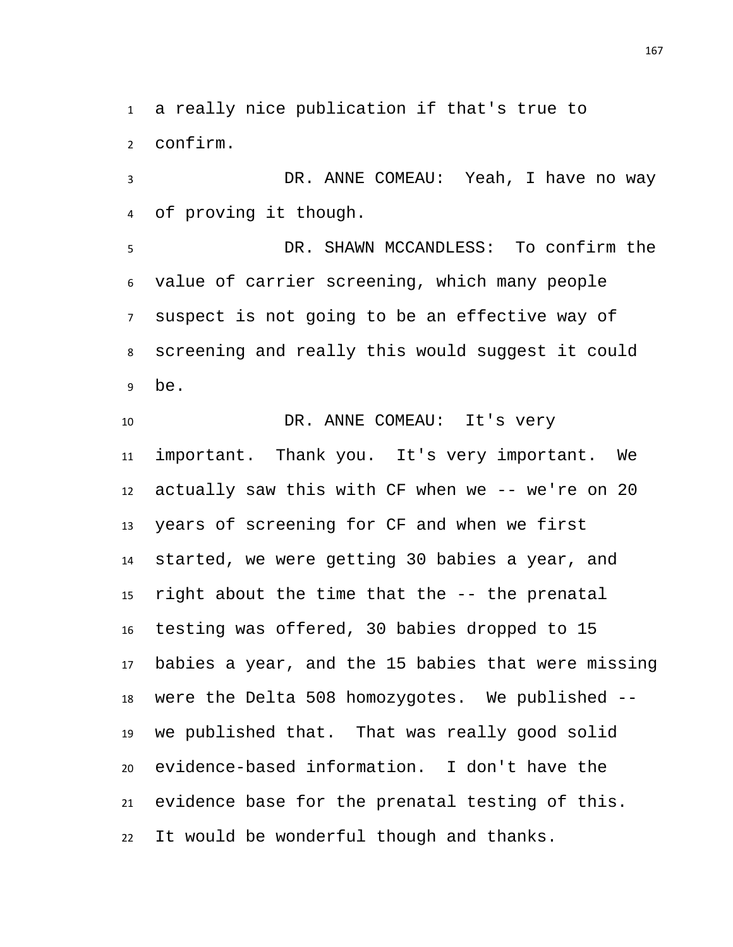a really nice publication if that's true to confirm.

 DR. ANNE COMEAU: Yeah, I have no way of proving it though.

 DR. SHAWN MCCANDLESS: To confirm the value of carrier screening, which many people suspect is not going to be an effective way of screening and really this would suggest it could be.

10 DR. ANNE COMEAU: It's very important. Thank you. It's very important. We actually saw this with CF when we -- we're on 20 years of screening for CF and when we first started, we were getting 30 babies a year, and right about the time that the -- the prenatal testing was offered, 30 babies dropped to 15 babies a year, and the 15 babies that were missing were the Delta 508 homozygotes. We published -- we published that. That was really good solid evidence-based information. I don't have the evidence base for the prenatal testing of this. It would be wonderful though and thanks.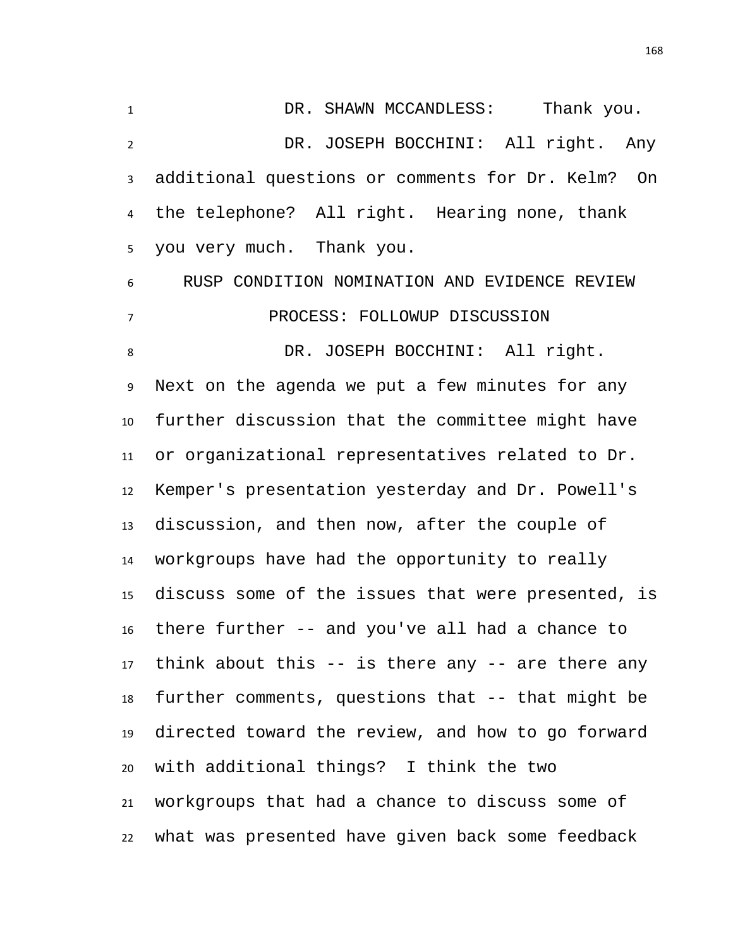DR. SHAWN MCCANDLESS: Thank you. DR. JOSEPH BOCCHINI: All right. Any additional questions or comments for Dr. Kelm? On the telephone? All right. Hearing none, thank you very much. Thank you. RUSP CONDITION NOMINATION AND EVIDENCE REVIEW PROCESS: FOLLOWUP DISCUSSION DR. JOSEPH BOCCHINI: All right. Next on the agenda we put a few minutes for any further discussion that the committee might have or organizational representatives related to Dr. Kemper's presentation yesterday and Dr. Powell's discussion, and then now, after the couple of workgroups have had the opportunity to really discuss some of the issues that were presented, is there further -- and you've all had a chance to think about this -- is there any -- are there any further comments, questions that -- that might be directed toward the review, and how to go forward with additional things? I think the two workgroups that had a chance to discuss some of what was presented have given back some feedback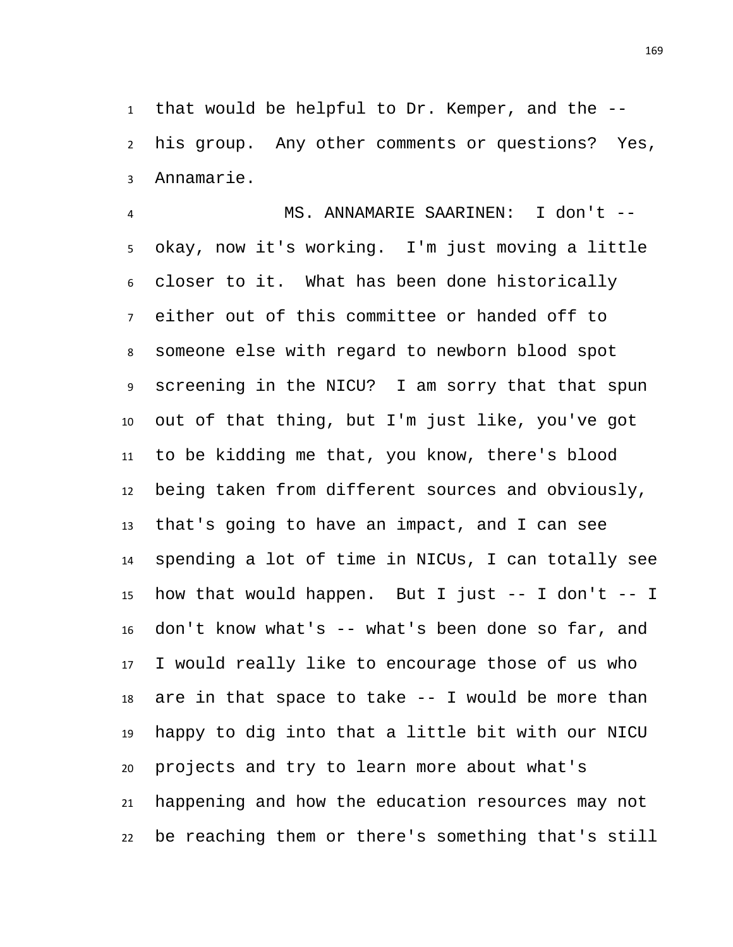that would be helpful to Dr. Kemper, and the -- his group. Any other comments or questions? Yes, Annamarie.

 MS. ANNAMARIE SAARINEN: I don't -- okay, now it's working. I'm just moving a little closer to it. What has been done historically either out of this committee or handed off to someone else with regard to newborn blood spot screening in the NICU? I am sorry that that spun out of that thing, but I'm just like, you've got to be kidding me that, you know, there's blood being taken from different sources and obviously, that's going to have an impact, and I can see spending a lot of time in NICUs, I can totally see how that would happen. But I just -- I don't -- I don't know what's -- what's been done so far, and I would really like to encourage those of us who are in that space to take -- I would be more than happy to dig into that a little bit with our NICU projects and try to learn more about what's happening and how the education resources may not be reaching them or there's something that's still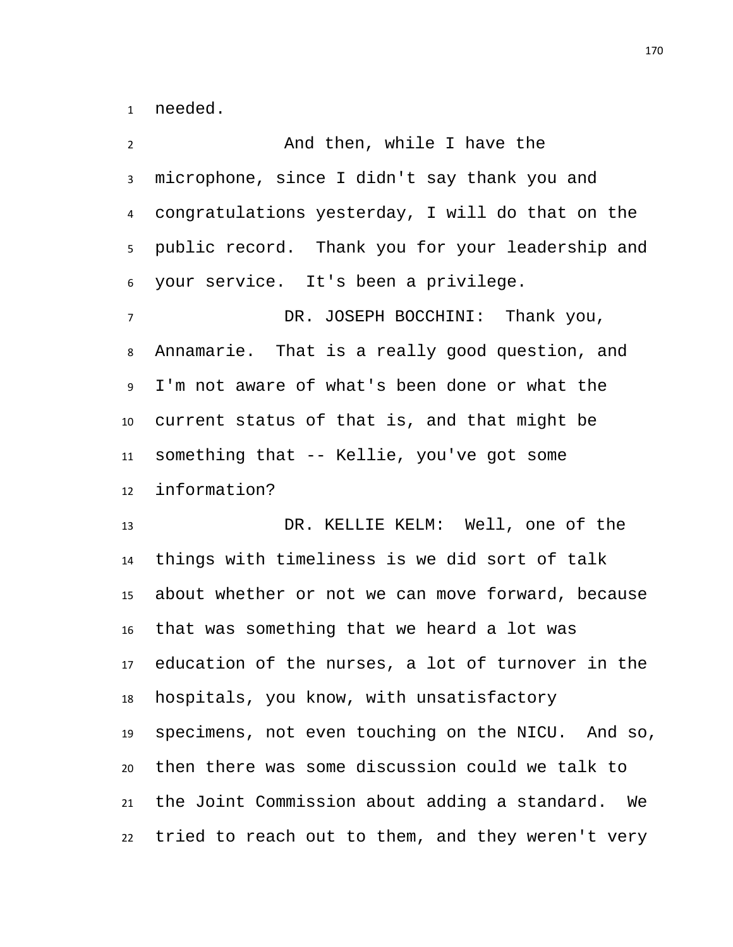needed.

 And then, while I have the microphone, since I didn't say thank you and congratulations yesterday, I will do that on the public record. Thank you for your leadership and your service. It's been a privilege. DR. JOSEPH BOCCHINI: Thank you, Annamarie. That is a really good question, and I'm not aware of what's been done or what the current status of that is, and that might be something that -- Kellie, you've got some information? DR. KELLIE KELM: Well, one of the things with timeliness is we did sort of talk about whether or not we can move forward, because that was something that we heard a lot was education of the nurses, a lot of turnover in the hospitals, you know, with unsatisfactory specimens, not even touching on the NICU. And so, then there was some discussion could we talk to the Joint Commission about adding a standard. We tried to reach out to them, and they weren't very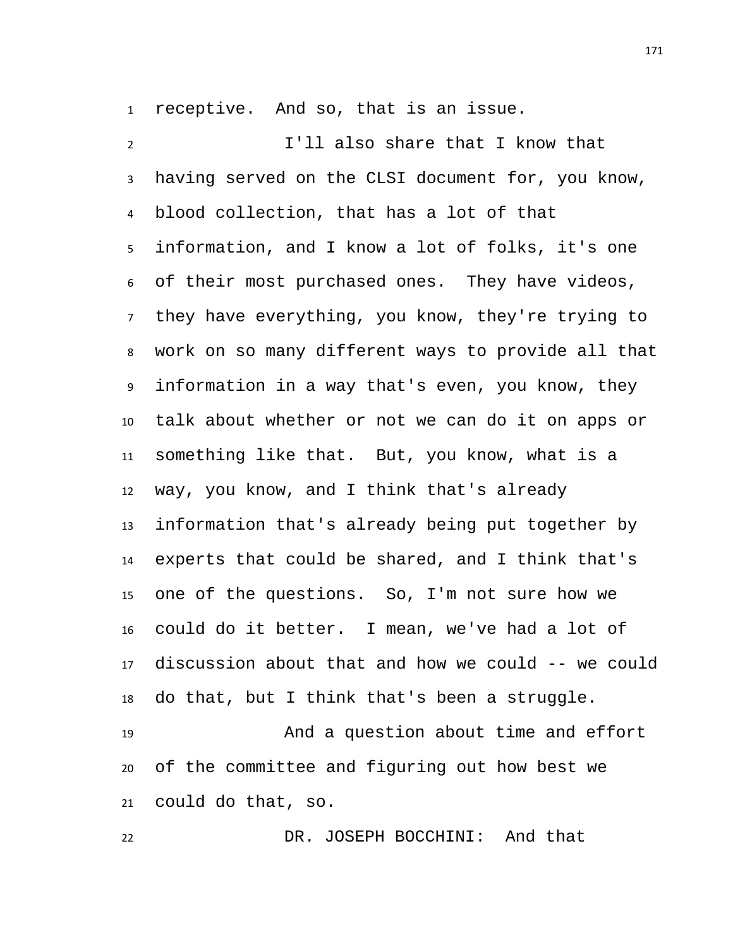receptive. And so, that is an issue.

 I'll also share that I know that having served on the CLSI document for, you know, blood collection, that has a lot of that information, and I know a lot of folks, it's one of their most purchased ones. They have videos, they have everything, you know, they're trying to work on so many different ways to provide all that information in a way that's even, you know, they talk about whether or not we can do it on apps or something like that. But, you know, what is a way, you know, and I think that's already information that's already being put together by experts that could be shared, and I think that's one of the questions. So, I'm not sure how we could do it better. I mean, we've had a lot of discussion about that and how we could -- we could do that, but I think that's been a struggle. And a question about time and effort of the committee and figuring out how best we could do that, so.

DR. JOSEPH BOCCHINI: And that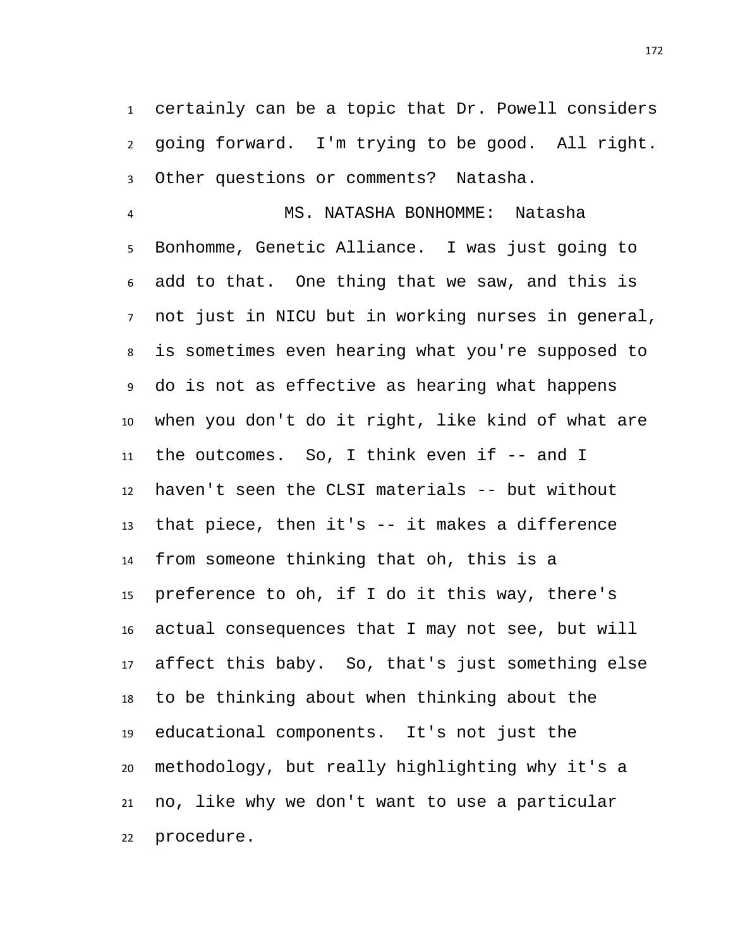certainly can be a topic that Dr. Powell considers going forward. I'm trying to be good. All right. Other questions or comments? Natasha.

 MS. NATASHA BONHOMME: Natasha Bonhomme, Genetic Alliance. I was just going to add to that. One thing that we saw, and this is not just in NICU but in working nurses in general, is sometimes even hearing what you're supposed to do is not as effective as hearing what happens when you don't do it right, like kind of what are the outcomes. So, I think even if -- and I haven't seen the CLSI materials -- but without that piece, then it's -- it makes a difference from someone thinking that oh, this is a preference to oh, if I do it this way, there's actual consequences that I may not see, but will affect this baby. So, that's just something else to be thinking about when thinking about the educational components. It's not just the methodology, but really highlighting why it's a no, like why we don't want to use a particular procedure.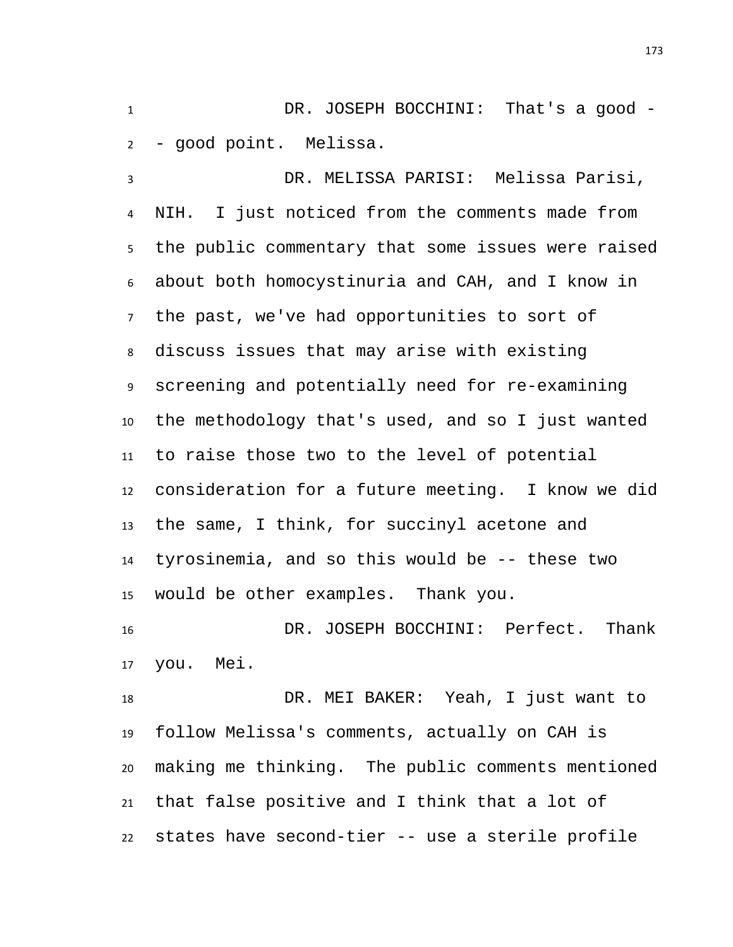DR. JOSEPH BOCCHINI: That's a good - - good point. Melissa.

 DR. MELISSA PARISI: Melissa Parisi, NIH. I just noticed from the comments made from the public commentary that some issues were raised about both homocystinuria and CAH, and I know in the past, we've had opportunities to sort of discuss issues that may arise with existing screening and potentially need for re-examining the methodology that's used, and so I just wanted to raise those two to the level of potential consideration for a future meeting. I know we did the same, I think, for succinyl acetone and tyrosinemia, and so this would be -- these two would be other examples. Thank you.

 DR. JOSEPH BOCCHINI: Perfect. Thank you. Mei.

 DR. MEI BAKER: Yeah, I just want to follow Melissa's comments, actually on CAH is making me thinking. The public comments mentioned that false positive and I think that a lot of states have second-tier -- use a sterile profile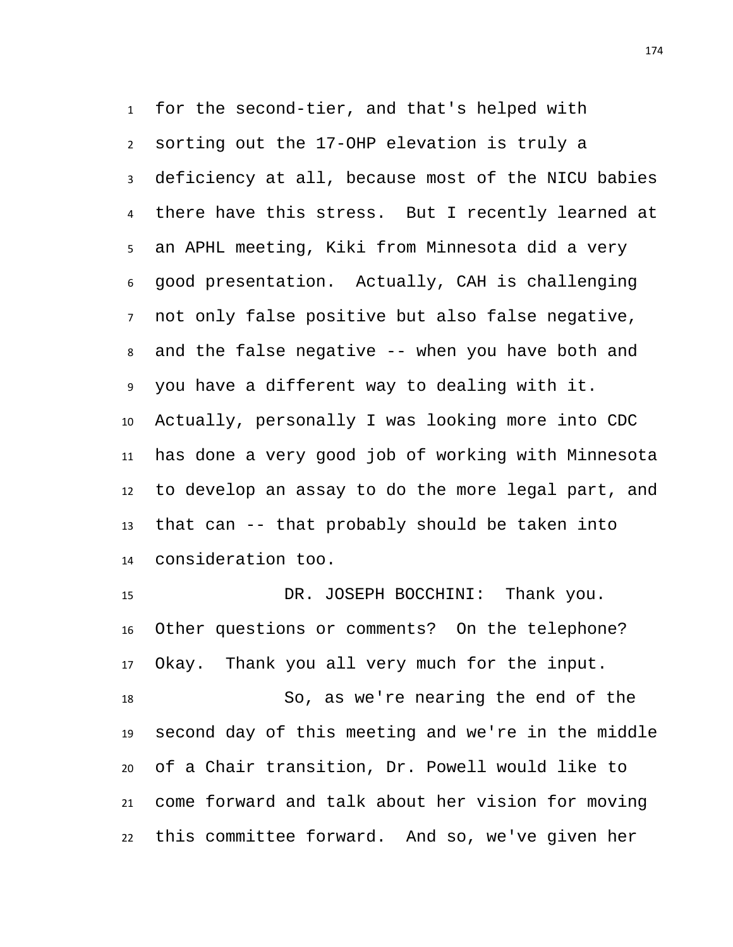for the second-tier, and that's helped with sorting out the 17-OHP elevation is truly a deficiency at all, because most of the NICU babies there have this stress. But I recently learned at an APHL meeting, Kiki from Minnesota did a very good presentation. Actually, CAH is challenging not only false positive but also false negative, and the false negative -- when you have both and you have a different way to dealing with it. Actually, personally I was looking more into CDC has done a very good job of working with Minnesota to develop an assay to do the more legal part, and that can -- that probably should be taken into consideration too.

 DR. JOSEPH BOCCHINI: Thank you. Other questions or comments? On the telephone? Okay. Thank you all very much for the input. So, as we're nearing the end of the second day of this meeting and we're in the middle of a Chair transition, Dr. Powell would like to come forward and talk about her vision for moving this committee forward. And so, we've given her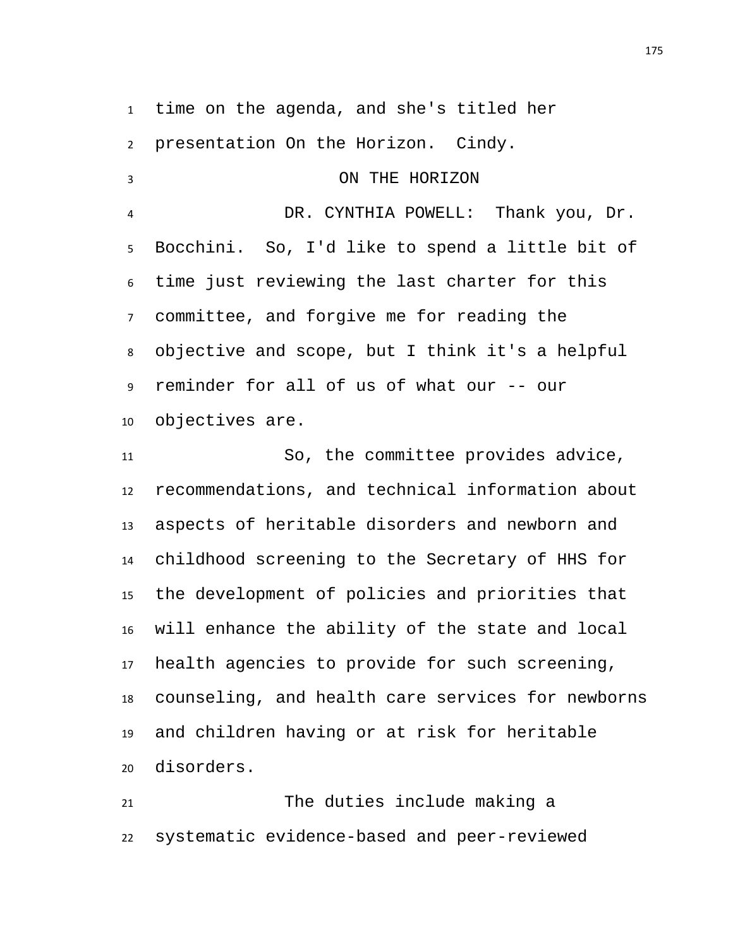time on the agenda, and she's titled her

presentation On the Horizon. Cindy.

 ON THE HORIZON DR. CYNTHIA POWELL: Thank you, Dr. Bocchini. So, I'd like to spend a little bit of time just reviewing the last charter for this committee, and forgive me for reading the objective and scope, but I think it's a helpful reminder for all of us of what our -- our objectives are.

 So, the committee provides advice, recommendations, and technical information about aspects of heritable disorders and newborn and childhood screening to the Secretary of HHS for the development of policies and priorities that will enhance the ability of the state and local health agencies to provide for such screening, counseling, and health care services for newborns and children having or at risk for heritable disorders.

 The duties include making a systematic evidence-based and peer-reviewed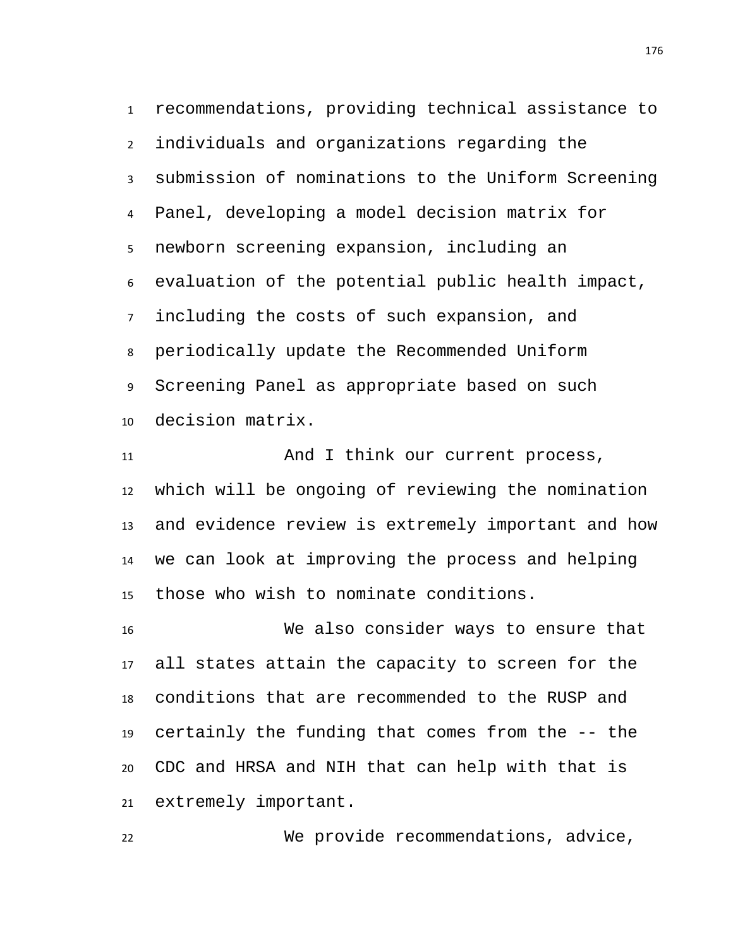recommendations, providing technical assistance to individuals and organizations regarding the submission of nominations to the Uniform Screening Panel, developing a model decision matrix for newborn screening expansion, including an evaluation of the potential public health impact, including the costs of such expansion, and periodically update the Recommended Uniform Screening Panel as appropriate based on such decision matrix.

11 And I think our current process, which will be ongoing of reviewing the nomination and evidence review is extremely important and how we can look at improving the process and helping those who wish to nominate conditions.

 We also consider ways to ensure that all states attain the capacity to screen for the conditions that are recommended to the RUSP and certainly the funding that comes from the -- the CDC and HRSA and NIH that can help with that is extremely important.

We provide recommendations, advice,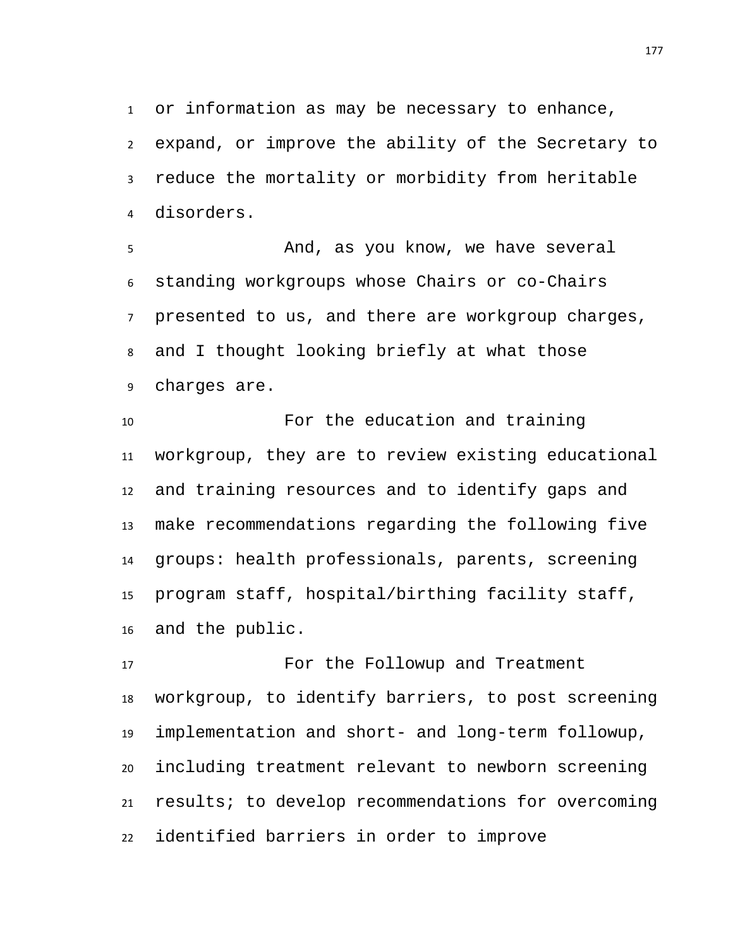or information as may be necessary to enhance, expand, or improve the ability of the Secretary to reduce the mortality or morbidity from heritable disorders.

 And, as you know, we have several standing workgroups whose Chairs or co-Chairs presented to us, and there are workgroup charges, and I thought looking briefly at what those charges are.

 For the education and training workgroup, they are to review existing educational and training resources and to identify gaps and make recommendations regarding the following five groups: health professionals, parents, screening program staff, hospital/birthing facility staff, and the public.

 For the Followup and Treatment workgroup, to identify barriers, to post screening implementation and short- and long-term followup, including treatment relevant to newborn screening results; to develop recommendations for overcoming identified barriers in order to improve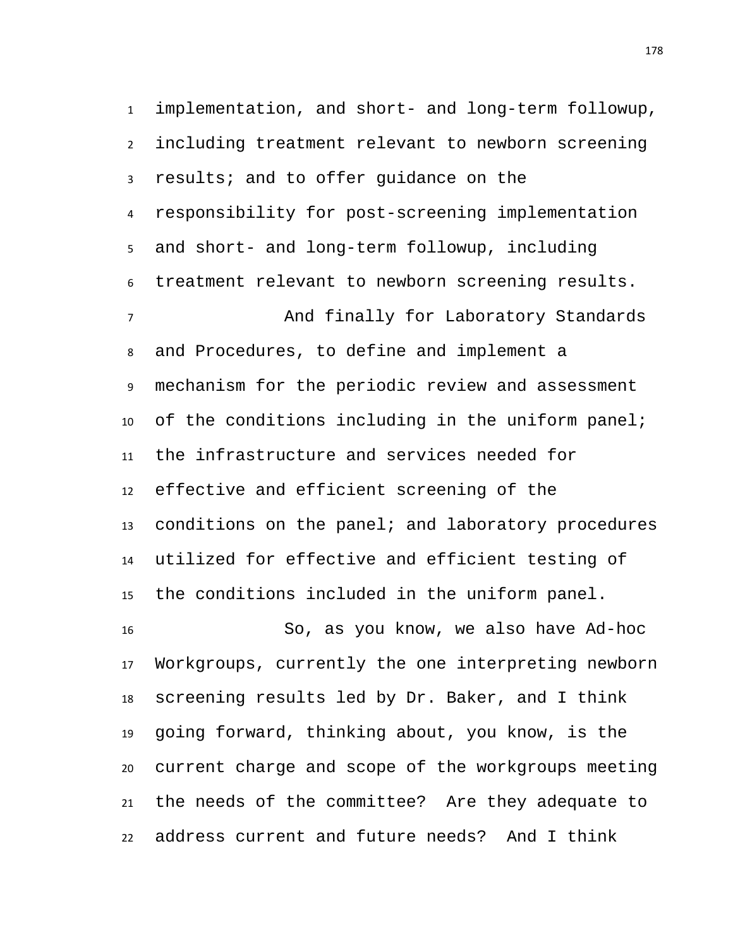implementation, and short- and long-term followup, including treatment relevant to newborn screening results; and to offer guidance on the responsibility for post-screening implementation and short- and long-term followup, including treatment relevant to newborn screening results. And finally for Laboratory Standards and Procedures, to define and implement a mechanism for the periodic review and assessment of the conditions including in the uniform panel; the infrastructure and services needed for effective and efficient screening of the conditions on the panel; and laboratory procedures utilized for effective and efficient testing of the conditions included in the uniform panel. So, as you know, we also have Ad-hoc Workgroups, currently the one interpreting newborn screening results led by Dr. Baker, and I think going forward, thinking about, you know, is the current charge and scope of the workgroups meeting the needs of the committee? Are they adequate to address current and future needs? And I think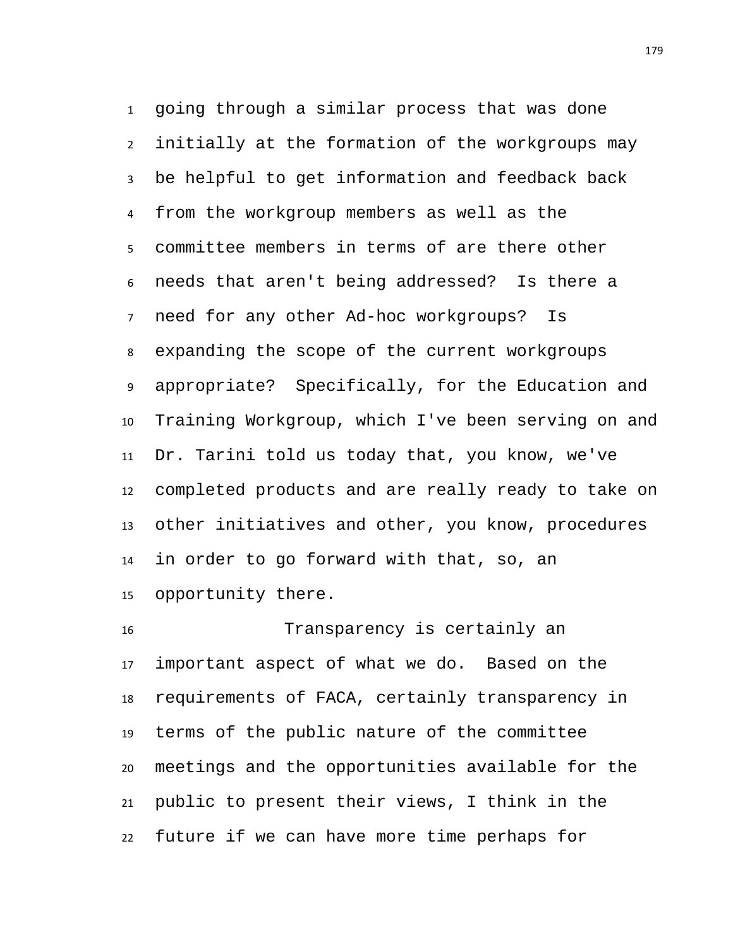going through a similar process that was done initially at the formation of the workgroups may be helpful to get information and feedback back from the workgroup members as well as the committee members in terms of are there other needs that aren't being addressed? Is there a need for any other Ad-hoc workgroups? Is expanding the scope of the current workgroups appropriate? Specifically, for the Education and Training Workgroup, which I've been serving on and Dr. Tarini told us today that, you know, we've completed products and are really ready to take on other initiatives and other, you know, procedures in order to go forward with that, so, an opportunity there.

 Transparency is certainly an important aspect of what we do. Based on the requirements of FACA, certainly transparency in terms of the public nature of the committee meetings and the opportunities available for the public to present their views, I think in the future if we can have more time perhaps for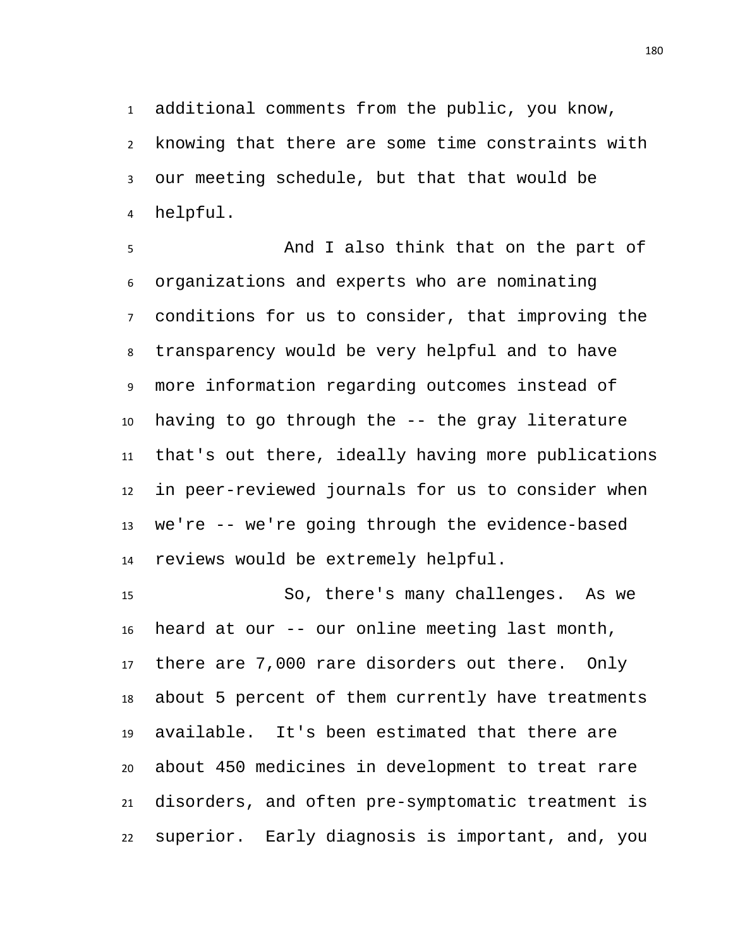additional comments from the public, you know, knowing that there are some time constraints with our meeting schedule, but that that would be helpful.

 And I also think that on the part of organizations and experts who are nominating conditions for us to consider, that improving the transparency would be very helpful and to have more information regarding outcomes instead of having to go through the -- the gray literature that's out there, ideally having more publications in peer-reviewed journals for us to consider when we're -- we're going through the evidence-based reviews would be extremely helpful.

 So, there's many challenges. As we heard at our -- our online meeting last month, there are 7,000 rare disorders out there. Only about 5 percent of them currently have treatments available. It's been estimated that there are about 450 medicines in development to treat rare disorders, and often pre-symptomatic treatment is superior. Early diagnosis is important, and, you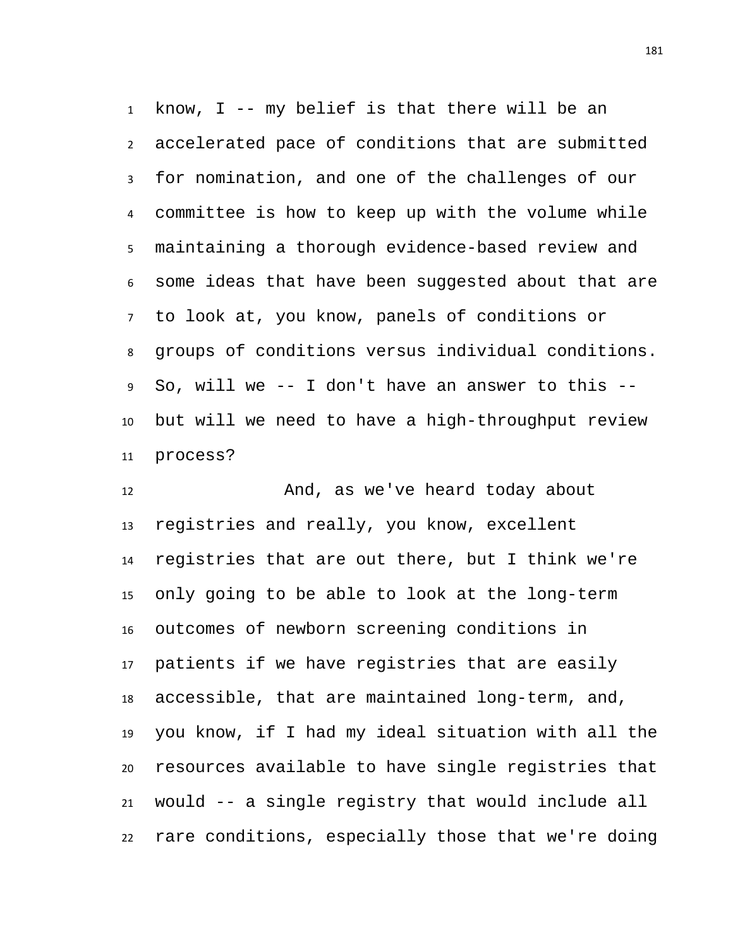know, I -- my belief is that there will be an accelerated pace of conditions that are submitted for nomination, and one of the challenges of our committee is how to keep up with the volume while maintaining a thorough evidence-based review and some ideas that have been suggested about that are to look at, you know, panels of conditions or groups of conditions versus individual conditions. So, will we -- I don't have an answer to this -- but will we need to have a high-throughput review process?

12 And, as we've heard today about registries and really, you know, excellent registries that are out there, but I think we're only going to be able to look at the long-term outcomes of newborn screening conditions in patients if we have registries that are easily accessible, that are maintained long-term, and, you know, if I had my ideal situation with all the resources available to have single registries that would -- a single registry that would include all rare conditions, especially those that we're doing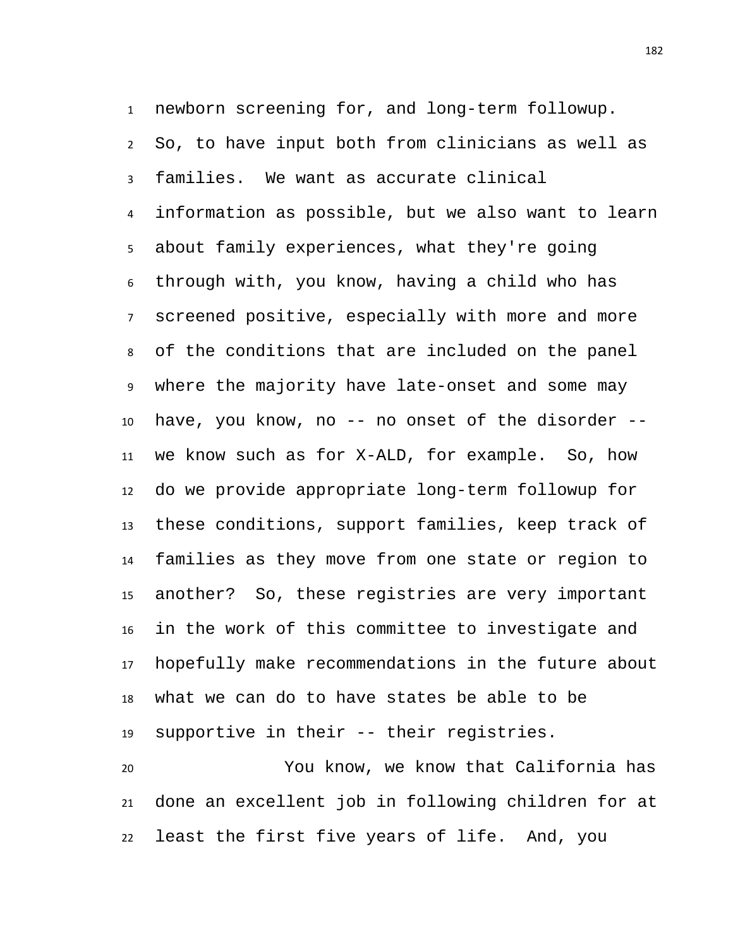newborn screening for, and long-term followup. So, to have input both from clinicians as well as families. We want as accurate clinical information as possible, but we also want to learn about family experiences, what they're going through with, you know, having a child who has screened positive, especially with more and more of the conditions that are included on the panel where the majority have late-onset and some may have, you know, no -- no onset of the disorder -- we know such as for X-ALD, for example. So, how do we provide appropriate long-term followup for these conditions, support families, keep track of families as they move from one state or region to another? So, these registries are very important in the work of this committee to investigate and hopefully make recommendations in the future about what we can do to have states be able to be supportive in their -- their registries.

 You know, we know that California has done an excellent job in following children for at least the first five years of life. And, you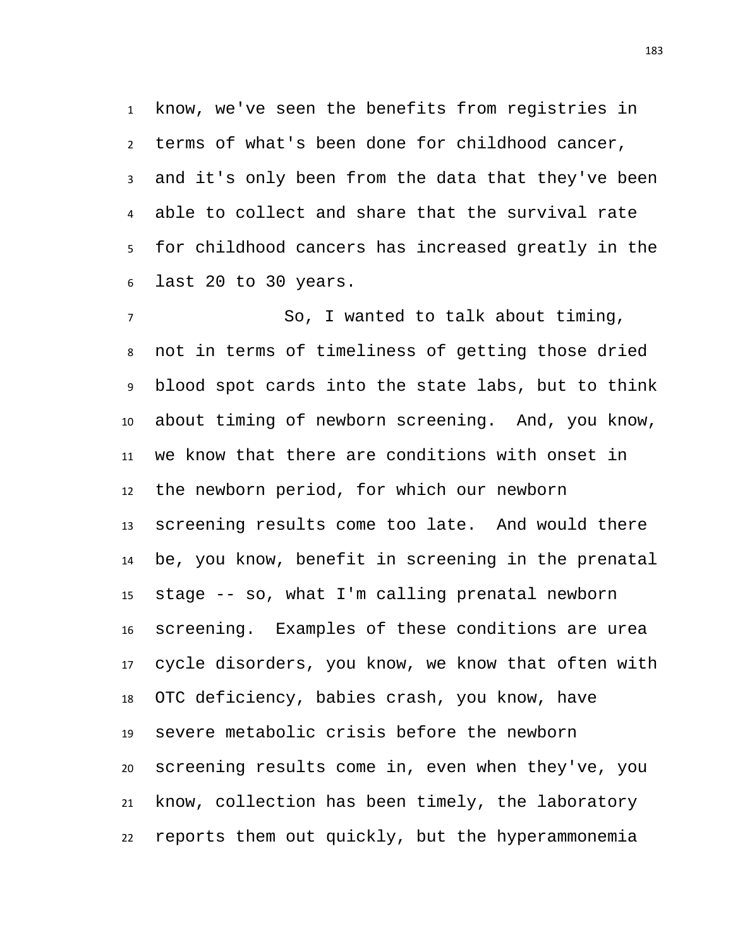know, we've seen the benefits from registries in terms of what's been done for childhood cancer, and it's only been from the data that they've been able to collect and share that the survival rate for childhood cancers has increased greatly in the last 20 to 30 years.

 So, I wanted to talk about timing, not in terms of timeliness of getting those dried blood spot cards into the state labs, but to think about timing of newborn screening. And, you know, we know that there are conditions with onset in the newborn period, for which our newborn screening results come too late. And would there be, you know, benefit in screening in the prenatal stage -- so, what I'm calling prenatal newborn screening. Examples of these conditions are urea cycle disorders, you know, we know that often with OTC deficiency, babies crash, you know, have severe metabolic crisis before the newborn screening results come in, even when they've, you know, collection has been timely, the laboratory reports them out quickly, but the hyperammonemia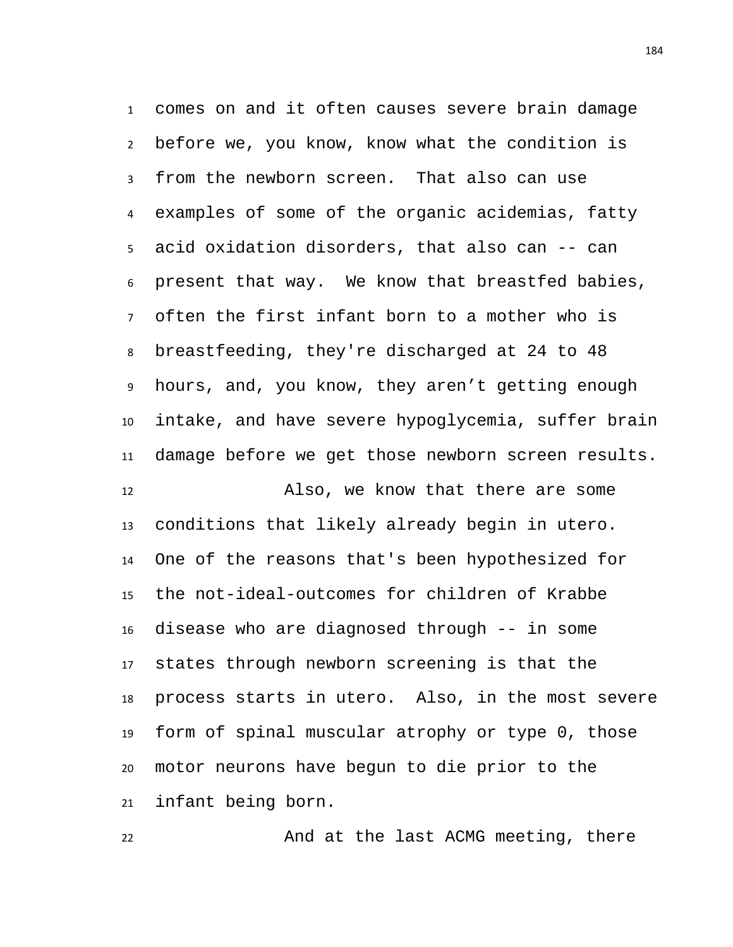comes on and it often causes severe brain damage before we, you know, know what the condition is from the newborn screen. That also can use examples of some of the organic acidemias, fatty acid oxidation disorders, that also can -- can present that way. We know that breastfed babies, often the first infant born to a mother who is breastfeeding, they're discharged at 24 to 48 hours, and, you know, they aren't getting enough intake, and have severe hypoglycemia, suffer brain damage before we get those newborn screen results.

 Also, we know that there are some conditions that likely already begin in utero. One of the reasons that's been hypothesized for the not-ideal-outcomes for children of Krabbe disease who are diagnosed through -- in some states through newborn screening is that the process starts in utero. Also, in the most severe form of spinal muscular atrophy or type 0, those motor neurons have begun to die prior to the infant being born.

22 And at the last ACMG meeting, there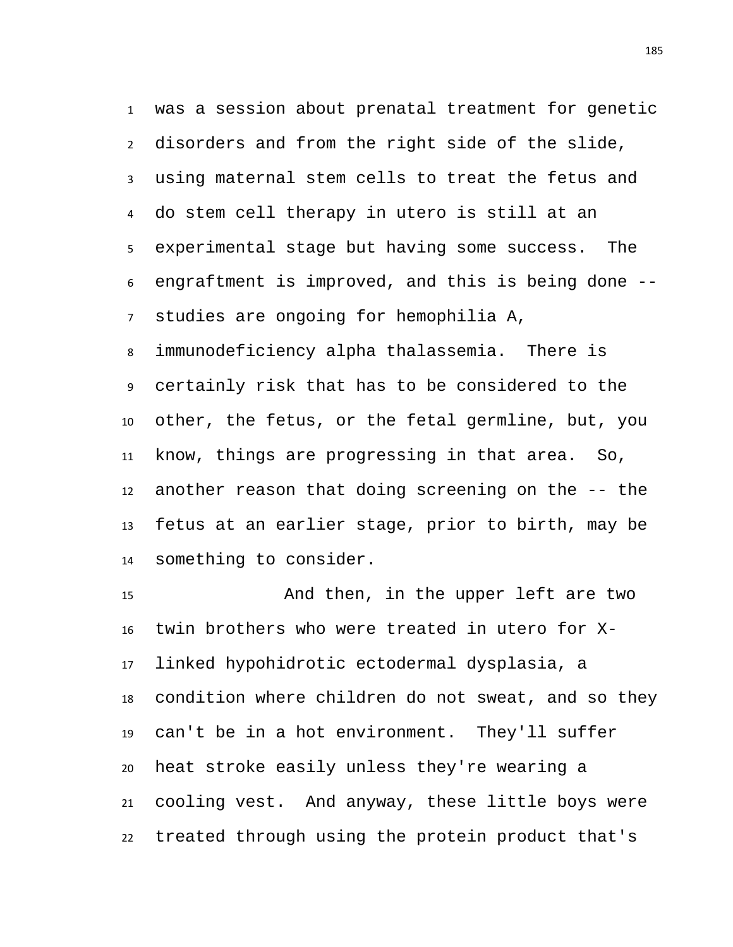was a session about prenatal treatment for genetic disorders and from the right side of the slide, using maternal stem cells to treat the fetus and do stem cell therapy in utero is still at an experimental stage but having some success. The engraftment is improved, and this is being done -- studies are ongoing for hemophilia A,

 immunodeficiency alpha thalassemia. There is certainly risk that has to be considered to the other, the fetus, or the fetal germline, but, you know, things are progressing in that area. So, another reason that doing screening on the -- the fetus at an earlier stage, prior to birth, may be something to consider.

 And then, in the upper left are two twin brothers who were treated in utero for X- linked hypohidrotic ectodermal dysplasia, a condition where children do not sweat, and so they can't be in a hot environment. They'll suffer heat stroke easily unless they're wearing a cooling vest. And anyway, these little boys were treated through using the protein product that's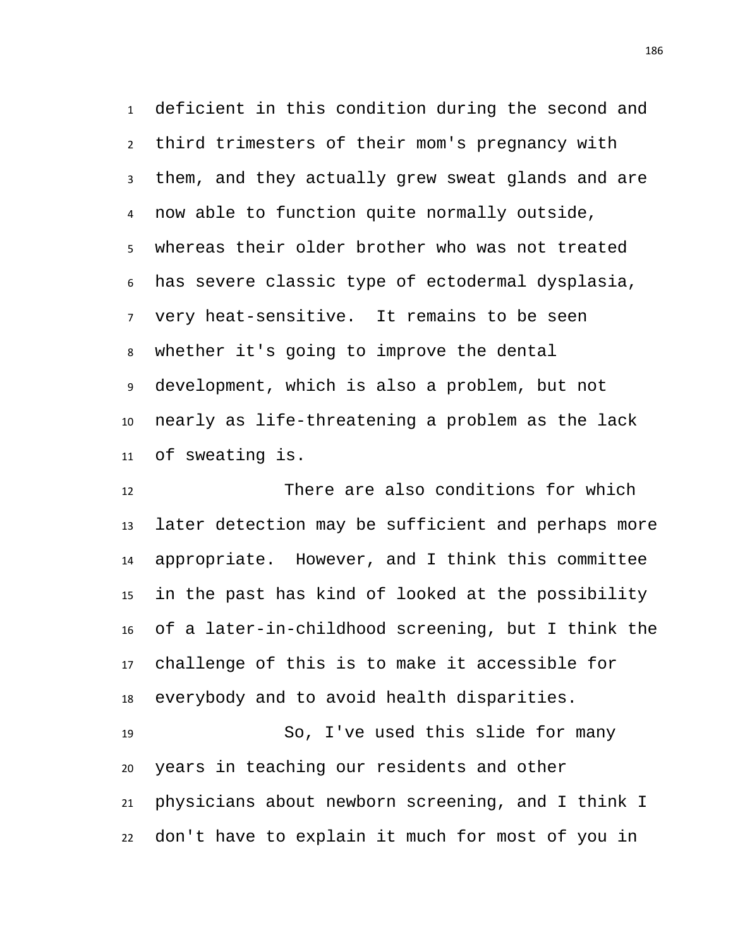deficient in this condition during the second and third trimesters of their mom's pregnancy with them, and they actually grew sweat glands and are now able to function quite normally outside, whereas their older brother who was not treated has severe classic type of ectodermal dysplasia, very heat-sensitive. It remains to be seen whether it's going to improve the dental development, which is also a problem, but not nearly as life-threatening a problem as the lack of sweating is.

 There are also conditions for which later detection may be sufficient and perhaps more appropriate. However, and I think this committee in the past has kind of looked at the possibility of a later-in-childhood screening, but I think the challenge of this is to make it accessible for everybody and to avoid health disparities. So, I've used this slide for many

 years in teaching our residents and other physicians about newborn screening, and I think I don't have to explain it much for most of you in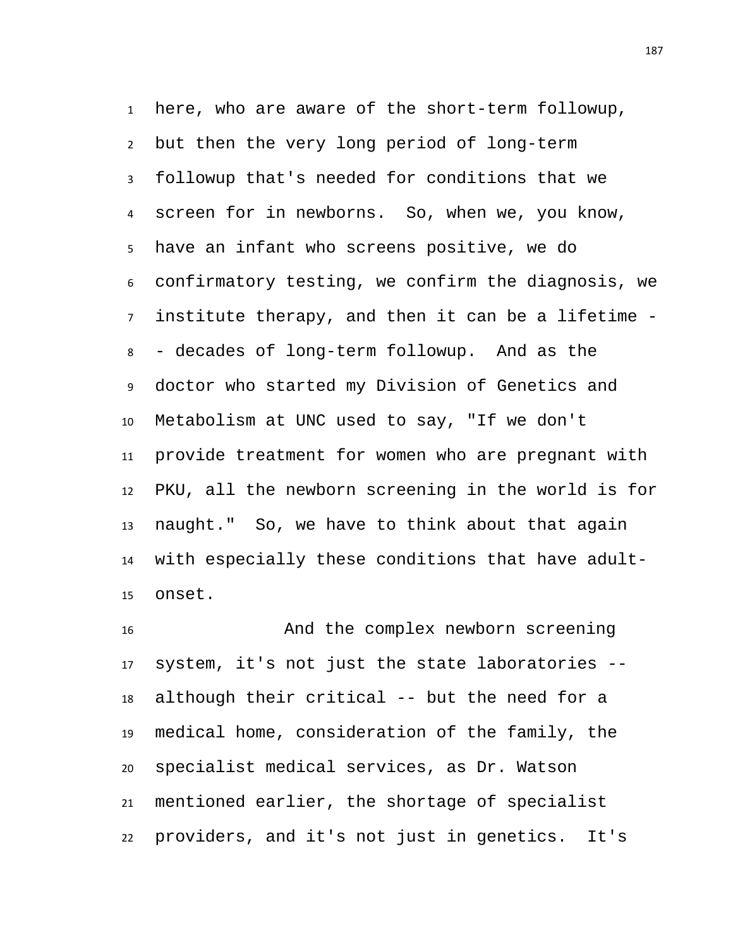here, who are aware of the short-term followup, but then the very long period of long-term followup that's needed for conditions that we screen for in newborns. So, when we, you know, have an infant who screens positive, we do confirmatory testing, we confirm the diagnosis, we institute therapy, and then it can be a lifetime - - decades of long-term followup. And as the doctor who started my Division of Genetics and Metabolism at UNC used to say, "If we don't provide treatment for women who are pregnant with PKU, all the newborn screening in the world is for naught." So, we have to think about that again with especially these conditions that have adult-onset.

 And the complex newborn screening system, it's not just the state laboratories -- although their critical -- but the need for a medical home, consideration of the family, the specialist medical services, as Dr. Watson mentioned earlier, the shortage of specialist providers, and it's not just in genetics. It's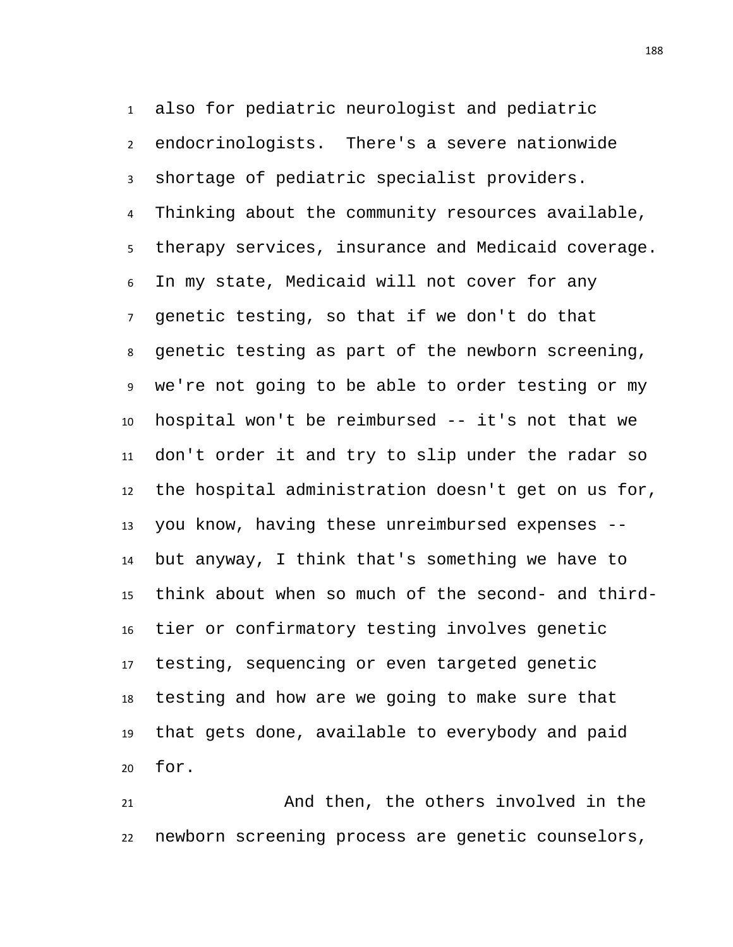also for pediatric neurologist and pediatric endocrinologists. There's a severe nationwide shortage of pediatric specialist providers. Thinking about the community resources available, therapy services, insurance and Medicaid coverage. In my state, Medicaid will not cover for any genetic testing, so that if we don't do that genetic testing as part of the newborn screening, we're not going to be able to order testing or my hospital won't be reimbursed -- it's not that we don't order it and try to slip under the radar so the hospital administration doesn't get on us for, you know, having these unreimbursed expenses -- but anyway, I think that's something we have to think about when so much of the second- and third- tier or confirmatory testing involves genetic testing, sequencing or even targeted genetic testing and how are we going to make sure that that gets done, available to everybody and paid for.

 And then, the others involved in the newborn screening process are genetic counselors,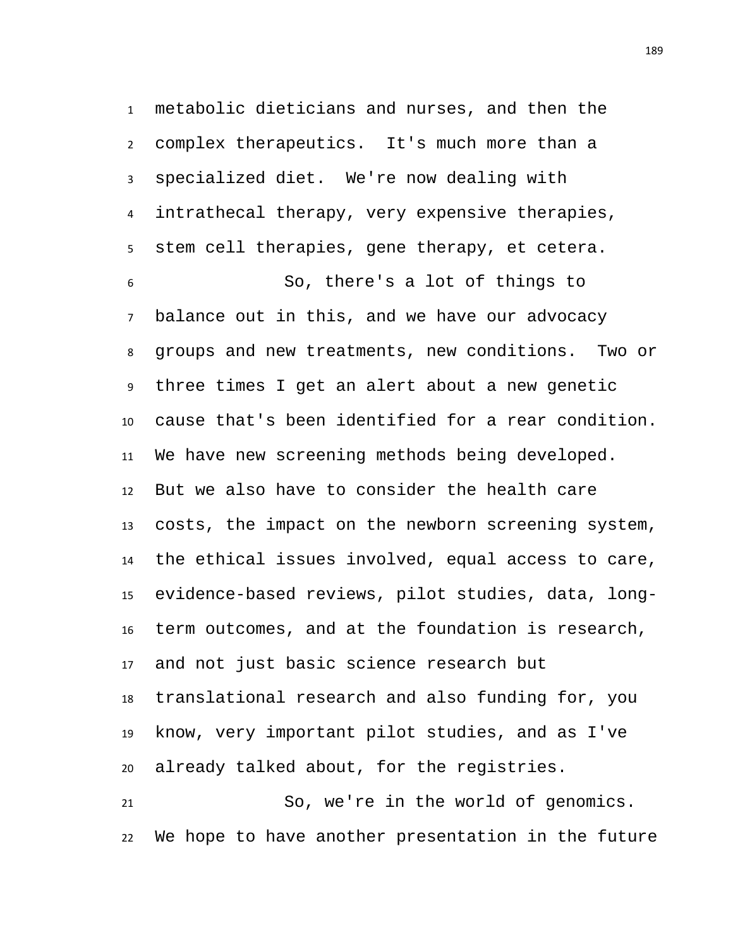metabolic dieticians and nurses, and then the complex therapeutics. It's much more than a specialized diet. We're now dealing with intrathecal therapy, very expensive therapies, stem cell therapies, gene therapy, et cetera. So, there's a lot of things to balance out in this, and we have our advocacy groups and new treatments, new conditions. Two or three times I get an alert about a new genetic cause that's been identified for a rear condition. We have new screening methods being developed. But we also have to consider the health care costs, the impact on the newborn screening system, the ethical issues involved, equal access to care, evidence-based reviews, pilot studies, data, long- term outcomes, and at the foundation is research, and not just basic science research but translational research and also funding for, you know, very important pilot studies, and as I've already talked about, for the registries. So, we're in the world of genomics. We hope to have another presentation in the future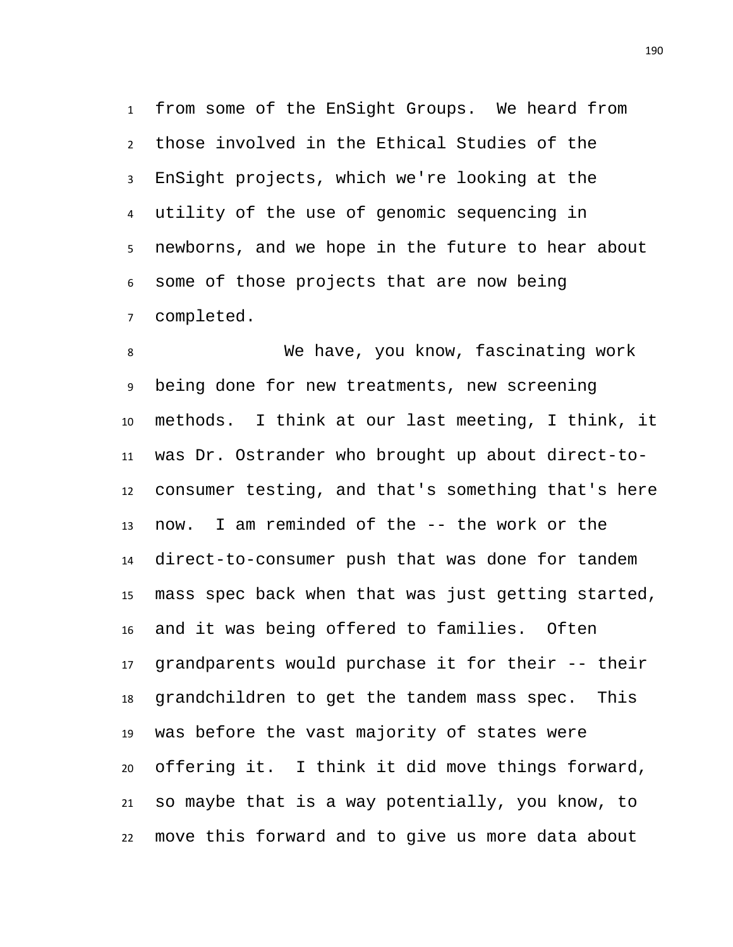from some of the EnSight Groups. We heard from those involved in the Ethical Studies of the EnSight projects, which we're looking at the utility of the use of genomic sequencing in newborns, and we hope in the future to hear about some of those projects that are now being completed.

 We have, you know, fascinating work being done for new treatments, new screening methods. I think at our last meeting, I think, it was Dr. Ostrander who brought up about direct-to- consumer testing, and that's something that's here now. I am reminded of the -- the work or the direct-to-consumer push that was done for tandem mass spec back when that was just getting started, and it was being offered to families. Often grandparents would purchase it for their -- their grandchildren to get the tandem mass spec. This was before the vast majority of states were offering it. I think it did move things forward, so maybe that is a way potentially, you know, to move this forward and to give us more data about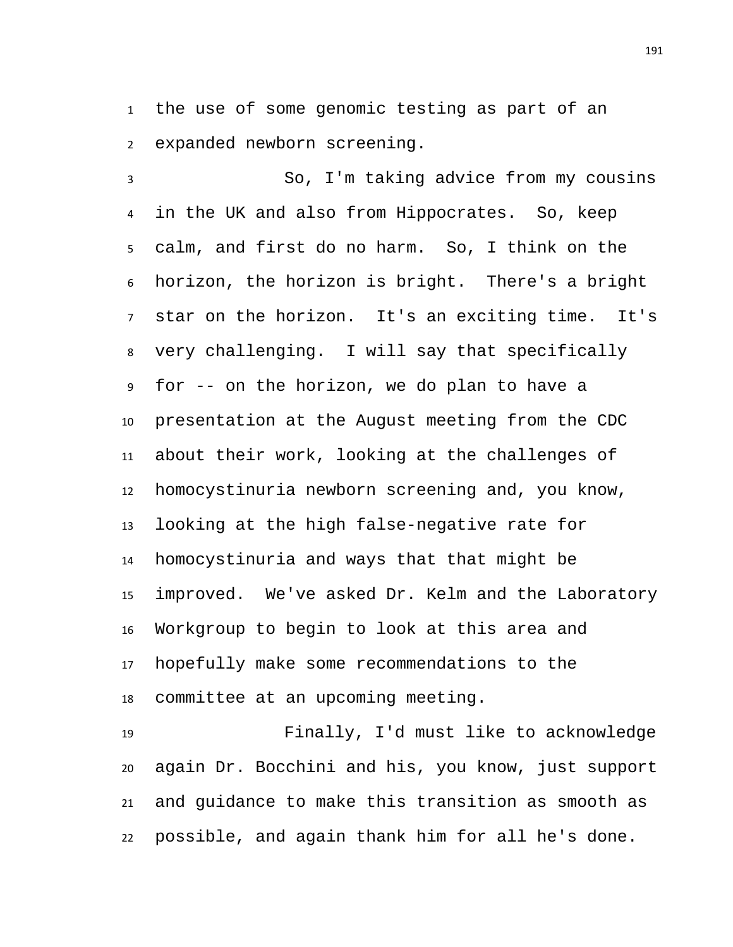the use of some genomic testing as part of an expanded newborn screening.

 So, I'm taking advice from my cousins in the UK and also from Hippocrates. So, keep calm, and first do no harm. So, I think on the horizon, the horizon is bright. There's a bright star on the horizon. It's an exciting time. It's very challenging. I will say that specifically for -- on the horizon, we do plan to have a presentation at the August meeting from the CDC about their work, looking at the challenges of homocystinuria newborn screening and, you know, looking at the high false-negative rate for homocystinuria and ways that that might be improved. We've asked Dr. Kelm and the Laboratory Workgroup to begin to look at this area and hopefully make some recommendations to the committee at an upcoming meeting.

 Finally, I'd must like to acknowledge again Dr. Bocchini and his, you know, just support and guidance to make this transition as smooth as possible, and again thank him for all he's done.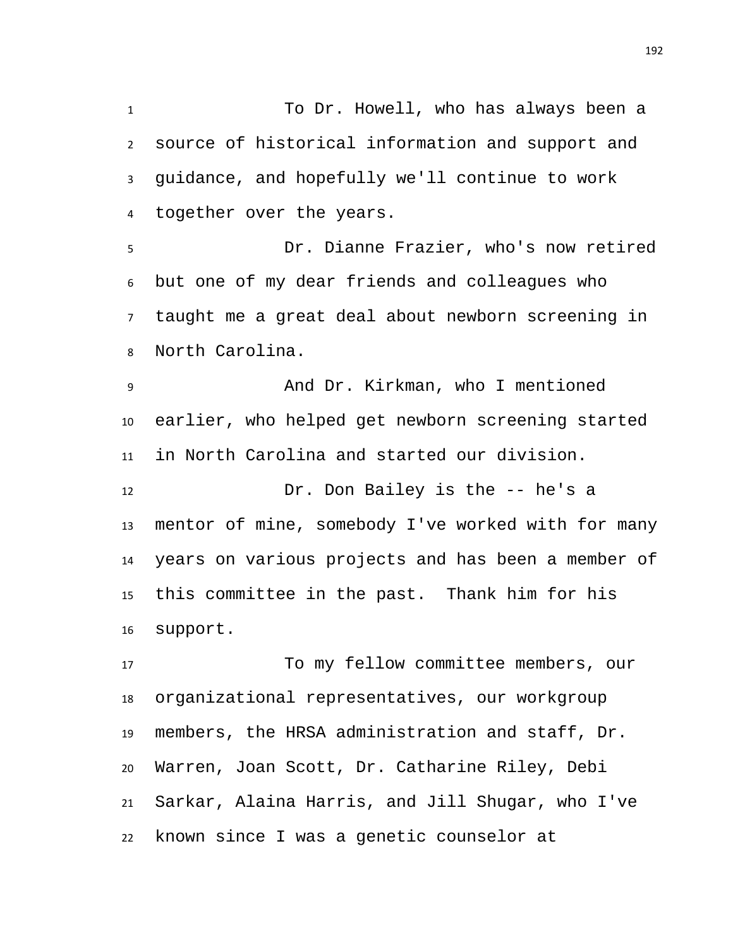To Dr. Howell, who has always been a source of historical information and support and guidance, and hopefully we'll continue to work together over the years. Dr. Dianne Frazier, who's now retired but one of my dear friends and colleagues who taught me a great deal about newborn screening in North Carolina. And Dr. Kirkman, who I mentioned earlier, who helped get newborn screening started

 Dr. Don Bailey is the -- he's a mentor of mine, somebody I've worked with for many years on various projects and has been a member of this committee in the past. Thank him for his support.

in North Carolina and started our division.

 To my fellow committee members, our organizational representatives, our workgroup members, the HRSA administration and staff, Dr. Warren, Joan Scott, Dr. Catharine Riley, Debi Sarkar, Alaina Harris, and Jill Shugar, who I've known since I was a genetic counselor at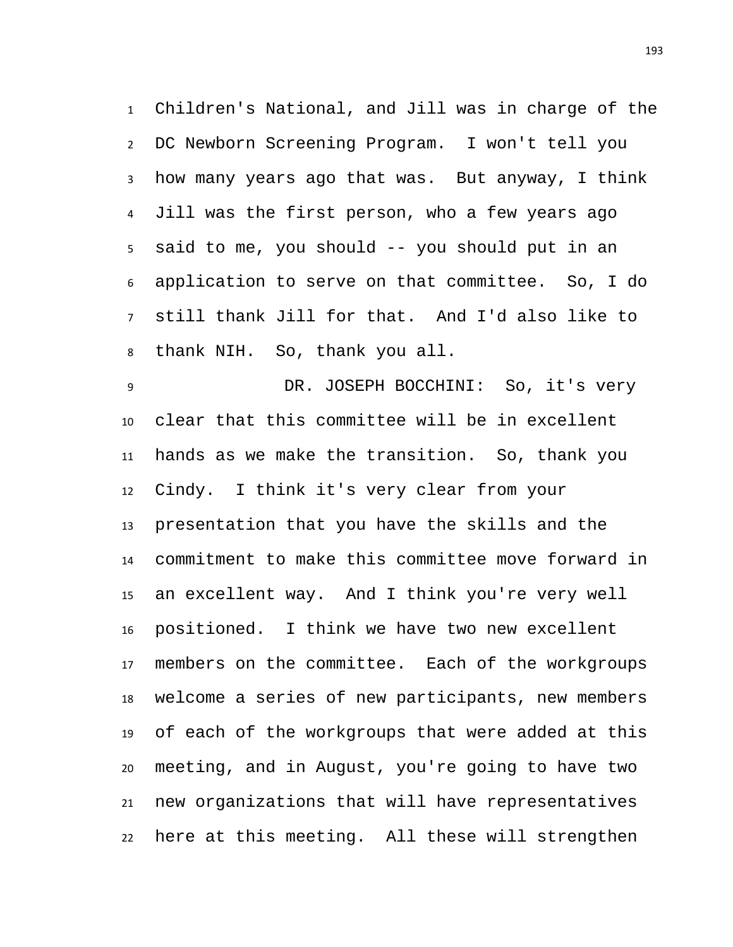Children's National, and Jill was in charge of the DC Newborn Screening Program. I won't tell you how many years ago that was. But anyway, I think Jill was the first person, who a few years ago said to me, you should -- you should put in an application to serve on that committee. So, I do still thank Jill for that. And I'd also like to thank NIH. So, thank you all.

 DR. JOSEPH BOCCHINI: So, it's very clear that this committee will be in excellent hands as we make the transition. So, thank you Cindy. I think it's very clear from your presentation that you have the skills and the commitment to make this committee move forward in an excellent way. And I think you're very well positioned. I think we have two new excellent members on the committee. Each of the workgroups welcome a series of new participants, new members of each of the workgroups that were added at this meeting, and in August, you're going to have two new organizations that will have representatives here at this meeting. All these will strengthen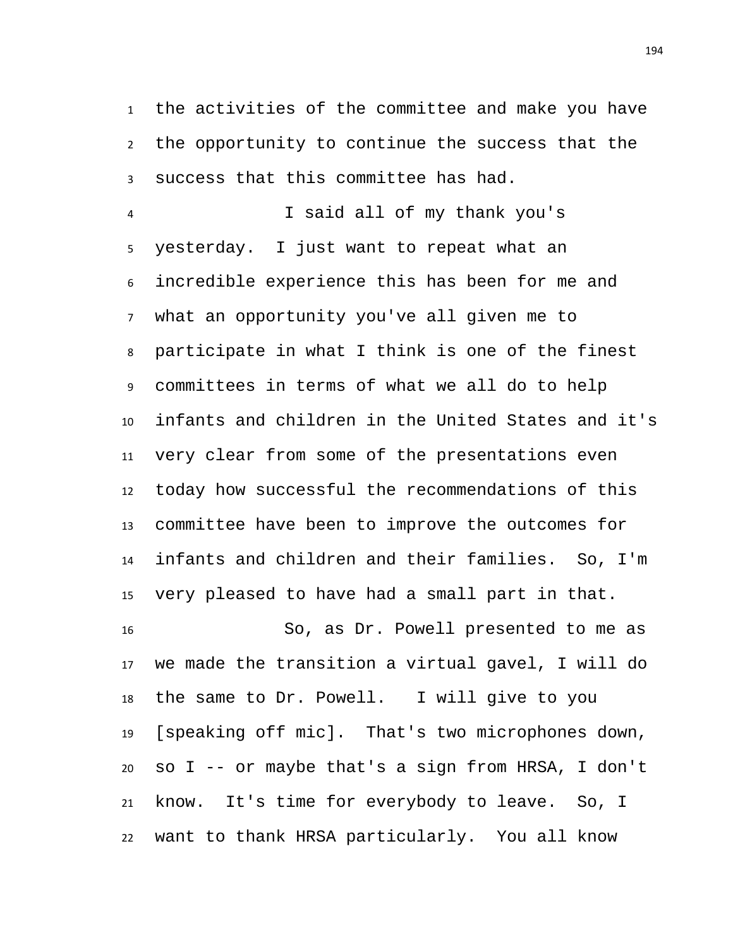the activities of the committee and make you have the opportunity to continue the success that the success that this committee has had.

 I said all of my thank you's yesterday. I just want to repeat what an incredible experience this has been for me and what an opportunity you've all given me to participate in what I think is one of the finest committees in terms of what we all do to help infants and children in the United States and it's very clear from some of the presentations even today how successful the recommendations of this committee have been to improve the outcomes for infants and children and their families. So, I'm very pleased to have had a small part in that. So, as Dr. Powell presented to me as

 we made the transition a virtual gavel, I will do the same to Dr. Powell. I will give to you [speaking off mic]. That's two microphones down, so I -- or maybe that's a sign from HRSA, I don't know. It's time for everybody to leave. So, I want to thank HRSA particularly. You all know